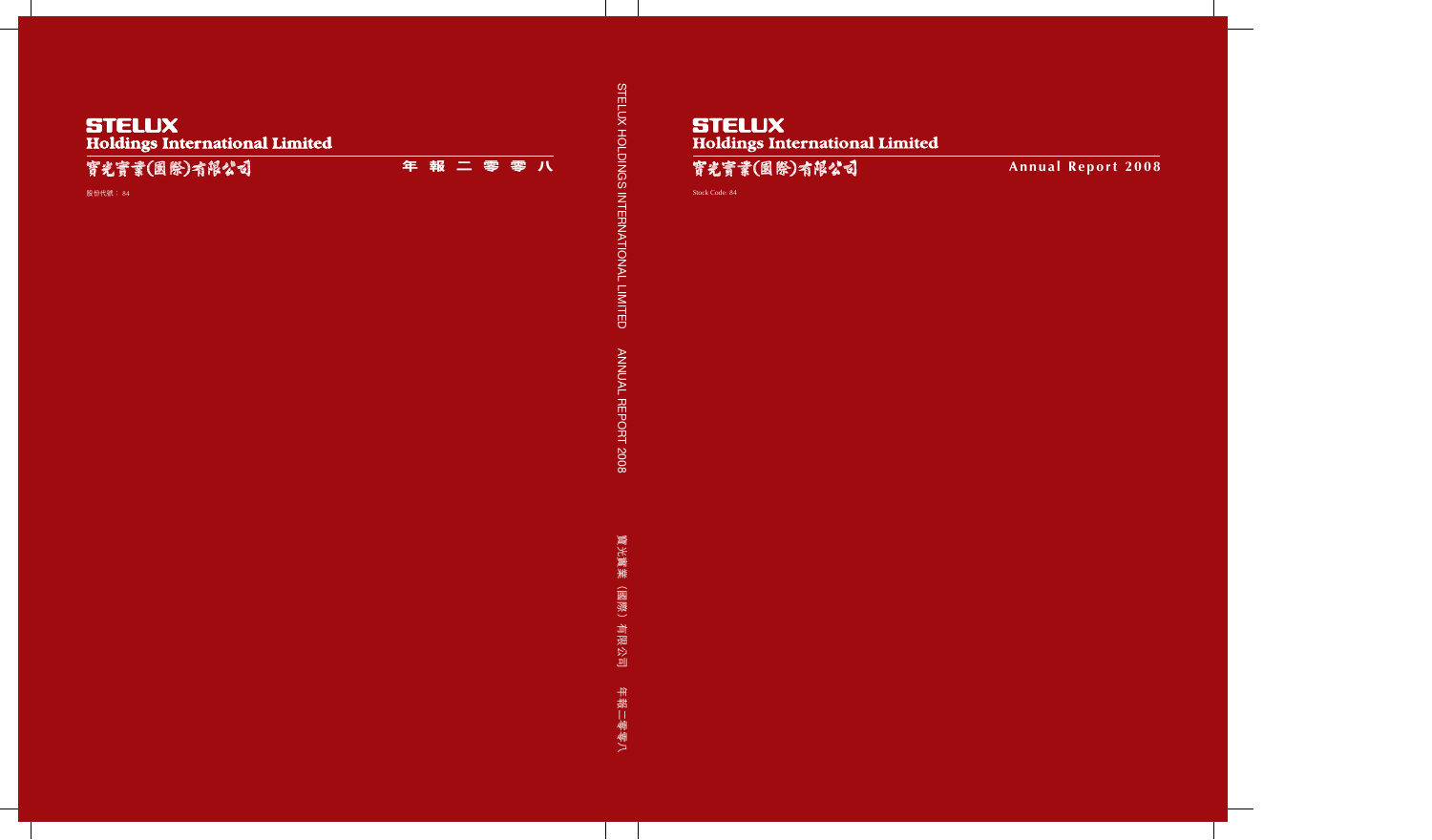# STELLIX<br>Holdings International Limited

# 寳光寳業(國際)有限公司

**Annual Report 2008**

Stock Code: 84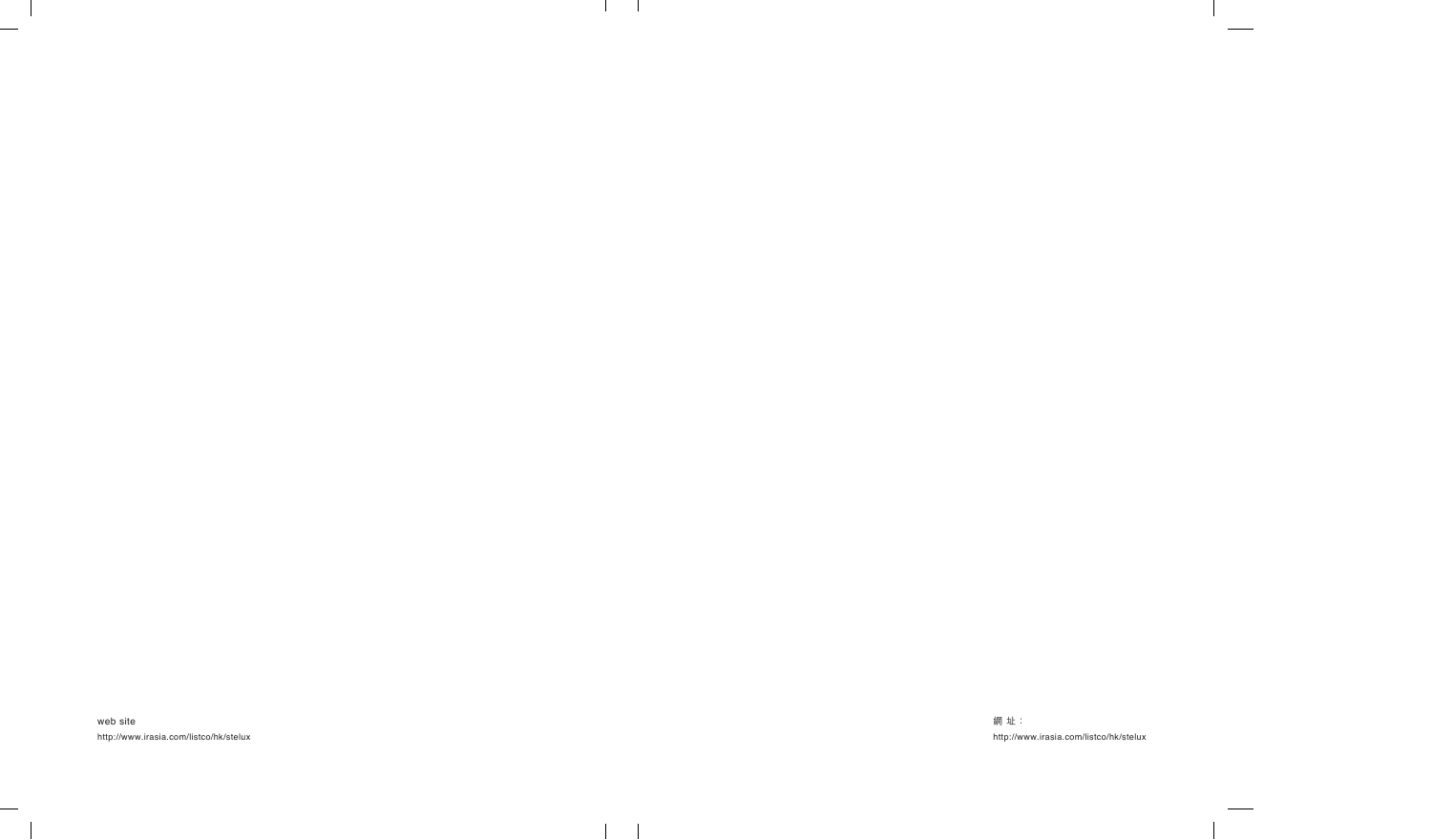web site http://www.irasia.com/listco/hk/stelux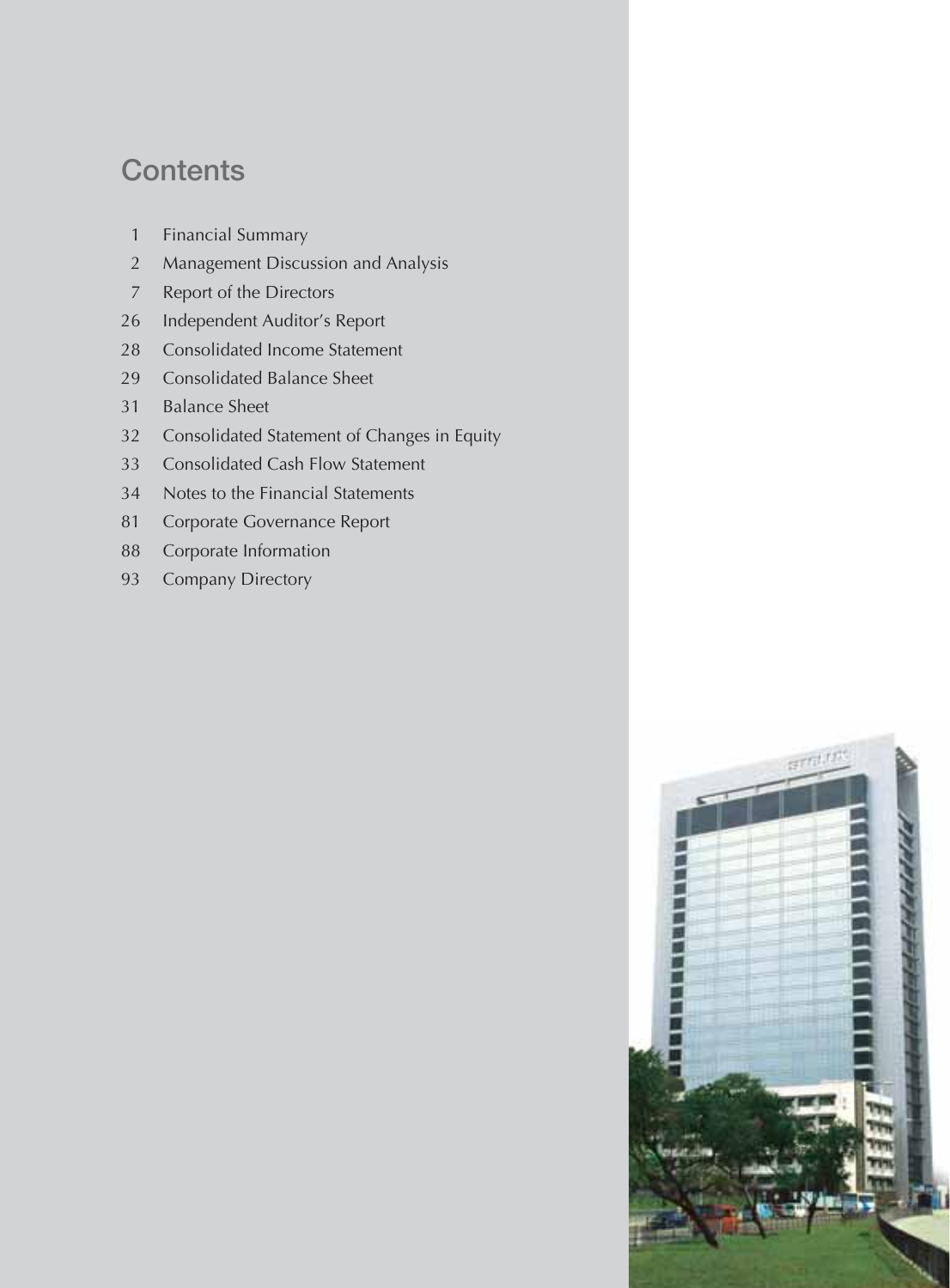# **Contents**

- 1 Financial Summary
- 2 Management Discussion and Analysis
- 7 Report of the Directors
- 26 Independent Auditor's Report
- 28 Consolidated Income Statement
- 29 Consolidated Balance Sheet
- 31 Balance Sheet
- 32 Consolidated Statement of Changes in Equity
- 33 Consolidated Cash Flow Statement
- 34 Notes to the Financial Statements
- 81 Corporate Governance Report
- 88 Corporate Information
- 93 Company Directory

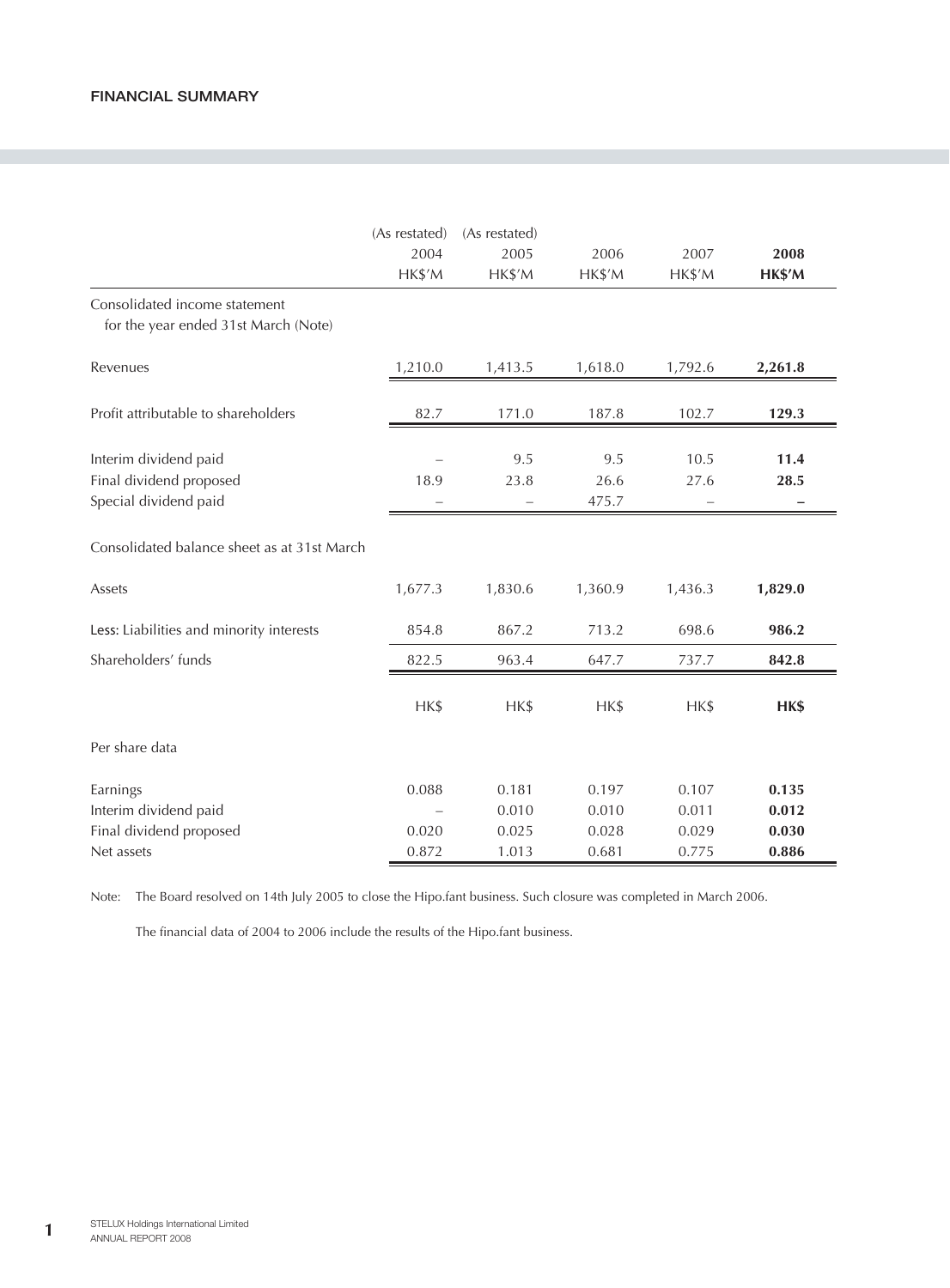|                                                                       | (As restated) | (As restated) |         |         |         |
|-----------------------------------------------------------------------|---------------|---------------|---------|---------|---------|
|                                                                       | 2004          | 2005          | 2006    | 2007    | 2008    |
|                                                                       | HK\$'M        | HK\$'M        | HK\$'M  | HK\$'M  | HK\$'M  |
| Consolidated income statement<br>for the year ended 31st March (Note) |               |               |         |         |         |
| Revenues                                                              | 1,210.0       | 1,413.5       | 1,618.0 | 1,792.6 | 2,261.8 |
| Profit attributable to shareholders                                   | 82.7          | 171.0         | 187.8   | 102.7   | 129.3   |
| Interim dividend paid                                                 |               | 9.5           | 9.5     | 10.5    | 11.4    |
| Final dividend proposed                                               | 18.9          | 23.8          | 26.6    | 27.6    | 28.5    |
| Special dividend paid                                                 |               |               | 475.7   |         |         |
| Consolidated balance sheet as at 31st March                           |               |               |         |         |         |
| Assets                                                                | 1,677.3       | 1,830.6       | 1,360.9 | 1,436.3 | 1,829.0 |
| Less: Liabilities and minority interests                              | 854.8         | 867.2         | 713.2   | 698.6   | 986.2   |
| Shareholders' funds                                                   | 822.5         | 963.4         | 647.7   | 737.7   | 842.8   |
|                                                                       | HK\$          | HK\$          | HK\$    | HK\$    | HK\$    |
| Per share data                                                        |               |               |         |         |         |
| Earnings                                                              | 0.088         | 0.181         | 0.197   | 0.107   | 0.135   |
| Interim dividend paid                                                 |               | 0.010         | 0.010   | 0.011   | 0.012   |
| Final dividend proposed                                               | 0.020         | 0.025         | 0.028   | 0.029   | 0.030   |
| Net assets                                                            | 0.872         | 1.013         | 0.681   | 0.775   | 0.886   |

Note: The Board resolved on 14th July 2005 to close the Hipo.fant business. Such closure was completed in March 2006.

The financial data of 2004 to 2006 include the results of the Hipo.fant business.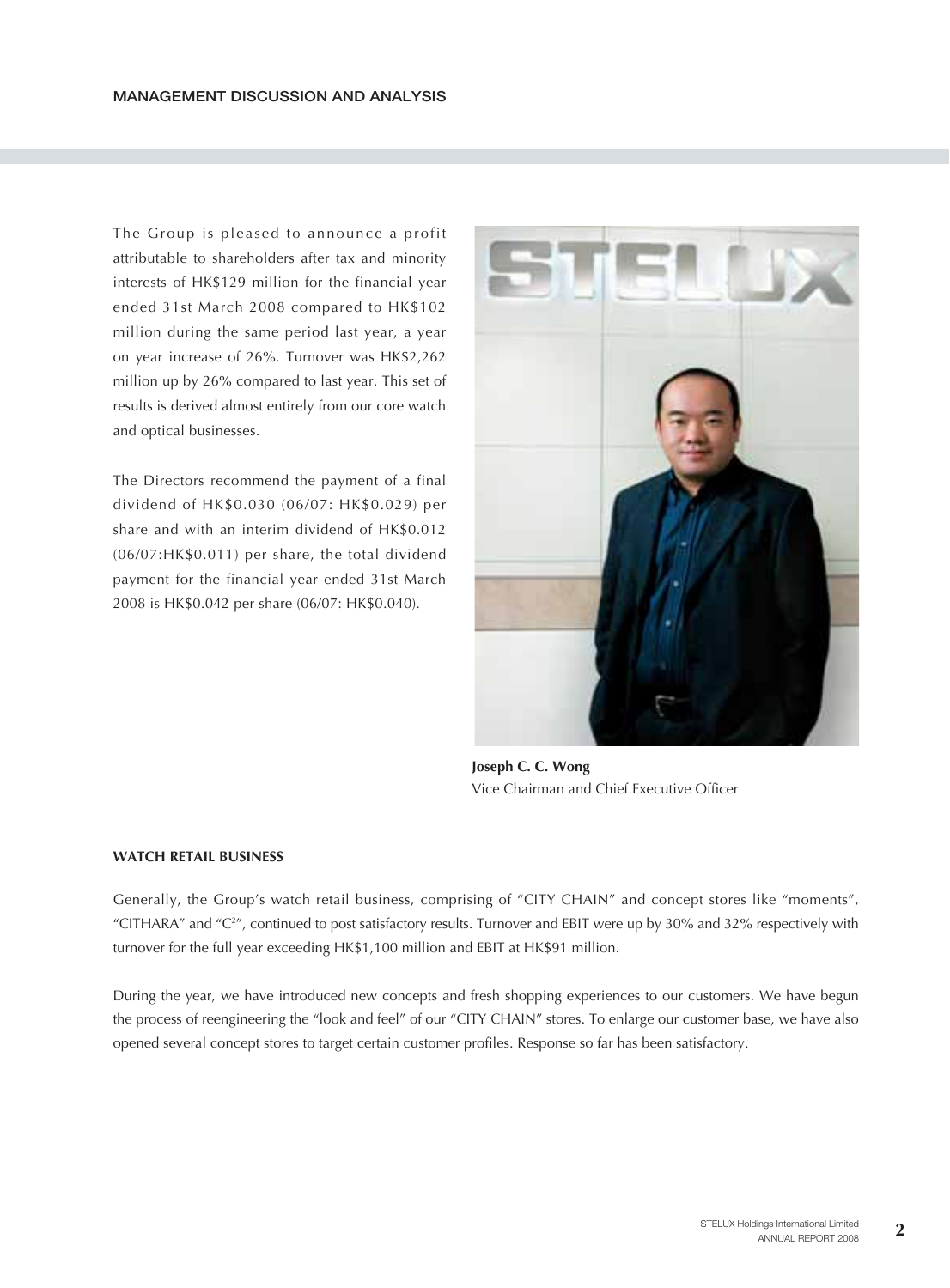The Group is pleased to announce a profit attributable to shareholders after tax and minority interests of HK\$129 million for the financial year ended 31st March 2008 compared to HK\$102 million during the same period last year, a year on year increase of 26%. Turnover was HK\$2,262 million up by 26% compared to last year. This set of results is derived almost entirely from our core watch and optical businesses.

The Directors recommend the payment of a final dividend of HK\$0.030 (06/07: HK\$0.029) per share and with an interim dividend of HK\$0.012 (06/07:HK\$0.011) per share, the total dividend payment for the financial year ended 31st March 2008 is HK\$0.042 per share (06/07: HK\$0.040).



**Joseph C. C. Wong**  Vice Chairman and Chief Executive Officer

# **WATCH RETAIL BUSINESS**

Generally, the Group's watch retail business, comprising of "CITY CHAIN" and concept stores like "moments", "CITHARA" and "C2 ", continued to post satisfactory results. Turnover and EBIT were up by 30% and 32% respectively with turnover for the full year exceeding HK\$1,100 million and EBIT at HK\$91 million.

During the year, we have introduced new concepts and fresh shopping experiences to our customers. We have begun the process of reengineering the "look and feel" of our "CITY CHAIN" stores. To enlarge our customer base, we have also opened several concept stores to target certain customer profiles. Response so far has been satisfactory.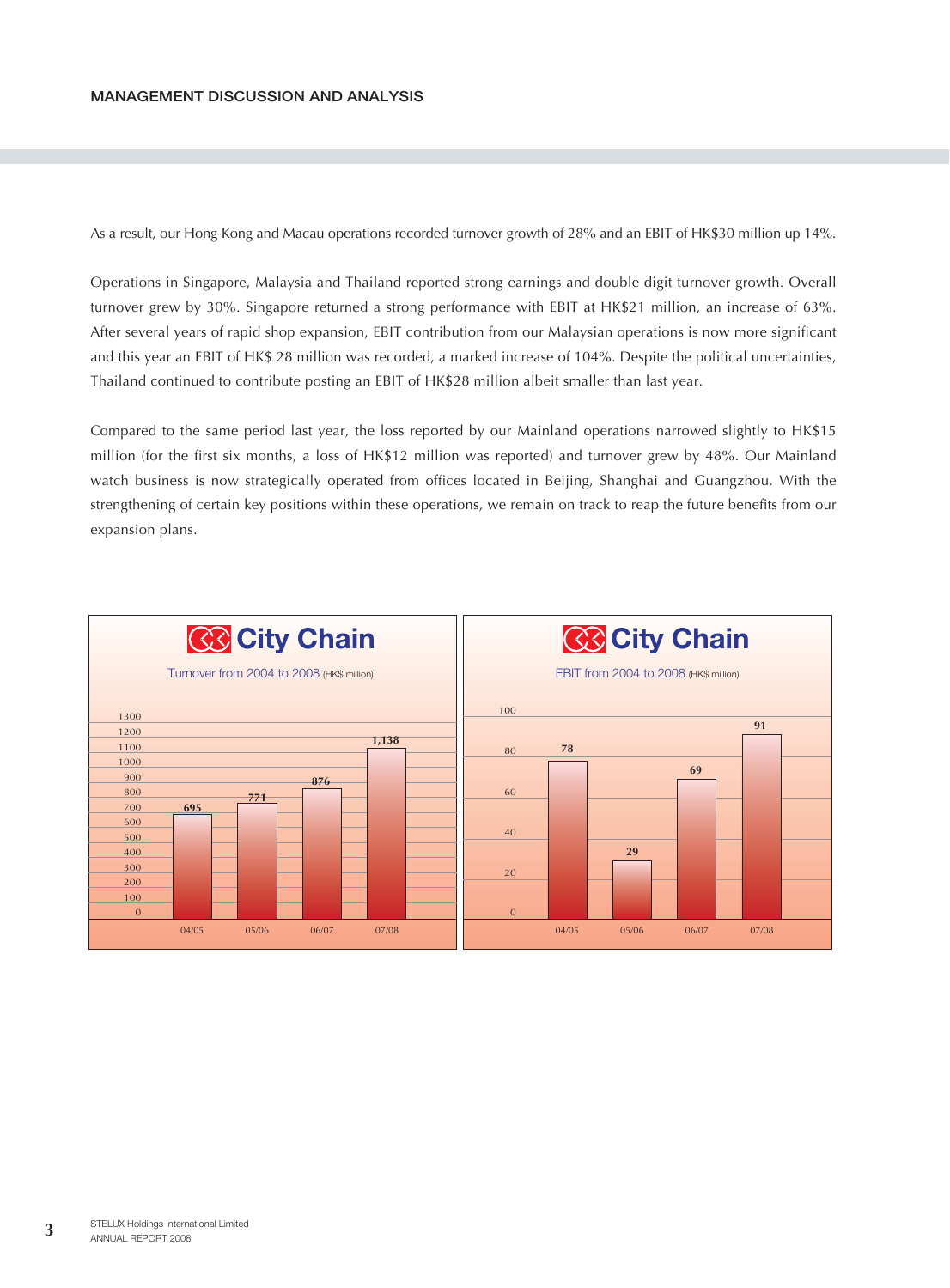As a result, our Hong Kong and Macau operations recorded turnover growth of 28% and an EBIT of HK\$30 million up 14%.

Operations in Singapore, Malaysia and Thailand reported strong earnings and double digit turnover growth. Overall turnover grew by 30%. Singapore returned a strong performance with EBIT at HK\$21 million, an increase of 63%. After several years of rapid shop expansion, EBIT contribution from our Malaysian operations is now more significant and this year an EBIT of HK\$ 28 million was recorded, a marked increase of 104%. Despite the political uncertainties, Thailand continued to contribute posting an EBIT of HK\$28 million albeit smaller than last year.

Compared to the same period last year, the loss reported by our Mainland operations narrowed slightly to HK\$15 million (for the first six months, a loss of HK\$12 million was reported) and turnover grew by 48%. Our Mainland watch business is now strategically operated from offices located in Beijing, Shanghai and Guangzhou. With the strengthening of certain key positions within these operations, we remain on track to reap the future benefits from our expansion plans.

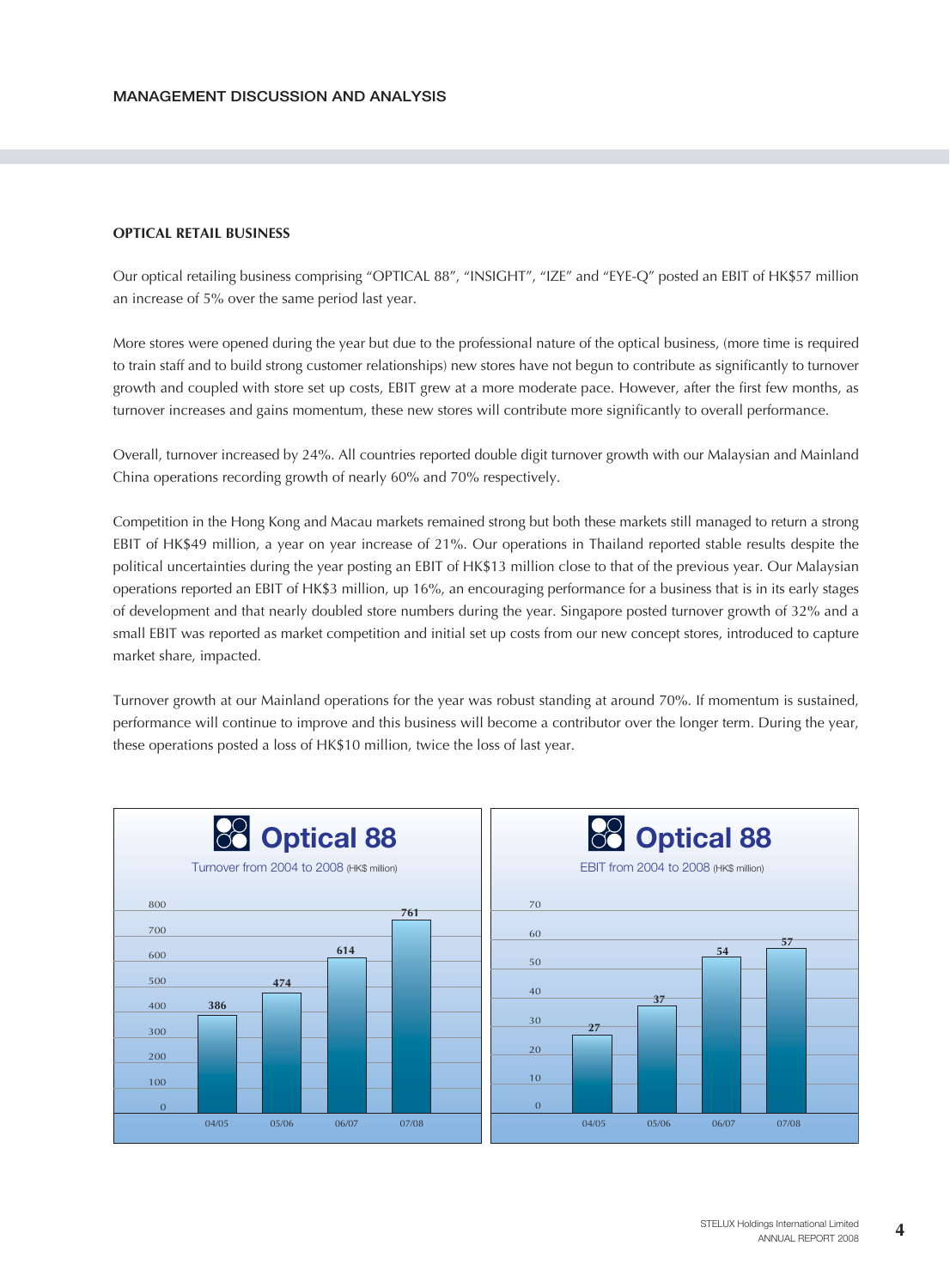#### **OPTICAL RETAIL BUSINESS**

Our optical retailing business comprising "OPTICAL 88", "INSIGHT", "IZE" and "EYE-Q" posted an EBIT of HK\$57 million an increase of 5% over the same period last year.

More stores were opened during the year but due to the professional nature of the optical business, (more time is required to train staff and to build strong customer relationships) new stores have not begun to contribute as significantly to turnover growth and coupled with store set up costs, EBIT grew at a more moderate pace. However, after the first few months, as turnover increases and gains momentum, these new stores will contribute more significantly to overall performance.

Overall, turnover increased by 24%. All countries reported double digit turnover growth with our Malaysian and Mainland China operations recording growth of nearly 60% and 70% respectively.

Competition in the Hong Kong and Macau markets remained strong but both these markets still managed to return a strong EBIT of HK\$49 million, a year on year increase of 21%. Our operations in Thailand reported stable results despite the political uncertainties during the year posting an EBIT of HK\$13 million close to that of the previous year. Our Malaysian operations reported an EBIT of HK\$3 million, up 16%, an encouraging performance for a business that is in its early stages of development and that nearly doubled store numbers during the year. Singapore posted turnover growth of 32% and a small EBIT was reported as market competition and initial set up costs from our new concept stores, introduced to capture market share, impacted.

Turnover growth at our Mainland operations for the year was robust standing at around 70%. If momentum is sustained, performance will continue to improve and this business will become a contributor over the longer term. During the year, these operations posted a loss of HK\$10 million, twice the loss of last year.

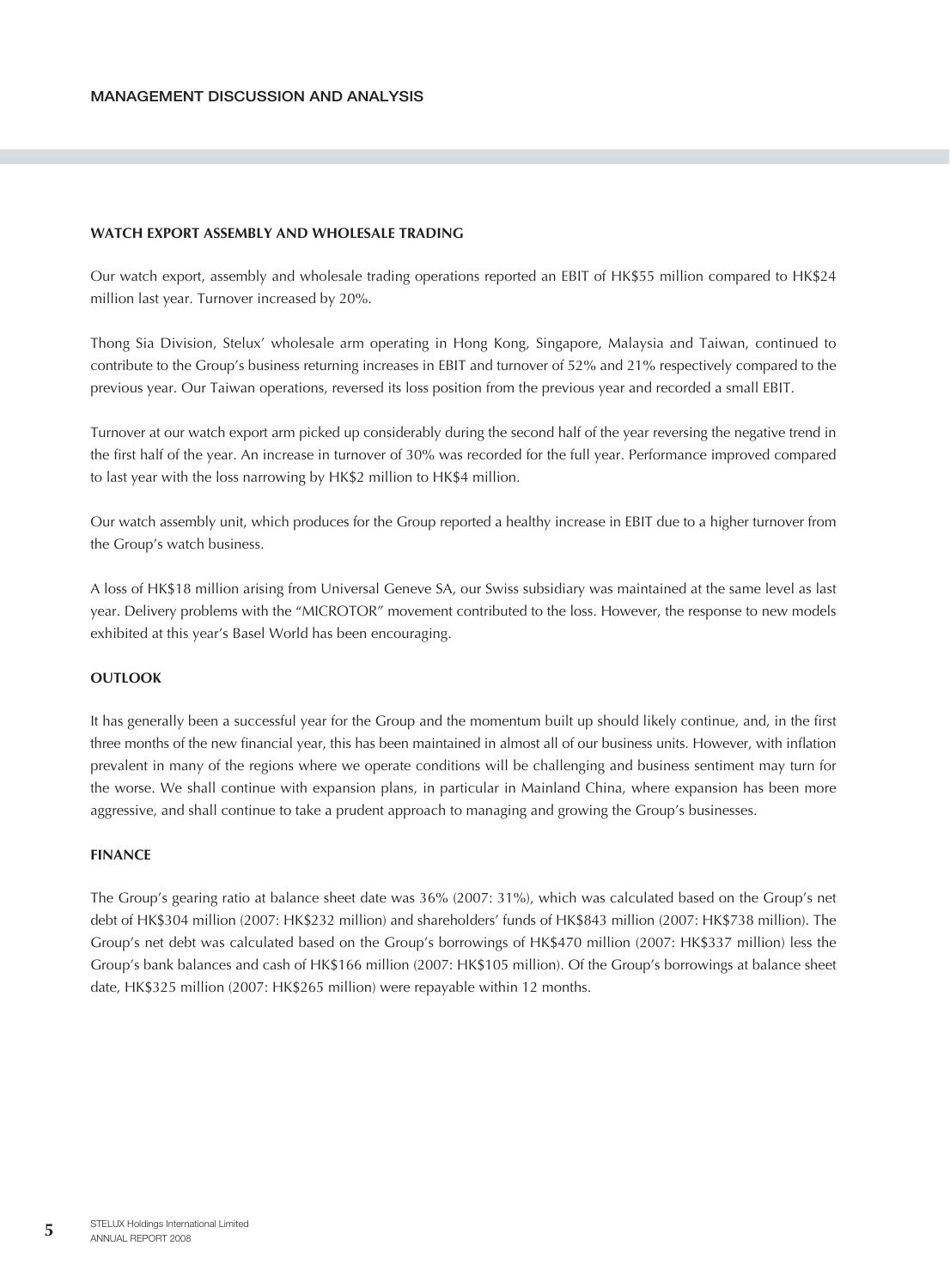#### **WATCH EXPORT ASSEMBLY AND WHOLESALE TRADING**

Our watch export, assembly and wholesale trading operations reported an EBIT of HK\$55 million compared to HK\$24 million last year. Turnover increased by 20%.

Thong Sia Division, Stelux' wholesale arm operating in Hong Kong, Singapore, Malaysia and Taiwan, continued to contribute to the Group's business returning increases in EBIT and turnover of 52% and 21% respectively compared to the previous year. Our Taiwan operations, reversed its loss position from the previous year and recorded a small EBIT.

Turnover at our watch export arm picked up considerably during the second half of the year reversing the negative trend in the first half of the year. An increase in turnover of 30% was recorded for the full year. Performance improved compared to last year with the loss narrowing by HK\$2 million to HK\$4 million.

Our watch assembly unit, which produces for the Group reported a healthy increase in EBIT due to a higher turnover from the Group's watch business.

A loss of HK\$18 million arising from Universal Geneve SA, our Swiss subsidiary was maintained at the same level as last year. Delivery problems with the "MICROTOR" movement contributed to the loss. However, the response to new models exhibited at this year's Basel World has been encouraging.

#### **OUTLOOK**

It has generally been a successful year for the Group and the momentum built up should likely continue, and, in the first three months of the new financial year, this has been maintained in almost all of our business units. However, with inflation prevalent in many of the regions where we operate conditions will be challenging and business sentiment may turn for the worse. We shall continue with expansion plans, in particular in Mainland China, where expansion has been more aggressive, and shall continue to take a prudent approach to managing and growing the Group's businesses.

#### **FINANCE**

The Group's gearing ratio at balance sheet date was 36% (2007: 31%), which was calculated based on the Group's net debt of HK\$304 million (2007: HK\$232 million) and shareholders' funds of HK\$843 million (2007: HK\$738 million). The Group's net debt was calculated based on the Group's borrowings of HK\$470 million (2007: HK\$337 million) less the Group's bank balances and cash of HK\$166 million (2007: HK\$105 million). Of the Group's borrowings at balance sheet date, HK\$325 million (2007: HK\$265 million) were repayable within 12 months.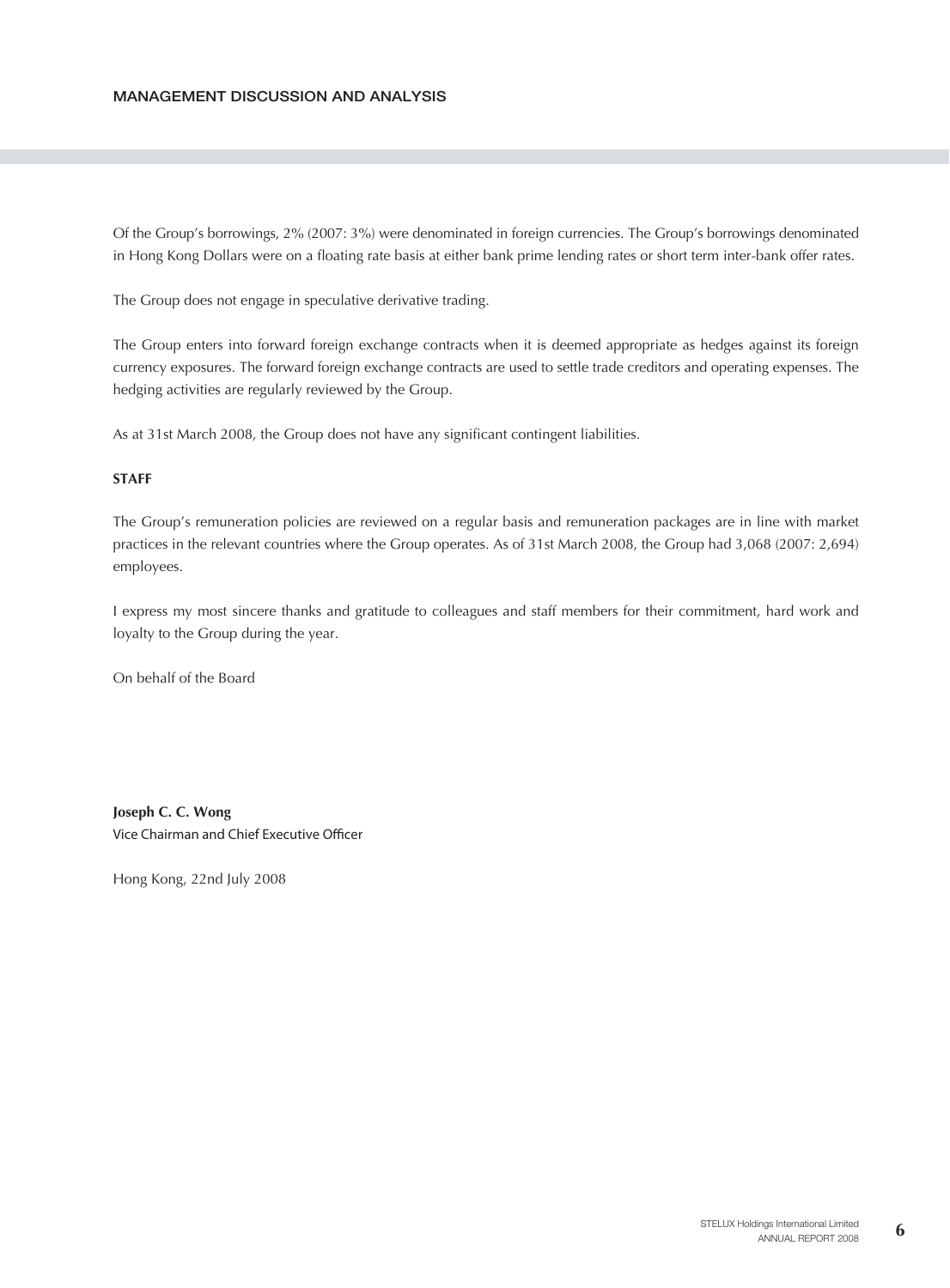Of the Group's borrowings, 2% (2007: 3%) were denominated in foreign currencies. The Group's borrowings denominated in Hong Kong Dollars were on a floating rate basis at either bank prime lending rates or short term inter-bank offer rates.

The Group does not engage in speculative derivative trading.

The Group enters into forward foreign exchange contracts when it is deemed appropriate as hedges against its foreign currency exposures. The forward foreign exchange contracts are used to settle trade creditors and operating expenses. The hedging activities are regularly reviewed by the Group.

As at 31st March 2008, the Group does not have any significant contingent liabilities.

#### **STAFF**

The Group's remuneration policies are reviewed on a regular basis and remuneration packages are in line with market practices in the relevant countries where the Group operates. As of 31st March 2008, the Group had 3,068 (2007: 2,694) employees.

I express my most sincere thanks and gratitude to colleagues and staff members for their commitment, hard work and loyalty to the Group during the year.

On behalf of the Board

**Joseph C. C. Wong** Vice Chairman and Chief Executive Officer

Hong Kong, 22nd July 2008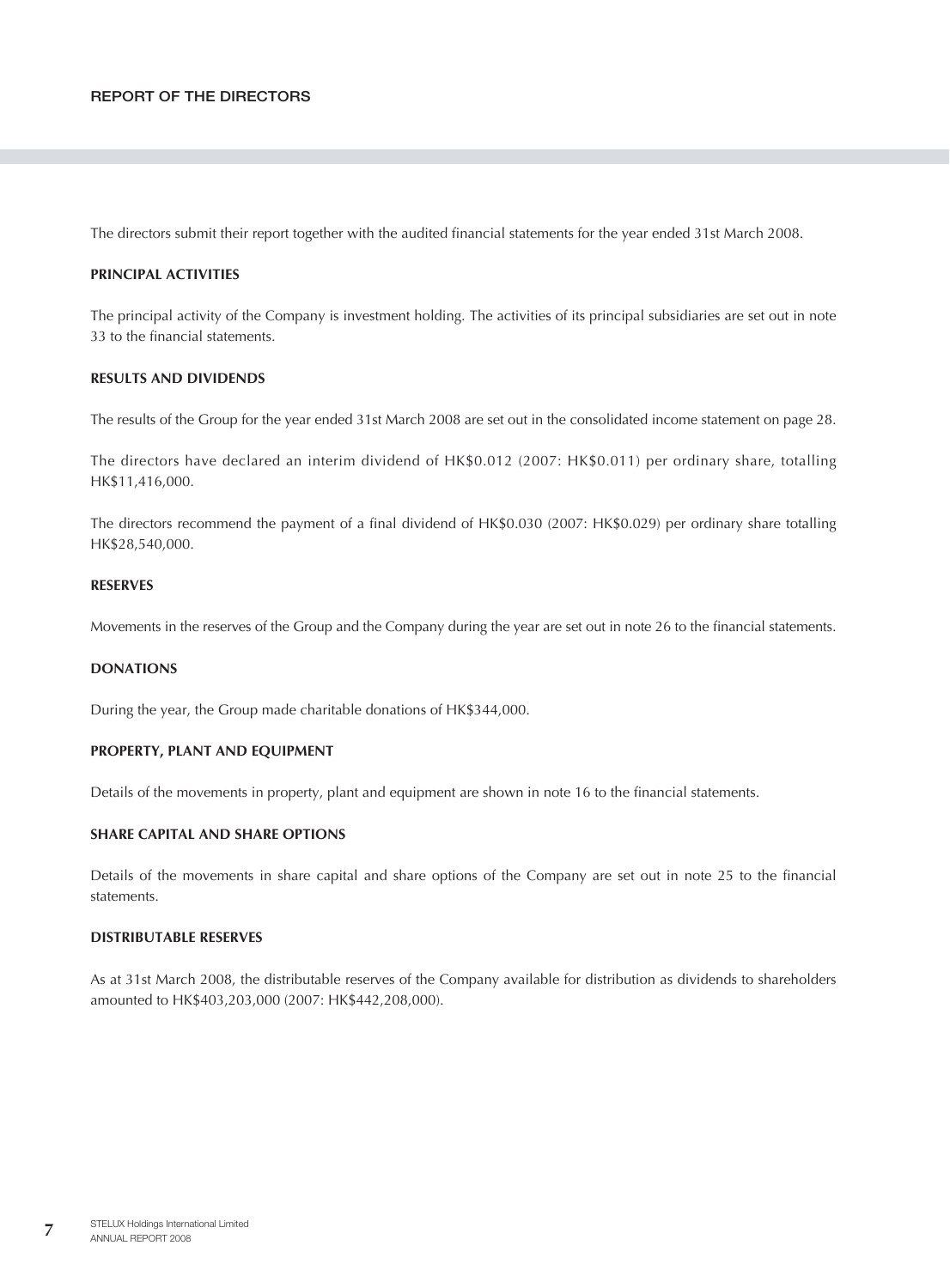The directors submit their report together with the audited financial statements for the year ended 31st March 2008.

# **PRINCIPAL ACTIVITIES**

The principal activity of the Company is investment holding. The activities of its principal subsidiaries are set out in note 33 to the financial statements.

#### **RESULTS AND DIVIDENDS**

The results of the Group for the year ended 31st March 2008 are set out in the consolidated income statement on page 28.

The directors have declared an interim dividend of HK\$0.012 (2007: HK\$0.011) per ordinary share, totalling HK\$11,416,000.

The directors recommend the payment of a final dividend of HK\$0.030 (2007: HK\$0.029) per ordinary share totalling HK\$28,540,000.

#### **RESERVES**

Movements in the reserves of the Group and the Company during the year are set out in note 26 to the financial statements.

#### **DONATIONS**

During the year, the Group made charitable donations of HK\$344,000.

#### **PROPERTY, PLANT AND EQUIPMENT**

Details of the movements in property, plant and equipment are shown in note 16 to the financial statements.

#### **SHARE CAPITAL AND SHARE OPTIONS**

Details of the movements in share capital and share options of the Company are set out in note 25 to the financial statements.

## **DISTRIBUTABLE RESERVES**

As at 31st March 2008, the distributable reserves of the Company available for distribution as dividends to shareholders amounted to HK\$403,203,000 (2007: HK\$442,208,000).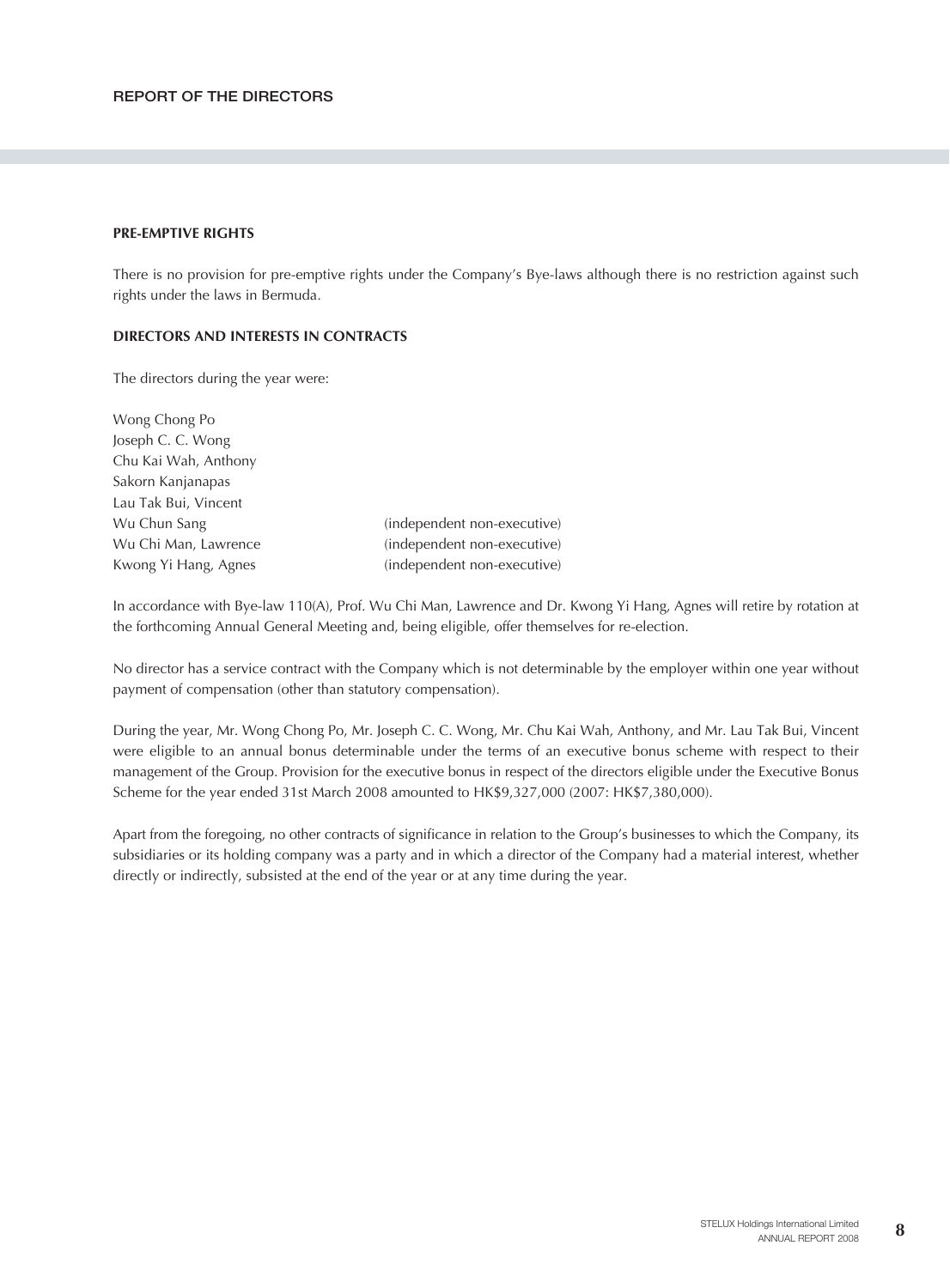#### **PRE-EMPTIVE RIGHTS**

There is no provision for pre-emptive rights under the Company's Bye-laws although there is no restriction against such rights under the laws in Bermuda.

# **DIRECTORS AND INTERESTS IN CONTRACTS**

The directors during the year were:

| Wong Chong Po        |                             |
|----------------------|-----------------------------|
| Joseph C. C. Wong    |                             |
| Chu Kai Wah, Anthony |                             |
| Sakorn Kanjanapas    |                             |
| Lau Tak Bui, Vincent |                             |
| Wu Chun Sang         | (independent non-executive) |
| Wu Chi Man, Lawrence | (independent non-executive) |
| Kwong Yi Hang, Agnes | (independent non-executive) |

In accordance with Bye-law 110(A), Prof. Wu Chi Man, Lawrence and Dr. Kwong Yi Hang, Agnes will retire by rotation at the forthcoming Annual General Meeting and, being eligible, offer themselves for re-election.

No director has a service contract with the Company which is not determinable by the employer within one year without payment of compensation (other than statutory compensation).

During the year, Mr. Wong Chong Po, Mr. Joseph C. C. Wong, Mr. Chu Kai Wah, Anthony, and Mr. Lau Tak Bui, Vincent were eligible to an annual bonus determinable under the terms of an executive bonus scheme with respect to their management of the Group. Provision for the executive bonus in respect of the directors eligible under the Executive Bonus Scheme for the year ended 31st March 2008 amounted to HK\$9,327,000 (2007: HK\$7,380,000).

Apart from the foregoing, no other contracts of significance in relation to the Group's businesses to which the Company, its subsidiaries or its holding company was a party and in which a director of the Company had a material interest, whether directly or indirectly, subsisted at the end of the year or at any time during the year.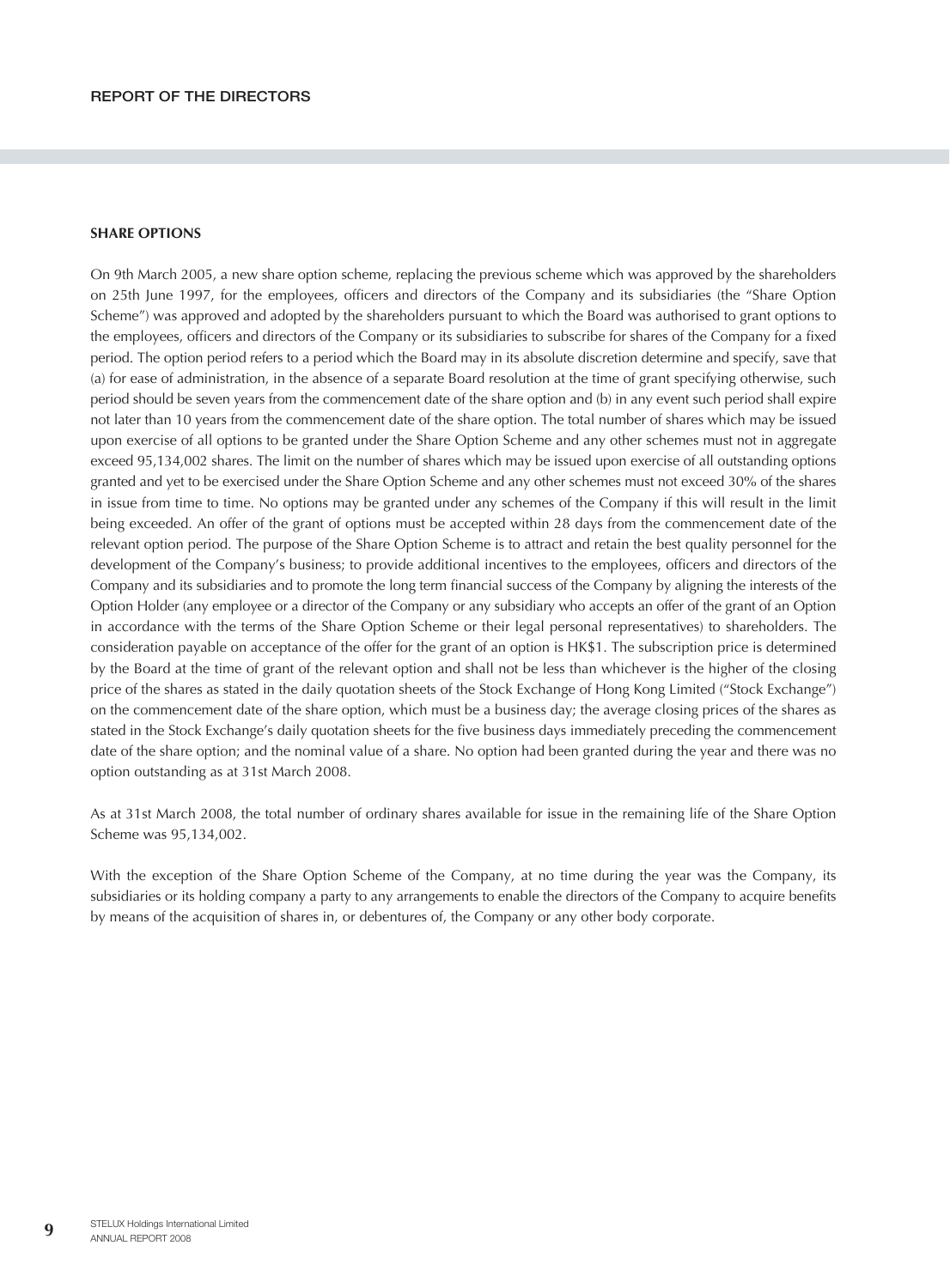#### **SHARE OPTIONS**

On 9th March 2005, a new share option scheme, replacing the previous scheme which was approved by the shareholders on 25th June 1997, for the employees, officers and directors of the Company and its subsidiaries (the "Share Option Scheme") was approved and adopted by the shareholders pursuant to which the Board was authorised to grant options to the employees, officers and directors of the Company or its subsidiaries to subscribe for shares of the Company for a fixed period. The option period refers to a period which the Board may in its absolute discretion determine and specify, save that (a) for ease of administration, in the absence of a separate Board resolution at the time of grant specifying otherwise, such period should be seven years from the commencement date of the share option and (b) in any event such period shall expire not later than 10 years from the commencement date of the share option. The total number of shares which may be issued upon exercise of all options to be granted under the Share Option Scheme and any other schemes must not in aggregate exceed 95,134,002 shares. The limit on the number of shares which may be issued upon exercise of all outstanding options granted and yet to be exercised under the Share Option Scheme and any other schemes must not exceed 30% of the shares in issue from time to time. No options may be granted under any schemes of the Company if this will result in the limit being exceeded. An offer of the grant of options must be accepted within 28 days from the commencement date of the relevant option period. The purpose of the Share Option Scheme is to attract and retain the best quality personnel for the development of the Company's business; to provide additional incentives to the employees, officers and directors of the Company and its subsidiaries and to promote the long term financial success of the Company by aligning the interests of the Option Holder (any employee or a director of the Company or any subsidiary who accepts an offer of the grant of an Option in accordance with the terms of the Share Option Scheme or their legal personal representatives) to shareholders. The consideration payable on acceptance of the offer for the grant of an option is HK\$1. The subscription price is determined by the Board at the time of grant of the relevant option and shall not be less than whichever is the higher of the closing price of the shares as stated in the daily quotation sheets of the Stock Exchange of Hong Kong Limited ("Stock Exchange") on the commencement date of the share option, which must be a business day; the average closing prices of the shares as stated in the Stock Exchange's daily quotation sheets for the five business days immediately preceding the commencement date of the share option; and the nominal value of a share. No option had been granted during the year and there was no option outstanding as at 31st March 2008.

As at 31st March 2008, the total number of ordinary shares available for issue in the remaining life of the Share Option Scheme was 95,134,002.

With the exception of the Share Option Scheme of the Company, at no time during the year was the Company, its subsidiaries or its holding company a party to any arrangements to enable the directors of the Company to acquire benefits by means of the acquisition of shares in, or debentures of, the Company or any other body corporate.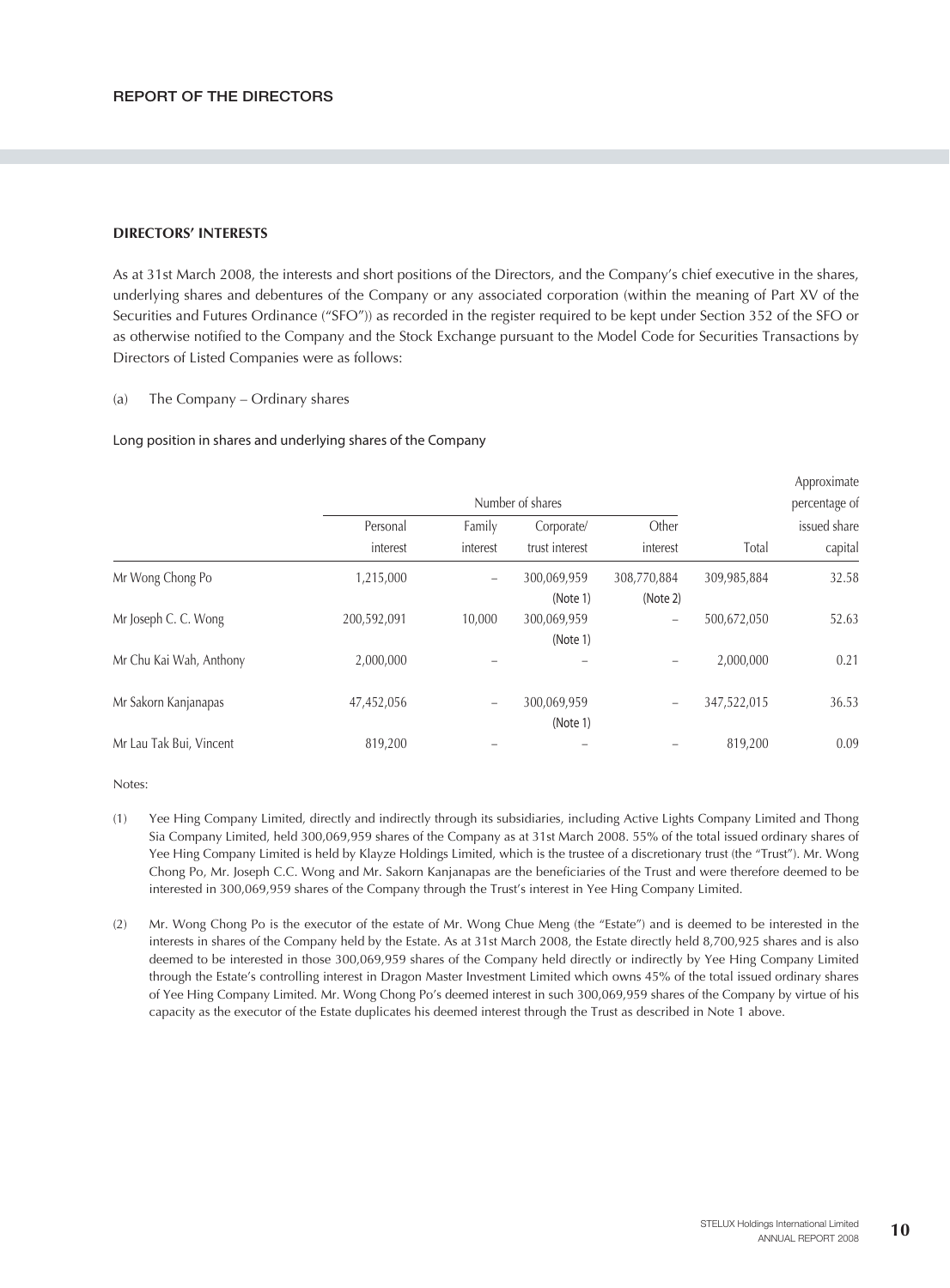# **DIRECTORS' INTERESTS**

As at 31st March 2008, the interests and short positions of the Directors, and the Company's chief executive in the shares, underlying shares and debentures of the Company or any associated corporation (within the meaning of Part XV of the Securities and Futures Ordinance ("SFO")) as recorded in the register required to be kept under Section 352 of the SFO or as otherwise notified to the Company and the Stock Exchange pursuant to the Model Code for Securities Transactions by Directors of Listed Companies were as follows:

#### (a) The Company – Ordinary shares

#### Long position in shares and underlying shares of the Company

|                         |                      | Number of shares         |                              |                         |             | Approximate<br>percentage of |
|-------------------------|----------------------|--------------------------|------------------------------|-------------------------|-------------|------------------------------|
|                         | Personal<br>interest | Family<br>interest       | Corporate/<br>trust interest | Other<br>interest       | Total       | issued share<br>capital      |
| Mr Wong Chong Po        | 1,215,000            | $\overline{\phantom{0}}$ | 300,069,959<br>(Note 1)      | 308,770,884<br>(Note 2) | 309,985,884 | 32.58                        |
| Mr Joseph C. C. Wong    | 200,592,091          | 10,000                   | 300,069,959<br>(Note 1)      | $\qquad \qquad -$       | 500,672,050 | 52.63                        |
| Mr Chu Kai Wah, Anthony | 2,000,000            |                          |                              |                         | 2,000,000   | 0.21                         |
| Mr Sakorn Kanjanapas    | 47,452,056           | $\overline{\phantom{0}}$ | 300,069,959<br>(Note 1)      | $\qquad \qquad -$       | 347,522,015 | 36.53                        |
| Mr Lau Tak Bui, Vincent | 819,200              |                          |                              |                         | 819,200     | 0.09                         |

Notes:

- (1) Yee Hing Company Limited, directly and indirectly through its subsidiaries, including Active Lights Company Limited and Thong Sia Company Limited, held 300,069,959 shares of the Company as at 31st March 2008. 55% of the total issued ordinary shares of Yee Hing Company Limited is held by Klayze Holdings Limited, which is the trustee of a discretionary trust (the "Trust"). Mr. Wong Chong Po, Mr. Joseph C.C. Wong and Mr. Sakorn Kanjanapas are the beneficiaries of the Trust and were therefore deemed to be interested in 300,069,959 shares of the Company through the Trust's interest in Yee Hing Company Limited.
- (2) Mr. Wong Chong Po is the executor of the estate of Mr. Wong Chue Meng (the "Estate") and is deemed to be interested in the interests in shares of the Company held by the Estate. As at 31st March 2008, the Estate directly held 8,700,925 shares and is also deemed to be interested in those 300,069,959 shares of the Company held directly or indirectly by Yee Hing Company Limited through the Estate's controlling interest in Dragon Master Investment Limited which owns 45% of the total issued ordinary shares of Yee Hing Company Limited. Mr. Wong Chong Po's deemed interest in such 300,069,959 shares of the Company by virtue of his capacity as the executor of the Estate duplicates his deemed interest through the Trust as described in Note 1 above.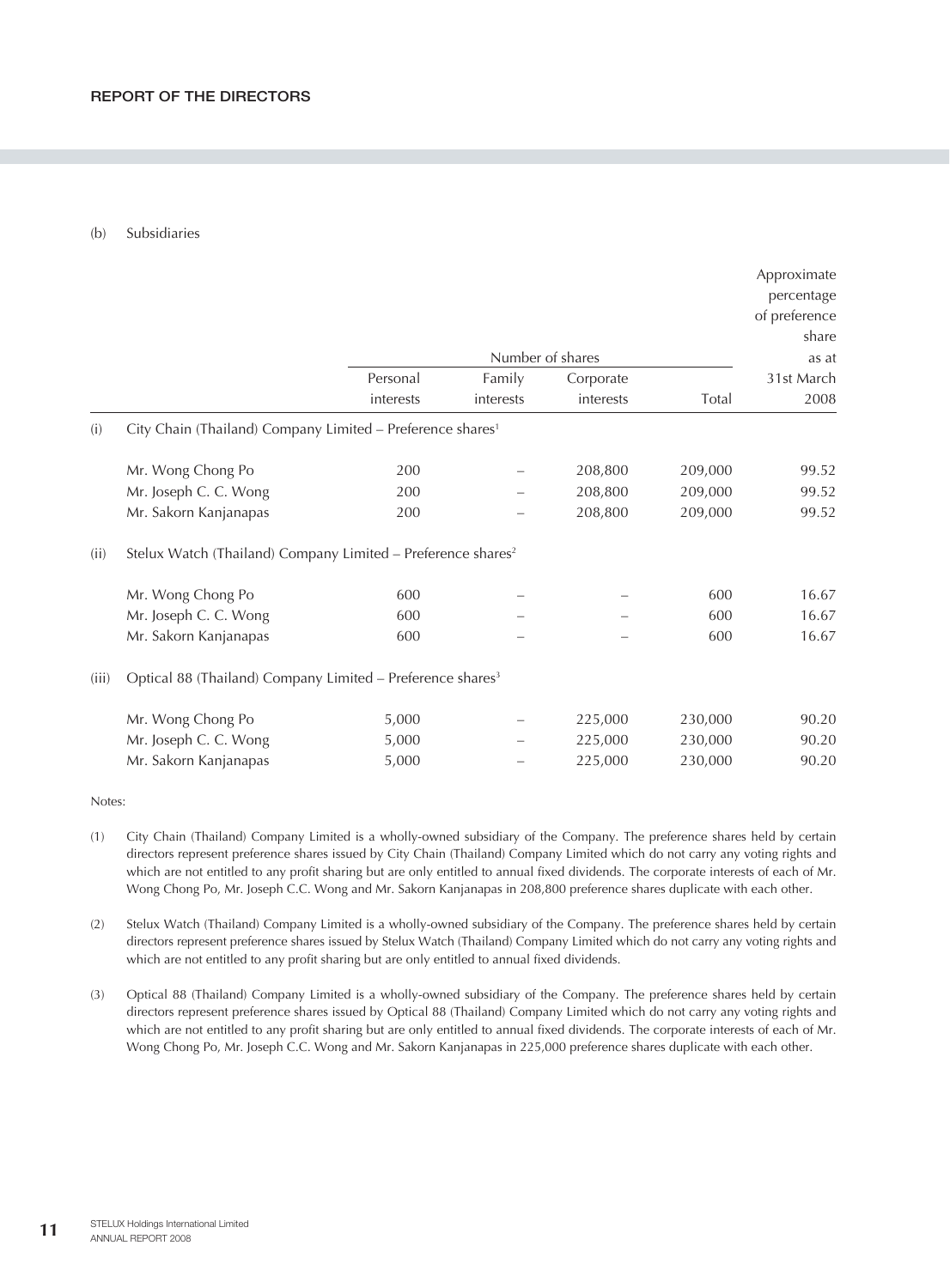# (b) Subsidiaries

|       |                                                                          |           |           |                  |         | Approximate   |
|-------|--------------------------------------------------------------------------|-----------|-----------|------------------|---------|---------------|
|       |                                                                          |           |           |                  |         | percentage    |
|       |                                                                          |           |           |                  |         | of preference |
|       |                                                                          |           |           |                  |         | share         |
|       |                                                                          |           |           | Number of shares |         | as at         |
|       |                                                                          | Personal  | Family    | Corporate        |         | 31st March    |
|       |                                                                          | interests | interests | interests        | Total   | 2008          |
| (i)   | City Chain (Thailand) Company Limited - Preference shares <sup>1</sup>   |           |           |                  |         |               |
|       | Mr. Wong Chong Po                                                        | 200       |           | 208,800          | 209,000 | 99.52         |
|       | Mr. Joseph C. C. Wong                                                    | 200       |           | 208,800          | 209,000 | 99.52         |
|       | Mr. Sakorn Kanjanapas                                                    | 200       |           | 208,800          | 209,000 | 99.52         |
| (ii)  | Stelux Watch (Thailand) Company Limited - Preference shares <sup>2</sup> |           |           |                  |         |               |
|       | Mr. Wong Chong Po                                                        | 600       |           |                  | 600     | 16.67         |
|       | Mr. Joseph C. C. Wong                                                    | 600       |           |                  | 600     | 16.67         |
|       | Mr. Sakorn Kanjanapas                                                    | 600       |           |                  | 600     | 16.67         |
| (iii) | Optical 88 (Thailand) Company Limited - Preference shares <sup>3</sup>   |           |           |                  |         |               |
|       | Mr. Wong Chong Po                                                        | 5,000     |           | 225,000          | 230,000 | 90.20         |
|       | Mr. Joseph C. C. Wong                                                    | 5,000     |           | 225,000          | 230,000 | 90.20         |
|       | Mr. Sakorn Kanjanapas                                                    | 5,000     |           | 225,000          | 230,000 | 90.20         |
|       |                                                                          |           |           |                  |         |               |

#### Notes:

- (1) City Chain (Thailand) Company Limited is a wholly-owned subsidiary of the Company. The preference shares held by certain directors represent preference shares issued by City Chain (Thailand) Company Limited which do not carry any voting rights and which are not entitled to any profit sharing but are only entitled to annual fixed dividends. The corporate interests of each of Mr. Wong Chong Po, Mr. Joseph C.C. Wong and Mr. Sakorn Kanjanapas in 208,800 preference shares duplicate with each other.
- (2) Stelux Watch (Thailand) Company Limited is a wholly-owned subsidiary of the Company. The preference shares held by certain directors represent preference shares issued by Stelux Watch (Thailand) Company Limited which do not carry any voting rights and which are not entitled to any profit sharing but are only entitled to annual fixed dividends.
- (3) Optical 88 (Thailand) Company Limited is a wholly-owned subsidiary of the Company. The preference shares held by certain directors represent preference shares issued by Optical 88 (Thailand) Company Limited which do not carry any voting rights and which are not entitled to any profit sharing but are only entitled to annual fixed dividends. The corporate interests of each of Mr. Wong Chong Po, Mr. Joseph C.C. Wong and Mr. Sakorn Kanjanapas in 225,000 preference shares duplicate with each other.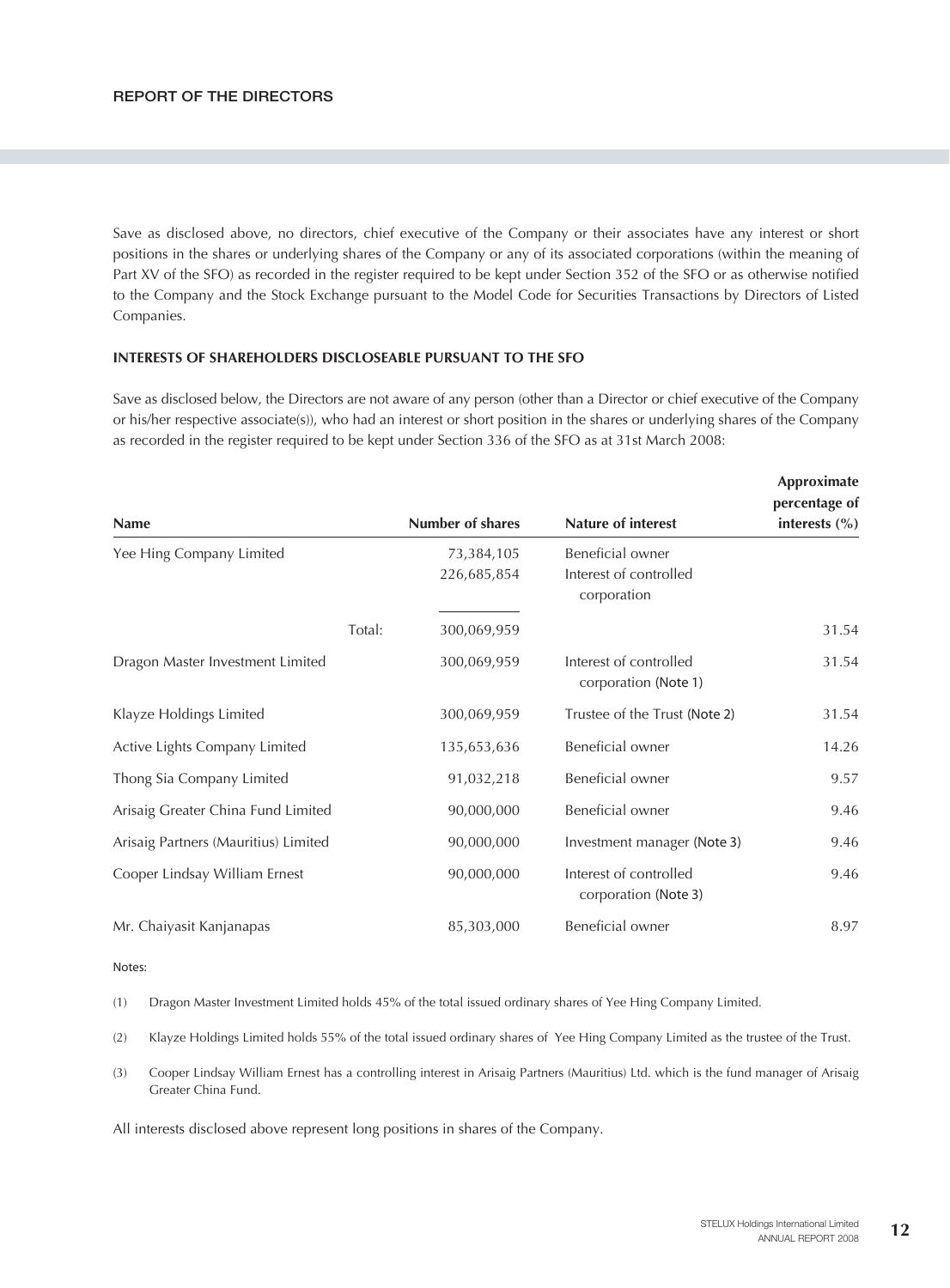Save as disclosed above, no directors, chief executive of the Company or their associates have any interest or short positions in the shares or underlying shares of the Company or any of its associated corporations (within the meaning of Part XV of the SFO) as recorded in the register required to be kept under Section 352 of the SFO or as otherwise notified to the Company and the Stock Exchange pursuant to the Model Code for Securities Transactions by Directors of Listed Companies.

#### **INTERESTS OF SHAREHOLDERS DISCLOSEABLE PURSUANT TO THE SFO**

Save as disclosed below, the Directors are not aware of any person (other than a Director or chief executive of the Company or his/her respective associate(s)), who had an interest or short position in the shares or underlying shares of the Company as recorded in the register required to be kept under Section 336 of the SFO as at 31st March 2008:

|                                      |                  |                                                | Approximate<br>percentage of |
|--------------------------------------|------------------|------------------------------------------------|------------------------------|
| Name                                 | Number of shares | <b>Nature of interest</b>                      | interests $(\% )$            |
| Yee Hing Company Limited             | 73,384,105       | Beneficial owner                               |                              |
|                                      | 226,685,854      | Interest of controlled<br>corporation          |                              |
| Total:                               | 300,069,959      |                                                | 31.54                        |
| Dragon Master Investment Limited     | 300,069,959      | Interest of controlled<br>corporation (Note 1) | 31.54                        |
| Klayze Holdings Limited              | 300,069,959      | Trustee of the Trust (Note 2)                  | 31.54                        |
| Active Lights Company Limited        | 135,653,636      | Beneficial owner                               | 14.26                        |
| Thong Sia Company Limited            | 91,032,218       | Beneficial owner                               | 9.57                         |
| Arisaig Greater China Fund Limited   | 90,000,000       | Beneficial owner                               | 9.46                         |
| Arisaig Partners (Mauritius) Limited | 90,000,000       | Investment manager (Note 3)                    | 9.46                         |
| Cooper Lindsay William Ernest        | 90,000,000       | Interest of controlled<br>corporation (Note 3) | 9.46                         |
| Mr. Chaiyasit Kanjanapas             | 85,303,000       | Beneficial owner                               | 8.97                         |

Notes:

(1) Dragon Master Investment Limited holds 45% of the total issued ordinary shares of Yee Hing Company Limited.

(2) Klayze Holdings Limited holds 55% of the total issued ordinary shares of Yee Hing Company Limited as the trustee of the Trust.

(3) Cooper Lindsay William Ernest has a controlling interest in Arisaig Partners (Mauritius) Ltd. which is the fund manager of Arisaig Greater China Fund.

All interests disclosed above represent long positions in shares of the Company.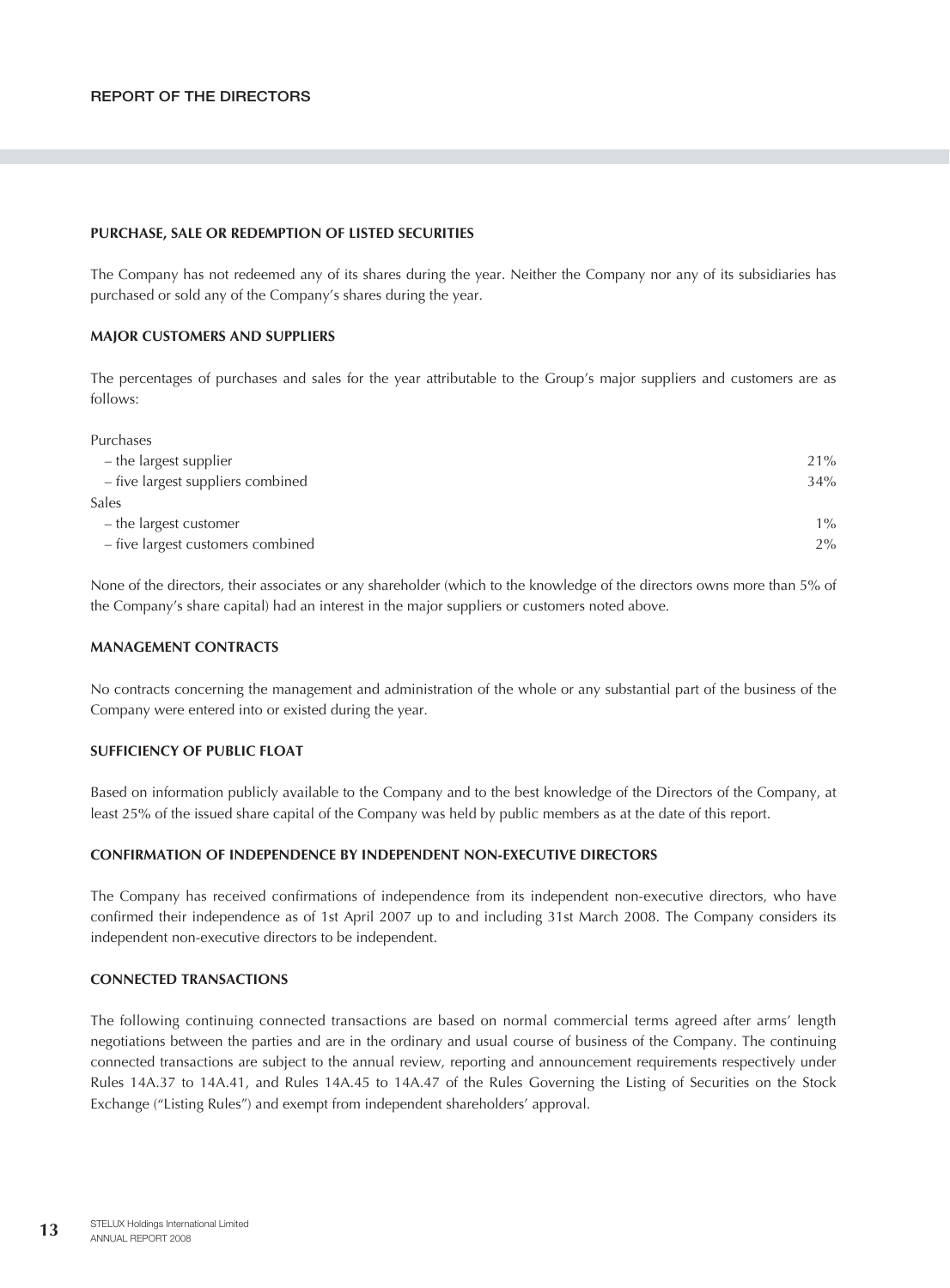#### **PURCHASE, SALE OR REDEMPTION OF LISTED SECURITIES**

The Company has not redeemed any of its shares during the year. Neither the Company nor any of its subsidiaries has purchased or sold any of the Company's shares during the year.

#### **MAJOR CUSTOMERS AND SUPPLIERS**

The percentages of purchases and sales for the year attributable to the Group's major suppliers and customers are as follows:

Purchases

| – the largest supplier            | 21%   |
|-----------------------------------|-------|
| - five largest suppliers combined | 34%   |
| Sales                             |       |
| – the largest customer            | $1\%$ |
| - five largest customers combined | $2\%$ |
|                                   |       |

None of the directors, their associates or any shareholder (which to the knowledge of the directors owns more than 5% of the Company's share capital) had an interest in the major suppliers or customers noted above.

#### **MANAGEMENT CONTRACTS**

No contracts concerning the management and administration of the whole or any substantial part of the business of the Company were entered into or existed during the year.

#### **SUFFICIENCY OF PUBLIC FLOAT**

Based on information publicly available to the Company and to the best knowledge of the Directors of the Company, at least 25% of the issued share capital of the Company was held by public members as at the date of this report.

# **CONFIRMATION OF INDEPENDENCE BY INDEPENDENT NON-EXECUTIVE DIRECTORS**

The Company has received confirmations of independence from its independent non-executive directors, who have confirmed their independence as of 1st April 2007 up to and including 31st March 2008. The Company considers its independent non-executive directors to be independent.

#### **CONNECTED TRANSACTIONS**

The following continuing connected transactions are based on normal commercial terms agreed after arms' length negotiations between the parties and are in the ordinary and usual course of business of the Company. The continuing connected transactions are subject to the annual review, reporting and announcement requirements respectively under Rules 14A.37 to 14A.41, and Rules 14A.45 to 14A.47 of the Rules Governing the Listing of Securities on the Stock Exchange ("Listing Rules") and exempt from independent shareholders' approval.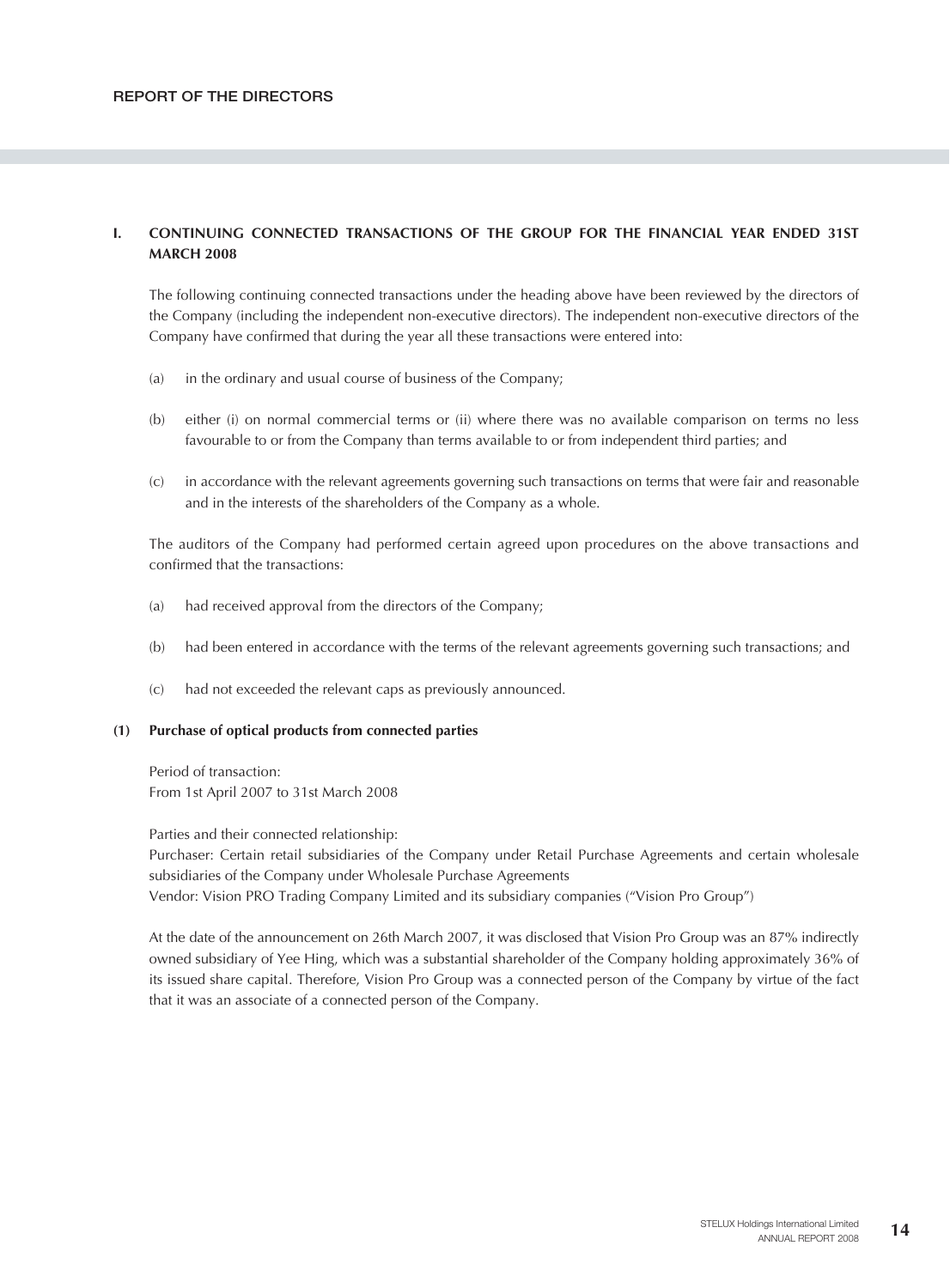# **I. CONTINUING CONNECTED TRANSACTIONS OF THE GROUP FOR THE FINANCIAL YEAR ENDED 31ST MARCH 2008**

The following continuing connected transactions under the heading above have been reviewed by the directors of the Company (including the independent non-executive directors). The independent non-executive directors of the Company have confirmed that during the year all these transactions were entered into:

- (a) in the ordinary and usual course of business of the Company;
- (b) either (i) on normal commercial terms or (ii) where there was no available comparison on terms no less favourable to or from the Company than terms available to or from independent third parties; and
- (c) in accordance with the relevant agreements governing such transactions on terms that were fair and reasonable and in the interests of the shareholders of the Company as a whole.

The auditors of the Company had performed certain agreed upon procedures on the above transactions and confirmed that the transactions:

- (a) had received approval from the directors of the Company;
- (b) had been entered in accordance with the terms of the relevant agreements governing such transactions; and
- (c) had not exceeded the relevant caps as previously announced.

#### **(1) Purchase of optical products from connected parties**

Period of transaction: From 1st April 2007 to 31st March 2008

Parties and their connected relationship:

Purchaser: Certain retail subsidiaries of the Company under Retail Purchase Agreements and certain wholesale subsidiaries of the Company under Wholesale Purchase Agreements Vendor: Vision PRO Trading Company Limited and its subsidiary companies ("Vision Pro Group")

At the date of the announcement on 26th March 2007, it was disclosed that Vision Pro Group was an 87% indirectly owned subsidiary of Yee Hing, which was a substantial shareholder of the Company holding approximately 36% of its issued share capital. Therefore, Vision Pro Group was a connected person of the Company by virtue of the fact that it was an associate of a connected person of the Company.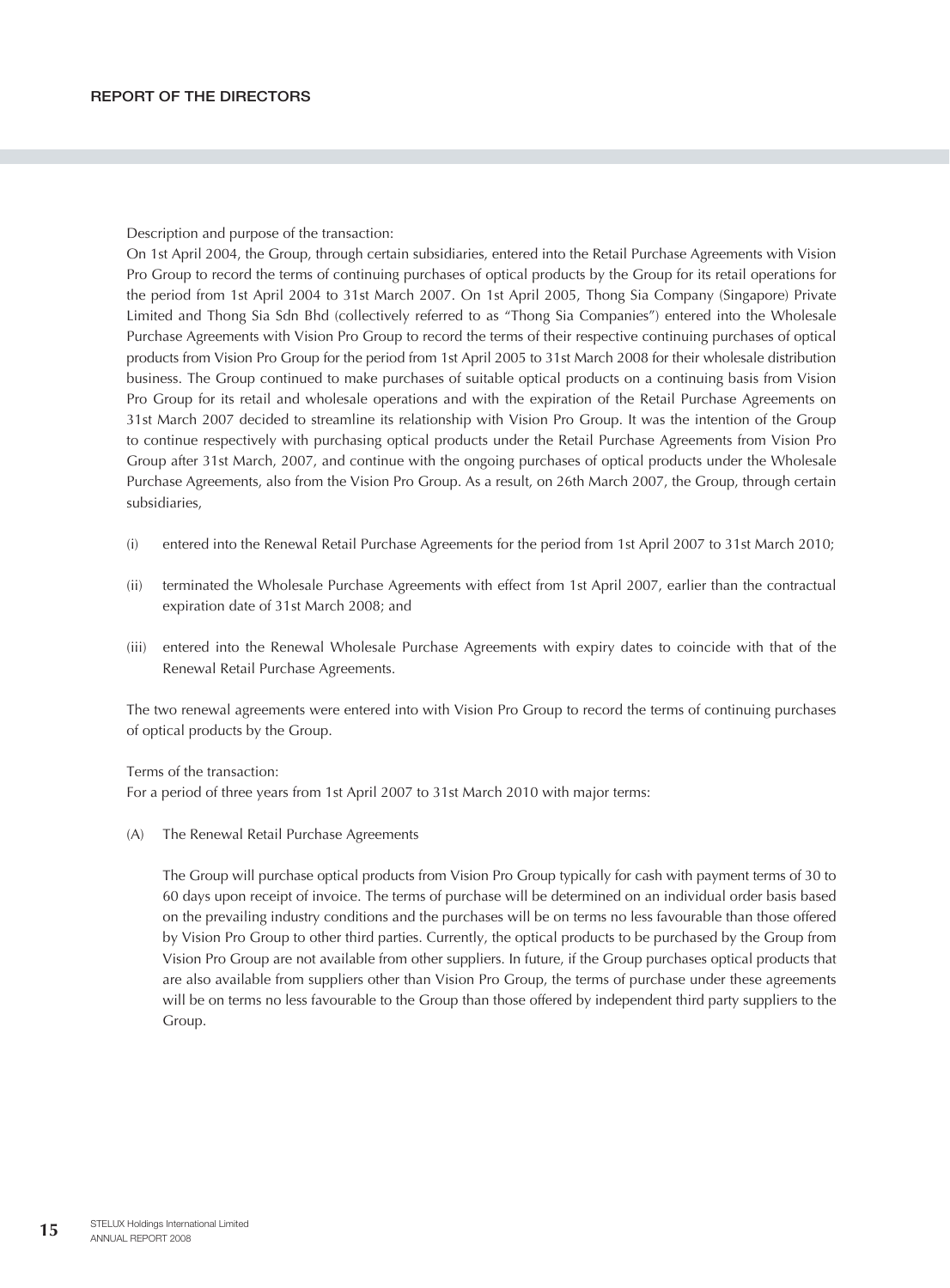Description and purpose of the transaction:

On 1st April 2004, the Group, through certain subsidiaries, entered into the Retail Purchase Agreements with Vision Pro Group to record the terms of continuing purchases of optical products by the Group for its retail operations for the period from 1st April 2004 to 31st March 2007. On 1st April 2005, Thong Sia Company (Singapore) Private Limited and Thong Sia Sdn Bhd (collectively referred to as "Thong Sia Companies") entered into the Wholesale Purchase Agreements with Vision Pro Group to record the terms of their respective continuing purchases of optical products from Vision Pro Group for the period from 1st April 2005 to 31st March 2008 for their wholesale distribution business. The Group continued to make purchases of suitable optical products on a continuing basis from Vision Pro Group for its retail and wholesale operations and with the expiration of the Retail Purchase Agreements on 31st March 2007 decided to streamline its relationship with Vision Pro Group. It was the intention of the Group to continue respectively with purchasing optical products under the Retail Purchase Agreements from Vision Pro Group after 31st March, 2007, and continue with the ongoing purchases of optical products under the Wholesale Purchase Agreements, also from the Vision Pro Group. As a result, on 26th March 2007, the Group, through certain subsidiaries,

- (i) entered into the Renewal Retail Purchase Agreements for the period from 1st April 2007 to 31st March 2010;
- (ii) terminated the Wholesale Purchase Agreements with effect from 1st April 2007, earlier than the contractual expiration date of 31st March 2008; and
- (iii) entered into the Renewal Wholesale Purchase Agreements with expiry dates to coincide with that of the Renewal Retail Purchase Agreements.

The two renewal agreements were entered into with Vision Pro Group to record the terms of continuing purchases of optical products by the Group.

Terms of the transaction:

For a period of three years from 1st April 2007 to 31st March 2010 with major terms:

(A) The Renewal Retail Purchase Agreements

The Group will purchase optical products from Vision Pro Group typically for cash with payment terms of 30 to 60 days upon receipt of invoice. The terms of purchase will be determined on an individual order basis based on the prevailing industry conditions and the purchases will be on terms no less favourable than those offered by Vision Pro Group to other third parties. Currently, the optical products to be purchased by the Group from Vision Pro Group are not available from other suppliers. In future, if the Group purchases optical products that are also available from suppliers other than Vision Pro Group, the terms of purchase under these agreements will be on terms no less favourable to the Group than those offered by independent third party suppliers to the Group.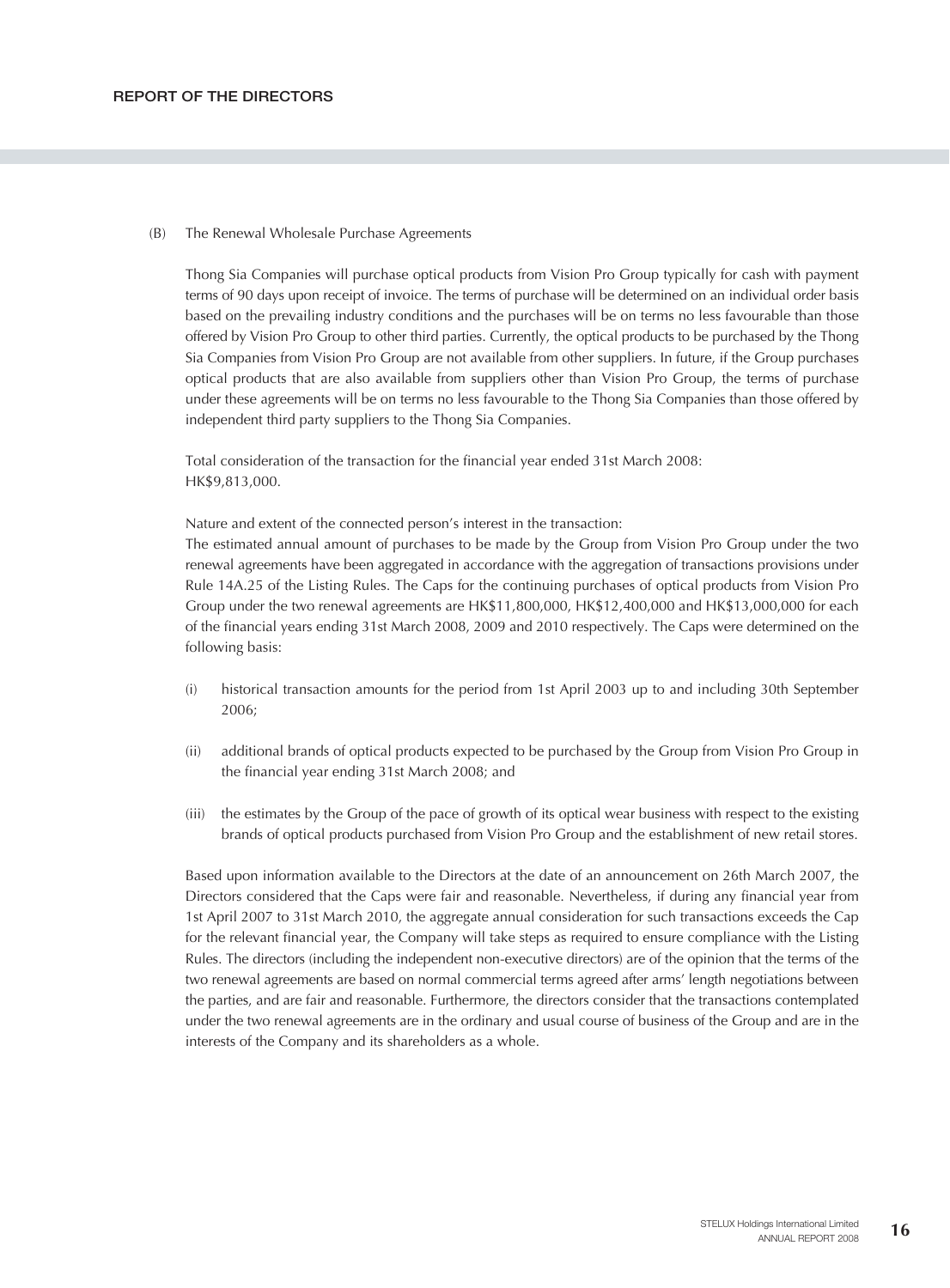#### (B) The Renewal Wholesale Purchase Agreements

Thong Sia Companies will purchase optical products from Vision Pro Group typically for cash with payment terms of 90 days upon receipt of invoice. The terms of purchase will be determined on an individual order basis based on the prevailing industry conditions and the purchases will be on terms no less favourable than those offered by Vision Pro Group to other third parties. Currently, the optical products to be purchased by the Thong Sia Companies from Vision Pro Group are not available from other suppliers. In future, if the Group purchases optical products that are also available from suppliers other than Vision Pro Group, the terms of purchase under these agreements will be on terms no less favourable to the Thong Sia Companies than those offered by independent third party suppliers to the Thong Sia Companies.

Total consideration of the transaction for the financial year ended 31st March 2008: HK\$9,813,000.

Nature and extent of the connected person's interest in the transaction:

The estimated annual amount of purchases to be made by the Group from Vision Pro Group under the two renewal agreements have been aggregated in accordance with the aggregation of transactions provisions under Rule 14A.25 of the Listing Rules. The Caps for the continuing purchases of optical products from Vision Pro Group under the two renewal agreements are HK\$11,800,000, HK\$12,400,000 and HK\$13,000,000 for each of the financial years ending 31st March 2008, 2009 and 2010 respectively. The Caps were determined on the following basis:

- (i) historical transaction amounts for the period from 1st April 2003 up to and including 30th September 2006;
- (ii) additional brands of optical products expected to be purchased by the Group from Vision Pro Group in the financial year ending 31st March 2008; and
- (iii) the estimates by the Group of the pace of growth of its optical wear business with respect to the existing brands of optical products purchased from Vision Pro Group and the establishment of new retail stores.

Based upon information available to the Directors at the date of an announcement on 26th March 2007, the Directors considered that the Caps were fair and reasonable. Nevertheless, if during any financial year from 1st April 2007 to 31st March 2010, the aggregate annual consideration for such transactions exceeds the Cap for the relevant financial year, the Company will take steps as required to ensure compliance with the Listing Rules. The directors (including the independent non-executive directors) are of the opinion that the terms of the two renewal agreements are based on normal commercial terms agreed after arms' length negotiations between the parties, and are fair and reasonable. Furthermore, the directors consider that the transactions contemplated under the two renewal agreements are in the ordinary and usual course of business of the Group and are in the interests of the Company and its shareholders as a whole.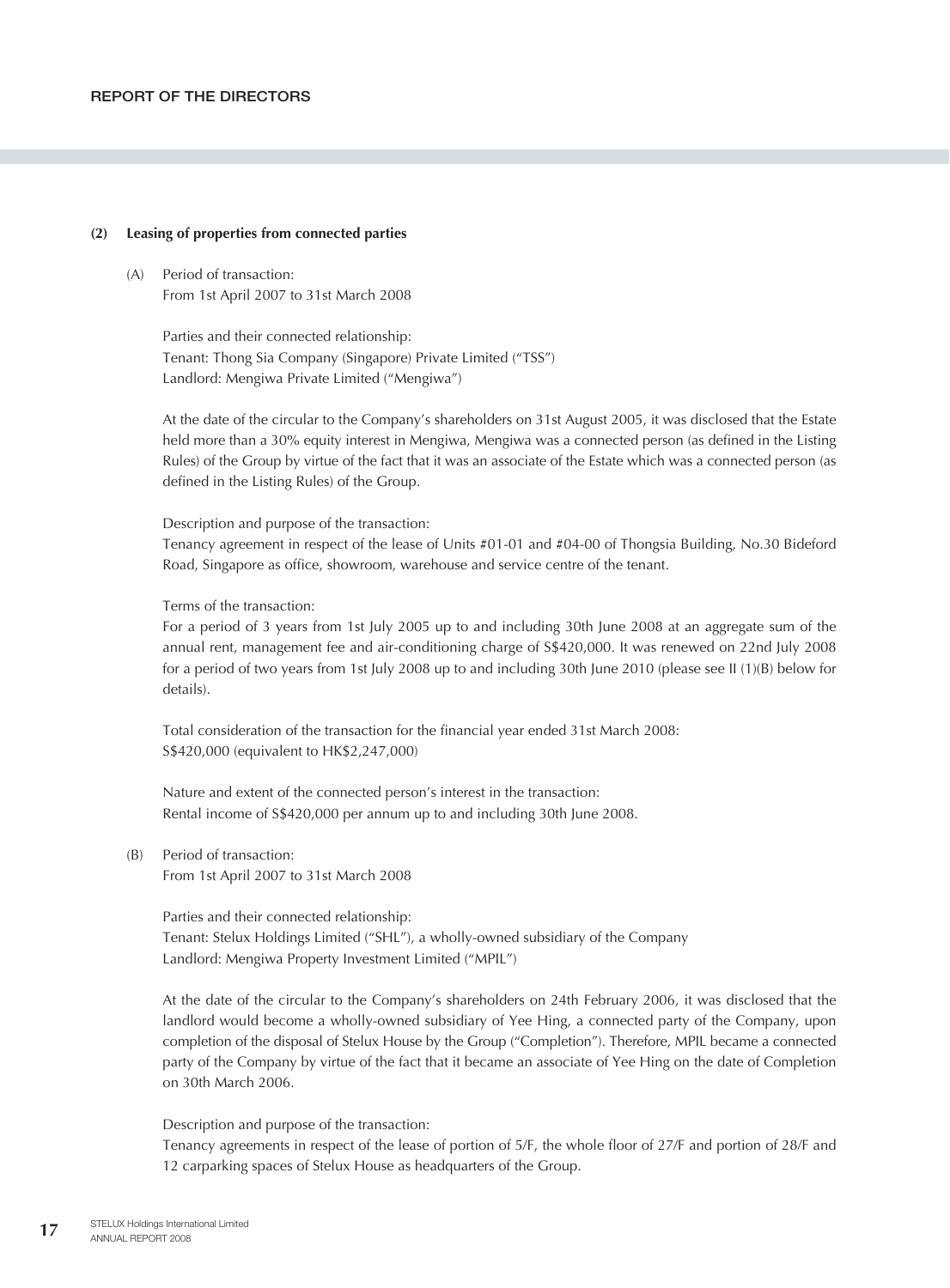#### **REPORT OF THE DIRECTORS**

#### **(2) Leasing of properties from connected parties**

(A) Period of transaction: From 1st April 2007 to 31st March 2008

> Parties and their connected relationship: Tenant: Thong Sia Company (Singapore) Private Limited ("TSS") Landlord: Mengiwa Private Limited ("Mengiwa")

At the date of the circular to the Company's shareholders on 31st August 2005, it was disclosed that the Estate held more than a 30% equity interest in Mengiwa, Mengiwa was a connected person (as defined in the Listing Rules) of the Group by virtue of the fact that it was an associate of the Estate which was a connected person (as defined in the Listing Rules) of the Group.

Description and purpose of the transaction:

Tenancy agreement in respect of the lease of Units #01-01 and #04-00 of Thongsia Building, No.30 Bideford Road, Singapore as office, showroom, warehouse and service centre of the tenant.

Terms of the transaction:

For a period of 3 years from 1st July 2005 up to and including 30th June 2008 at an aggregate sum of the annual rent, management fee and air-conditioning charge of S\$420,000. It was renewed on 22nd July 2008 for a period of two years from 1st July 2008 up to and including 30th June 2010 (please see II (1)(B) below for details).

Total consideration of the transaction for the financial year ended 31st March 2008: S\$420,000 (equivalent to HK\$2,247,000)

Nature and extent of the connected person's interest in the transaction: Rental income of S\$420,000 per annum up to and including 30th June 2008.

(B) Period of transaction: From 1st April 2007 to 31st March 2008

> Parties and their connected relationship: Tenant: Stelux Holdings Limited ("SHL"), a wholly-owned subsidiary of the Company Landlord: Mengiwa Property Investment Limited ("MPIL")

At the date of the circular to the Company's shareholders on 24th February 2006, it was disclosed that the landlord would become a wholly-owned subsidiary of Yee Hing, a connected party of the Company, upon completion of the disposal of Stelux House by the Group ("Completion"). Therefore, MPIL became a connected party of the Company by virtue of the fact that it became an associate of Yee Hing on the date of Completion on 30th March 2006.

#### Description and purpose of the transaction:

Tenancy agreements in respect of the lease of portion of 5/F, the whole floor of 27/F and portion of 28/F and 12 carparking spaces of Stelux House as headquarters of the Group.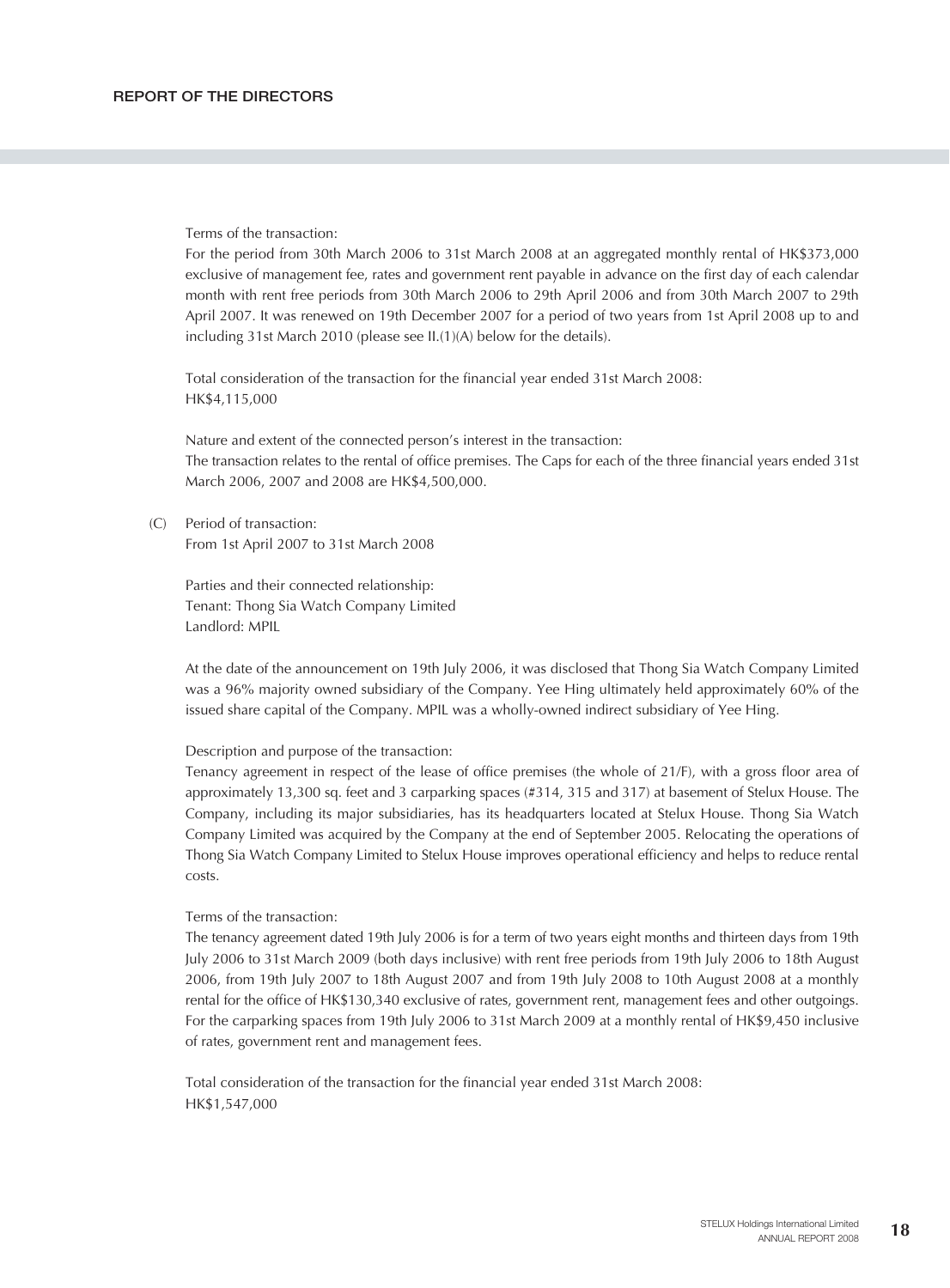Terms of the transaction:

For the period from 30th March 2006 to 31st March 2008 at an aggregated monthly rental of HK\$373,000 exclusive of management fee, rates and government rent payable in advance on the first day of each calendar month with rent free periods from 30th March 2006 to 29th April 2006 and from 30th March 2007 to 29th April 2007. It was renewed on 19th December 2007 for a period of two years from 1st April 2008 up to and including 31st March 2010 (please see II.(1)(A) below for the details).

Total consideration of the transaction for the financial year ended 31st March 2008: HK\$4,115,000

Nature and extent of the connected person's interest in the transaction: The transaction relates to the rental of office premises. The Caps for each of the three financial years ended 31st March 2006, 2007 and 2008 are HK\$4,500,000.

(C) Period of transaction: From 1st April 2007 to 31st March 2008

> Parties and their connected relationship: Tenant: Thong Sia Watch Company Limited Landlord: MPIL

At the date of the announcement on 19th July 2006, it was disclosed that Thong Sia Watch Company Limited was a 96% majority owned subsidiary of the Company. Yee Hing ultimately held approximately 60% of the issued share capital of the Company. MPIL was a wholly-owned indirect subsidiary of Yee Hing.

#### Description and purpose of the transaction:

Tenancy agreement in respect of the lease of office premises (the whole of 21/F), with a gross floor area of approximately 13,300 sq. feet and 3 carparking spaces (#314, 315 and 317) at basement of Stelux House. The Company, including its major subsidiaries, has its headquarters located at Stelux House. Thong Sia Watch Company Limited was acquired by the Company at the end of September 2005. Relocating the operations of Thong Sia Watch Company Limited to Stelux House improves operational efficiency and helps to reduce rental costs.

#### Terms of the transaction:

The tenancy agreement dated 19th July 2006 is for a term of two years eight months and thirteen days from 19th July 2006 to 31st March 2009 (both days inclusive) with rent free periods from 19th July 2006 to 18th August 2006, from 19th July 2007 to 18th August 2007 and from 19th July 2008 to 10th August 2008 at a monthly rental for the office of HK\$130,340 exclusive of rates, government rent, management fees and other outgoings. For the carparking spaces from 19th July 2006 to 31st March 2009 at a monthly rental of HK\$9,450 inclusive of rates, government rent and management fees.

Total consideration of the transaction for the financial year ended 31st March 2008: HK\$1,547,000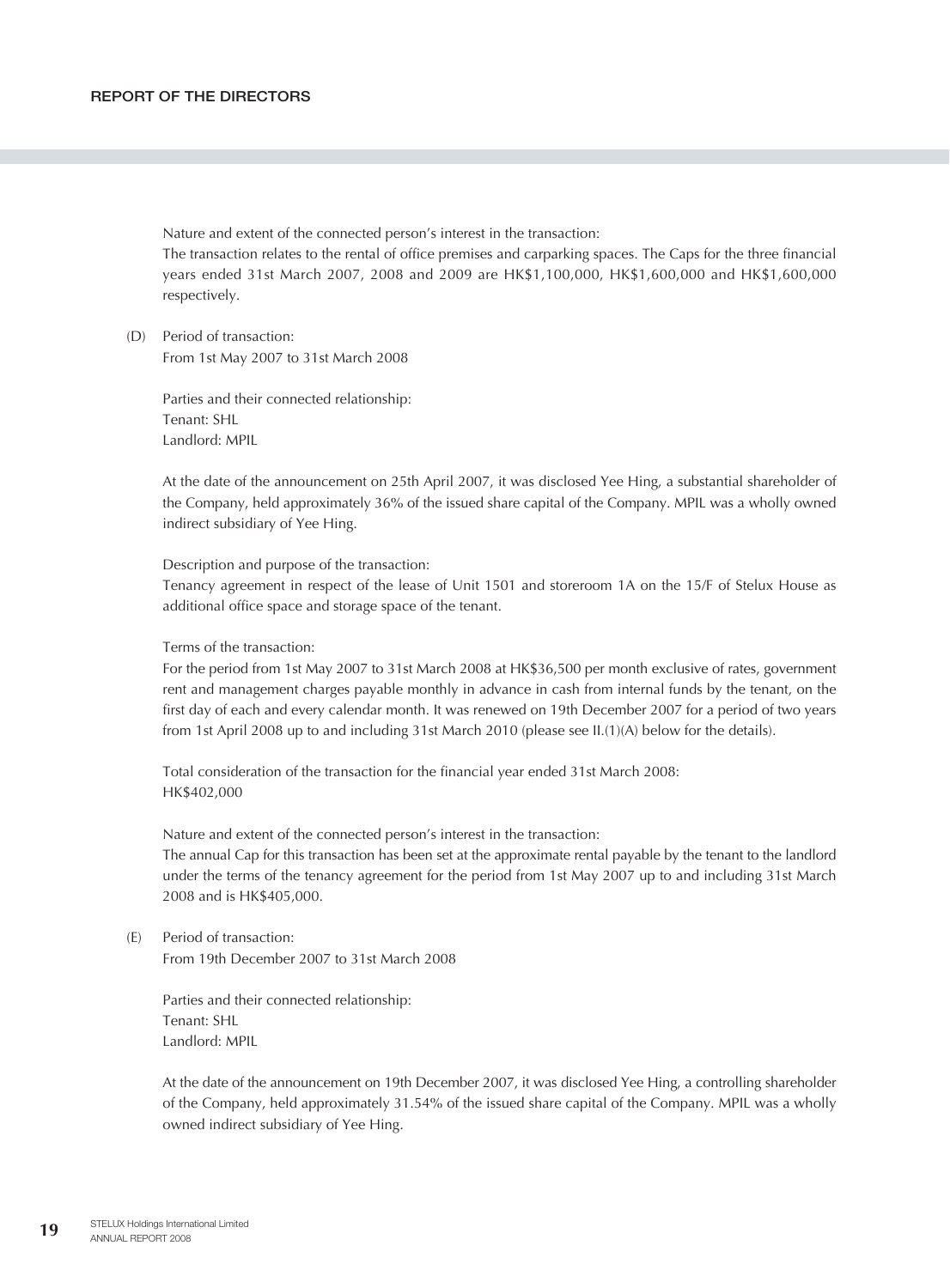Nature and extent of the connected person's interest in the transaction:

The transaction relates to the rental of office premises and carparking spaces. The Caps for the three financial years ended 31st March 2007, 2008 and 2009 are HK\$1,100,000, HK\$1,600,000 and HK\$1,600,000 respectively.

(D) Period of transaction: From 1st May 2007 to 31st March 2008

> Parties and their connected relationship: Tenant: SHL Landlord: MPIL

At the date of the announcement on 25th April 2007, it was disclosed Yee Hing, a substantial shareholder of the Company, held approximately 36% of the issued share capital of the Company. MPIL was a wholly owned indirect subsidiary of Yee Hing.

Description and purpose of the transaction:

Tenancy agreement in respect of the lease of Unit 1501 and storeroom 1A on the 15/F of Stelux House as additional office space and storage space of the tenant.

Terms of the transaction:

For the period from 1st May 2007 to 31st March 2008 at HK\$36,500 per month exclusive of rates, government rent and management charges payable monthly in advance in cash from internal funds by the tenant, on the first day of each and every calendar month. It was renewed on 19th December 2007 for a period of two years from 1st April 2008 up to and including 31st March 2010 (please see II.(1)(A) below for the details).

Total consideration of the transaction for the financial year ended 31st March 2008: HK\$402,000

Nature and extent of the connected person's interest in the transaction:

The annual Cap for this transaction has been set at the approximate rental payable by the tenant to the landlord under the terms of the tenancy agreement for the period from 1st May 2007 up to and including 31st March 2008 and is HK\$405,000.

(E) Period of transaction: From 19th December 2007 to 31st March 2008

> Parties and their connected relationship: Tenant: SHL Landlord: MPIL

At the date of the announcement on 19th December 2007, it was disclosed Yee Hing, a controlling shareholder of the Company, held approximately 31.54% of the issued share capital of the Company. MPIL was a wholly owned indirect subsidiary of Yee Hing.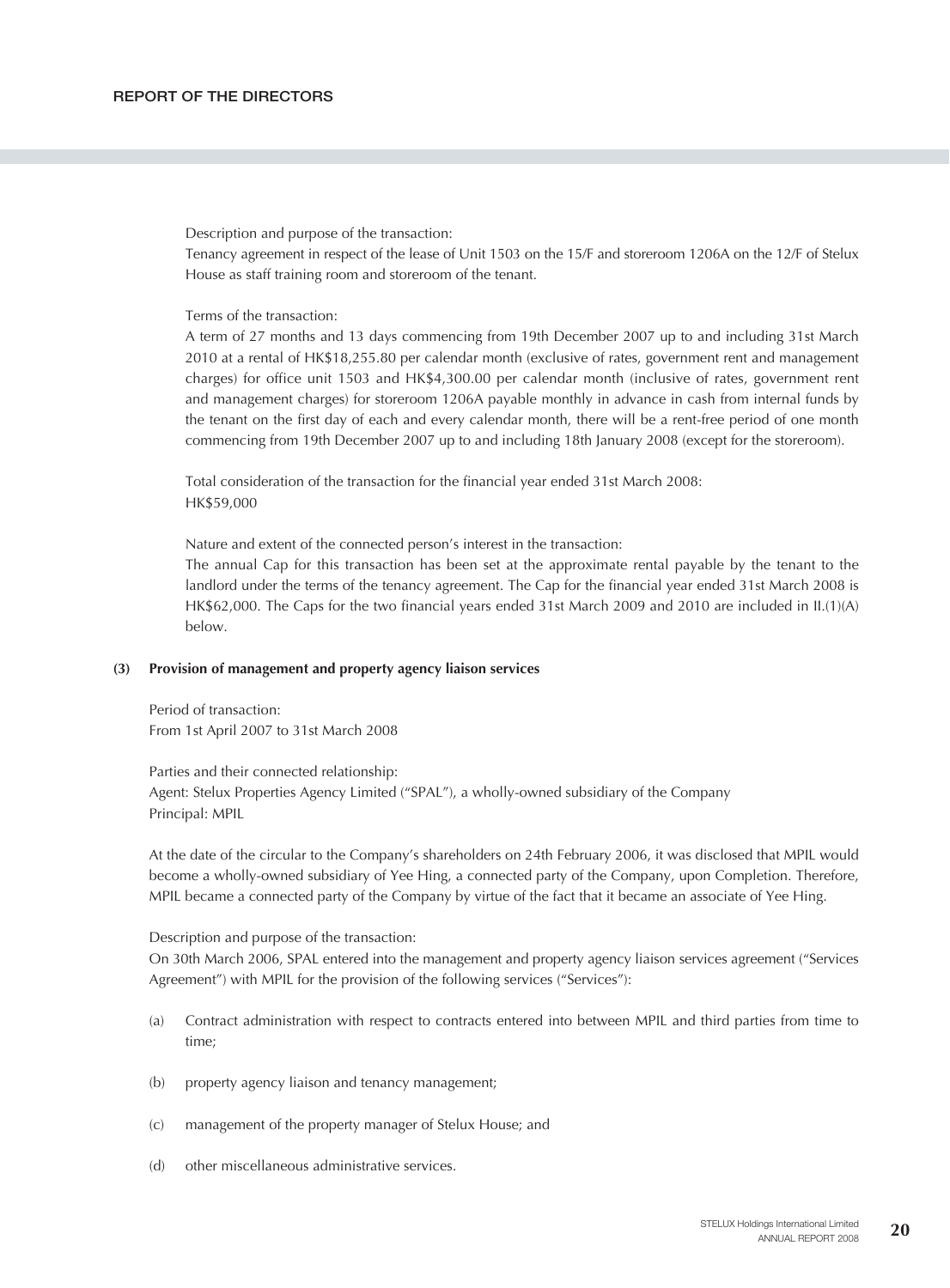Description and purpose of the transaction:

Tenancy agreement in respect of the lease of Unit 1503 on the 15/F and storeroom 1206A on the 12/F of Stelux House as staff training room and storeroom of the tenant.

Terms of the transaction:

A term of 27 months and 13 days commencing from 19th December 2007 up to and including 31st March 2010 at a rental of HK\$18,255.80 per calendar month (exclusive of rates, government rent and management charges) for office unit 1503 and HK\$4,300.00 per calendar month (inclusive of rates, government rent and management charges) for storeroom 1206A payable monthly in advance in cash from internal funds by the tenant on the first day of each and every calendar month, there will be a rent-free period of one month commencing from 19th December 2007 up to and including 18th January 2008 (except for the storeroom).

Total consideration of the transaction for the financial year ended 31st March 2008: HK\$59,000

Nature and extent of the connected person's interest in the transaction:

The annual Cap for this transaction has been set at the approximate rental payable by the tenant to the landlord under the terms of the tenancy agreement. The Cap for the financial year ended 31st March 2008 is HK\$62,000. The Caps for the two financial years ended 31st March 2009 and 2010 are included in II.(1)(A) below.

#### **(3) Provision of management and property agency liaison services**

Period of transaction: From 1st April 2007 to 31st March 2008

Parties and their connected relationship: Agent: Stelux Properties Agency Limited ("SPAL"), a wholly-owned subsidiary of the Company Principal: MPIL

At the date of the circular to the Company's shareholders on 24th February 2006, it was disclosed that MPIL would become a wholly-owned subsidiary of Yee Hing, a connected party of the Company, upon Completion. Therefore, MPIL became a connected party of the Company by virtue of the fact that it became an associate of Yee Hing.

#### Description and purpose of the transaction:

On 30th March 2006, SPAL entered into the management and property agency liaison services agreement ("Services Agreement") with MPIL for the provision of the following services ("Services"):

- (a) Contract administration with respect to contracts entered into between MPIL and third parties from time to time;
- (b) property agency liaison and tenancy management;
- (c) management of the property manager of Stelux House; and
- (d) other miscellaneous administrative services.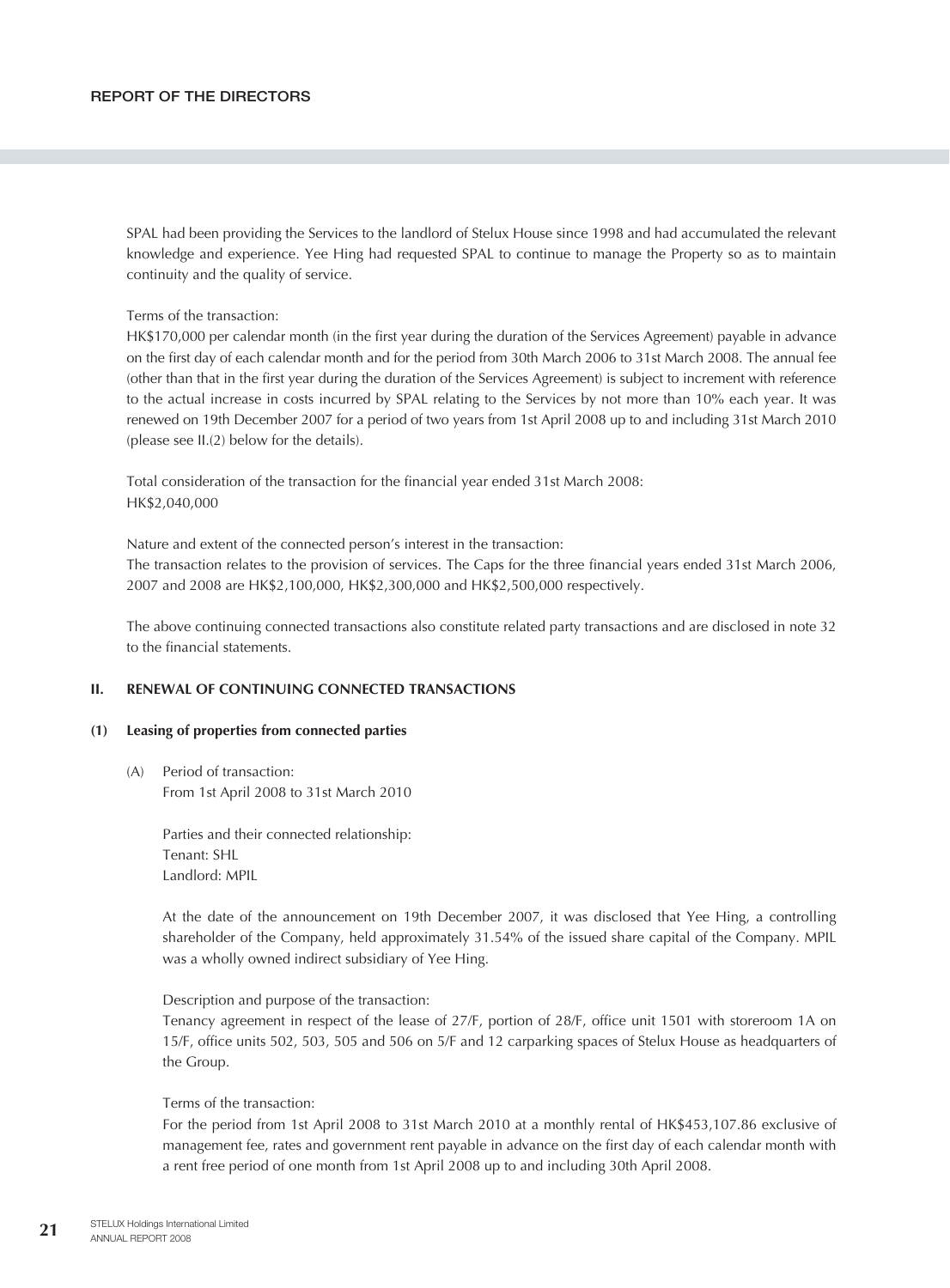SPAL had been providing the Services to the landlord of Stelux House since 1998 and had accumulated the relevant knowledge and experience. Yee Hing had requested SPAL to continue to manage the Property so as to maintain continuity and the quality of service.

Terms of the transaction:

HK\$170,000 per calendar month (in the first year during the duration of the Services Agreement) payable in advance on the first day of each calendar month and for the period from 30th March 2006 to 31st March 2008. The annual fee (other than that in the first year during the duration of the Services Agreement) is subject to increment with reference to the actual increase in costs incurred by SPAL relating to the Services by not more than 10% each year. It was renewed on 19th December 2007 for a period of two years from 1st April 2008 up to and including 31st March 2010 (please see II.(2) below for the details).

Total consideration of the transaction for the financial year ended 31st March 2008: HK\$2,040,000

Nature and extent of the connected person's interest in the transaction: The transaction relates to the provision of services. The Caps for the three financial years ended 31st March 2006, 2007 and 2008 are HK\$2,100,000, HK\$2,300,000 and HK\$2,500,000 respectively.

The above continuing connected transactions also constitute related party transactions and are disclosed in note 32 to the financial statements.

# **II. RENEWAL OF CONTINUING CONNECTED TRANSACTIONS**

#### **(1) Leasing of properties from connected parties**

(A) Period of transaction: From 1st April 2008 to 31st March 2010

> Parties and their connected relationship: Tenant: SHL Landlord: MPIL

At the date of the announcement on 19th December 2007, it was disclosed that Yee Hing, a controlling shareholder of the Company, held approximately 31.54% of the issued share capital of the Company. MPIL was a wholly owned indirect subsidiary of Yee Hing.

Description and purpose of the transaction:

Tenancy agreement in respect of the lease of 27/F, portion of 28/F, office unit 1501 with storeroom 1A on 15/F, office units 502, 503, 505 and 506 on 5/F and 12 carparking spaces of Stelux House as headquarters of the Group.

#### Terms of the transaction:

For the period from 1st April 2008 to 31st March 2010 at a monthly rental of HK\$453,107.86 exclusive of management fee, rates and government rent payable in advance on the first day of each calendar month with a rent free period of one month from 1st April 2008 up to and including 30th April 2008.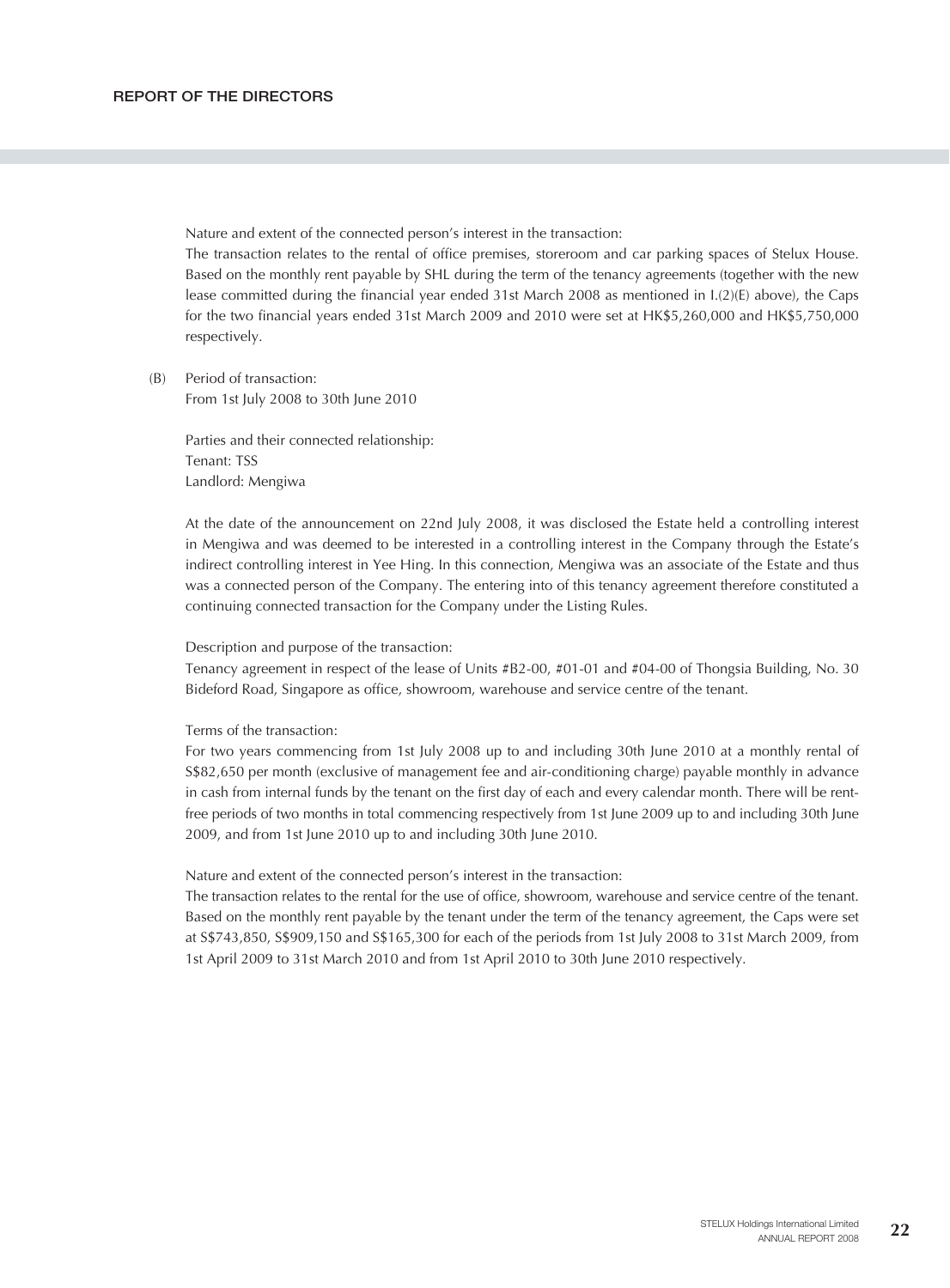Nature and extent of the connected person's interest in the transaction:

The transaction relates to the rental of office premises, storeroom and car parking spaces of Stelux House. Based on the monthly rent payable by SHL during the term of the tenancy agreements (together with the new lease committed during the financial year ended 31st March 2008 as mentioned in  $L(2)(E)$  above), the Caps for the two financial years ended 31st March 2009 and 2010 were set at HK\$5,260,000 and HK\$5,750,000 respectively.

(B) Period of transaction: From 1st July 2008 to 30th June 2010

> Parties and their connected relationship: Tenant: TSS Landlord: Mengiwa

At the date of the announcement on 22nd July 2008, it was disclosed the Estate held a controlling interest in Mengiwa and was deemed to be interested in a controlling interest in the Company through the Estate's indirect controlling interest in Yee Hing. In this connection, Mengiwa was an associate of the Estate and thus was a connected person of the Company. The entering into of this tenancy agreement therefore constituted a continuing connected transaction for the Company under the Listing Rules.

#### Description and purpose of the transaction:

Tenancy agreement in respect of the lease of Units #B2-00, #01-01 and #04-00 of Thongsia Building, No. 30 Bideford Road, Singapore as office, showroom, warehouse and service centre of the tenant.

#### Terms of the transaction:

For two years commencing from 1st July 2008 up to and including 30th June 2010 at a monthly rental of S\$82,650 per month (exclusive of management fee and air-conditioning charge) payable monthly in advance in cash from internal funds by the tenant on the first day of each and every calendar month. There will be rentfree periods of two months in total commencing respectively from 1st June 2009 up to and including 30th June 2009, and from 1st June 2010 up to and including 30th June 2010.

#### Nature and extent of the connected person's interest in the transaction:

The transaction relates to the rental for the use of office, showroom, warehouse and service centre of the tenant. Based on the monthly rent payable by the tenant under the term of the tenancy agreement, the Caps were set at S\$743,850, S\$909,150 and S\$165,300 for each of the periods from 1st July 2008 to 31st March 2009, from 1st April 2009 to 31st March 2010 and from 1st April 2010 to 30th June 2010 respectively.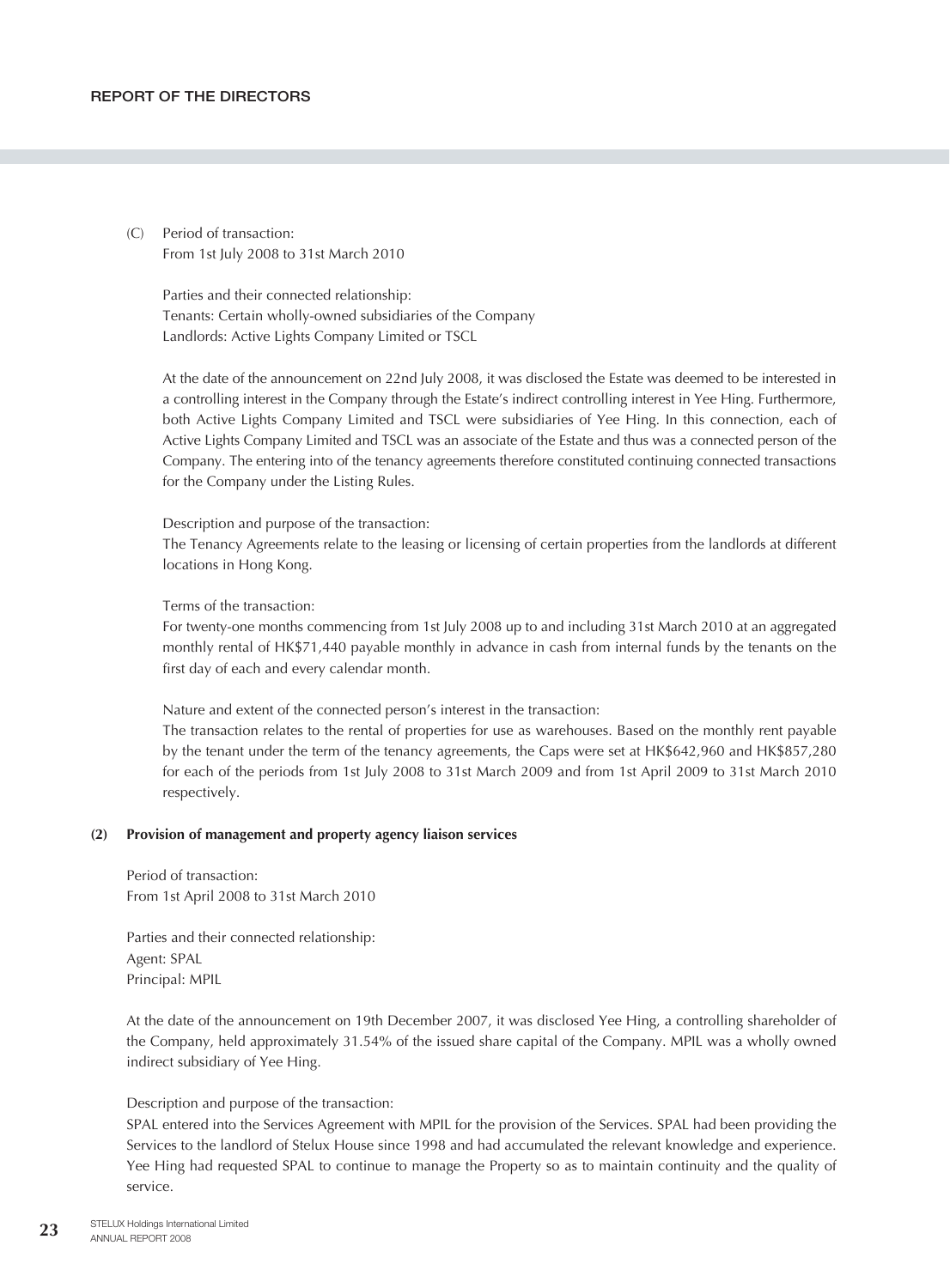#### **REPORT OF THE DIRECTORS**

(C) Period of transaction: From 1st July 2008 to 31st March 2010

> Parties and their connected relationship: Tenants: Certain wholly-owned subsidiaries of the Company Landlords: Active Lights Company Limited or TSCL

At the date of the announcement on 22nd July 2008, it was disclosed the Estate was deemed to be interested in a controlling interest in the Company through the Estate's indirect controlling interest in Yee Hing. Furthermore, both Active Lights Company Limited and TSCL were subsidiaries of Yee Hing. In this connection, each of Active Lights Company Limited and TSCL was an associate of the Estate and thus was a connected person of the Company. The entering into of the tenancy agreements therefore constituted continuing connected transactions for the Company under the Listing Rules.

#### Description and purpose of the transaction:

The Tenancy Agreements relate to the leasing or licensing of certain properties from the landlords at different locations in Hong Kong.

#### Terms of the transaction:

For twenty-one months commencing from 1st July 2008 up to and including 31st March 2010 at an aggregated monthly rental of HK\$71,440 payable monthly in advance in cash from internal funds by the tenants on the first day of each and every calendar month.

Nature and extent of the connected person's interest in the transaction:

The transaction relates to the rental of properties for use as warehouses. Based on the monthly rent payable by the tenant under the term of the tenancy agreements, the Caps were set at HK\$642,960 and HK\$857,280 for each of the periods from 1st July 2008 to 31st March 2009 and from 1st April 2009 to 31st March 2010 respectively.

#### **(2) Provision of management and property agency liaison services**

Period of transaction: From 1st April 2008 to 31st March 2010

Parties and their connected relationship: Agent: SPAL Principal: MPIL

At the date of the announcement on 19th December 2007, it was disclosed Yee Hing, a controlling shareholder of the Company, held approximately 31.54% of the issued share capital of the Company. MPIL was a wholly owned indirect subsidiary of Yee Hing.

#### Description and purpose of the transaction:

SPAL entered into the Services Agreement with MPIL for the provision of the Services. SPAL had been providing the Services to the landlord of Stelux House since 1998 and had accumulated the relevant knowledge and experience. Yee Hing had requested SPAL to continue to manage the Property so as to maintain continuity and the quality of service.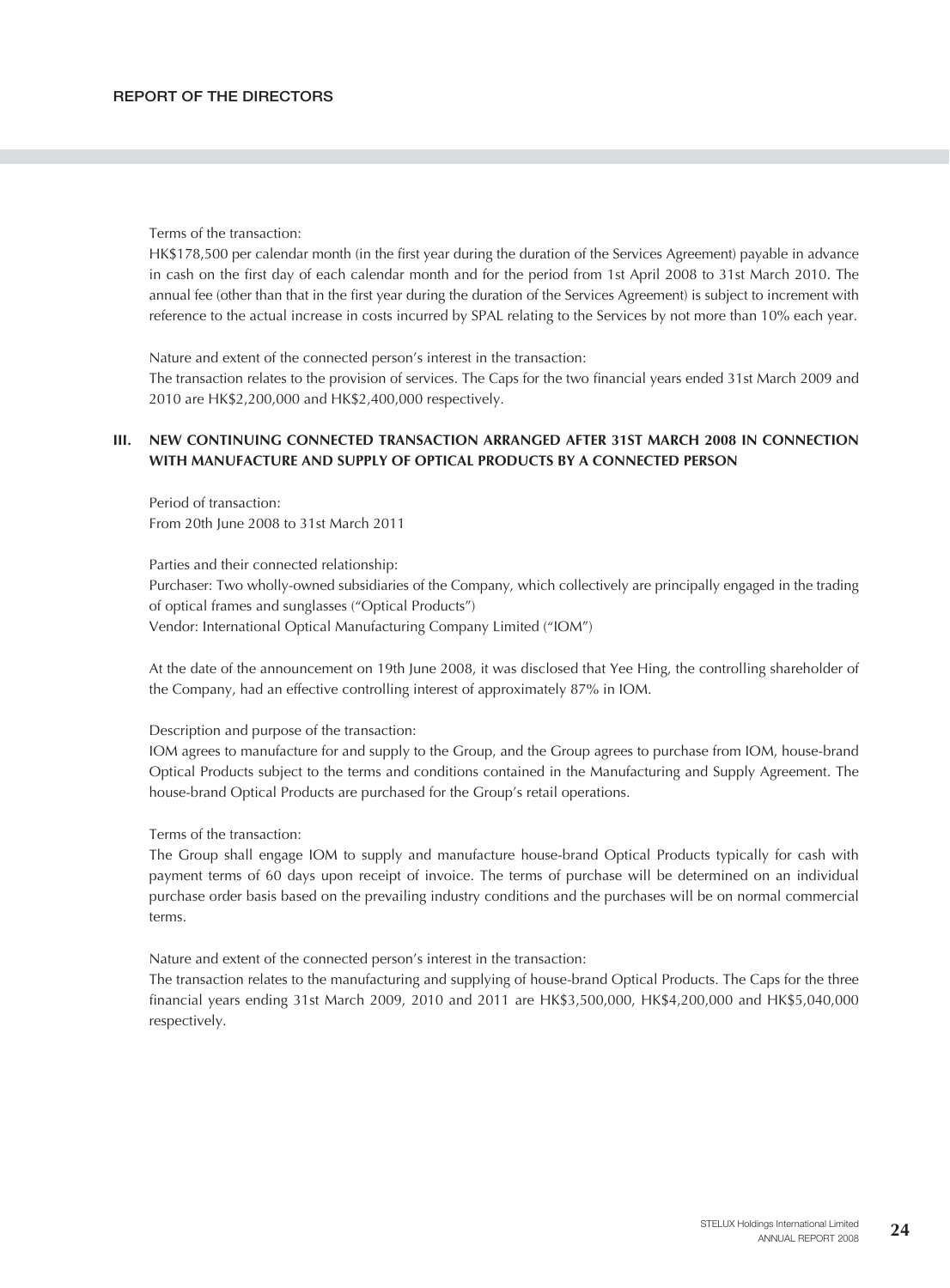Terms of the transaction:

HK\$178,500 per calendar month (in the first year during the duration of the Services Agreement) payable in advance in cash on the first day of each calendar month and for the period from 1st April 2008 to 31st March 2010. The annual fee (other than that in the first year during the duration of the Services Agreement) is subject to increment with reference to the actual increase in costs incurred by SPAL relating to the Services by not more than 10% each year.

Nature and extent of the connected person's interest in the transaction:

The transaction relates to the provision of services. The Caps for the two financial years ended 31st March 2009 and 2010 are HK\$2,200,000 and HK\$2,400,000 respectively.

# **III. NEW CONTINUING CONNECTED TRANSACTION ARRANGED AFTER 31ST MARCH 2008 IN CONNECTION WITH MANUFACTURE AND SUPPLY OF OPTICAL PRODUCTS BY A CONNECTED PERSON**

Period of transaction: From 20th June 2008 to 31st March 2011

Parties and their connected relationship:

Purchaser: Two wholly-owned subsidiaries of the Company, which collectively are principally engaged in the trading of optical frames and sunglasses ("Optical Products") Vendor: International Optical Manufacturing Company Limited ("IOM")

At the date of the announcement on 19th June 2008, it was disclosed that Yee Hing, the controlling shareholder of the Company, had an effective controlling interest of approximately 87% in IOM.

Description and purpose of the transaction:

IOM agrees to manufacture for and supply to the Group, and the Group agrees to purchase from IOM, house-brand Optical Products subject to the terms and conditions contained in the Manufacturing and Supply Agreement. The house-brand Optical Products are purchased for the Group's retail operations.

Terms of the transaction:

The Group shall engage IOM to supply and manufacture house-brand Optical Products typically for cash with payment terms of 60 days upon receipt of invoice. The terms of purchase will be determined on an individual purchase order basis based on the prevailing industry conditions and the purchases will be on normal commercial terms.

Nature and extent of the connected person's interest in the transaction:

The transaction relates to the manufacturing and supplying of house-brand Optical Products. The Caps for the three financial years ending 31st March 2009, 2010 and 2011 are HK\$3,500,000, HK\$4,200,000 and HK\$5,040,000 respectively.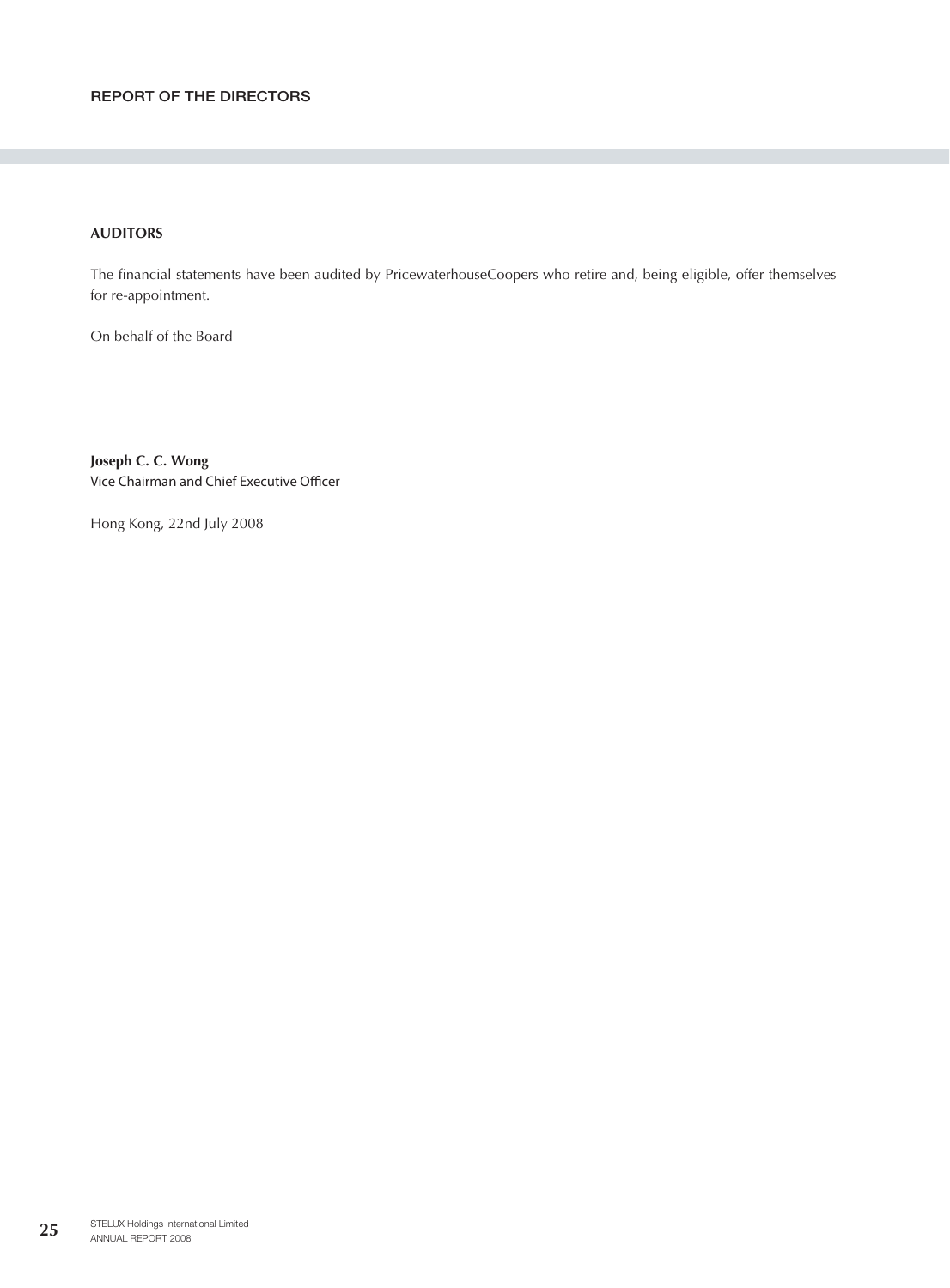# **AUDITORS**

The financial statements have been audited by PricewaterhouseCoopers who retire and, being eligible, offer themselves for re-appointment.

On behalf of the Board

**Joseph C. C. Wong** Vice Chairman and Chief Executive Officer

Hong Kong, 22nd July 2008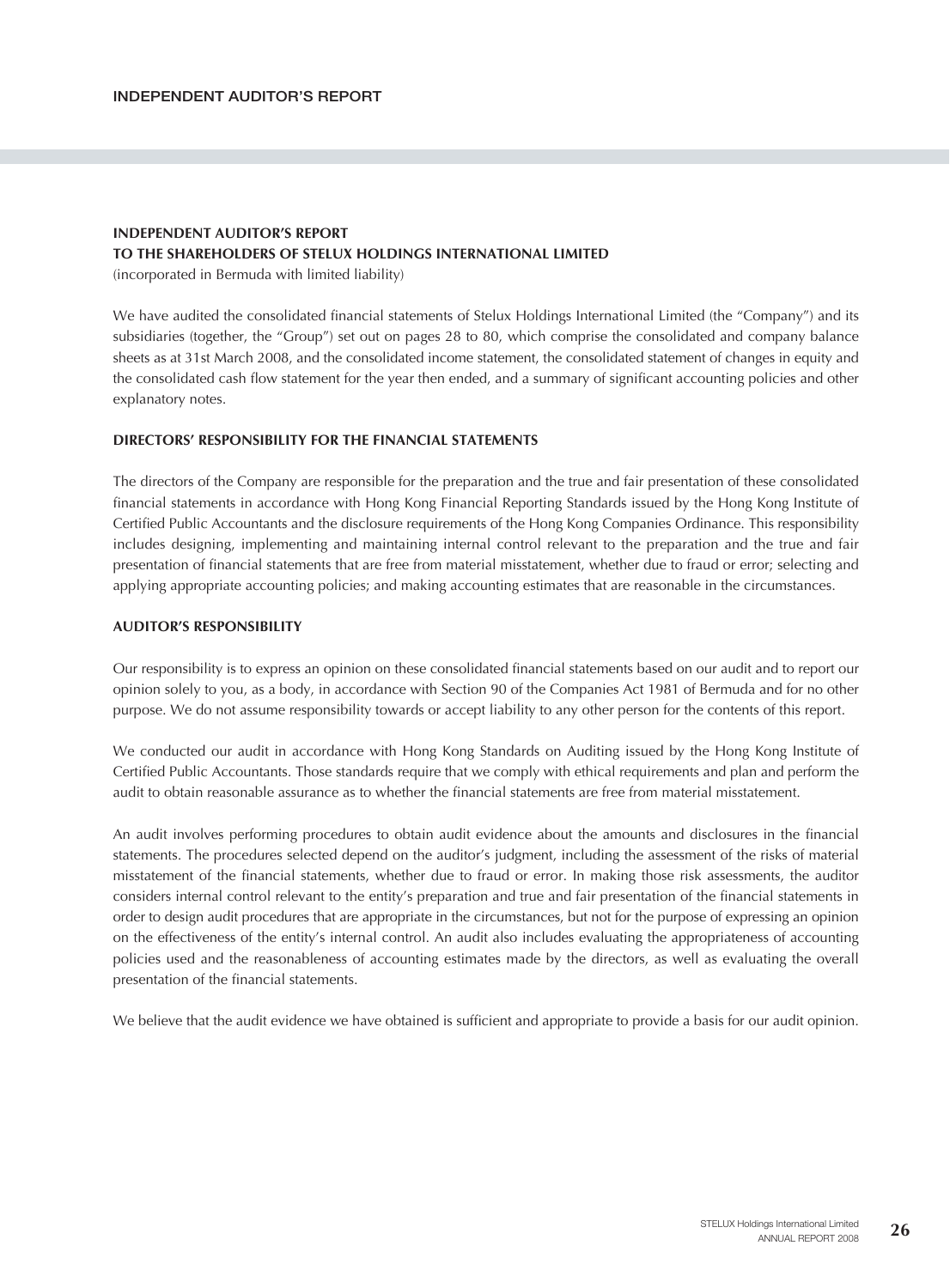# **INDEPENDENT AUDITOR'S REPORT TO THE SHAREHOLDERS OF STELUX HOLDINGS INTERNATIONAL LIMITED**

(incorporated in Bermuda with limited liability)

We have audited the consolidated financial statements of Stelux Holdings International Limited (the "Company") and its subsidiaries (together, the "Group") set out on pages 28 to 80, which comprise the consolidated and company balance sheets as at 31st March 2008, and the consolidated income statement, the consolidated statement of changes in equity and the consolidated cash flow statement for the year then ended, and a summary of significant accounting policies and other explanatory notes.

# **DIRECTORS' RESPONSIBILITY FOR THE FINANCIAL STATEMENTS**

The directors of the Company are responsible for the preparation and the true and fair presentation of these consolidated financial statements in accordance with Hong Kong Financial Reporting Standards issued by the Hong Kong Institute of Certified Public Accountants and the disclosure requirements of the Hong Kong Companies Ordinance. This responsibility includes designing, implementing and maintaining internal control relevant to the preparation and the true and fair presentation of financial statements that are free from material misstatement, whether due to fraud or error; selecting and applying appropriate accounting policies; and making accounting estimates that are reasonable in the circumstances.

#### **AUDITOR'S RESPONSIBILITY**

Our responsibility is to express an opinion on these consolidated financial statements based on our audit and to report our opinion solely to you, as a body, in accordance with Section 90 of the Companies Act 1981 of Bermuda and for no other purpose. We do not assume responsibility towards or accept liability to any other person for the contents of this report.

We conducted our audit in accordance with Hong Kong Standards on Auditing issued by the Hong Kong Institute of Certified Public Accountants. Those standards require that we comply with ethical requirements and plan and perform the audit to obtain reasonable assurance as to whether the financial statements are free from material misstatement.

An audit involves performing procedures to obtain audit evidence about the amounts and disclosures in the financial statements. The procedures selected depend on the auditor's judgment, including the assessment of the risks of material misstatement of the financial statements, whether due to fraud or error. In making those risk assessments, the auditor considers internal control relevant to the entity's preparation and true and fair presentation of the financial statements in order to design audit procedures that are appropriate in the circumstances, but not for the purpose of expressing an opinion on the effectiveness of the entity's internal control. An audit also includes evaluating the appropriateness of accounting policies used and the reasonableness of accounting estimates made by the directors, as well as evaluating the overall presentation of the financial statements.

We believe that the audit evidence we have obtained is sufficient and appropriate to provide a basis for our audit opinion.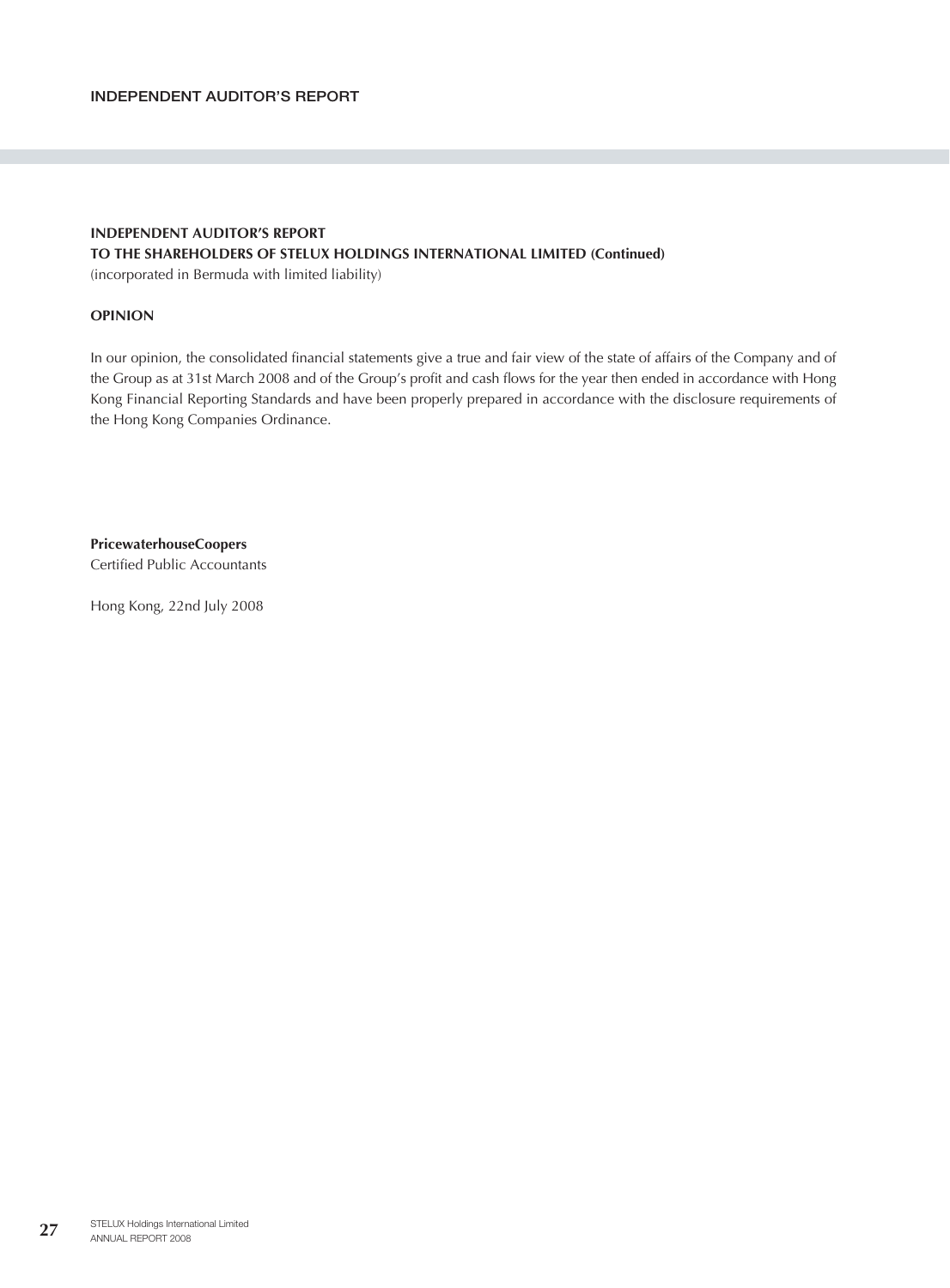# **INDEPENDENT AUDITOR'S REPORT TO THE SHAREHOLDERS OF STELUX HOLDINGS INTERNATIONAL LIMITED (Continued)**

(incorporated in Bermuda with limited liability)

# **OPINION**

In our opinion, the consolidated financial statements give a true and fair view of the state of affairs of the Company and of the Group as at 31st March 2008 and of the Group's profit and cash flows for the year then ended in accordance with Hong Kong Financial Reporting Standards and have been properly prepared in accordance with the disclosure requirements of the Hong Kong Companies Ordinance.

**PricewaterhouseCoopers**

Certified Public Accountants

Hong Kong, 22nd July 2008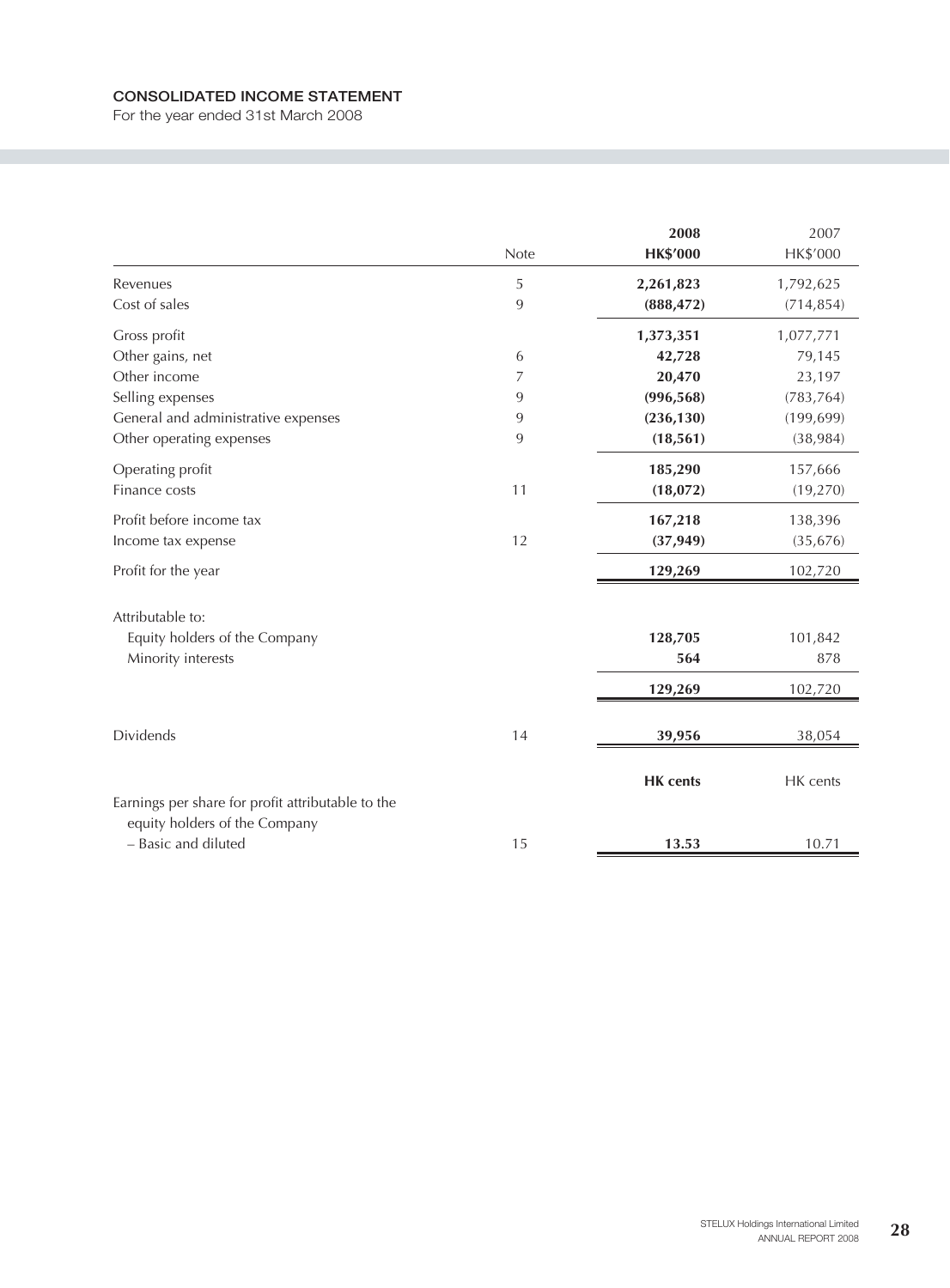# **CONSOLIDATED INCOME STATEMENT**

For the year ended 31st March 2008

|                                                                                    | Note | 2008<br><b>HK\$'000</b> | 2007<br>HK\$'000 |
|------------------------------------------------------------------------------------|------|-------------------------|------------------|
| Revenues                                                                           | 5    | 2,261,823               | 1,792,625        |
| Cost of sales                                                                      | 9    | (888, 472)              | (714, 854)       |
| Gross profit                                                                       |      | 1,373,351               | 1,077,771        |
| Other gains, net                                                                   | 6    | 42,728                  | 79,145           |
| Other income                                                                       | 7    | 20,470                  | 23,197           |
| Selling expenses                                                                   | 9    | (996, 568)              | (783, 764)       |
| General and administrative expenses                                                | 9    | (236, 130)              | (199, 699)       |
| Other operating expenses                                                           | 9    | (18, 561)               | (38, 984)        |
| Operating profit                                                                   |      | 185,290                 | 157,666          |
| Finance costs                                                                      | 11   | (18,072)                | (19, 270)        |
| Profit before income tax                                                           |      | 167,218                 | 138,396          |
| Income tax expense                                                                 | 12   | (37, 949)               | (35, 676)        |
| Profit for the year                                                                |      | 129,269                 | 102,720          |
| Attributable to:                                                                   |      |                         |                  |
| Equity holders of the Company                                                      |      | 128,705                 | 101,842          |
| Minority interests                                                                 |      | 564                     | 878              |
|                                                                                    |      | 129,269                 | 102,720          |
|                                                                                    |      |                         |                  |
| Dividends                                                                          | 14   | 39,956                  | 38,054           |
|                                                                                    |      |                         |                  |
|                                                                                    |      | <b>HK</b> cents         | HK cents         |
| Earnings per share for profit attributable to the<br>equity holders of the Company |      |                         |                  |
| - Basic and diluted                                                                | 15   | 13.53                   | 10.71            |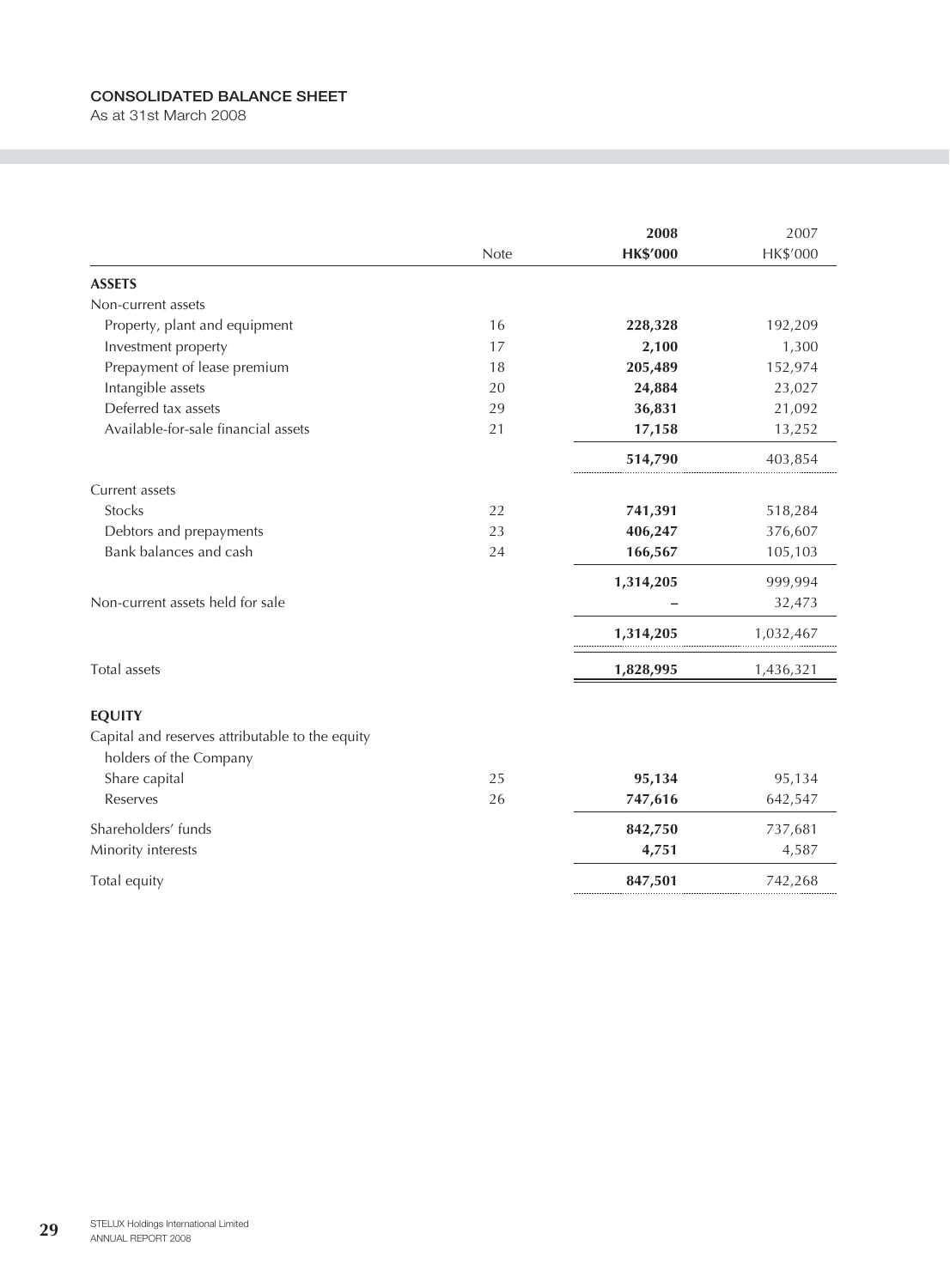# **CONSOLIDATED BALANCE SHEET**

As at 31st March 2008

|                                                 | Note | 2008<br><b>HK\$'000</b> | 2007<br>HK\$'000 |
|-------------------------------------------------|------|-------------------------|------------------|
| <b>ASSETS</b>                                   |      |                         |                  |
| Non-current assets                              |      |                         |                  |
| Property, plant and equipment                   | 16   | 228,328                 | 192,209          |
| Investment property                             | 17   | 2,100                   | 1,300            |
| Prepayment of lease premium                     | 18   | 205,489                 | 152,974          |
| Intangible assets                               | 20   | 24,884                  | 23,027           |
| Deferred tax assets                             | 29   | 36,831                  | 21,092           |
| Available-for-sale financial assets             | 21   | 17,158                  | 13,252           |
|                                                 |      | 514,790                 | 403,854          |
| Current assets                                  |      |                         |                  |
| <b>Stocks</b>                                   | 22   | 741,391                 | 518,284          |
| Debtors and prepayments                         | 23   | 406,247                 | 376,607          |
| Bank balances and cash                          | 24   | 166,567                 | 105,103          |
|                                                 |      | 1,314,205               | 999,994          |
| Non-current assets held for sale                |      |                         | 32,473           |
|                                                 |      | 1,314,205               | 1,032,467        |
| Total assets                                    |      | 1,828,995               | 1,436,321        |
| <b>EQUITY</b>                                   |      |                         |                  |
| Capital and reserves attributable to the equity |      |                         |                  |
| holders of the Company                          |      |                         |                  |
| Share capital                                   | 25   | 95,134                  | 95,134           |
| Reserves                                        | 26   | 747,616                 | 642,547          |
| Shareholders' funds                             |      | 842,750                 | 737,681          |
| Minority interests                              |      | 4,751                   | 4,587            |
| Total equity                                    |      | 847,501                 | 742,268          |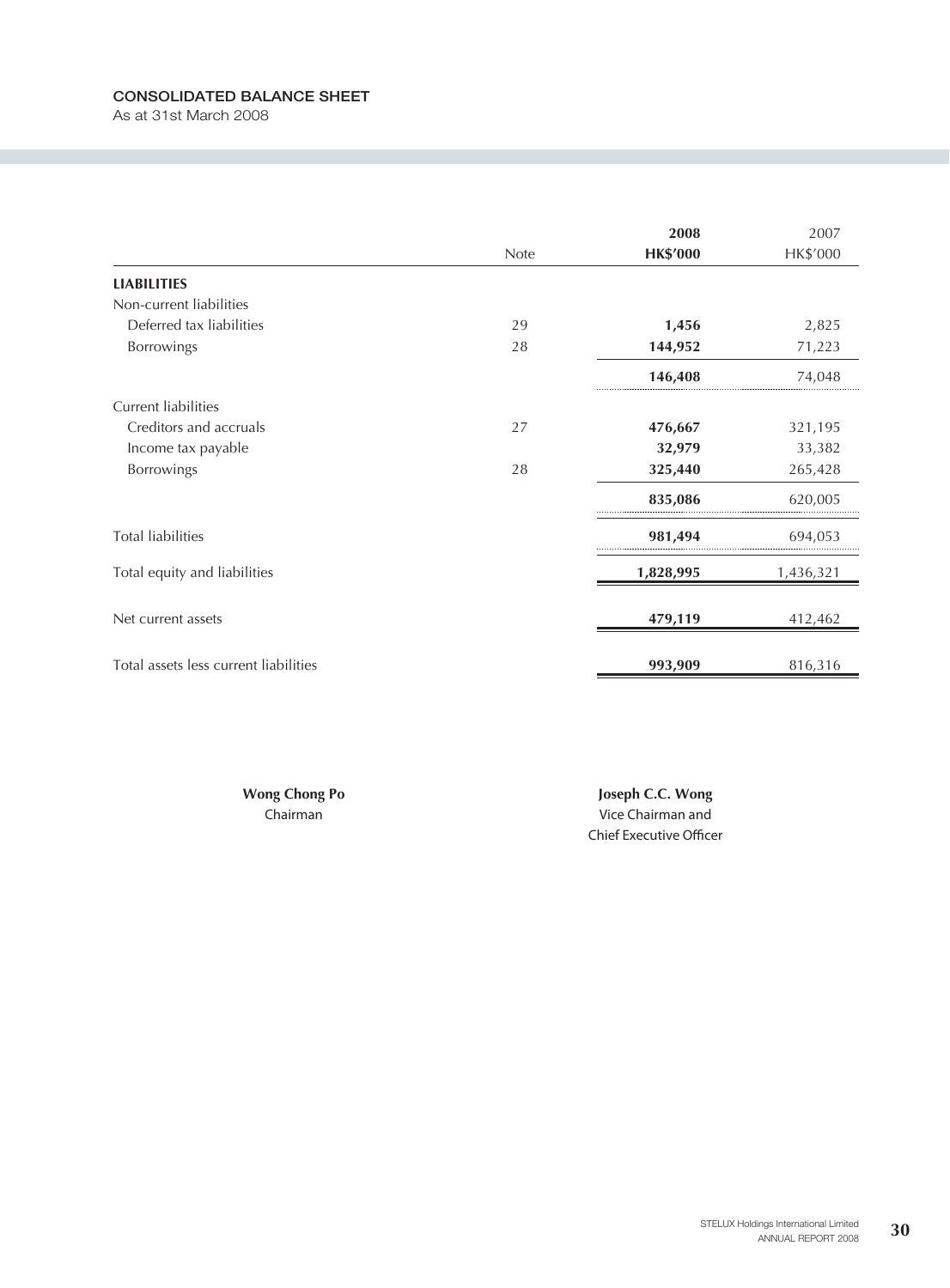# **CONSOLIDATED BALANCE SHEET**

As at 31st March 2008

|                                       |             | 2008            | 2007      |
|---------------------------------------|-------------|-----------------|-----------|
|                                       | <b>Note</b> | <b>HK\$'000</b> | HK\$'000  |
| <b>LIABILITIES</b>                    |             |                 |           |
| Non-current liabilities               |             |                 |           |
| Deferred tax liabilities              | 29          | 1,456           | 2,825     |
| Borrowings                            | 28          | 144,952         | 71,223    |
|                                       |             | 146,408         | 74,048    |
| <b>Current liabilities</b>            |             |                 |           |
| Creditors and accruals                | 27          | 476,667         | 321,195   |
| Income tax payable                    |             | 32,979          | 33,382    |
| Borrowings                            | 28          | 325,440         | 265,428   |
|                                       |             | 835,086         | 620,005   |
| <b>Total liabilities</b>              |             | 981,494         | 694,053   |
| Total equity and liabilities          |             | 1,828,995       | 1,436,321 |
| Net current assets                    |             | 479,119         | 412,462   |
| Total assets less current liabilities |             | 993,909         | 816,316   |

 **Wong Chong Po Joseph C.C. Wong** Chairman Vice Chairman and Chief Executive Officer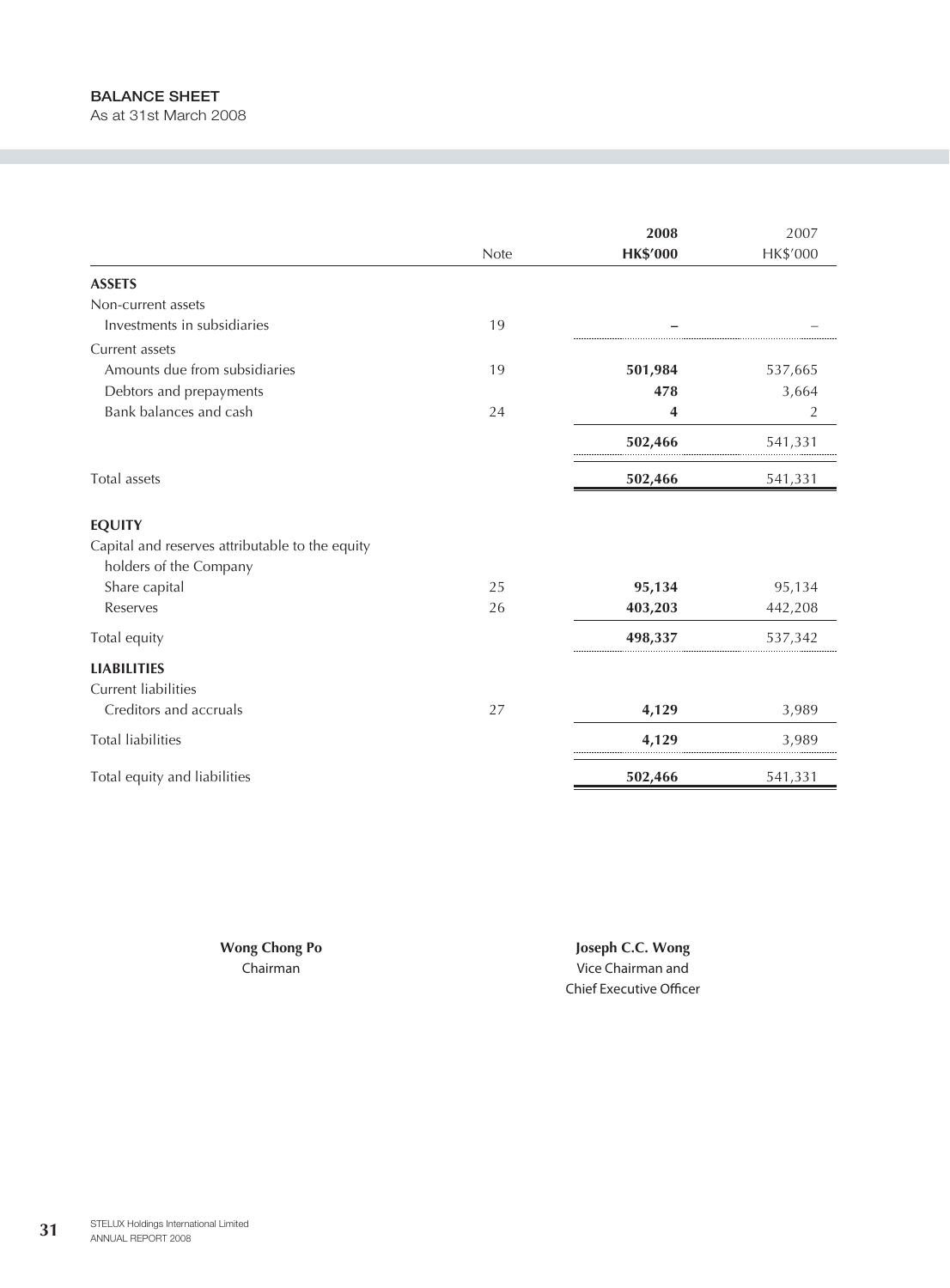|                                                 | <b>Note</b> | 2008<br><b>HK\$'000</b> | 2007<br>HK\$'000 |
|-------------------------------------------------|-------------|-------------------------|------------------|
| <b>ASSETS</b>                                   |             |                         |                  |
| Non-current assets                              |             |                         |                  |
| Investments in subsidiaries                     | 19          |                         |                  |
| Current assets                                  |             |                         |                  |
| Amounts due from subsidiaries                   | 19          | 501,984                 | 537,665          |
| Debtors and prepayments                         |             | 478                     | 3,664            |
| Bank balances and cash                          | 24          | 4                       | 2                |
|                                                 |             | 502,466                 | 541,331          |
| Total assets                                    |             | 502,466                 | 541,331          |
| <b>EQUITY</b>                                   |             |                         |                  |
| Capital and reserves attributable to the equity |             |                         |                  |
| holders of the Company                          |             |                         |                  |
| Share capital                                   | 25          | 95,134                  | 95,134           |
| Reserves                                        | 26          | 403,203                 | 442,208          |
| Total equity                                    |             | 498,337                 | 537,342          |
| <b>LIABILITIES</b>                              |             |                         |                  |
| <b>Current liabilities</b>                      |             |                         |                  |
| Creditors and accruals                          | 27          | 4,129                   | 3,989            |
| <b>Total liabilities</b>                        |             | 4,129                   | 3,989            |
| Total equity and liabilities                    |             | 502,466                 | 541,331          |

**Wong Chong Po Joseph C.C. Wong** 

 Chairman Vice Chairman and Chief Executive Officer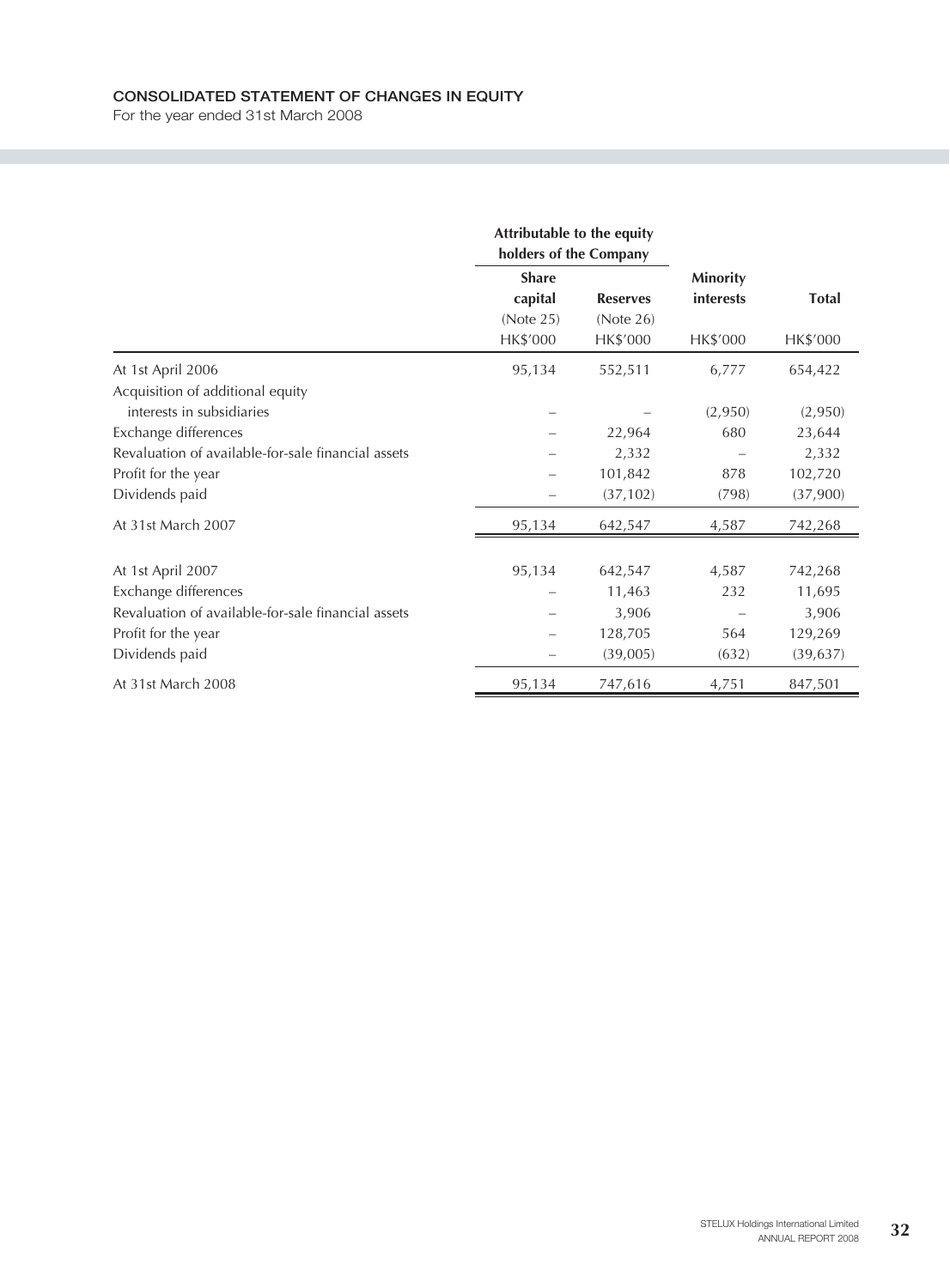# **CONSOLIDATED STATEMENT OF CHANGES IN EQUITY**

For the year ended 31st March 2008

|                                                    | Attributable to the equity<br>holders of the Company |                 |                 |              |
|----------------------------------------------------|------------------------------------------------------|-----------------|-----------------|--------------|
|                                                    | <b>Share</b>                                         |                 | <b>Minority</b> |              |
|                                                    | capital                                              | <b>Reserves</b> | interests       | <b>Total</b> |
|                                                    | (Note 25)                                            | (Note 26)       |                 |              |
|                                                    | HK\$'000                                             | HK\$'000        | HK\$'000        | HK\$'000     |
| At 1st April 2006                                  | 95,134                                               | 552,511         | 6,777           | 654,422      |
| Acquisition of additional equity                   |                                                      |                 |                 |              |
| interests in subsidiaries                          |                                                      |                 | (2,950)         | (2,950)      |
| Exchange differences                               |                                                      | 22,964          | 680             | 23,644       |
| Revaluation of available-for-sale financial assets |                                                      | 2,332           |                 | 2,332        |
| Profit for the year                                |                                                      | 101,842         | 878             | 102,720      |
| Dividends paid                                     | —                                                    | (37, 102)       | (798)           | (37,900)     |
| At 31st March 2007                                 | 95,134                                               | 642,547         | 4,587           | 742,268      |
|                                                    |                                                      |                 |                 |              |
| At 1st April 2007                                  | 95,134                                               | 642,547         | 4,587           | 742,268      |
| Exchange differences                               |                                                      | 11,463          | 232             | 11,695       |
| Revaluation of available-for-sale financial assets |                                                      | 3,906           |                 | 3,906        |
| Profit for the year                                | $\overline{\phantom{0}}$                             | 128,705         | 564             | 129,269      |
| Dividends paid                                     |                                                      | (39,005)        | (632)           | (39, 637)    |
| At 31st March 2008                                 | 95,134                                               | 747,616         | 4,751           | 847,501      |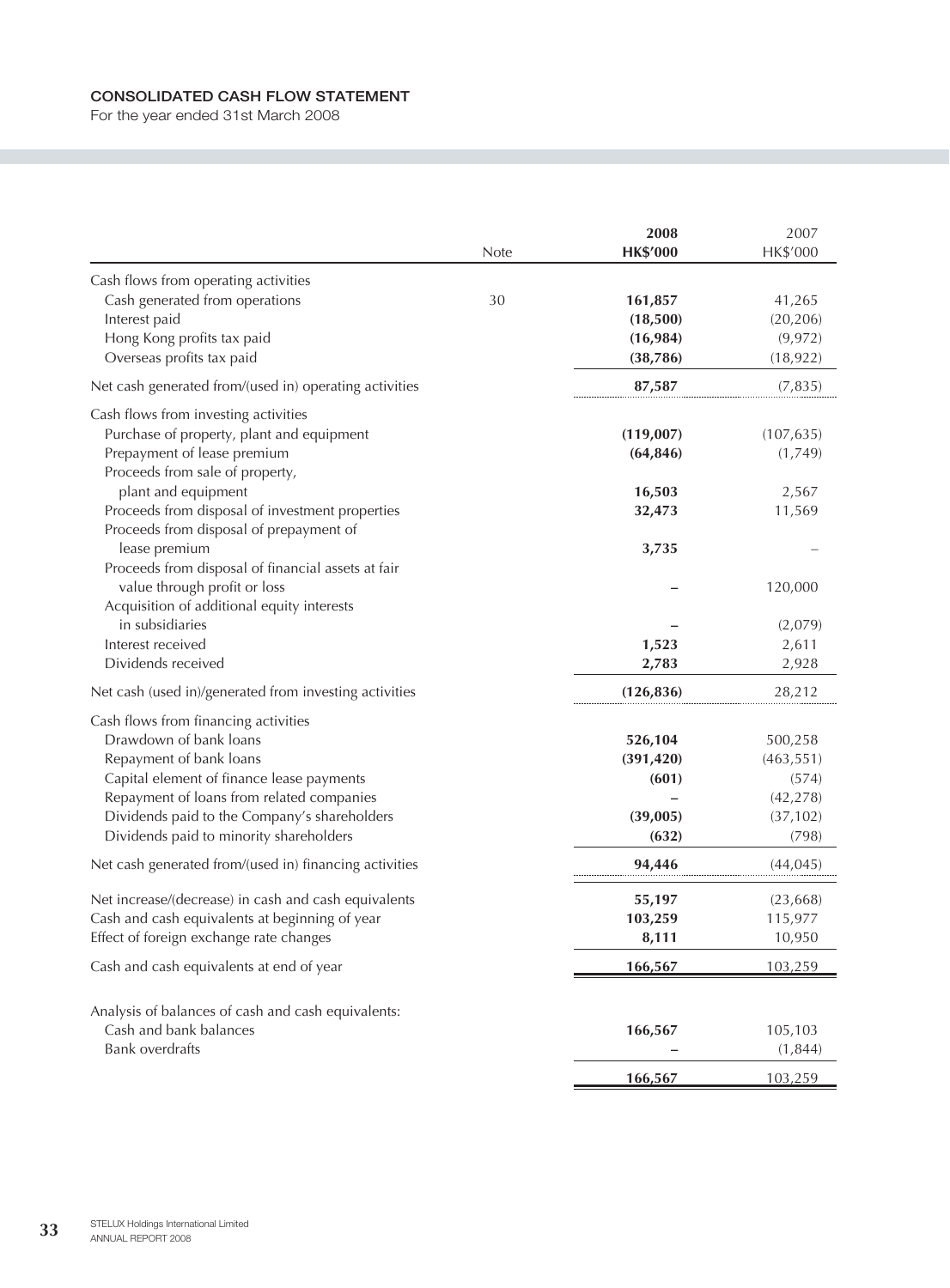# **CONSOLIDATED CASH FLOW STATEMENT**

For the year ended 31st March 2008

| Cash flows from operating activities<br>Cash generated from operations<br>30<br>161,857<br>Interest paid<br>(18,500) | 41,265<br>(20, 206)<br>(9, 972)<br>(18, 922)<br>(7, 835) |
|----------------------------------------------------------------------------------------------------------------------|----------------------------------------------------------|
|                                                                                                                      |                                                          |
|                                                                                                                      |                                                          |
|                                                                                                                      |                                                          |
| Hong Kong profits tax paid<br>(16,984)                                                                               |                                                          |
| Overseas profits tax paid<br>(38, 786)                                                                               |                                                          |
| Net cash generated from/(used in) operating activities<br>87,587                                                     |                                                          |
| Cash flows from investing activities                                                                                 |                                                          |
| Purchase of property, plant and equipment<br>(119,007)                                                               | (107, 635)                                               |
| Prepayment of lease premium<br>(64, 846)                                                                             | (1,749)                                                  |
| Proceeds from sale of property,                                                                                      |                                                          |
| plant and equipment<br>16,503                                                                                        | 2,567                                                    |
| Proceeds from disposal of investment properties<br>32,473                                                            | 11,569                                                   |
| Proceeds from disposal of prepayment of                                                                              |                                                          |
| 3,735<br>lease premium                                                                                               |                                                          |
| Proceeds from disposal of financial assets at fair                                                                   |                                                          |
| value through profit or loss                                                                                         | 120,000                                                  |
| Acquisition of additional equity interests                                                                           |                                                          |
| in subsidiaries                                                                                                      | (2,079)                                                  |
| Interest received<br>1,523                                                                                           | 2,611                                                    |
| Dividends received<br>2,783                                                                                          | 2,928                                                    |
| Net cash (used in)/generated from investing activities<br>(126, 836)                                                 | 28,212                                                   |
| Cash flows from financing activities                                                                                 |                                                          |
| Drawdown of bank loans<br>526,104                                                                                    | 500,258                                                  |
| Repayment of bank loans<br>(391, 420)                                                                                | (463, 551)                                               |
| Capital element of finance lease payments<br>(601)                                                                   | (574)                                                    |
| Repayment of loans from related companies                                                                            | (42, 278)                                                |
| Dividends paid to the Company's shareholders<br>(39,005)                                                             | (37, 102)                                                |
| Dividends paid to minority shareholders<br>(632)                                                                     | (798)                                                    |
| Net cash generated from/(used in) financing activities<br>94,446                                                     | (44, 045)                                                |
|                                                                                                                      |                                                          |
| Net increase/(decrease) in cash and cash equivalents<br>55,197<br>Cash and cash equivalents at beginning of year     | (23, 668)                                                |
| 103,259                                                                                                              | 115,977                                                  |
| Effect of foreign exchange rate changes<br>8,111                                                                     | 10,950                                                   |
| Cash and cash equivalents at end of year<br>166,567                                                                  | 103,259                                                  |
| Analysis of balances of cash and cash equivalents:                                                                   |                                                          |
| Cash and bank balances<br>166,567                                                                                    | 105,103                                                  |
| <b>Bank overdrafts</b>                                                                                               | (1, 844)                                                 |
| 166,567                                                                                                              | 103,259                                                  |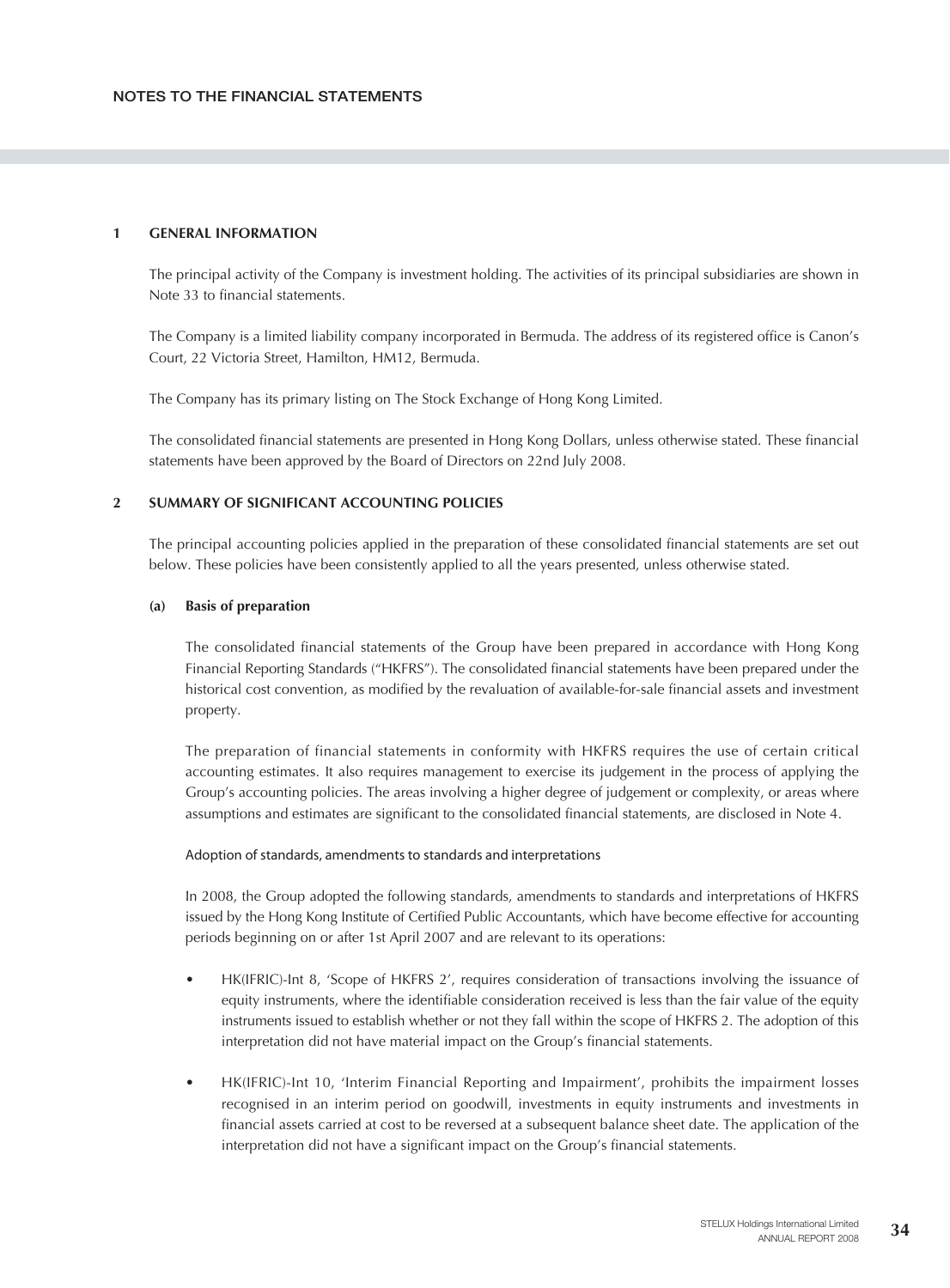## **1 GENERAL INFORMATION**

The principal activity of the Company is investment holding. The activities of its principal subsidiaries are shown in Note 33 to financial statements.

The Company is a limited liability company incorporated in Bermuda. The address of its registered office is Canon's Court, 22 Victoria Street, Hamilton, HM12, Bermuda.

The Company has its primary listing on The Stock Exchange of Hong Kong Limited.

The consolidated financial statements are presented in Hong Kong Dollars, unless otherwise stated. These financial statements have been approved by the Board of Directors on 22nd July 2008.

## **2 SUMMARY OF SIGNIFICANT ACCOUNTING POLICIES**

The principal accounting policies applied in the preparation of these consolidated financial statements are set out below. These policies have been consistently applied to all the years presented, unless otherwise stated.

#### **(a) Basis of preparation**

The consolidated financial statements of the Group have been prepared in accordance with Hong Kong Financial Reporting Standards ("HKFRS"). The consolidated financial statements have been prepared under the historical cost convention, as modified by the revaluation of available-for-sale financial assets and investment property.

The preparation of financial statements in conformity with HKFRS requires the use of certain critical accounting estimates. It also requires management to exercise its judgement in the process of applying the Group's accounting policies. The areas involving a higher degree of judgement or complexity, or areas where assumptions and estimates are significant to the consolidated financial statements, are disclosed in Note 4.

#### Adoption of standards, amendments to standards and interpretations

In 2008, the Group adopted the following standards, amendments to standards and interpretations of HKFRS issued by the Hong Kong Institute of Certified Public Accountants, which have become effective for accounting periods beginning on or after 1st April 2007 and are relevant to its operations:

- HK(IFRIC)-Int 8, 'Scope of HKFRS 2', requires consideration of transactions involving the issuance of equity instruments, where the identifiable consideration received is less than the fair value of the equity instruments issued to establish whether or not they fall within the scope of HKFRS 2. The adoption of this interpretation did not have material impact on the Group's financial statements.
- HK(IFRIC)-Int 10, 'Interim Financial Reporting and Impairment', prohibits the impairment losses recognised in an interim period on goodwill, investments in equity instruments and investments in financial assets carried at cost to be reversed at a subsequent balance sheet date. The application of the interpretation did not have a significant impact on the Group's financial statements.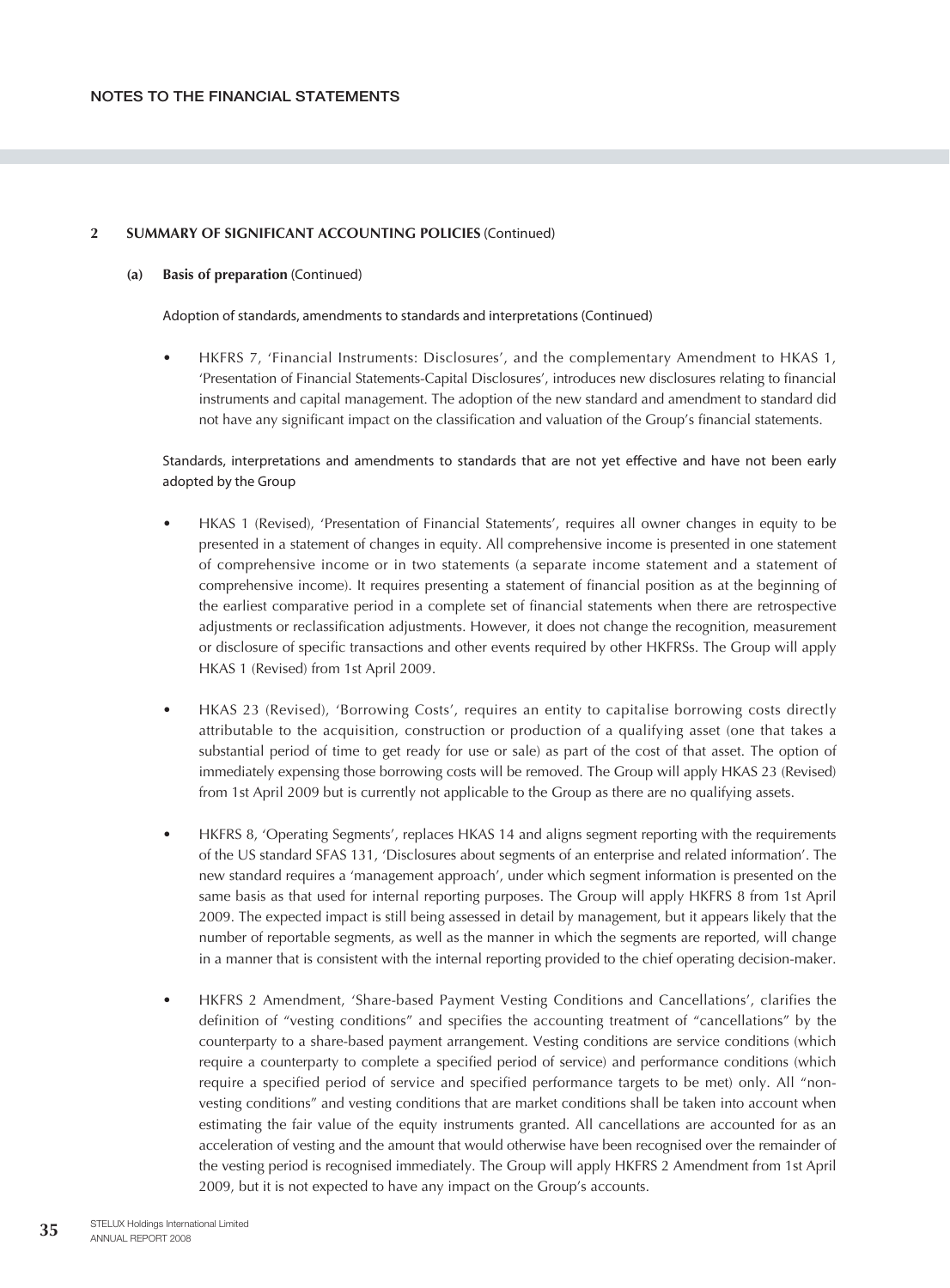#### **(a) Basis of preparation** (Continued)

Adoption of standards, amendments to standards and interpretations (Continued)

• HKFRS 7, 'Financial Instruments: Disclosures', and the complementary Amendment to HKAS 1, 'Presentation of Financial Statements-Capital Disclosures', introduces new disclosures relating to financial instruments and capital management. The adoption of the new standard and amendment to standard did not have any significant impact on the classification and valuation of the Group's financial statements.

# Standards, interpretations and amendments to standards that are not yet effective and have not been early adopted by the Group

- HKAS 1 (Revised), 'Presentation of Financial Statements', requires all owner changes in equity to be presented in a statement of changes in equity. All comprehensive income is presented in one statement of comprehensive income or in two statements (a separate income statement and a statement of comprehensive income). It requires presenting a statement of financial position as at the beginning of the earliest comparative period in a complete set of financial statements when there are retrospective adjustments or reclassification adjustments. However, it does not change the recognition, measurement or disclosure of specific transactions and other events required by other HKFRSs. The Group will apply HKAS 1 (Revised) from 1st April 2009.
- HKAS 23 (Revised), 'Borrowing Costs', requires an entity to capitalise borrowing costs directly attributable to the acquisition, construction or production of a qualifying asset (one that takes a substantial period of time to get ready for use or sale) as part of the cost of that asset. The option of immediately expensing those borrowing costs will be removed. The Group will apply HKAS 23 (Revised) from 1st April 2009 but is currently not applicable to the Group as there are no qualifying assets.
- HKFRS 8, 'Operating Segments', replaces HKAS 14 and aligns segment reporting with the requirements of the US standard SFAS 131, 'Disclosures about segments of an enterprise and related information'. The new standard requires a 'management approach', under which segment information is presented on the same basis as that used for internal reporting purposes. The Group will apply HKFRS 8 from 1st April 2009. The expected impact is still being assessed in detail by management, but it appears likely that the number of reportable segments, as well as the manner in which the segments are reported, will change in a manner that is consistent with the internal reporting provided to the chief operating decision-maker.
- HKFRS 2 Amendment, 'Share-based Payment Vesting Conditions and Cancellations', clarifies the definition of "vesting conditions" and specifies the accounting treatment of "cancellations" by the counterparty to a share-based payment arrangement. Vesting conditions are service conditions (which require a counterparty to complete a specified period of service) and performance conditions (which require a specified period of service and specified performance targets to be met) only. All "nonvesting conditions" and vesting conditions that are market conditions shall be taken into account when estimating the fair value of the equity instruments granted. All cancellations are accounted for as an acceleration of vesting and the amount that would otherwise have been recognised over the remainder of the vesting period is recognised immediately. The Group will apply HKFRS 2 Amendment from 1st April 2009, but it is not expected to have any impact on the Group's accounts.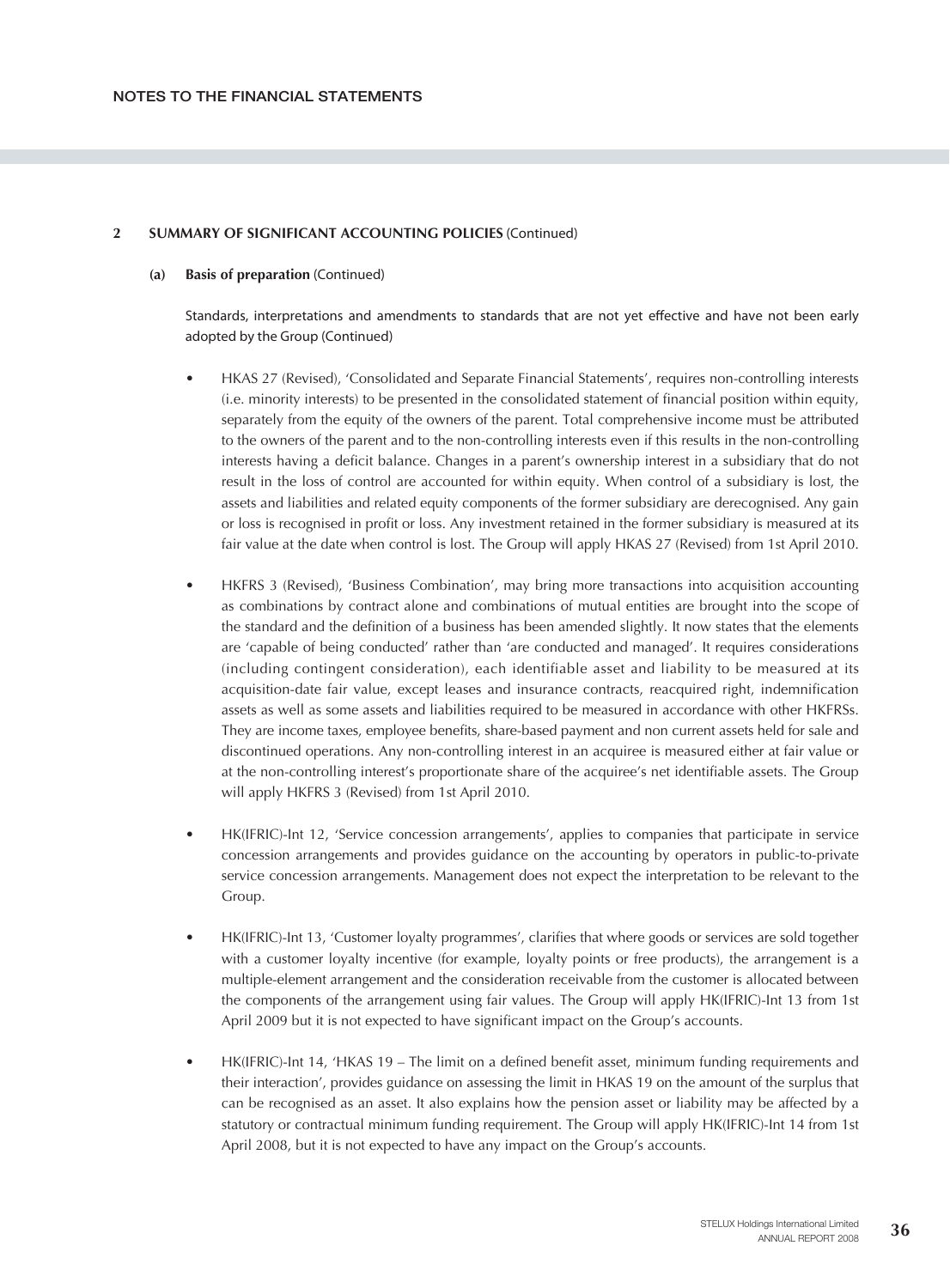## **(a) Basis of preparation** (Continued)

Standards, interpretations and amendments to standards that are not yet effective and have not been early adopted by the Group (Continued)

- HKAS 27 (Revised), 'Consolidated and Separate Financial Statements', requires non-controlling interests (i.e. minority interests) to be presented in the consolidated statement of financial position within equity, separately from the equity of the owners of the parent. Total comprehensive income must be attributed to the owners of the parent and to the non-controlling interests even if this results in the non-controlling interests having a deficit balance. Changes in a parent's ownership interest in a subsidiary that do not result in the loss of control are accounted for within equity. When control of a subsidiary is lost, the assets and liabilities and related equity components of the former subsidiary are derecognised. Any gain or loss is recognised in profit or loss. Any investment retained in the former subsidiary is measured at its fair value at the date when control is lost. The Group will apply HKAS 27 (Revised) from 1st April 2010.
- HKFRS 3 (Revised), 'Business Combination', may bring more transactions into acquisition accounting as combinations by contract alone and combinations of mutual entities are brought into the scope of the standard and the definition of a business has been amended slightly. It now states that the elements are 'capable of being conducted' rather than 'are conducted and managed'. It requires considerations (including contingent consideration), each identifiable asset and liability to be measured at its acquisition-date fair value, except leases and insurance contracts, reacquired right, indemnification assets as well as some assets and liabilities required to be measured in accordance with other HKFRSs. They are income taxes, employee benefits, share-based payment and non current assets held for sale and discontinued operations. Any non-controlling interest in an acquiree is measured either at fair value or at the non-controlling interest's proportionate share of the acquiree's net identifiable assets. The Group will apply HKFRS 3 (Revised) from 1st April 2010.
- HK(IFRIC)-Int 12, 'Service concession arrangements', applies to companies that participate in service concession arrangements and provides guidance on the accounting by operators in public-to-private service concession arrangements. Management does not expect the interpretation to be relevant to the Group.
- HK(IFRIC)-Int 13, 'Customer loyalty programmes', clarifies that where goods or services are sold together with a customer loyalty incentive (for example, loyalty points or free products), the arrangement is a multiple-element arrangement and the consideration receivable from the customer is allocated between the components of the arrangement using fair values. The Group will apply HK(IFRIC)-Int 13 from 1st April 2009 but it is not expected to have significant impact on the Group's accounts.
- HK(IFRIC)-Int 14, 'HKAS 19 The limit on a defined benefit asset, minimum funding requirements and their interaction', provides guidance on assessing the limit in HKAS 19 on the amount of the surplus that can be recognised as an asset. It also explains how the pension asset or liability may be affected by a statutory or contractual minimum funding requirement. The Group will apply HK(IFRIC)-Int 14 from 1st April 2008, but it is not expected to have any impact on the Group's accounts.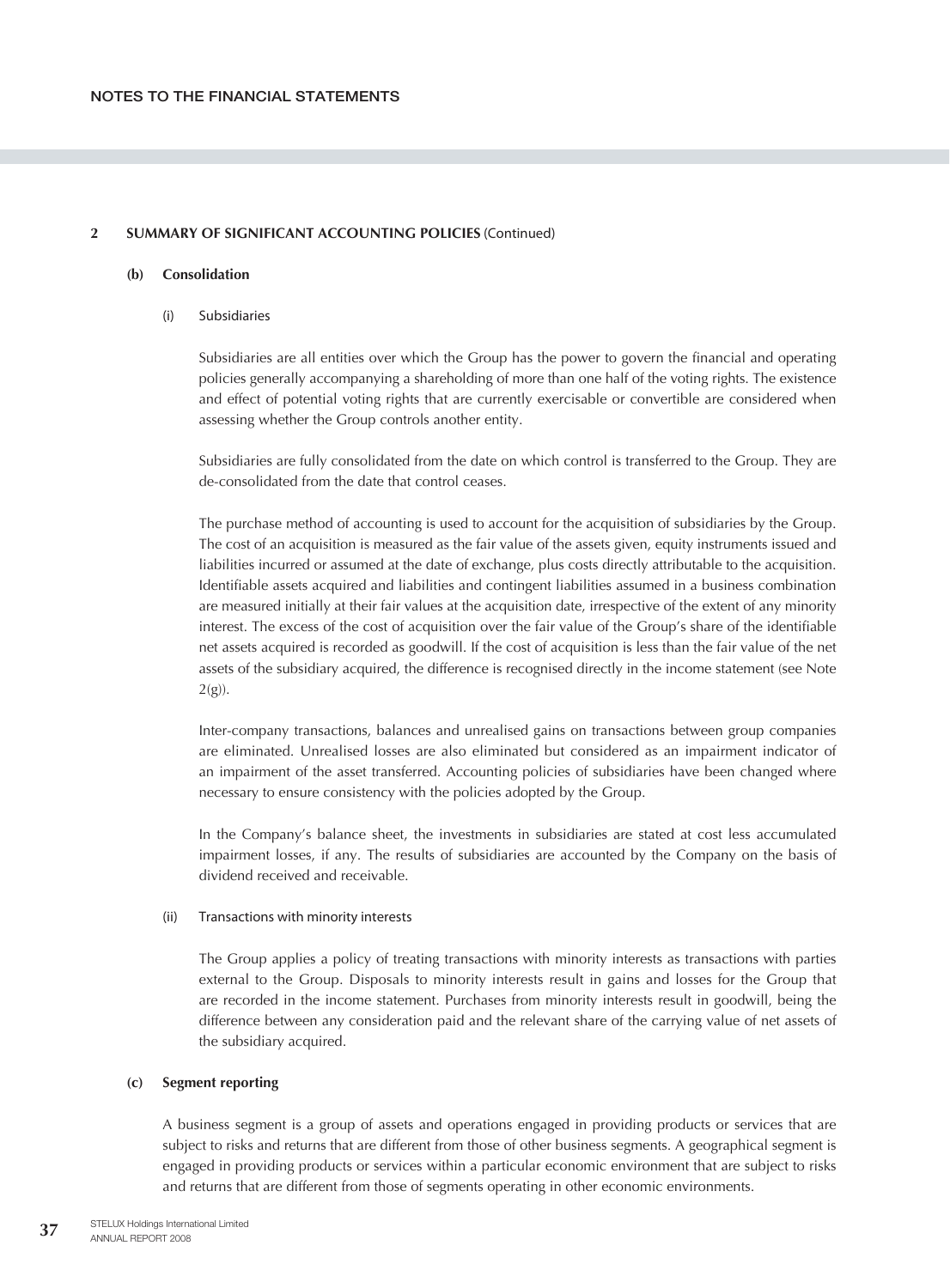#### **(b) Consolidation**

(i) Subsidiaries

Subsidiaries are all entities over which the Group has the power to govern the financial and operating policies generally accompanying a shareholding of more than one half of the voting rights. The existence and effect of potential voting rights that are currently exercisable or convertible are considered when assessing whether the Group controls another entity.

Subsidiaries are fully consolidated from the date on which control is transferred to the Group. They are de-consolidated from the date that control ceases.

The purchase method of accounting is used to account for the acquisition of subsidiaries by the Group. The cost of an acquisition is measured as the fair value of the assets given, equity instruments issued and liabilities incurred or assumed at the date of exchange, plus costs directly attributable to the acquisition. Identifiable assets acquired and liabilities and contingent liabilities assumed in a business combination are measured initially at their fair values at the acquisition date, irrespective of the extent of any minority interest. The excess of the cost of acquisition over the fair value of the Group's share of the identifiable net assets acquired is recorded as goodwill. If the cost of acquisition is less than the fair value of the net assets of the subsidiary acquired, the difference is recognised directly in the income statement (see Note  $2(g)$ ).

Inter-company transactions, balances and unrealised gains on transactions between group companies are eliminated. Unrealised losses are also eliminated but considered as an impairment indicator of an impairment of the asset transferred. Accounting policies of subsidiaries have been changed where necessary to ensure consistency with the policies adopted by the Group.

In the Company's balance sheet, the investments in subsidiaries are stated at cost less accumulated impairment losses, if any. The results of subsidiaries are accounted by the Company on the basis of dividend received and receivable.

#### (ii) Transactions with minority interests

The Group applies a policy of treating transactions with minority interests as transactions with parties external to the Group. Disposals to minority interests result in gains and losses for the Group that are recorded in the income statement. Purchases from minority interests result in goodwill, being the difference between any consideration paid and the relevant share of the carrying value of net assets of the subsidiary acquired.

#### **(c) Segment reporting**

A business segment is a group of assets and operations engaged in providing products or services that are subject to risks and returns that are different from those of other business segments. A geographical segment is engaged in providing products or services within a particular economic environment that are subject to risks and returns that are different from those of segments operating in other economic environments.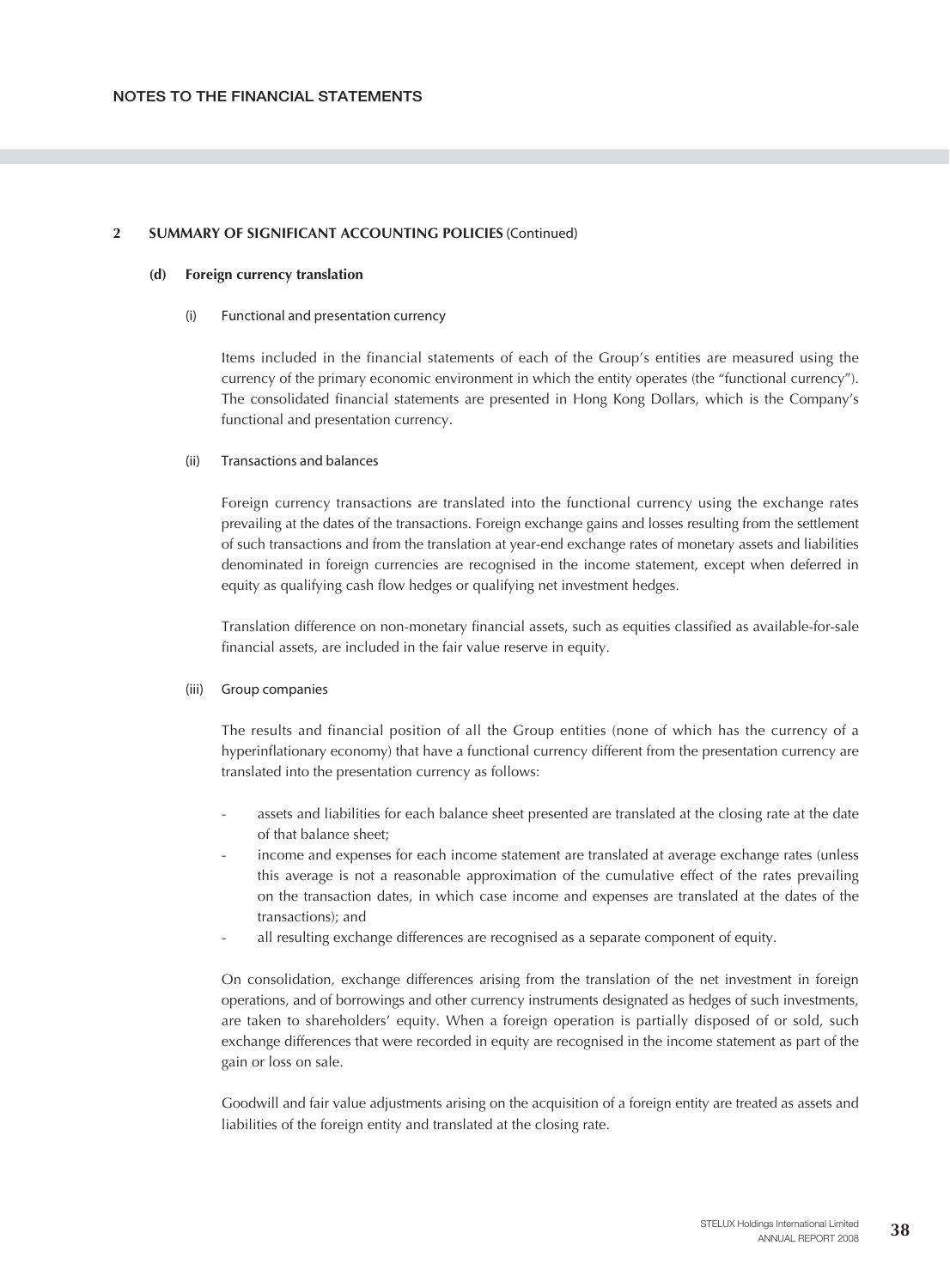#### **(d) Foreign currency translation**

#### (i) Functional and presentation currency

Items included in the financial statements of each of the Group's entities are measured using the currency of the primary economic environment in which the entity operates (the "functional currency"). The consolidated financial statements are presented in Hong Kong Dollars, which is the Company's functional and presentation currency.

# (ii) Transactions and balances

Foreign currency transactions are translated into the functional currency using the exchange rates prevailing at the dates of the transactions. Foreign exchange gains and losses resulting from the settlement of such transactions and from the translation at year-end exchange rates of monetary assets and liabilities denominated in foreign currencies are recognised in the income statement, except when deferred in equity as qualifying cash flow hedges or qualifying net investment hedges.

Translation difference on non-monetary financial assets, such as equities classified as available-for-sale financial assets, are included in the fair value reserve in equity.

#### (iii) Group companies

The results and financial position of all the Group entities (none of which has the currency of a hyperinflationary economy) that have a functional currency different from the presentation currency are translated into the presentation currency as follows:

- assets and liabilities for each balance sheet presented are translated at the closing rate at the date of that balance sheet;
- income and expenses for each income statement are translated at average exchange rates (unless this average is not a reasonable approximation of the cumulative effect of the rates prevailing on the transaction dates, in which case income and expenses are translated at the dates of the transactions); and
- all resulting exchange differences are recognised as a separate component of equity.

On consolidation, exchange differences arising from the translation of the net investment in foreign operations, and of borrowings and other currency instruments designated as hedges of such investments, are taken to shareholders' equity. When a foreign operation is partially disposed of or sold, such exchange differences that were recorded in equity are recognised in the income statement as part of the gain or loss on sale.

Goodwill and fair value adjustments arising on the acquisition of a foreign entity are treated as assets and liabilities of the foreign entity and translated at the closing rate.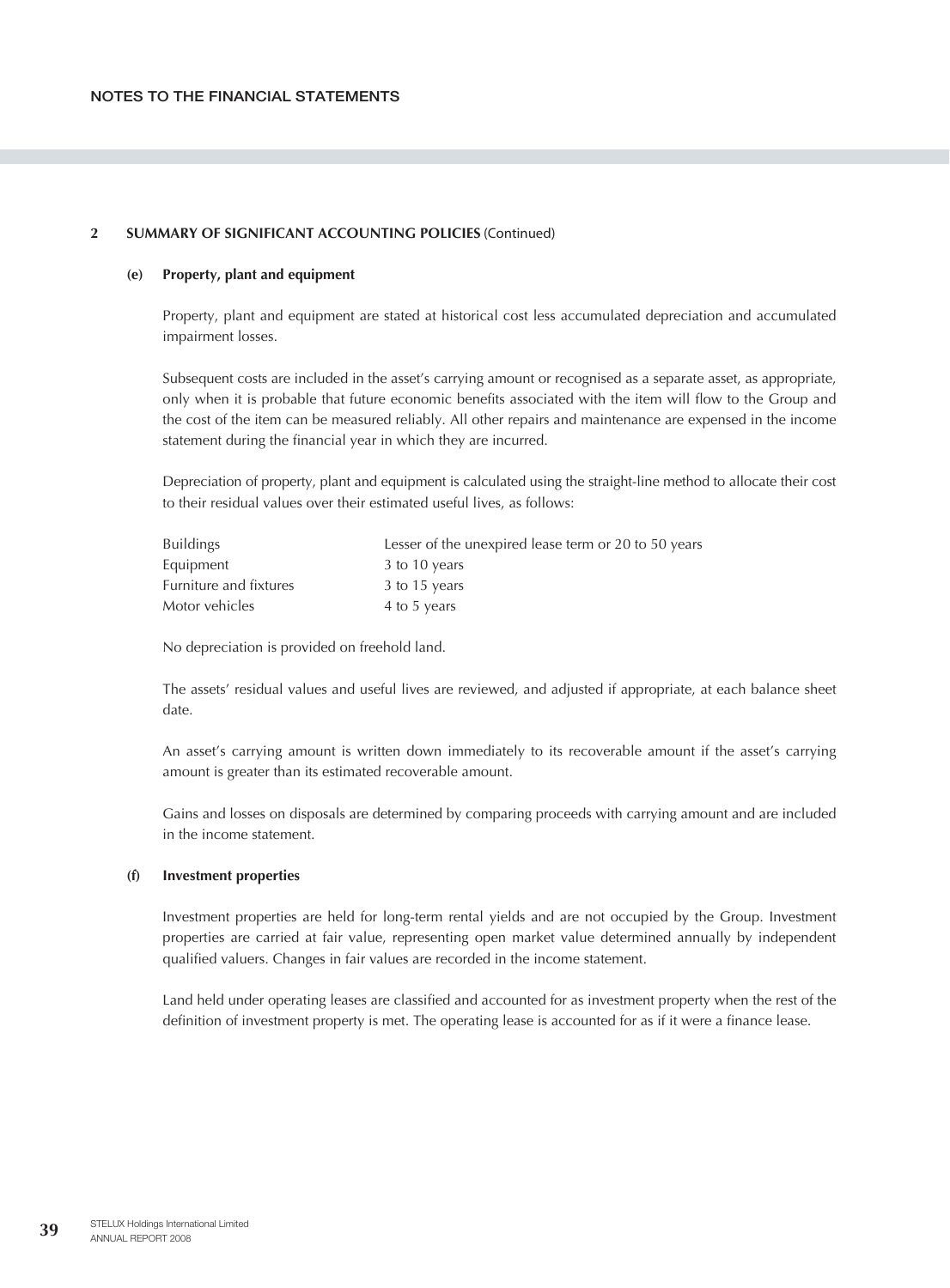## **(e) Property, plant and equipment**

Property, plant and equipment are stated at historical cost less accumulated depreciation and accumulated impairment losses.

Subsequent costs are included in the asset's carrying amount or recognised as a separate asset, as appropriate, only when it is probable that future economic benefits associated with the item will flow to the Group and the cost of the item can be measured reliably. All other repairs and maintenance are expensed in the income statement during the financial year in which they are incurred.

Depreciation of property, plant and equipment is calculated using the straight-line method to allocate their cost to their residual values over their estimated useful lives, as follows:

| <b>Buildings</b>       | Lesser of the unexpired lease term or 20 to 50 years |
|------------------------|------------------------------------------------------|
| Equipment              | 3 to 10 years                                        |
| Furniture and fixtures | 3 to 15 years                                        |
| Motor vehicles         | 4 to 5 years                                         |

No depreciation is provided on freehold land.

The assets' residual values and useful lives are reviewed, and adjusted if appropriate, at each balance sheet date.

An asset's carrying amount is written down immediately to its recoverable amount if the asset's carrying amount is greater than its estimated recoverable amount.

Gains and losses on disposals are determined by comparing proceeds with carrying amount and are included in the income statement.

#### **(f) Investment properties**

Investment properties are held for long-term rental yields and are not occupied by the Group. Investment properties are carried at fair value, representing open market value determined annually by independent qualified valuers. Changes in fair values are recorded in the income statement.

Land held under operating leases are classified and accounted for as investment property when the rest of the definition of investment property is met. The operating lease is accounted for as if it were a finance lease.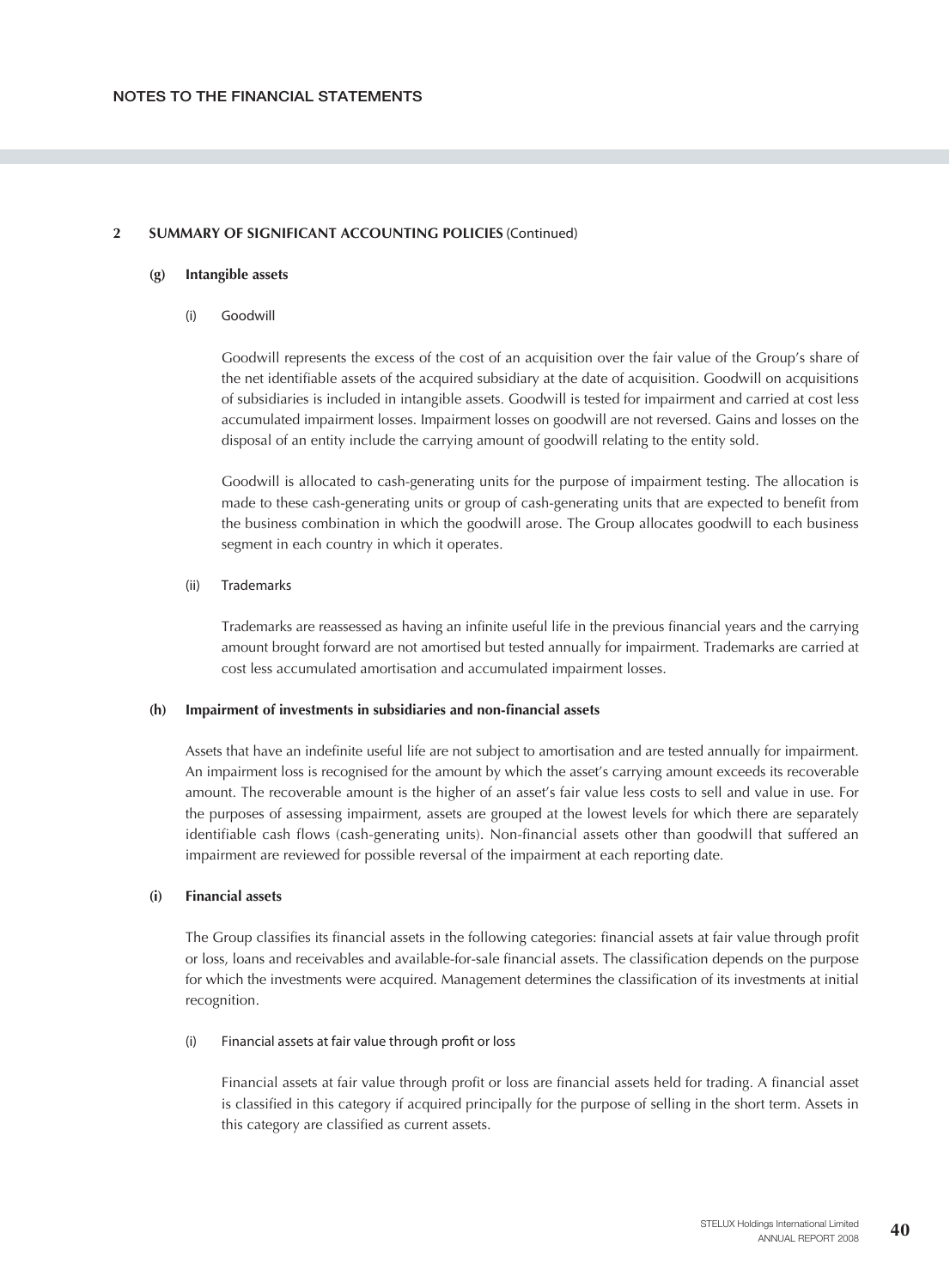#### **(g) Intangible assets**

(i) Goodwill

Goodwill represents the excess of the cost of an acquisition over the fair value of the Group's share of the net identifiable assets of the acquired subsidiary at the date of acquisition. Goodwill on acquisitions of subsidiaries is included in intangible assets. Goodwill is tested for impairment and carried at cost less accumulated impairment losses. Impairment losses on goodwill are not reversed. Gains and losses on the disposal of an entity include the carrying amount of goodwill relating to the entity sold.

Goodwill is allocated to cash-generating units for the purpose of impairment testing. The allocation is made to these cash-generating units or group of cash-generating units that are expected to benefit from the business combination in which the goodwill arose. The Group allocates goodwill to each business segment in each country in which it operates.

#### (ii) Trademarks

Trademarks are reassessed as having an infinite useful life in the previous financial years and the carrying amount brought forward are not amortised but tested annually for impairment. Trademarks are carried at cost less accumulated amortisation and accumulated impairment losses.

#### (h) Impairment of investments in subsidiaries and non-financial assets

Assets that have an indefinite useful life are not subject to amortisation and are tested annually for impairment. An impairment loss is recognised for the amount by which the asset's carrying amount exceeds its recoverable amount. The recoverable amount is the higher of an asset's fair value less costs to sell and value in use. For the purposes of assessing impairment, assets are grouped at the lowest levels for which there are separately identifiable cash flows (cash-generating units). Non-financial assets other than goodwill that suffered an impairment are reviewed for possible reversal of the impairment at each reporting date.

## **(i) Financial assets**

The Group classifies its financial assets in the following categories: financial assets at fair value through profit or loss, loans and receivables and available-for-sale financial assets. The classification depends on the purpose for which the investments were acquired. Management determines the classification of its investments at initial recognition.

#### (i) Financial assets at fair value through profit or loss

Financial assets at fair value through profit or loss are financial assets held for trading. A financial asset is classified in this category if acquired principally for the purpose of selling in the short term. Assets in this category are classified as current assets.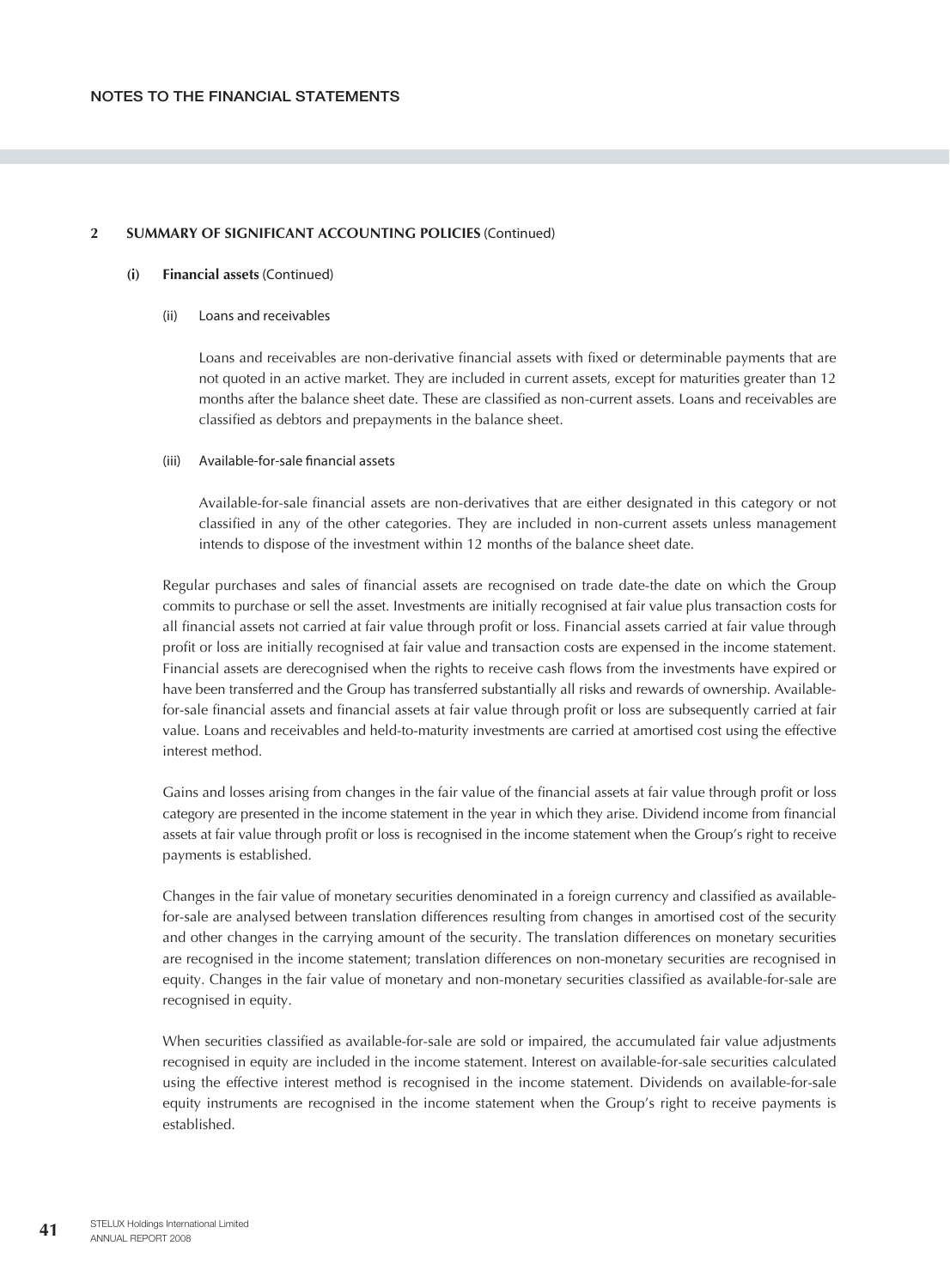#### **(i) Financial assets** (Continued)

#### (ii) Loans and receivables

Loans and receivables are non-derivative financial assets with fixed or determinable payments that are not quoted in an active market. They are included in current assets, except for maturities greater than 12 months after the balance sheet date. These are classified as non-current assets. Loans and receivables are classified as debtors and prepayments in the balance sheet.

## (iii) Available-for-sale financial assets

Available-for-sale financial assets are non-derivatives that are either designated in this category or not classified in any of the other categories. They are included in non-current assets unless management intends to dispose of the investment within 12 months of the balance sheet date.

Regular purchases and sales of financial assets are recognised on trade date-the date on which the Group commits to purchase or sell the asset. Investments are initially recognised at fair value plus transaction costs for all financial assets not carried at fair value through profit or loss. Financial assets carried at fair value through profit or loss are initially recognised at fair value and transaction costs are expensed in the income statement. Financial assets are derecognised when the rights to receive cash flows from the investments have expired or have been transferred and the Group has transferred substantially all risks and rewards of ownership. Availablefor-sale financial assets and financial assets at fair value through profit or loss are subsequently carried at fair value. Loans and receivables and held-to-maturity investments are carried at amortised cost using the effective interest method.

Gains and losses arising from changes in the fair value of the financial assets at fair value through profit or loss category are presented in the income statement in the year in which they arise. Dividend income from financial assets at fair value through profit or loss is recognised in the income statement when the Group's right to receive payments is established.

Changes in the fair value of monetary securities denominated in a foreign currency and classified as availablefor-sale are analysed between translation differences resulting from changes in amortised cost of the security and other changes in the carrying amount of the security. The translation differences on monetary securities are recognised in the income statement; translation differences on non-monetary securities are recognised in equity. Changes in the fair value of monetary and non-monetary securities classified as available-for-sale are recognised in equity.

When securities classified as available-for-sale are sold or impaired, the accumulated fair value adjustments recognised in equity are included in the income statement. Interest on available-for-sale securities calculated using the effective interest method is recognised in the income statement. Dividends on available-for-sale equity instruments are recognised in the income statement when the Group's right to receive payments is established.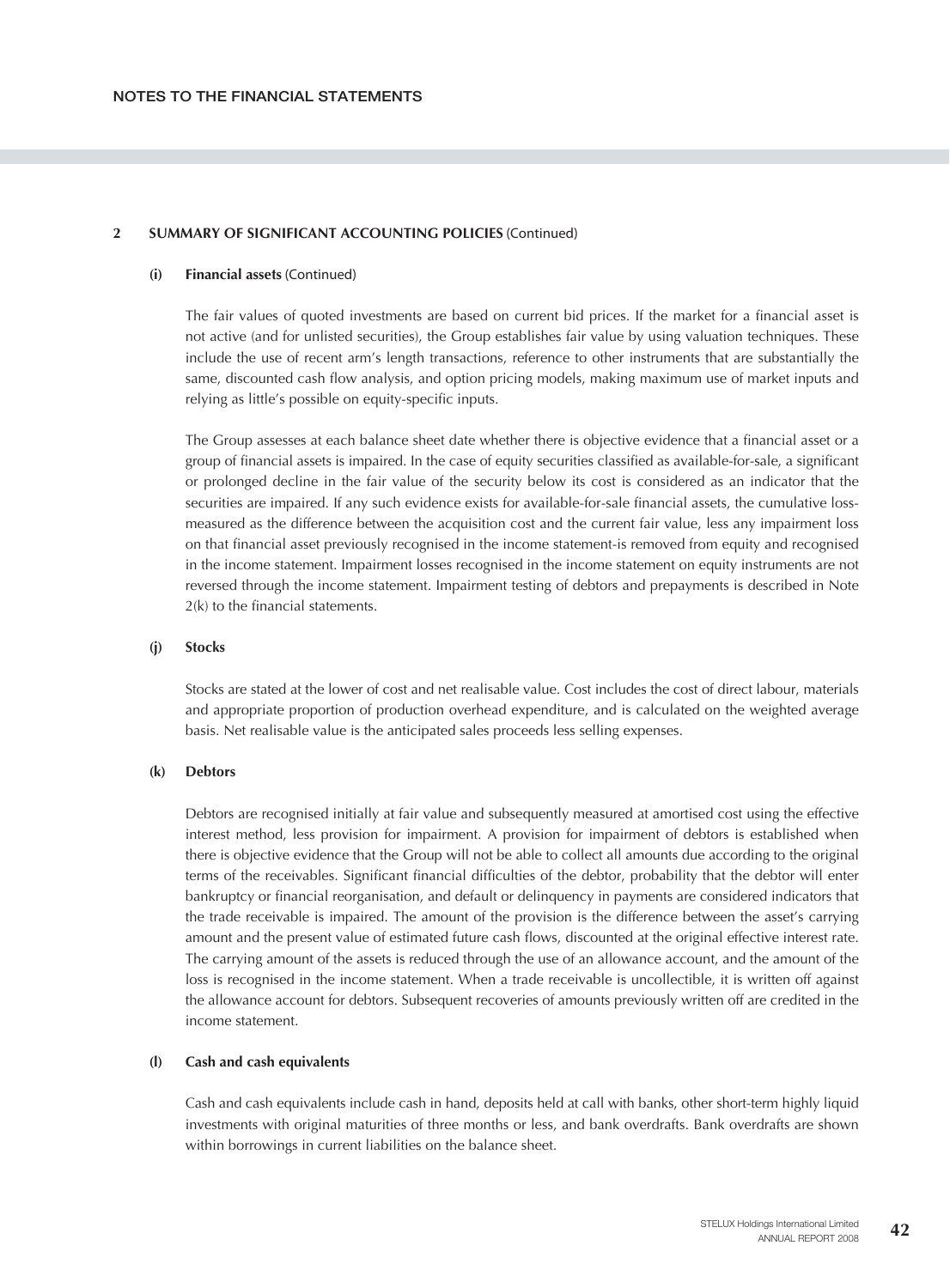## **(i) Financial assets** (Continued)

The fair values of quoted investments are based on current bid prices. If the market for a financial asset is not active (and for unlisted securities), the Group establishes fair value by using valuation techniques. These include the use of recent arm's length transactions, reference to other instruments that are substantially the same, discounted cash flow analysis, and option pricing models, making maximum use of market inputs and relying as little's possible on equity-specific inputs.

The Group assesses at each balance sheet date whether there is objective evidence that a financial asset or a group of financial assets is impaired. In the case of equity securities classified as available-for-sale, a significant or prolonged decline in the fair value of the security below its cost is considered as an indicator that the securities are impaired. If any such evidence exists for available-for-sale financial assets, the cumulative lossmeasured as the difference between the acquisition cost and the current fair value, less any impairment loss on that financial asset previously recognised in the income statement-is removed from equity and recognised in the income statement. Impairment losses recognised in the income statement on equity instruments are not reversed through the income statement. Impairment testing of debtors and prepayments is described in Note  $2(k)$  to the financial statements.

#### **(j) Stocks**

Stocks are stated at the lower of cost and net realisable value. Cost includes the cost of direct labour, materials and appropriate proportion of production overhead expenditure, and is calculated on the weighted average basis. Net realisable value is the anticipated sales proceeds less selling expenses.

#### **(k) Debtors**

Debtors are recognised initially at fair value and subsequently measured at amortised cost using the effective interest method, less provision for impairment. A provision for impairment of debtors is established when there is objective evidence that the Group will not be able to collect all amounts due according to the original terms of the receivables. Significant financial difficulties of the debtor, probability that the debtor will enter bankruptcy or financial reorganisation, and default or delinquency in payments are considered indicators that the trade receivable is impaired. The amount of the provision is the difference between the asset's carrying amount and the present value of estimated future cash flows, discounted at the original effective interest rate. The carrying amount of the assets is reduced through the use of an allowance account, and the amount of the loss is recognised in the income statement. When a trade receivable is uncollectible, it is written off against the allowance account for debtors. Subsequent recoveries of amounts previously written off are credited in the income statement.

#### **(l) Cash and cash equivalents**

Cash and cash equivalents include cash in hand, deposits held at call with banks, other short-term highly liquid investments with original maturities of three months or less, and bank overdrafts. Bank overdrafts are shown within borrowings in current liabilities on the balance sheet.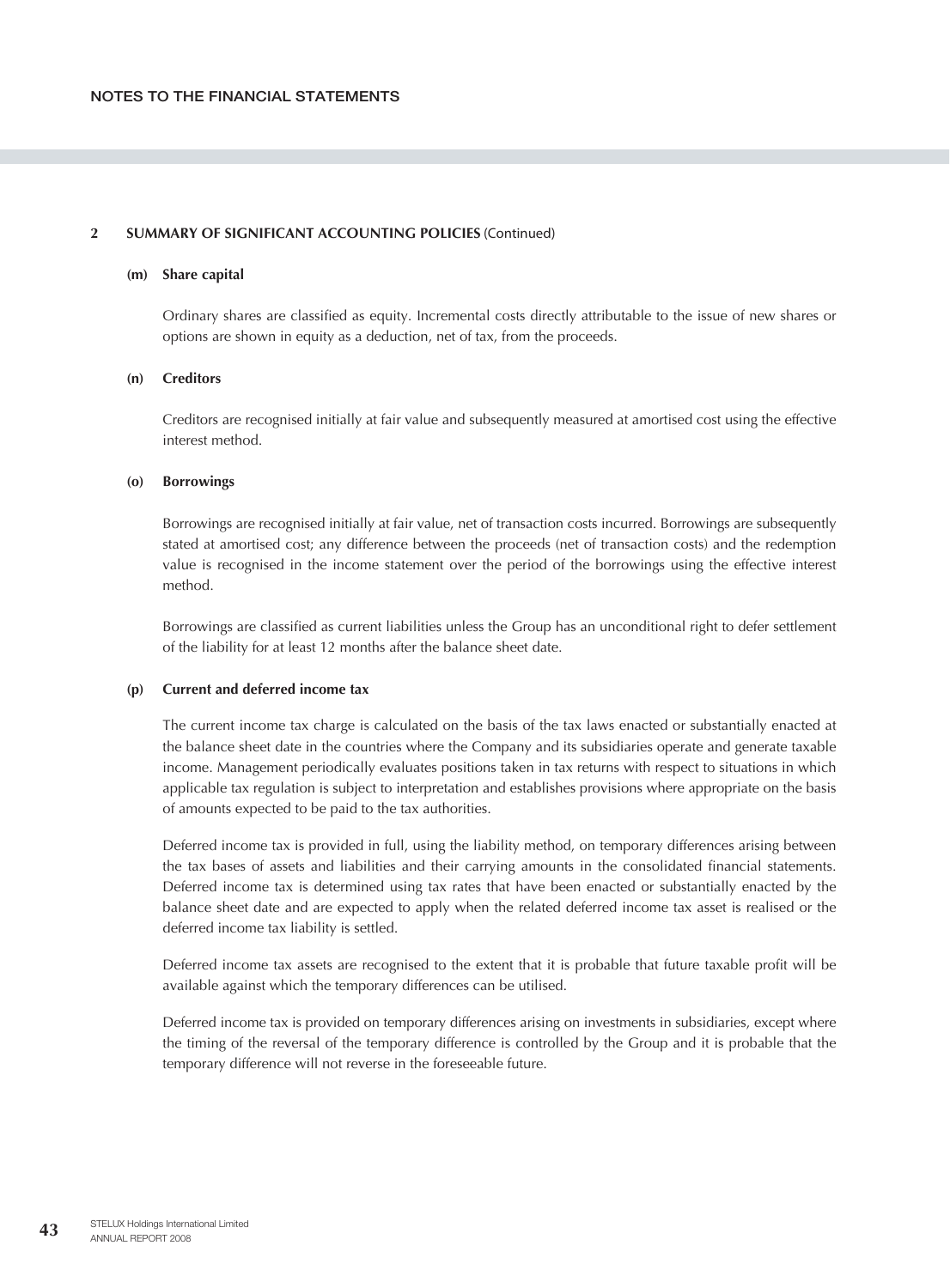#### **(m) Share capital**

Ordinary shares are classified as equity. Incremental costs directly attributable to the issue of new shares or options are shown in equity as a deduction, net of tax, from the proceeds.

#### **(n) Creditors**

Creditors are recognised initially at fair value and subsequently measured at amortised cost using the effective interest method.

#### **(o) Borrowings**

Borrowings are recognised initially at fair value, net of transaction costs incurred. Borrowings are subsequently stated at amortised cost; any difference between the proceeds (net of transaction costs) and the redemption value is recognised in the income statement over the period of the borrowings using the effective interest method.

Borrowings are classified as current liabilities unless the Group has an unconditional right to defer settlement of the liability for at least 12 months after the balance sheet date.

#### **(p) Current and deferred income tax**

The current income tax charge is calculated on the basis of the tax laws enacted or substantially enacted at the balance sheet date in the countries where the Company and its subsidiaries operate and generate taxable income. Management periodically evaluates positions taken in tax returns with respect to situations in which applicable tax regulation is subject to interpretation and establishes provisions where appropriate on the basis of amounts expected to be paid to the tax authorities.

Deferred income tax is provided in full, using the liability method, on temporary differences arising between the tax bases of assets and liabilities and their carrying amounts in the consolidated financial statements. Deferred income tax is determined using tax rates that have been enacted or substantially enacted by the balance sheet date and are expected to apply when the related deferred income tax asset is realised or the deferred income tax liability is settled.

Deferred income tax assets are recognised to the extent that it is probable that future taxable profit will be available against which the temporary differences can be utilised.

Deferred income tax is provided on temporary differences arising on investments in subsidiaries, except where the timing of the reversal of the temporary difference is controlled by the Group and it is probable that the temporary difference will not reverse in the foreseeable future.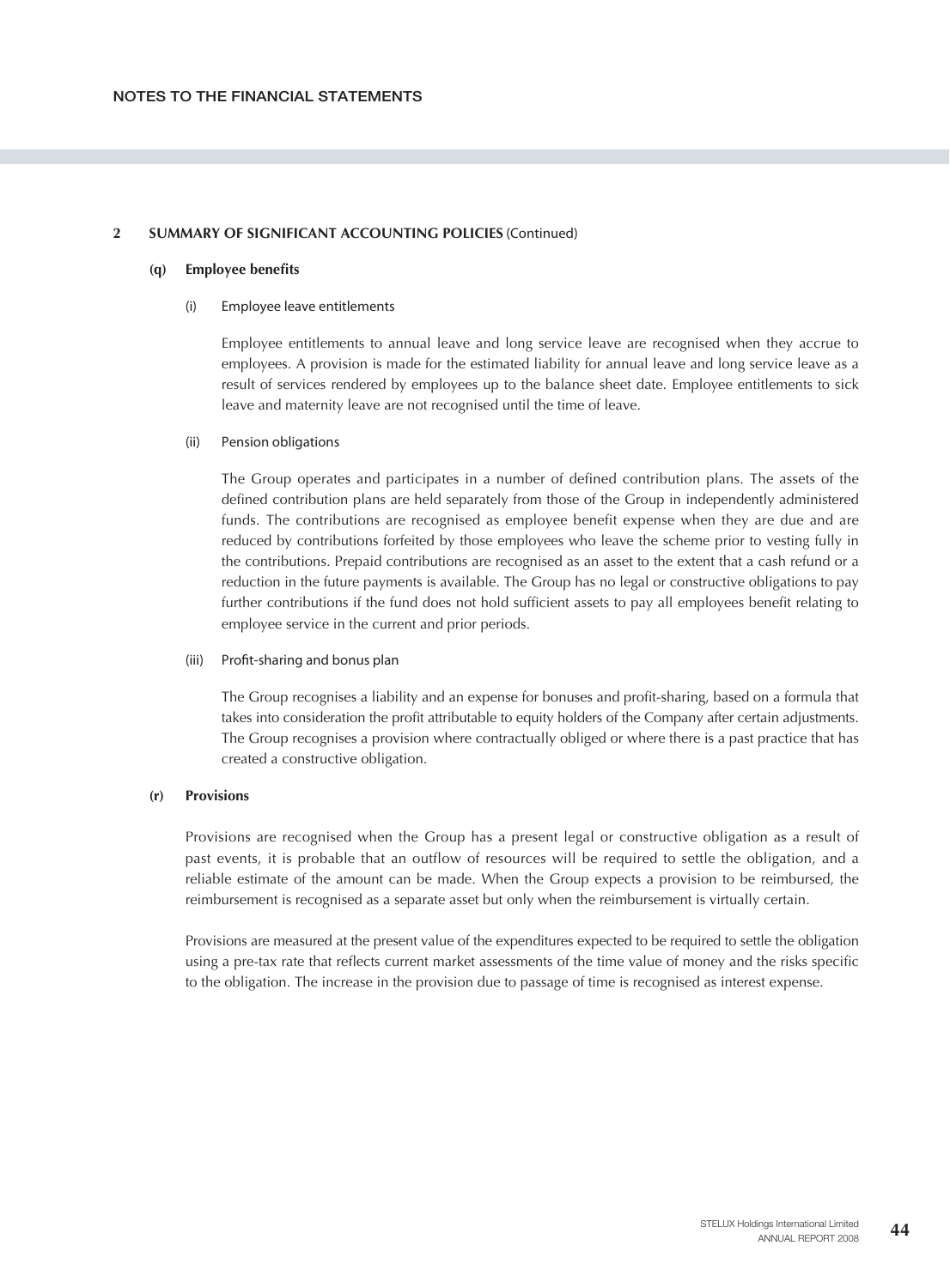#### (g) **Employee benefits**

#### (i) Employee leave entitlements

Employee entitlements to annual leave and long service leave are recognised when they accrue to employees. A provision is made for the estimated liability for annual leave and long service leave as a result of services rendered by employees up to the balance sheet date. Employee entitlements to sick leave and maternity leave are not recognised until the time of leave.

#### (ii) Pension obligations

The Group operates and participates in a number of defined contribution plans. The assets of the defined contribution plans are held separately from those of the Group in independently administered funds. The contributions are recognised as employee benefit expense when they are due and are reduced by contributions forfeited by those employees who leave the scheme prior to vesting fully in the contributions. Prepaid contributions are recognised as an asset to the extent that a cash refund or a reduction in the future payments is available. The Group has no legal or constructive obligations to pay further contributions if the fund does not hold sufficient assets to pay all employees benefit relating to employee service in the current and prior periods.

#### (iii) Profit-sharing and bonus plan

The Group recognises a liability and an expense for bonuses and profit-sharing, based on a formula that takes into consideration the profit attributable to equity holders of the Company after certain adjustments. The Group recognises a provision where contractually obliged or where there is a past practice that has created a constructive obligation.

#### **(r) Provisions**

Provisions are recognised when the Group has a present legal or constructive obligation as a result of past events, it is probable that an outflow of resources will be required to settle the obligation, and a reliable estimate of the amount can be made. When the Group expects a provision to be reimbursed, the reimbursement is recognised as a separate asset but only when the reimbursement is virtually certain.

Provisions are measured at the present value of the expenditures expected to be required to settle the obligation using a pre-tax rate that reflects current market assessments of the time value of money and the risks specific to the obligation. The increase in the provision due to passage of time is recognised as interest expense.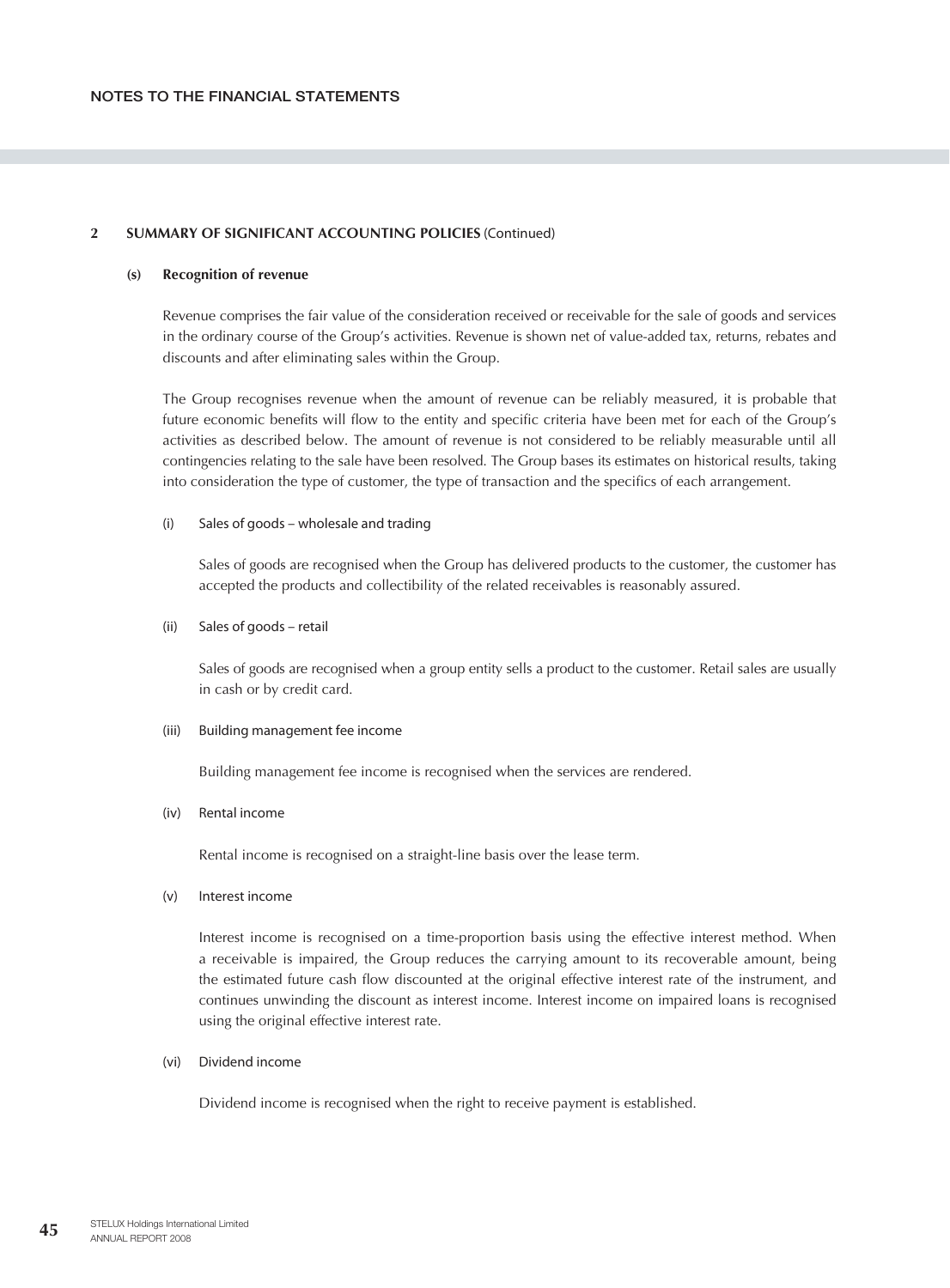### **(s) Recognition of revenue**

Revenue comprises the fair value of the consideration received or receivable for the sale of goods and services in the ordinary course of the Group's activities. Revenue is shown net of value-added tax, returns, rebates and discounts and after eliminating sales within the Group.

The Group recognises revenue when the amount of revenue can be reliably measured, it is probable that future economic benefits will flow to the entity and specific criteria have been met for each of the Group's activities as described below. The amount of revenue is not considered to be reliably measurable until all contingencies relating to the sale have been resolved. The Group bases its estimates on historical results, taking into consideration the type of customer, the type of transaction and the specifics of each arrangement.

#### (i) Sales of goods – wholesale and trading

Sales of goods are recognised when the Group has delivered products to the customer, the customer has accepted the products and collectibility of the related receivables is reasonably assured.

#### (ii) Sales of goods – retail

Sales of goods are recognised when a group entity sells a product to the customer. Retail sales are usually in cash or by credit card.

#### (iii) Building management fee income

Building management fee income is recognised when the services are rendered.

### (iv) Rental income

Rental income is recognised on a straight-line basis over the lease term.

#### (v) Interest income

Interest income is recognised on a time-proportion basis using the effective interest method. When a receivable is impaired, the Group reduces the carrying amount to its recoverable amount, being the estimated future cash flow discounted at the original effective interest rate of the instrument, and continues unwinding the discount as interest income. Interest income on impaired loans is recognised using the original effective interest rate.

### (vi) Dividend income

Dividend income is recognised when the right to receive payment is established.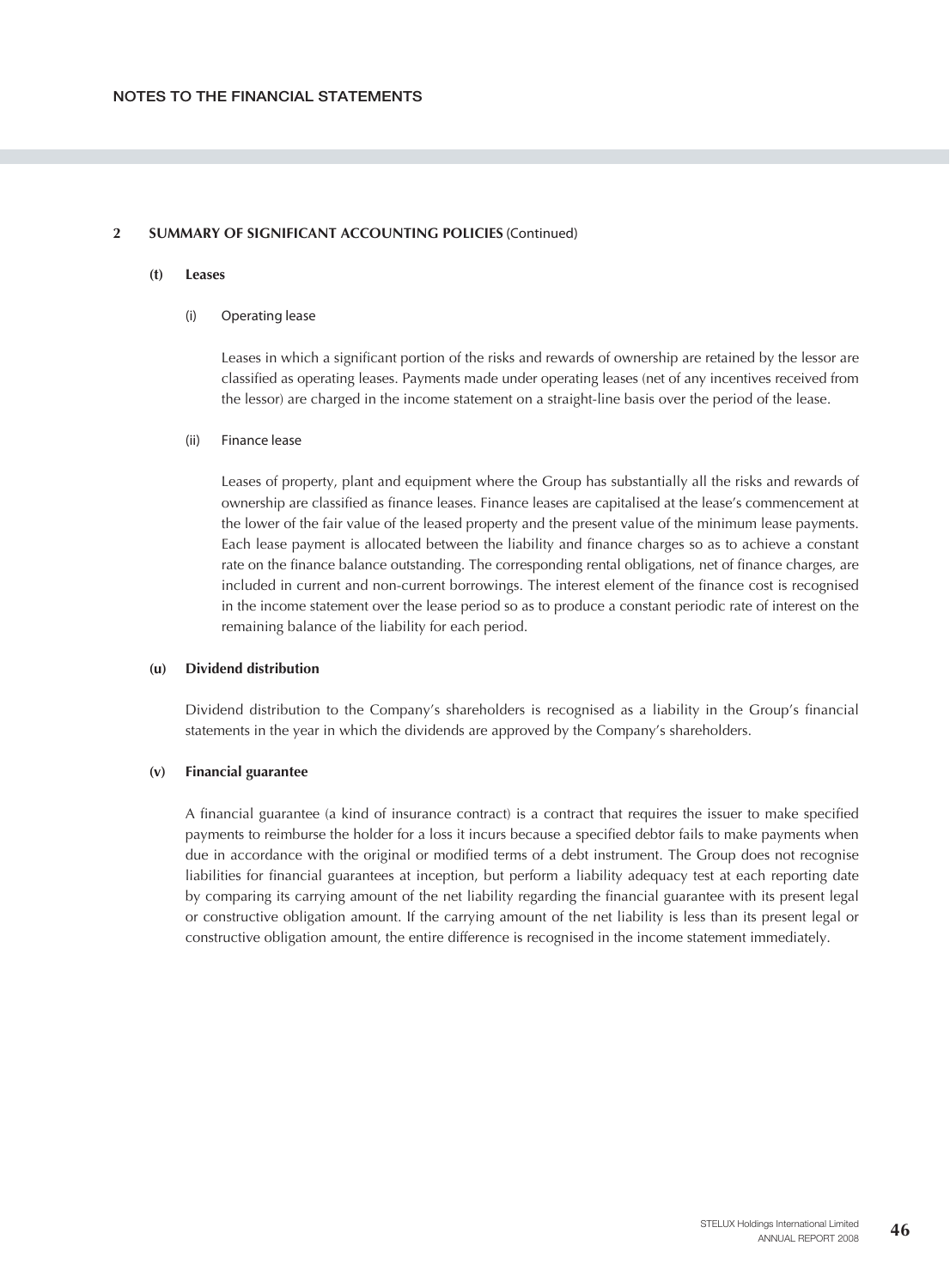#### **(t) Leases**

#### (i) Operating lease

Leases in which a significant portion of the risks and rewards of ownership are retained by the lessor are classified as operating leases. Payments made under operating leases (net of any incentives received from the lessor) are charged in the income statement on a straight-line basis over the period of the lease.

#### (ii) Finance lease

Leases of property, plant and equipment where the Group has substantially all the risks and rewards of ownership are classified as finance leases. Finance leases are capitalised at the lease's commencement at the lower of the fair value of the leased property and the present value of the minimum lease payments. Each lease payment is allocated between the liability and finance charges so as to achieve a constant rate on the finance balance outstanding. The corresponding rental obligations, net of finance charges, are included in current and non-current borrowings. The interest element of the finance cost is recognised in the income statement over the lease period so as to produce a constant periodic rate of interest on the remaining balance of the liability for each period.

#### **(u) Dividend distribution**

Dividend distribution to the Company's shareholders is recognised as a liability in the Group's financial statements in the year in which the dividends are approved by the Company's shareholders.

#### **(v) Financial guarantee**

A financial guarantee (a kind of insurance contract) is a contract that requires the issuer to make specified payments to reimburse the holder for a loss it incurs because a specified debtor fails to make payments when due in accordance with the original or modified terms of a debt instrument. The Group does not recognise liabilities for financial guarantees at inception, but perform a liability adequacy test at each reporting date by comparing its carrying amount of the net liability regarding the financial guarantee with its present legal or constructive obligation amount. If the carrying amount of the net liability is less than its present legal or constructive obligation amount, the entire difference is recognised in the income statement immediately.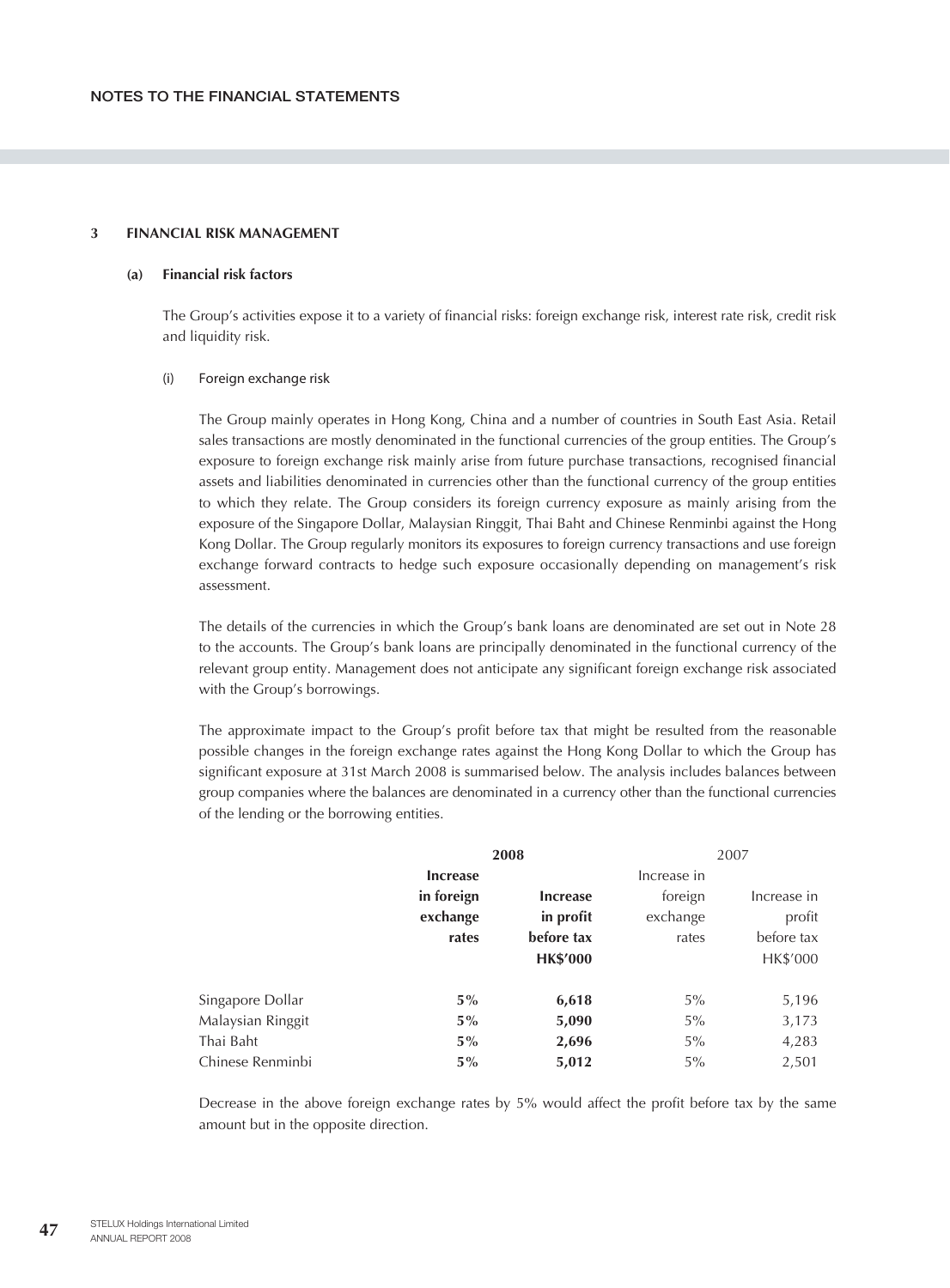#### **3 FINANCIAL RISK MANAGEMENT**

## **(a) Financial risk factors**

The Group's activities expose it to a variety of financial risks: foreign exchange risk, interest rate risk, credit risk and liquidity risk.

#### (i) Foreign exchange risk

The Group mainly operates in Hong Kong, China and a number of countries in South East Asia. Retail sales transactions are mostly denominated in the functional currencies of the group entities. The Group's exposure to foreign exchange risk mainly arise from future purchase transactions, recognised financial assets and liabilities denominated in currencies other than the functional currency of the group entities to which they relate. The Group considers its foreign currency exposure as mainly arising from the exposure of the Singapore Dollar, Malaysian Ringgit, Thai Baht and Chinese Renminbi against the Hong Kong Dollar. The Group regularly monitors its exposures to foreign currency transactions and use foreign exchange forward contracts to hedge such exposure occasionally depending on management's risk assessment.

The details of the currencies in which the Group's bank loans are denominated are set out in Note 28 to the accounts. The Group's bank loans are principally denominated in the functional currency of the relevant group entity. Management does not anticipate any significant foreign exchange risk associated with the Group's borrowings.

The approximate impact to the Group's profit before tax that might be resulted from the reasonable possible changes in the foreign exchange rates against the Hong Kong Dollar to which the Group has significant exposure at 31st March 2008 is summarised below. The analysis includes balances between group companies where the balances are denominated in a currency other than the functional currencies of the lending or the borrowing entities.

|                   | 2008  |                 |             | 2007        |  |
|-------------------|-------|-----------------|-------------|-------------|--|
| <b>Increase</b>   |       |                 | Increase in |             |  |
| in foreign        |       | <b>Increase</b> | foreign     | Increase in |  |
| exchange          |       | in profit       | exchange    | profit      |  |
| rates             |       | before tax      | rates       | before tax  |  |
|                   |       | <b>HK\$'000</b> |             | HK\$'000    |  |
| Singapore Dollar  | $5\%$ | 6,618           | $5\%$       | 5,196       |  |
| Malaysian Ringgit | $5\%$ | 5,090           | $5\%$       | 3,173       |  |
| Thai Baht         | $5\%$ | 2,696           | $5\%$       | 4,283       |  |
| Chinese Renminbi  | $5\%$ | 5,012           | $5\%$       | 2,501       |  |

Decrease in the above foreign exchange rates by 5% would affect the profit before tax by the same amount but in the opposite direction.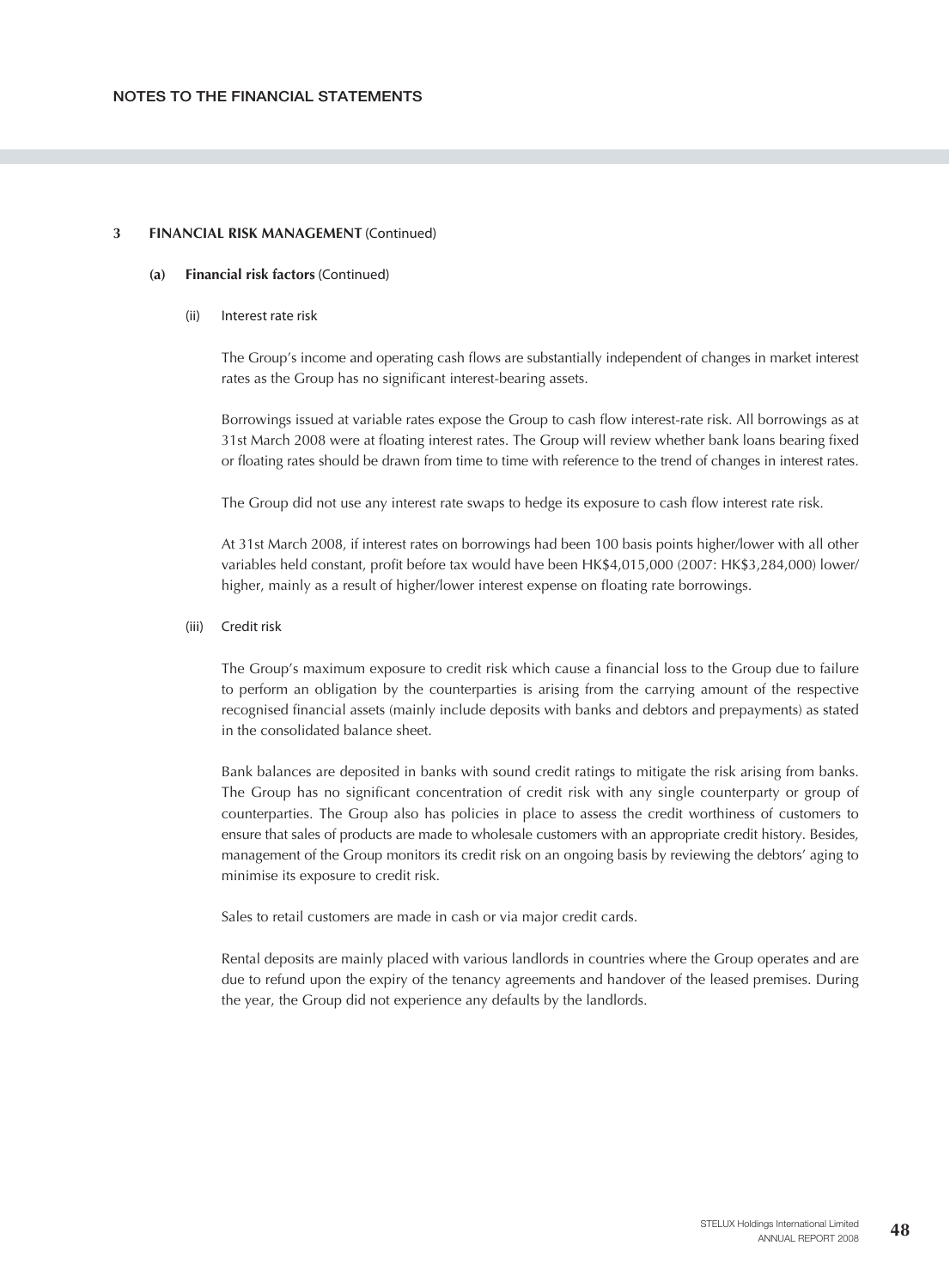### **3 FINANCIAL RISK MANAGEMENT** (Continued)

#### **(a) Financial risk factors** (Continued)

(ii) Interest rate risk

The Group's income and operating cash flows are substantially independent of changes in market interest rates as the Group has no significant interest-bearing assets.

Borrowings issued at variable rates expose the Group to cash flow interest-rate risk. All borrowings as at 31st March 2008 were at floating interest rates. The Group will review whether bank loans bearing fixed or floating rates should be drawn from time to time with reference to the trend of changes in interest rates.

The Group did not use any interest rate swaps to hedge its exposure to cash flow interest rate risk.

At 31st March 2008, if interest rates on borrowings had been 100 basis points higher/lower with all other variables held constant, profit before tax would have been HK\$4,015,000 (2007: HK\$3,284,000) lower/ higher, mainly as a result of higher/lower interest expense on floating rate borrowings.

### (iii) Credit risk

The Group's maximum exposure to credit risk which cause a financial loss to the Group due to failure to perform an obligation by the counterparties is arising from the carrying amount of the respective recognised financial assets (mainly include deposits with banks and debtors and prepayments) as stated in the consolidated balance sheet.

Bank balances are deposited in banks with sound credit ratings to mitigate the risk arising from banks. The Group has no significant concentration of credit risk with any single counterparty or group of counterparties. The Group also has policies in place to assess the credit worthiness of customers to ensure that sales of products are made to wholesale customers with an appropriate credit history. Besides, management of the Group monitors its credit risk on an ongoing basis by reviewing the debtors' aging to minimise its exposure to credit risk.

Sales to retail customers are made in cash or via major credit cards.

Rental deposits are mainly placed with various landlords in countries where the Group operates and are due to refund upon the expiry of the tenancy agreements and handover of the leased premises. During the year, the Group did not experience any defaults by the landlords.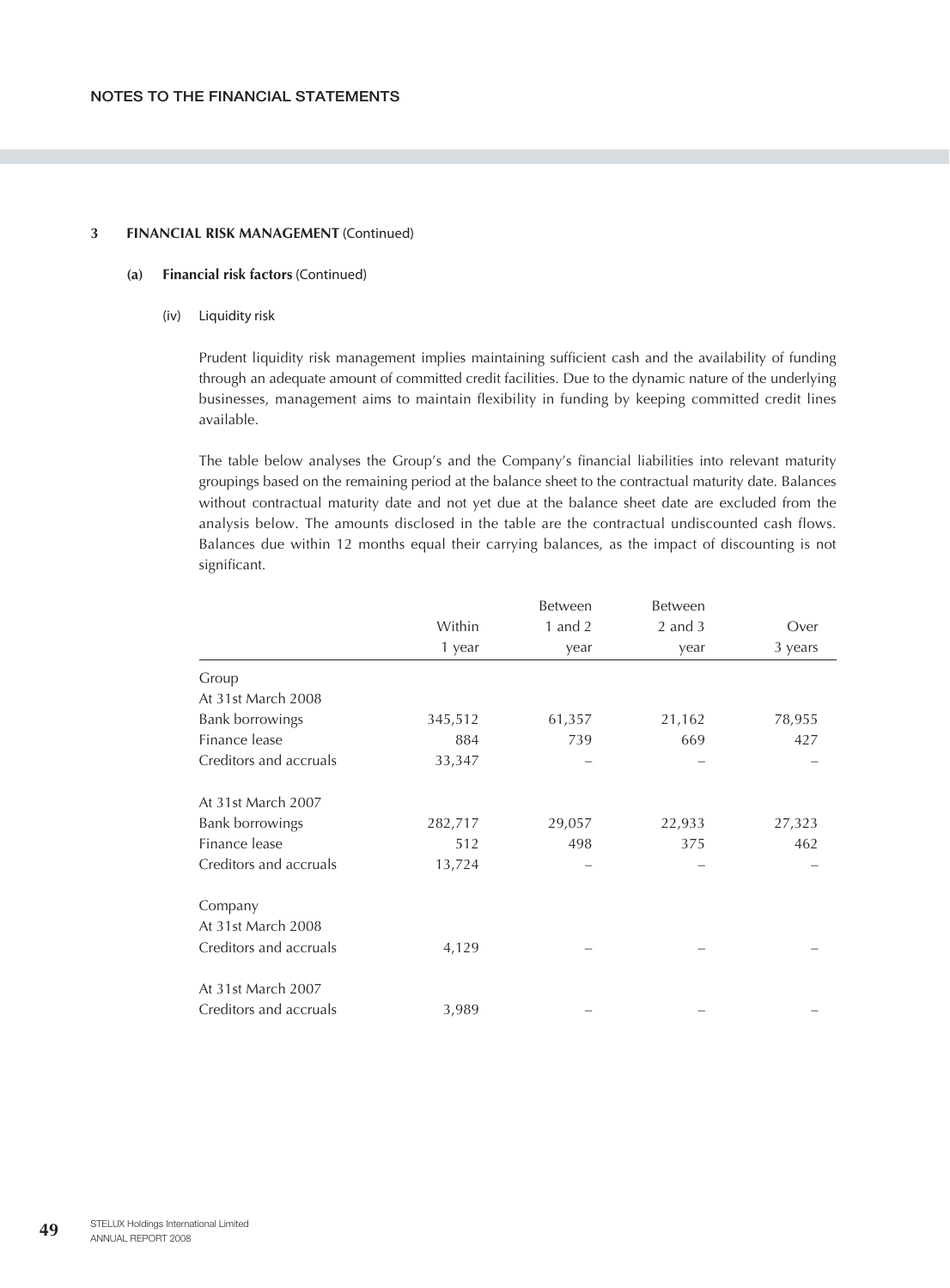# **3 FINANCIAL RISK MANAGEMENT** (Continued)

#### **(a) Financial risk factors** (Continued)

## (iv) Liquidity risk

Prudent liquidity risk management implies maintaining sufficient cash and the availability of funding through an adequate amount of committed credit facilities. Due to the dynamic nature of the underlying businesses, management aims to maintain flexibility in funding by keeping committed credit lines available.

The table below analyses the Group's and the Company's financial liabilities into relevant maturity groupings based on the remaining period at the balance sheet to the contractual maturity date. Balances without contractual maturity date and not yet due at the balance sheet date are excluded from the analysis below. The amounts disclosed in the table are the contractual undiscounted cash flows. Balances due within 12 months equal their carrying balances, as the impact of discounting is not significant.

|                        |         | <b>Between</b> | <b>Between</b> |         |
|------------------------|---------|----------------|----------------|---------|
|                        | Within  | 1 and $2$      | $2$ and $3$    | Over    |
|                        | 1 year  | year           | year           | 3 years |
| Group                  |         |                |                |         |
| At 31st March 2008     |         |                |                |         |
| Bank borrowings        | 345,512 | 61,357         | 21,162         | 78,955  |
| Finance lease          | 884     | 739            | 669            | 427     |
| Creditors and accruals | 33,347  |                |                |         |
| At 31st March 2007     |         |                |                |         |
| <b>Bank borrowings</b> | 282,717 | 29,057         | 22,933         | 27,323  |
| Finance lease          | 512     | 498            | 375            | 462     |
| Creditors and accruals | 13,724  |                |                |         |
| Company                |         |                |                |         |
| At 31st March 2008     |         |                |                |         |
| Creditors and accruals | 4,129   |                |                |         |
| At 31st March 2007     |         |                |                |         |
| Creditors and accruals | 3,989   |                |                |         |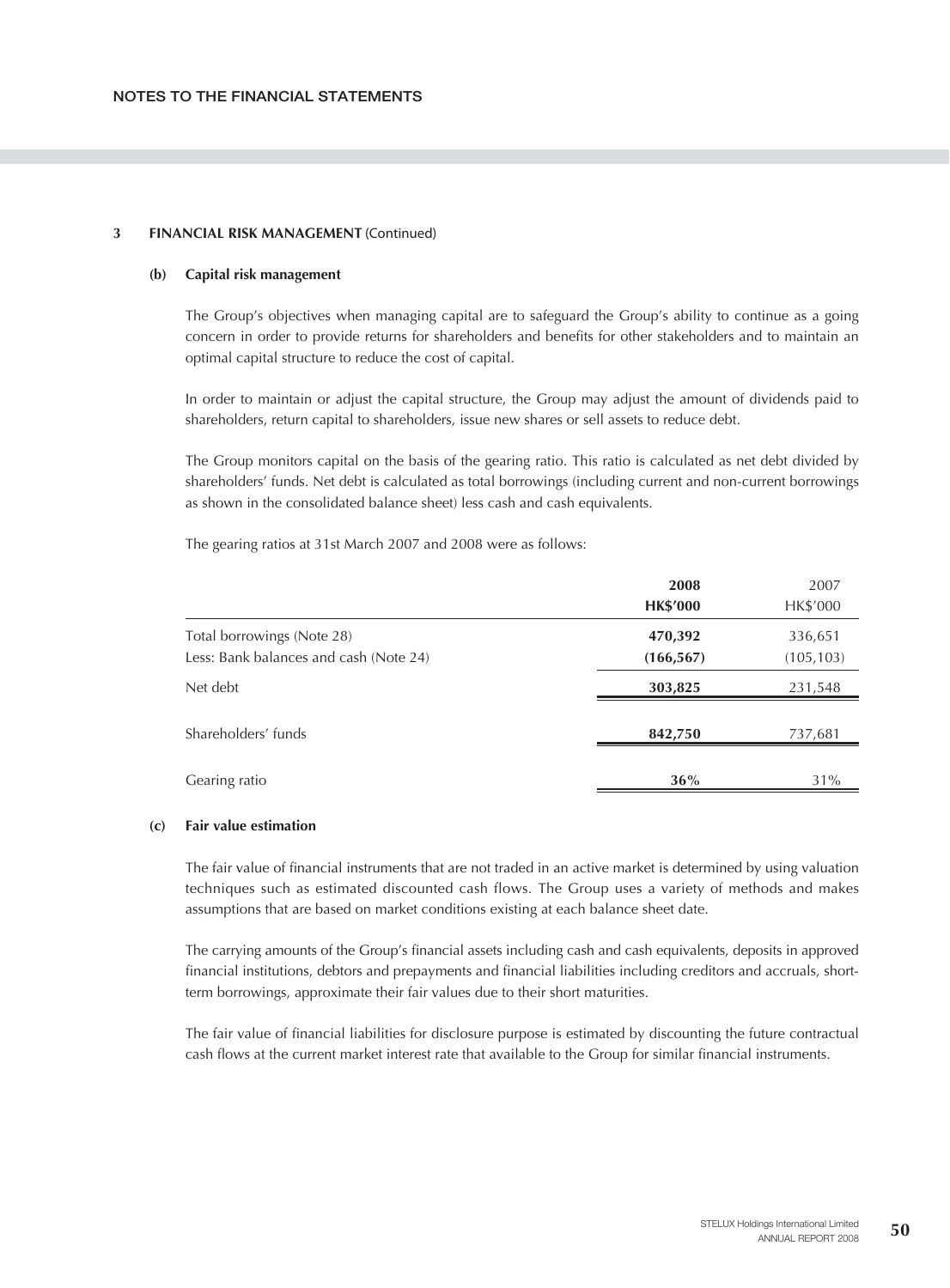#### **3 FINANCIAL RISK MANAGEMENT** (Continued)

### **(b) Capital risk management**

The Group's objectives when managing capital are to safeguard the Group's ability to continue as a going concern in order to provide returns for shareholders and benefits for other stakeholders and to maintain an optimal capital structure to reduce the cost of capital.

In order to maintain or adjust the capital structure, the Group may adjust the amount of dividends paid to shareholders, return capital to shareholders, issue new shares or sell assets to reduce debt.

The Group monitors capital on the basis of the gearing ratio. This ratio is calculated as net debt divided by shareholders' funds. Net debt is calculated as total borrowings (including current and non-current borrowings as shown in the consolidated balance sheet) less cash and cash equivalents.

The gearing ratios at 31st March 2007 and 2008 were as follows:

|                                                                      | 2008<br><b>HK\$'000</b> | 2007<br>HK\$'000      |
|----------------------------------------------------------------------|-------------------------|-----------------------|
| Total borrowings (Note 28)<br>Less: Bank balances and cash (Note 24) | 470,392<br>(166, 567)   | 336,651<br>(105, 103) |
| Net debt                                                             | 303,825                 | 231,548               |
| Shareholders' funds                                                  | 842,750                 | 737,681               |
| Gearing ratio                                                        | $36\%$                  | $31\%$                |

## **(c) Fair value estimation**

The fair value of financial instruments that are not traded in an active market is determined by using valuation techniques such as estimated discounted cash flows. The Group uses a variety of methods and makes assumptions that are based on market conditions existing at each balance sheet date.

The carrying amounts of the Group's financial assets including cash and cash equivalents, deposits in approved financial institutions, debtors and prepayments and financial liabilities including creditors and accruals, shortterm borrowings, approximate their fair values due to their short maturities.

The fair value of financial liabilities for disclosure purpose is estimated by discounting the future contractual cash flows at the current market interest rate that available to the Group for similar financial instruments.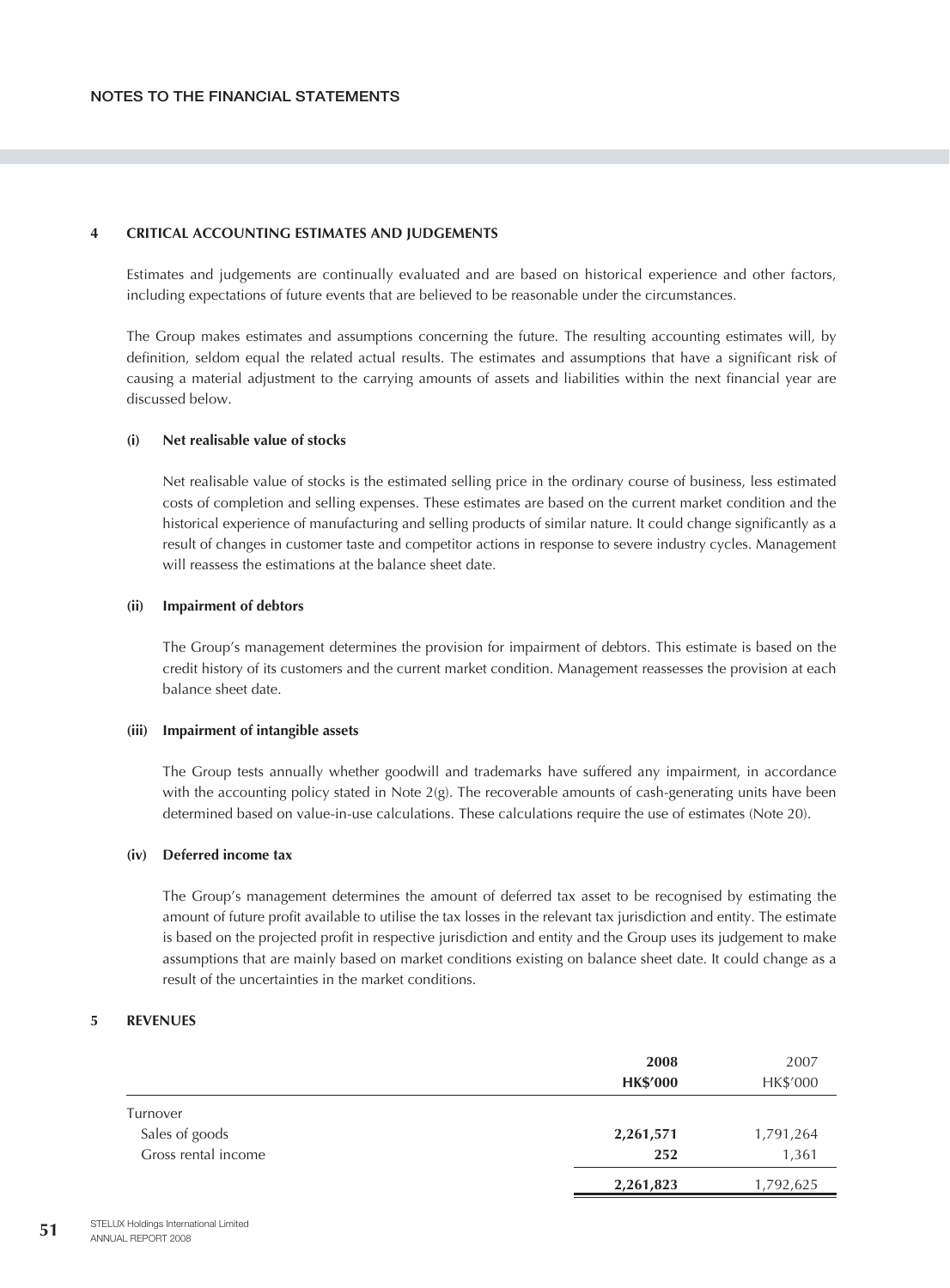### **4 CRITICAL ACCOUNTING ESTIMATES AND JUDGEMENTS**

Estimates and judgements are continually evaluated and are based on historical experience and other factors, including expectations of future events that are believed to be reasonable under the circumstances.

The Group makes estimates and assumptions concerning the future. The resulting accounting estimates will, by definition, seldom equal the related actual results. The estimates and assumptions that have a significant risk of causing a material adjustment to the carrying amounts of assets and liabilities within the next financial year are discussed below.

## **(i) Net realisable value of stocks**

Net realisable value of stocks is the estimated selling price in the ordinary course of business, less estimated costs of completion and selling expenses. These estimates are based on the current market condition and the historical experience of manufacturing and selling products of similar nature. It could change significantly as a result of changes in customer taste and competitor actions in response to severe industry cycles. Management will reassess the estimations at the balance sheet date.

#### **(ii) Impairment of debtors**

The Group's management determines the provision for impairment of debtors. This estimate is based on the credit history of its customers and the current market condition. Management reassesses the provision at each balance sheet date.

#### **(iii) Impairment of intangible assets**

The Group tests annually whether goodwill and trademarks have suffered any impairment, in accordance with the accounting policy stated in Note  $2(g)$ . The recoverable amounts of cash-generating units have been determined based on value-in-use calculations. These calculations require the use of estimates (Note 20).

## **(iv) Deferred income tax**

The Group's management determines the amount of deferred tax asset to be recognised by estimating the amount of future profit available to utilise the tax losses in the relevant tax jurisdiction and entity. The estimate is based on the projected profit in respective jurisdiction and entity and the Group uses its judgement to make assumptions that are mainly based on market conditions existing on balance sheet date. It could change as a result of the uncertainties in the market conditions.

#### **5 REVENUES**

|                     | 2008<br><b>HK\$'000</b> | 2007<br>HK\$'000 |
|---------------------|-------------------------|------------------|
| Turnover            |                         |                  |
| Sales of goods      | 2,261,571               | 1,791,264        |
| Gross rental income | 252                     | 1,361            |
|                     | 2,261,823               | 1,792,625        |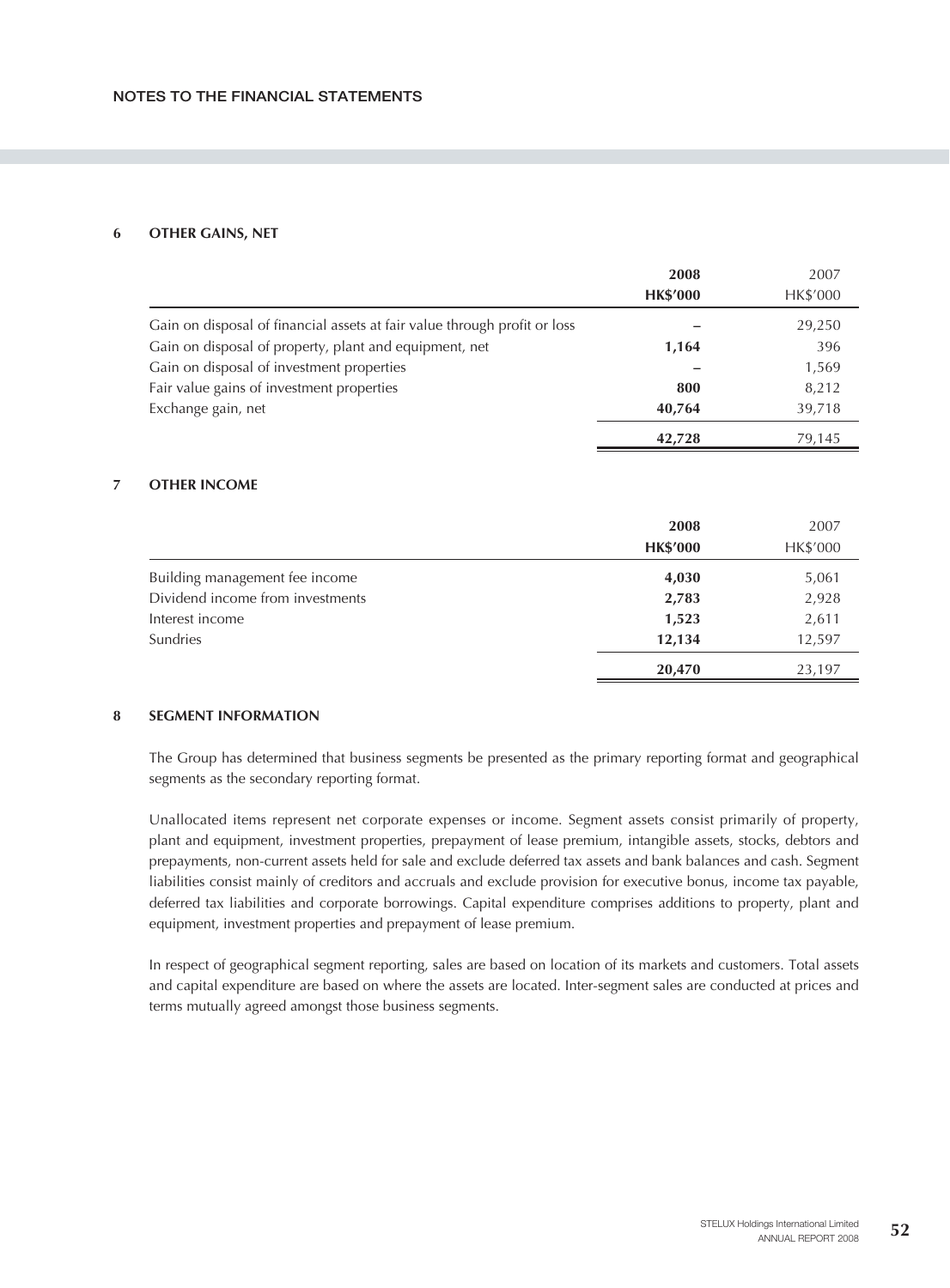### **6 OTHER GAINS, NET**

|                                                                           | 2008            | 2007     |
|---------------------------------------------------------------------------|-----------------|----------|
|                                                                           | <b>HK\$'000</b> | HK\$'000 |
| Gain on disposal of financial assets at fair value through profit or loss |                 | 29,250   |
| Gain on disposal of property, plant and equipment, net                    | 1,164           | 396      |
| Gain on disposal of investment properties                                 |                 | 1,569    |
| Fair value gains of investment properties                                 | 800             | 8,212    |
| Exchange gain, net                                                        | 40,764          | 39,718   |
|                                                                           | 42,728          | 79.145   |

## **7 OTHER INCOME**

|                                  | 2008<br><b>HK\$'000</b> | 2007<br>HK\$'000 |
|----------------------------------|-------------------------|------------------|
| Building management fee income   | 4,030                   | 5,061            |
| Dividend income from investments | 2,783                   | 2,928            |
| Interest income                  | 1,523                   | 2,611            |
| Sundries                         | 12,134                  | 12,597           |
|                                  | 20,470                  | 23,197           |

# **8 SEGMENT INFORMATION**

The Group has determined that business segments be presented as the primary reporting format and geographical segments as the secondary reporting format.

Unallocated items represent net corporate expenses or income. Segment assets consist primarily of property, plant and equipment, investment properties, prepayment of lease premium, intangible assets, stocks, debtors and prepayments, non-current assets held for sale and exclude deferred tax assets and bank balances and cash. Segment liabilities consist mainly of creditors and accruals and exclude provision for executive bonus, income tax payable, deferred tax liabilities and corporate borrowings. Capital expenditure comprises additions to property, plant and equipment, investment properties and prepayment of lease premium.

In respect of geographical segment reporting, sales are based on location of its markets and customers. Total assets and capital expenditure are based on where the assets are located. Inter-segment sales are conducted at prices and terms mutually agreed amongst those business segments.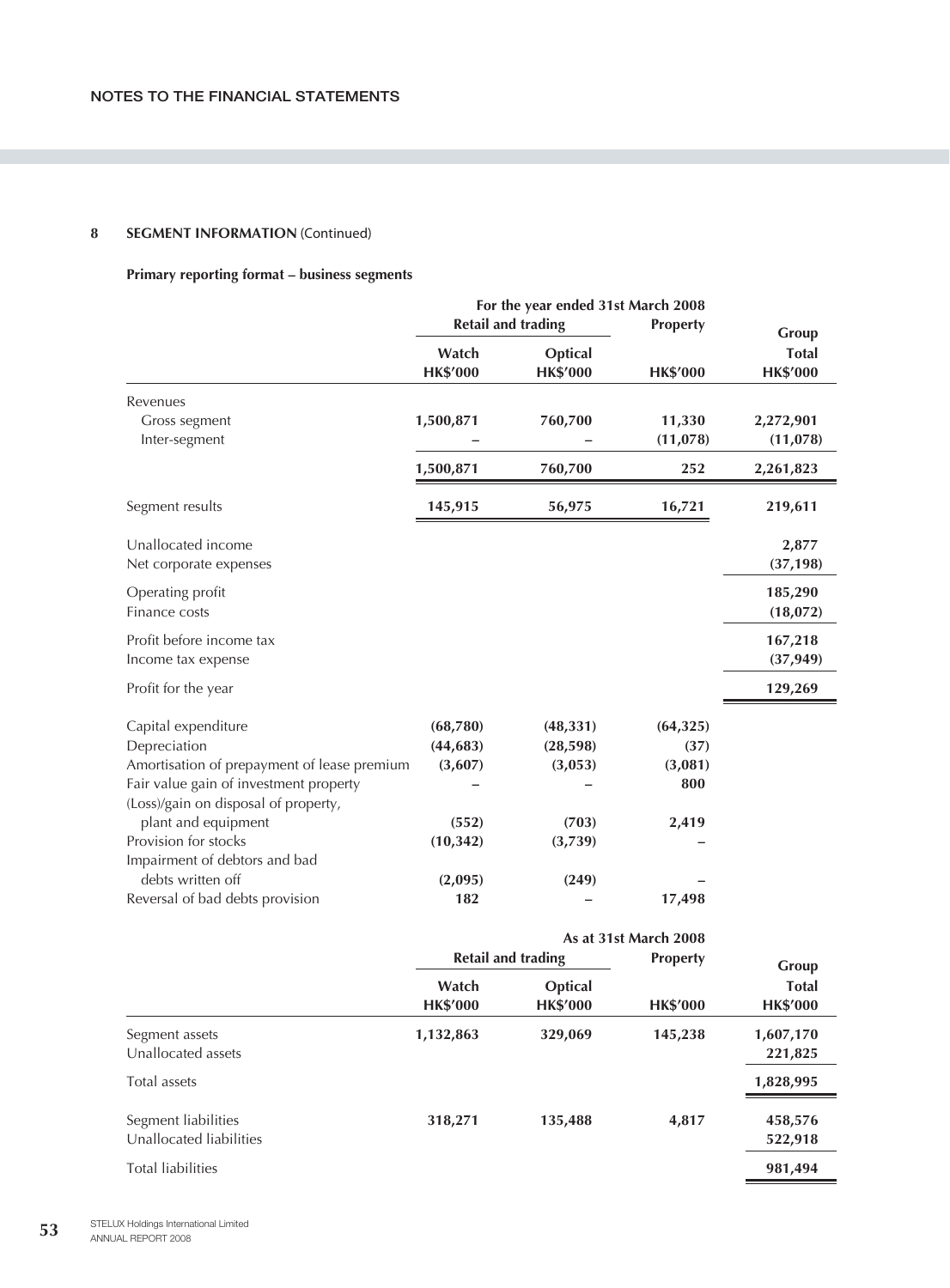# **8 SEGMENT INFORMATION** (Continued)

# **Primary reporting format – business segments**

|                                             |                          | For the year ended 31st March 2008 |                             |                                 |
|---------------------------------------------|--------------------------|------------------------------------|-----------------------------|---------------------------------|
|                                             |                          | <b>Retail and trading</b>          | Property<br><b>HK\$'000</b> | Group                           |
|                                             | Watch<br><b>HK\$'000</b> | <b>Optical</b><br><b>HK\$'000</b>  |                             | <b>Total</b><br><b>HK\$'000</b> |
| Revenues                                    |                          |                                    |                             |                                 |
| Gross segment                               | 1,500,871                | 760,700                            | 11,330                      | 2,272,901                       |
| Inter-segment                               |                          |                                    | (11, 078)                   | (11, 078)                       |
|                                             | 1,500,871                | 760,700                            | 252                         | 2,261,823                       |
| Segment results                             | 145,915                  | 56,975                             | 16,721                      | 219,611                         |
| Unallocated income                          |                          |                                    |                             | 2,877                           |
| Net corporate expenses                      |                          |                                    |                             | (37, 198)                       |
| Operating profit                            |                          |                                    |                             | 185,290                         |
| Finance costs                               |                          |                                    |                             | (18,072)                        |
| Profit before income tax                    |                          |                                    |                             | 167,218                         |
| Income tax expense                          |                          |                                    |                             | (37, 949)                       |
| Profit for the year                         |                          |                                    |                             | 129,269                         |
| Capital expenditure                         | (68,780)                 | (48, 331)                          | (64, 325)                   |                                 |
| Depreciation                                | (44, 683)                | (28, 598)                          | (37)                        |                                 |
| Amortisation of prepayment of lease premium | (3,607)                  | (3,053)                            | (3,081)                     |                                 |
| Fair value gain of investment property      |                          |                                    | 800                         |                                 |
| (Loss)/gain on disposal of property,        |                          |                                    |                             |                                 |
| plant and equipment                         | (552)                    | (703)                              | 2,419                       |                                 |
| Provision for stocks                        | (10, 342)                | (3,739)                            |                             |                                 |
| Impairment of debtors and bad               |                          |                                    |                             |                                 |
| debts written off                           | (2,095)                  | (249)                              |                             |                                 |
| Reversal of bad debts provision             | 182                      |                                    | 17,498                      |                                 |

|                                                | As at 31st March 2008    |                            |                 |                                          |
|------------------------------------------------|--------------------------|----------------------------|-----------------|------------------------------------------|
|                                                |                          | Retail and trading         | <b>Property</b> | Group<br><b>Total</b><br><b>HK\$'000</b> |
|                                                | Watch<br><b>HK\$'000</b> | Optical<br><b>HK\$'000</b> | <b>HK\$'000</b> |                                          |
| Segment assets<br>Unallocated assets           | 1,132,863                | 329,069                    | 145,238         | 1,607,170<br>221,825                     |
| Total assets                                   |                          |                            |                 | 1,828,995                                |
| Segment liabilities<br>Unallocated liabilities | 318,271                  | 135,488                    | 4,817           | 458,576<br>522,918                       |
| <b>Total liabilities</b>                       |                          |                            |                 | 981,494                                  |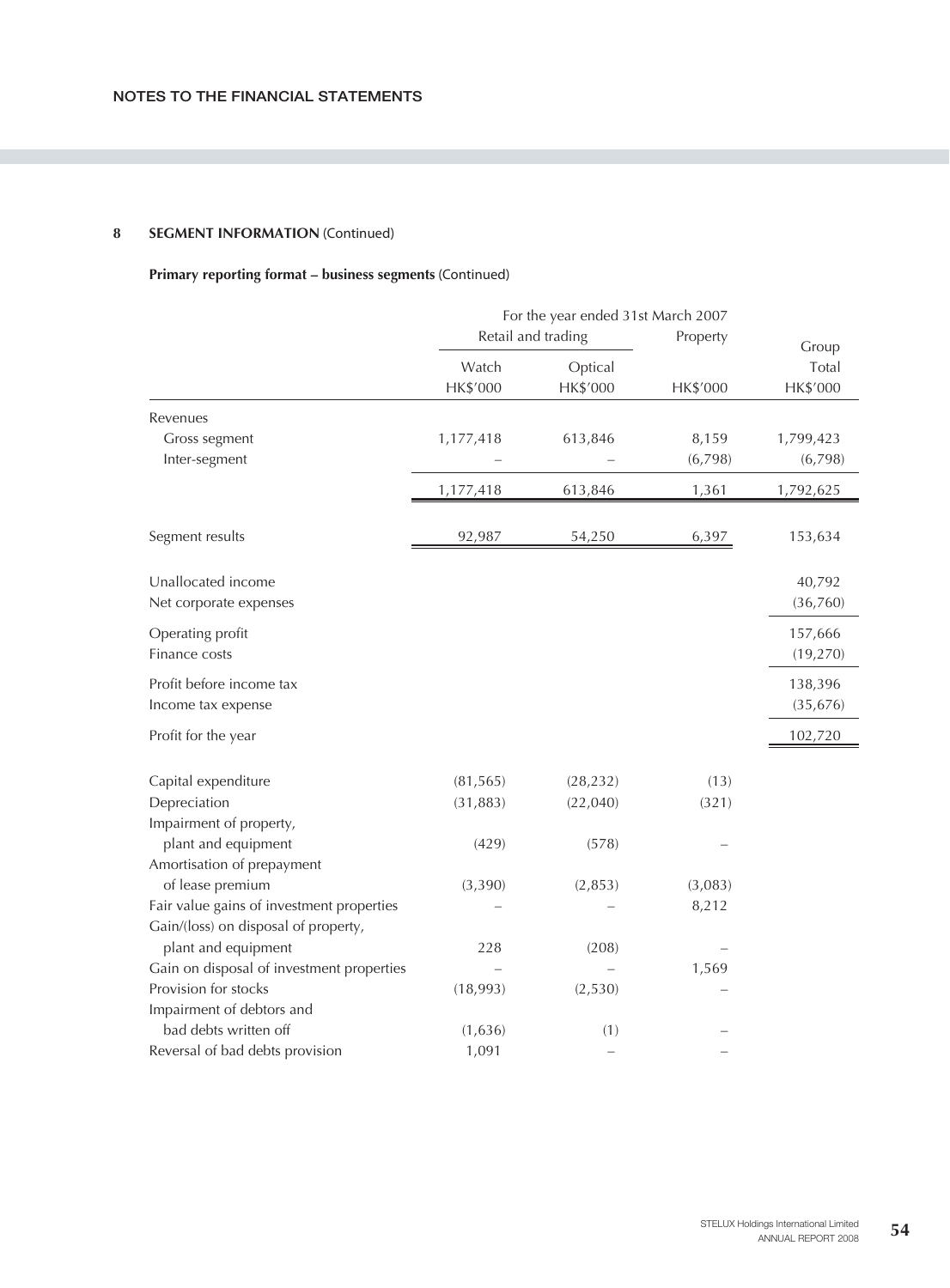# **8 SEGMENT INFORMATION** (Continued)

# **Primary reporting format – business segments** (Continued)

|                                           |                    | For the year ended 31st March 2007 |          |           |  |
|-------------------------------------------|--------------------|------------------------------------|----------|-----------|--|
|                                           | Retail and trading |                                    | Property | Group     |  |
|                                           | Watch              | Optical                            |          | Total     |  |
|                                           | HK\$'000           | HK\$'000                           | HK\$'000 | HK\$'000  |  |
| Revenues                                  |                    |                                    |          |           |  |
| Gross segment                             | 1,177,418          | 613,846                            | 8,159    | 1,799,423 |  |
| Inter-segment                             |                    |                                    | (6,798)  | (6,798)   |  |
|                                           | 1,177,418          | 613,846                            | 1,361    | 1,792,625 |  |
|                                           |                    |                                    |          |           |  |
| Segment results                           | 92,987             | 54,250                             | 6,397    | 153,634   |  |
| Unallocated income                        |                    |                                    |          | 40,792    |  |
| Net corporate expenses                    |                    |                                    |          | (36, 760) |  |
| Operating profit                          |                    |                                    |          | 157,666   |  |
| Finance costs                             |                    |                                    |          | (19, 270) |  |
| Profit before income tax                  |                    |                                    |          | 138,396   |  |
| Income tax expense                        |                    |                                    |          | (35, 676) |  |
| Profit for the year                       |                    |                                    |          | 102,720   |  |
| Capital expenditure                       | (81, 565)          | (28, 232)                          | (13)     |           |  |
| Depreciation                              | (31, 883)          | (22,040)                           | (321)    |           |  |
| Impairment of property,                   |                    |                                    |          |           |  |
| plant and equipment                       | (429)              | (578)                              |          |           |  |
| Amortisation of prepayment                |                    |                                    |          |           |  |
| of lease premium                          | (3,390)            | (2,853)                            | (3,083)  |           |  |
| Fair value gains of investment properties |                    |                                    | 8,212    |           |  |
| Gain/(loss) on disposal of property,      |                    |                                    |          |           |  |
| plant and equipment                       | 228                | (208)                              |          |           |  |
| Gain on disposal of investment properties |                    |                                    | 1,569    |           |  |
| Provision for stocks                      | (18,993)           | (2, 530)                           |          |           |  |
| Impairment of debtors and                 |                    |                                    |          |           |  |
| bad debts written off                     | (1,636)            | (1)                                |          |           |  |
| Reversal of bad debts provision           | 1,091              |                                    |          |           |  |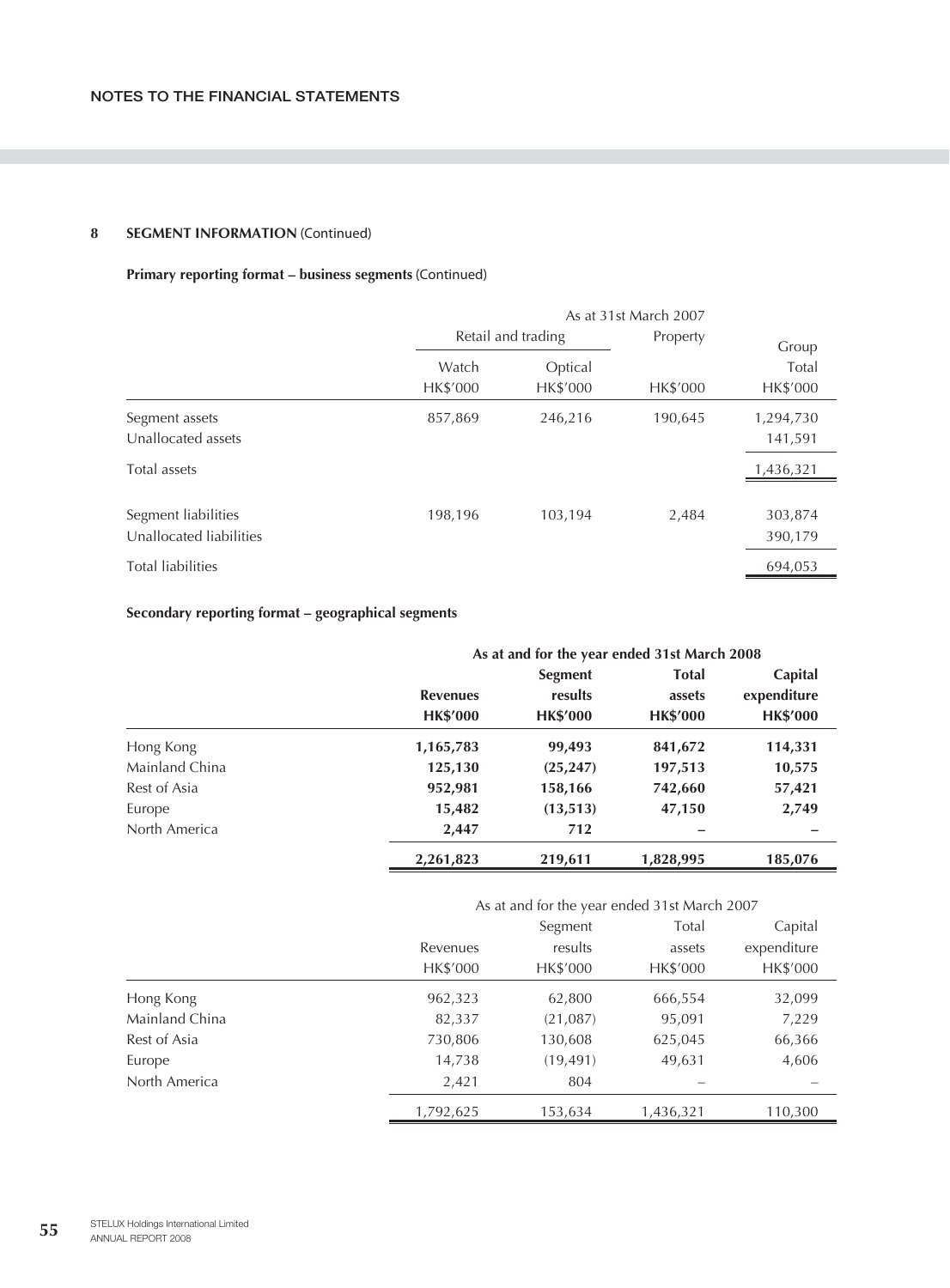# **8 SEGMENT INFORMATION** (Continued)

# **Primary reporting format – business segments** (Continued)

|                                                |                   |                     | As at 31st March 2007 |                      |  |
|------------------------------------------------|-------------------|---------------------|-----------------------|----------------------|--|
|                                                |                   | Retail and trading  | Property              | Group                |  |
|                                                | Watch<br>HK\$'000 | Optical<br>HK\$'000 | <b>HK\$'000</b>       | Total<br>HK\$'000    |  |
| Segment assets<br>Unallocated assets           | 857,869           | 246,216             | 190,645               | 1,294,730<br>141,591 |  |
| Total assets                                   |                   |                     |                       | 1,436,321            |  |
| Segment liabilities<br>Unallocated liabilities | 198,196           | 103,194             | 2,484                 | 303,874<br>390,179   |  |
| <b>Total liabilities</b>                       |                   |                     |                       | 694,053              |  |

# **Secondary reporting format – geographical segments**

|                | As at and for the year ended 31st March 2008 |                                              |                                           |                                           |
|----------------|----------------------------------------------|----------------------------------------------|-------------------------------------------|-------------------------------------------|
|                | <b>Revenues</b><br><b>HK\$'000</b>           | <b>Segment</b><br>results<br><b>HK\$'000</b> | <b>Total</b><br>assets<br><b>HK\$'000</b> | Capital<br>expenditure<br><b>HK\$'000</b> |
| Hong Kong      | 1,165,783                                    | 99,493                                       | 841,672                                   | 114,331                                   |
| Mainland China | 125,130                                      | (25, 247)                                    | 197,513                                   | 10,575                                    |
| Rest of Asia   | 952,981                                      | 158,166                                      | 742,660                                   | 57,421                                    |
| Europe         | 15,482                                       | (13, 513)                                    | 47,150                                    | 2,749                                     |
| North America  | 2,447                                        | 712                                          |                                           |                                           |
|                | 2,261,823                                    | 219,611                                      | 1,828,995                                 | 185,076                                   |

|                | As at and for the year ended 31st March 2007 |           |           |             |
|----------------|----------------------------------------------|-----------|-----------|-------------|
|                |                                              | Segment   | Total     | Capital     |
|                | Revenues                                     | results   | assets    | expenditure |
|                | HK\$'000                                     | HK\$'000  | HK\$'000  | HK\$'000    |
| Hong Kong      | 962,323                                      | 62,800    | 666,554   | 32,099      |
| Mainland China | 82,337                                       | (21,087)  | 95,091    | 7,229       |
| Rest of Asia   | 730,806                                      | 130,608   | 625,045   | 66,366      |
| Europe         | 14,738                                       | (19, 491) | 49,631    | 4,606       |
| North America  | 2,421                                        | 804       |           |             |
|                | 1,792,625                                    | 153,634   | 1,436,321 | 110,300     |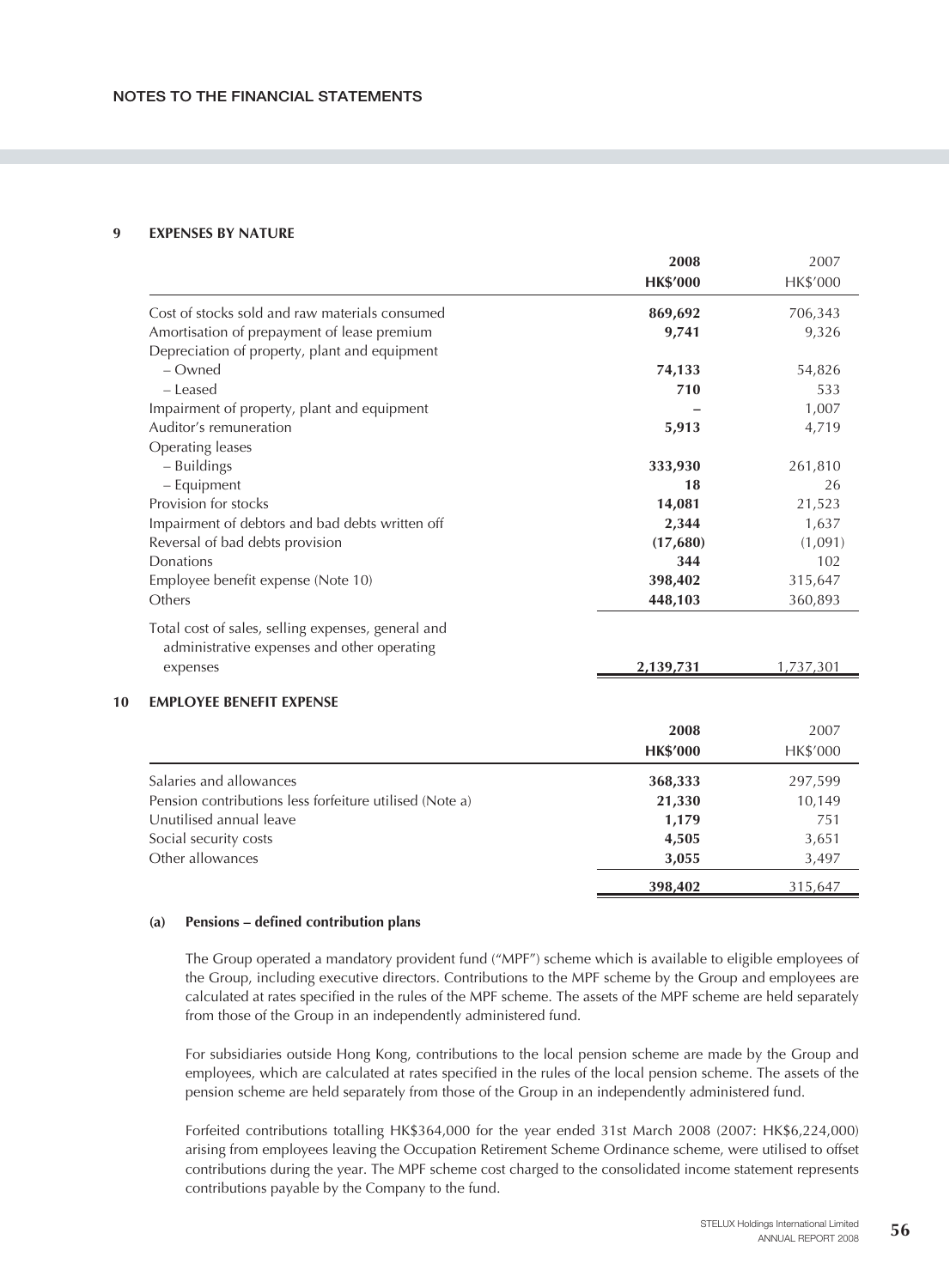#### **9 EXPENSES BY NATURE**

|                                                                                                   | 2008            | 2007            |
|---------------------------------------------------------------------------------------------------|-----------------|-----------------|
|                                                                                                   | <b>HK\$'000</b> | HK\$'000        |
| Cost of stocks sold and raw materials consumed                                                    | 869,692         | 706,343         |
| Amortisation of prepayment of lease premium                                                       | 9,741           | 9,326           |
| Depreciation of property, plant and equipment                                                     |                 |                 |
| - Owned                                                                                           | 74,133          | 54,826          |
| - Leased                                                                                          | 710             | 533             |
| Impairment of property, plant and equipment                                                       |                 | 1,007           |
| Auditor's remuneration                                                                            | 5,913           | 4,719           |
| Operating leases                                                                                  |                 |                 |
| - Buildings                                                                                       | 333,930         | 261,810         |
| - Equipment                                                                                       | 18              | 26              |
| Provision for stocks                                                                              | 14,081          | 21,523          |
| Impairment of debtors and bad debts written off                                                   | 2,344           | 1,637           |
| Reversal of bad debts provision                                                                   | (17,680)        | (1,091)         |
| Donations                                                                                         | 344             | 102             |
| Employee benefit expense (Note 10)                                                                | 398,402         | 315,647         |
| Others                                                                                            | 448,103         | 360,893         |
| Total cost of sales, selling expenses, general and<br>administrative expenses and other operating |                 |                 |
| expenses                                                                                          | 2,139,731       | 1,737,301       |
| <b>EMPLOYEE BENEFIT EXPENSE</b>                                                                   |                 |                 |
|                                                                                                   | 2008            | 2007            |
|                                                                                                   | <b>HK\$'000</b> | <b>HK\$'000</b> |
| Salaries and allowances                                                                           | 368,333         | 297,599         |
| Pension contributions less forfeiture utilised (Note a)                                           | 21,330          | 10,149          |
| Unutilised annual leave                                                                           | 1,179           | 751             |
| Social security costs                                                                             | 4,505           | 3,651           |

#### (a) Pensions – defined contribution plans

The Group operated a mandatory provident fund ("MPF") scheme which is available to eligible employees of the Group, including executive directors. Contributions to the MPF scheme by the Group and employees are calculated at rates specified in the rules of the MPF scheme. The assets of the MPF scheme are held separately from those of the Group in an independently administered fund.

Other allowances **3,055** 3,497

For subsidiaries outside Hong Kong, contributions to the local pension scheme are made by the Group and employees, which are calculated at rates specified in the rules of the local pension scheme. The assets of the pension scheme are held separately from those of the Group in an independently administered fund.

Forfeited contributions totalling HK\$364,000 for the year ended 31st March 2008 (2007: HK\$6,224,000) arising from employees leaving the Occupation Retirement Scheme Ordinance scheme, were utilised to offset contributions during the year. The MPF scheme cost charged to the consolidated income statement represents contributions payable by the Company to the fund.

**398,402** 315,647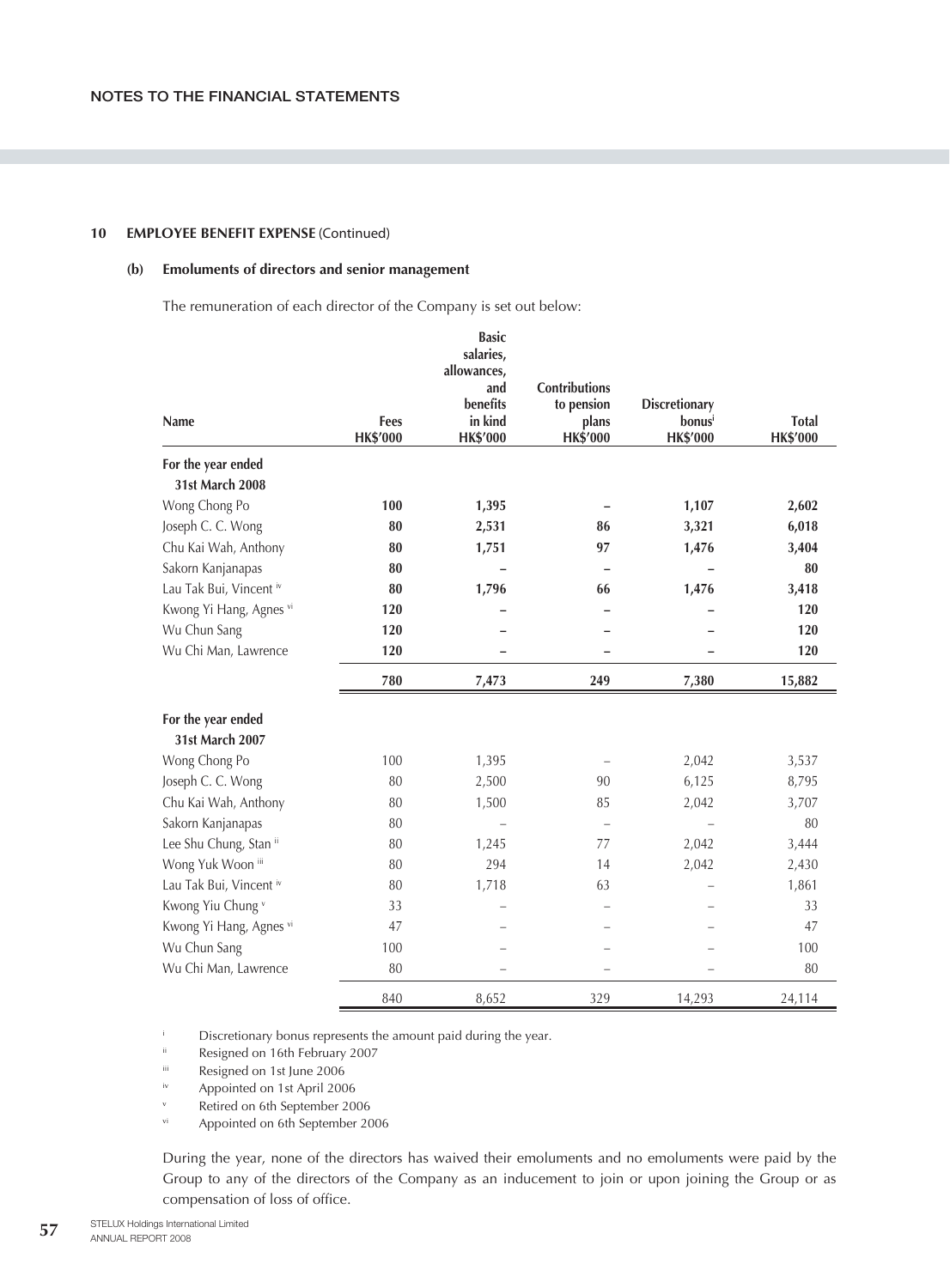## **10 EMPLOYEE BENEFIT EXPENSE** (Continued)

#### **(b) Emoluments of directors and senior management**

The remuneration of each director of the Company is set out below:

| Name                    | <b>Fees</b><br><b>HK\$'000</b> | <b>Basic</b><br>salaries,<br>allowances,<br>and<br>benefits<br>in kind<br><b>HK\$'000</b> | <b>Contributions</b><br>to pension<br>plans<br><b>HK\$'000</b> | <b>Discretionary</b><br>bonusi<br><b>HK\$'000</b> | <b>Total</b><br><b>HK\$'000</b> |
|-------------------------|--------------------------------|-------------------------------------------------------------------------------------------|----------------------------------------------------------------|---------------------------------------------------|---------------------------------|
| For the year ended      |                                |                                                                                           |                                                                |                                                   |                                 |
| 31st March 2008         |                                |                                                                                           |                                                                |                                                   |                                 |
| Wong Chong Po           | 100                            | 1,395                                                                                     |                                                                | 1,107                                             | 2,602                           |
| Joseph C. C. Wong       | 80                             | 2,531                                                                                     | 86                                                             | 3,321                                             | 6,018                           |
| Chu Kai Wah, Anthony    | 80                             | 1,751                                                                                     | 97                                                             | 1,476                                             | 3,404                           |
| Sakorn Kanjanapas       | 80                             |                                                                                           | $\overline{\phantom{0}}$                                       |                                                   | 80                              |
| Lau Tak Bui, Vincent iv | 80                             | 1,796                                                                                     | 66                                                             | 1,476                                             | 3,418                           |
| Kwong Yi Hang, Agnes vi | 120                            |                                                                                           |                                                                |                                                   | 120                             |
| Wu Chun Sang            | 120                            |                                                                                           |                                                                |                                                   | 120                             |
| Wu Chi Man, Lawrence    | 120                            |                                                                                           |                                                                |                                                   | 120                             |
|                         | 780                            | 7,473                                                                                     | 249                                                            | 7,380                                             | 15,882                          |
| For the year ended      |                                |                                                                                           |                                                                |                                                   |                                 |
| 31st March 2007         |                                |                                                                                           |                                                                |                                                   |                                 |
| Wong Chong Po           | 100                            | 1,395                                                                                     |                                                                | 2,042                                             | 3,537                           |
| Joseph C. C. Wong       | 80                             | 2,500                                                                                     | 90                                                             | 6,125                                             | 8,795                           |
| Chu Kai Wah, Anthony    | 80                             | 1,500                                                                                     | 85                                                             | 2,042                                             | 3,707                           |
| Sakorn Kanjanapas       | 80                             |                                                                                           |                                                                |                                                   | 80                              |
| Lee Shu Chung, Stan ii  | 80                             | 1,245                                                                                     | 77                                                             | 2,042                                             | 3,444                           |
| Wong Yuk Woon iii       | 80                             | 294                                                                                       | 14                                                             | 2,042                                             | 2,430                           |
| Lau Tak Bui, Vincent iv | 80                             | 1,718                                                                                     | 63                                                             |                                                   | 1,861                           |
| Kwong Yiu Chung v       | 33                             |                                                                                           |                                                                |                                                   | 33                              |
| Kwong Yi Hang, Agnes vi | 47                             |                                                                                           | $\equiv$                                                       |                                                   | 47                              |
| Wu Chun Sang            | 100                            |                                                                                           |                                                                |                                                   | 100                             |
| Wu Chi Man, Lawrence    | 80                             |                                                                                           |                                                                |                                                   | 80                              |
|                         | 840                            | 8,652                                                                                     | 329                                                            | 14,293                                            | 24,114                          |

i Discretionary bonus represents the amount paid during the year.<br>Beginned on 16th February 2007

Resigned on 16th February 2007

 $\frac{1}{10}$  Resigned on 1st June 2006<br>
Number on 1st April 200

Appointed on 1st April 2006

v Retired on 6th September 2006

vi Appointed on 6th September 2006

During the year, none of the directors has waived their emoluments and no emoluments were paid by the Group to any of the directors of the Company as an inducement to join or upon joining the Group or as compensation of loss of office.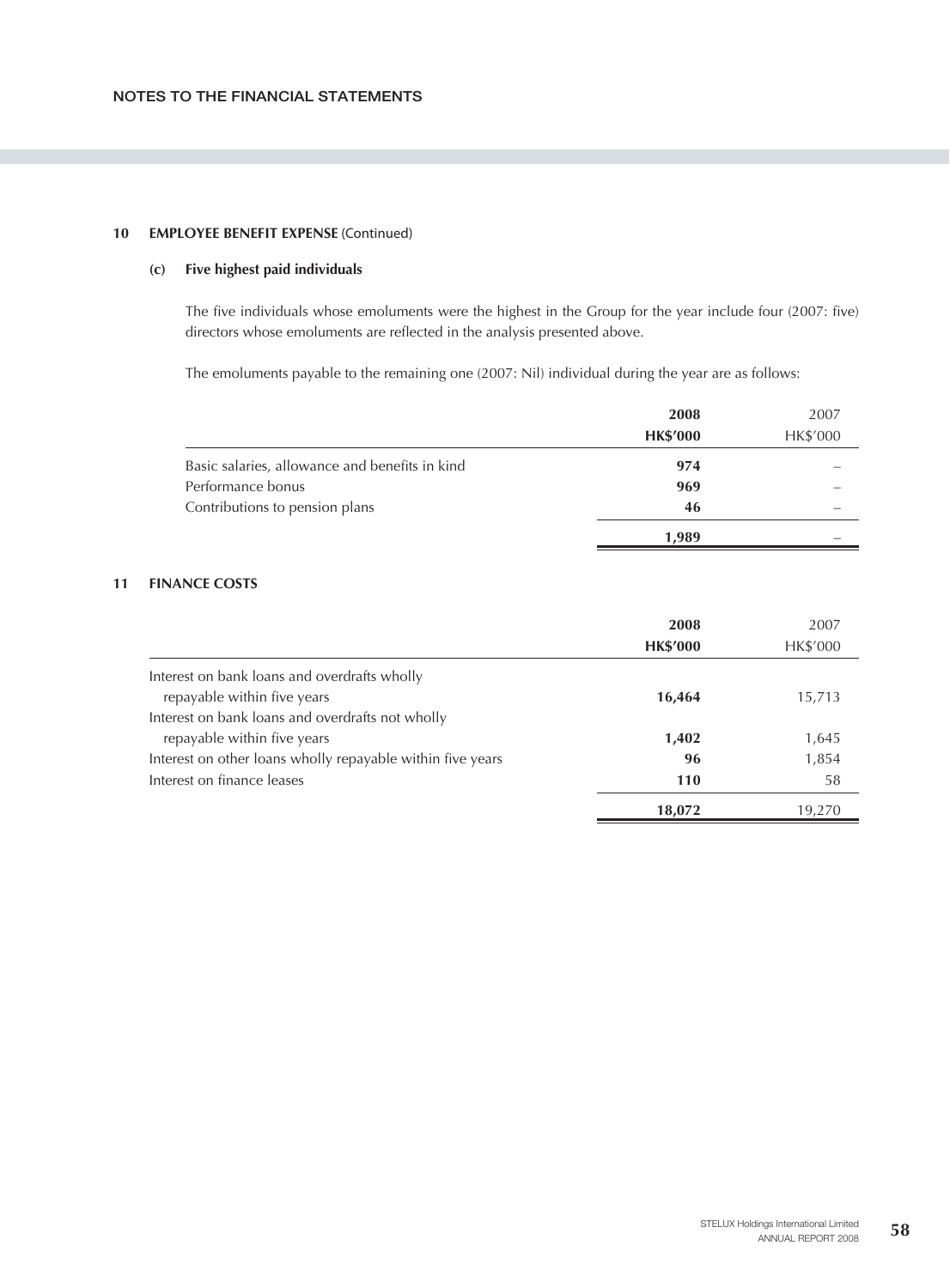# **10 EMPLOYEE BENEFIT EXPENSE** (Continued)

## **(c) Five highest paid individuals**

The five individuals whose emoluments were the highest in the Group for the year include four (2007: five) directors whose emoluments are reflected in the analysis presented above.

The emoluments payable to the remaining one (2007: Nil) individual during the year are as follows:

|                                                | 2008            | 2007     |
|------------------------------------------------|-----------------|----------|
|                                                | <b>HK\$'000</b> | HK\$'000 |
| Basic salaries, allowance and benefits in kind | 974             |          |
| Performance bonus                              | 969             |          |
| Contributions to pension plans                 | 46              |          |
|                                                | 1,989           |          |

# **11 FINANCE COSTS**

|                                                            | 2008            | 2007     |
|------------------------------------------------------------|-----------------|----------|
|                                                            | <b>HK\$'000</b> | HK\$'000 |
| Interest on bank loans and overdrafts wholly               |                 |          |
| repayable within five years                                | 16,464          | 15,713   |
| Interest on bank loans and overdrafts not wholly           |                 |          |
| repayable within five years                                | 1,402           | 1,645    |
| Interest on other loans wholly repayable within five years | 96              | 1,854    |
| Interest on finance leases                                 | 110             | 58       |
|                                                            | 18,072          | 19.270   |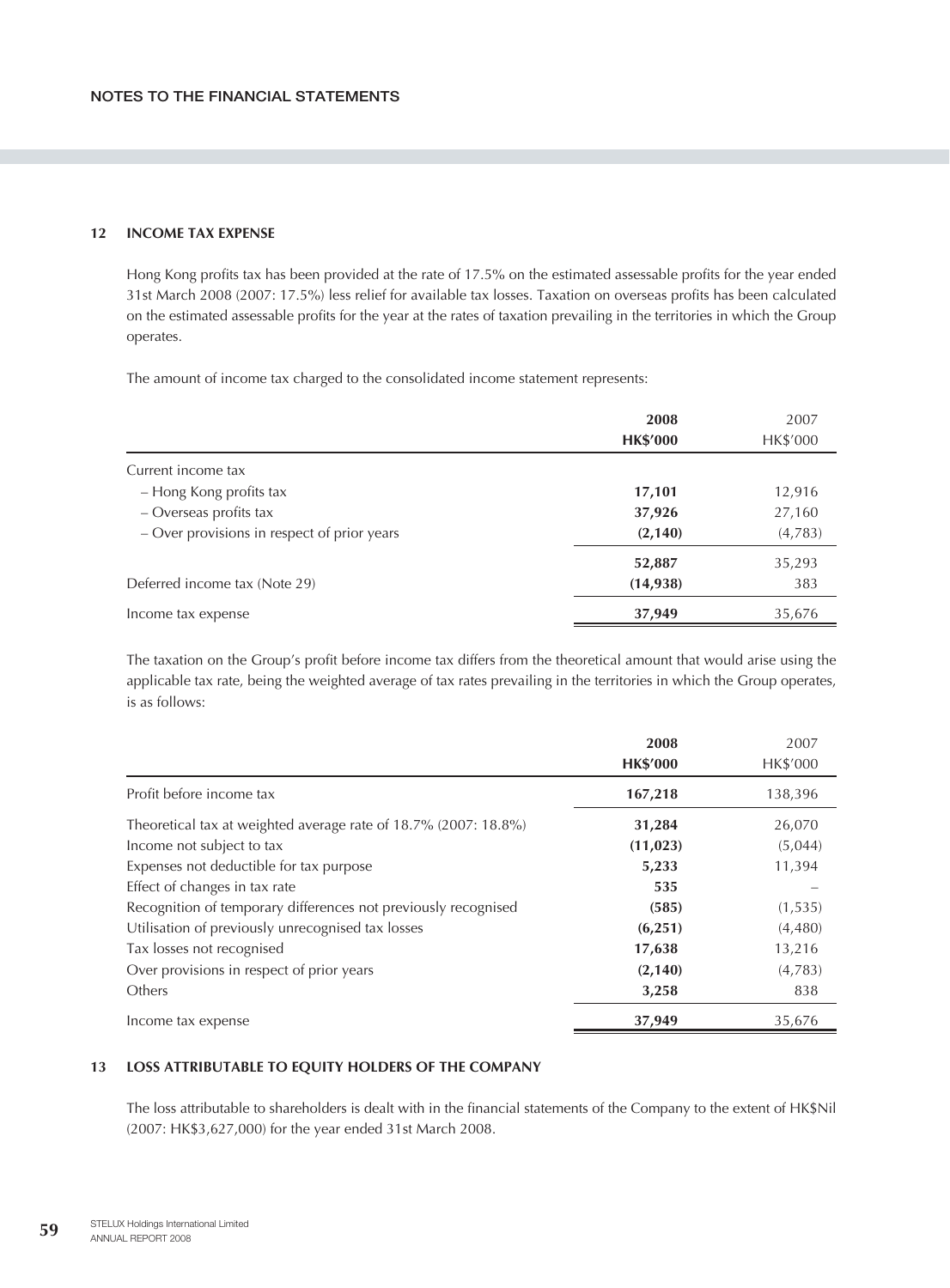# **12 INCOME TAX EXPENSE**

Hong Kong profits tax has been provided at the rate of 17.5% on the estimated assessable profits for the year ended 31st March 2008 (2007: 17.5%) less relief for available tax losses. Taxation on overseas profits has been calculated on the estimated assessable profits for the year at the rates of taxation prevailing in the territories in which the Group operates.

The amount of income tax charged to the consolidated income statement represents:

|                                             | 2008            | 2007     |
|---------------------------------------------|-----------------|----------|
|                                             | <b>HK\$'000</b> | HK\$'000 |
| Current income tax                          |                 |          |
| – Hong Kong profits tax                     | 17,101          | 12,916   |
| - Overseas profits tax                      | 37,926          | 27,160   |
| - Over provisions in respect of prior years | (2, 140)        | (4,783)  |
|                                             | 52,887          | 35,293   |
| Deferred income tax (Note 29)               | (14, 938)       | 383      |
| Income tax expense                          | 37,949          | 35,676   |

The taxation on the Group's profit before income tax differs from the theoretical amount that would arise using the applicable tax rate, being the weighted average of tax rates prevailing in the territories in which the Group operates, is as follows:

|                                                                 | 2008            | 2007     |
|-----------------------------------------------------------------|-----------------|----------|
|                                                                 | <b>HK\$'000</b> | HK\$'000 |
| Profit before income tax                                        | 167,218         | 138,396  |
| Theoretical tax at weighted average rate of 18.7% (2007: 18.8%) | 31,284          | 26,070   |
| Income not subject to tax                                       | (11, 023)       | (5,044)  |
| Expenses not deductible for tax purpose                         | 5,233           | 11,394   |
| Effect of changes in tax rate                                   | 535             |          |
| Recognition of temporary differences not previously recognised  | (585)           | (1, 535) |
| Utilisation of previously unrecognised tax losses               | (6,251)         | (4,480)  |
| Tax losses not recognised                                       | 17,638          | 13,216   |
| Over provisions in respect of prior years                       | (2, 140)        | (4,783)  |
| Others                                                          | 3,258           | 838      |
| Income tax expense                                              | 37,949          | 35,676   |

# **13 LOSS ATTRIBUTABLE TO EQUITY HOLDERS OF THE COMPANY**

The loss attributable to shareholders is dealt with in the financial statements of the Company to the extent of HK\$Nil (2007: HK\$3,627,000) for the year ended 31st March 2008.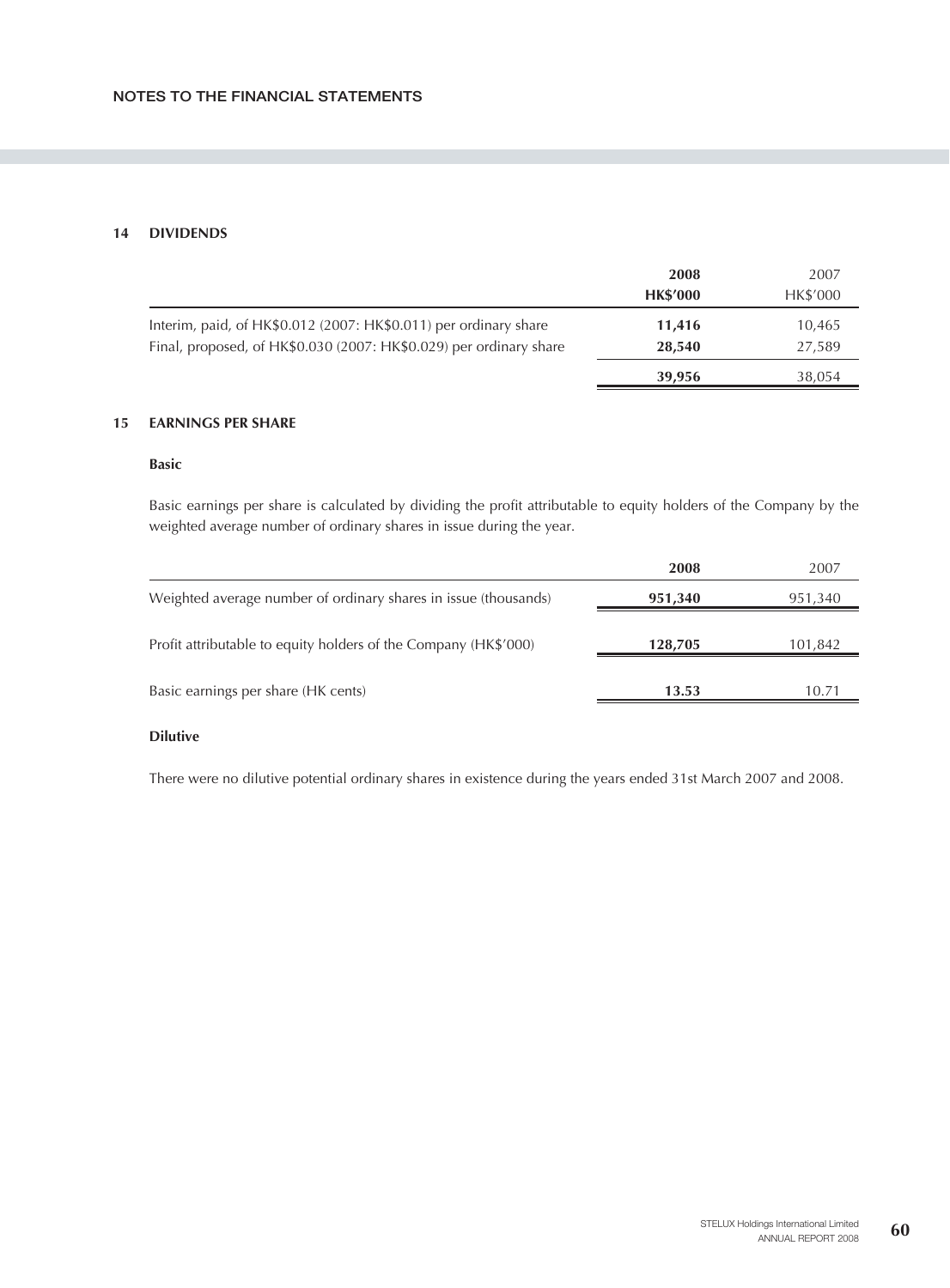## **14 DIVIDENDS**

|                                                                                                                                        | 2008<br><b>HK\$'000</b> | 2007<br>HK\$'000 |
|----------------------------------------------------------------------------------------------------------------------------------------|-------------------------|------------------|
| Interim, paid, of HK\$0.012 (2007: HK\$0.011) per ordinary share<br>Final, proposed, of HK\$0.030 (2007: HK\$0.029) per ordinary share | 11,416<br>28,540        | 10,465<br>27,589 |
|                                                                                                                                        | 39.956                  | 38,054           |

# **15 EARNINGS PER SHARE**

## **Basic**

Basic earnings per share is calculated by dividing the profit attributable to equity holders of the Company by the weighted average number of ordinary shares in issue during the year.

|                                                                 | 2008    | 2007    |
|-----------------------------------------------------------------|---------|---------|
| Weighted average number of ordinary shares in issue (thousands) | 951,340 | 951,340 |
| Profit attributable to equity holders of the Company (HK\$'000) | 128,705 | 101,842 |
| Basic earnings per share (HK cents)                             | 13.53   | 10.71   |
|                                                                 |         |         |

# **Dilutive**

There were no dilutive potential ordinary shares in existence during the years ended 31st March 2007 and 2008.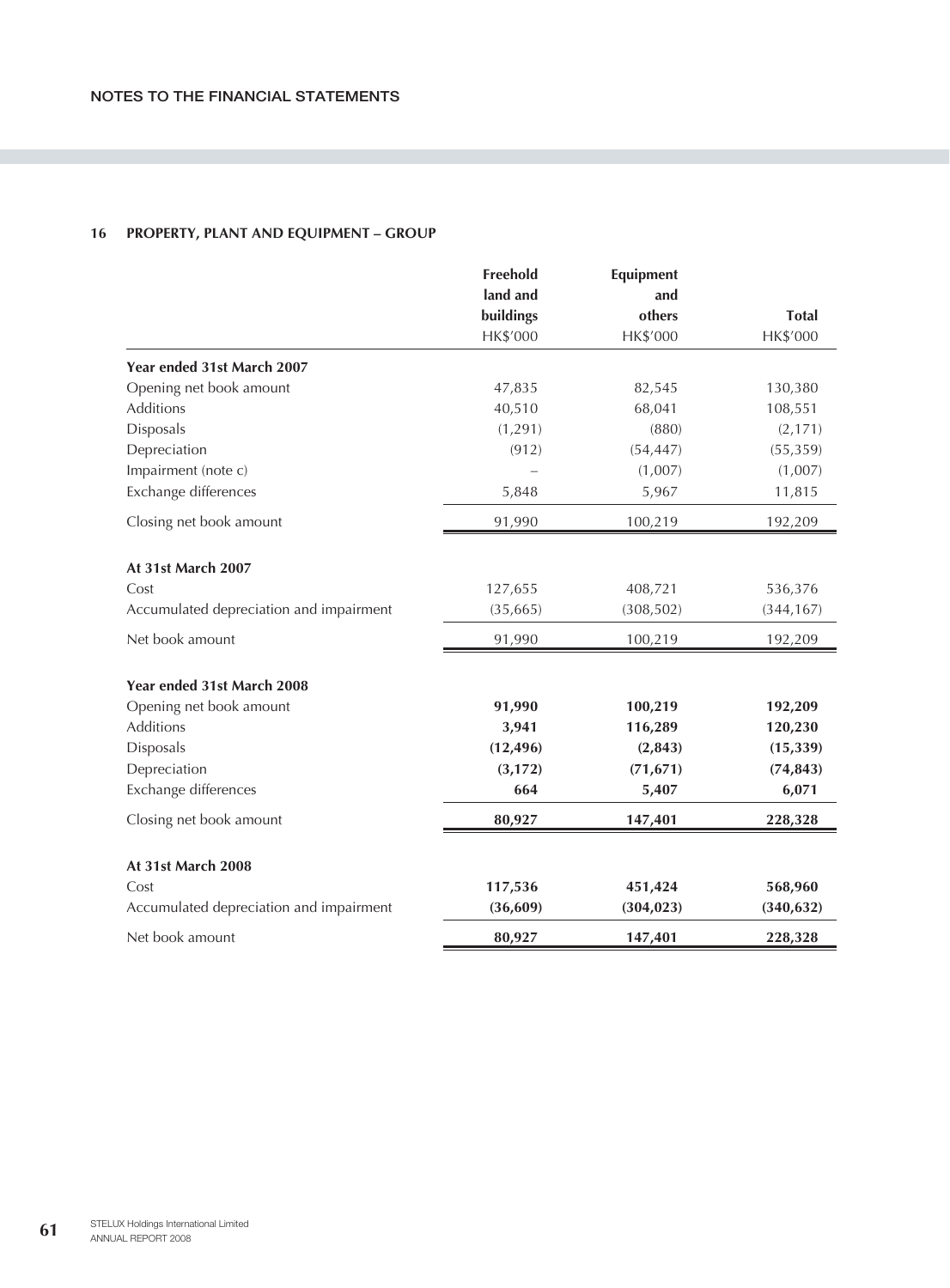# **16 PROPERTY, PLANT AND EQUIPMENT – GROUP**

|                                         | <b>Freehold</b><br>land and | Equipment<br>and |              |  |
|-----------------------------------------|-----------------------------|------------------|--------------|--|
|                                         |                             |                  |              |  |
|                                         | buildings                   | others           | <b>Total</b> |  |
|                                         | HK\$'000                    | HK\$'000         | HK\$'000     |  |
| Year ended 31st March 2007              |                             |                  |              |  |
| Opening net book amount                 | 47,835                      | 82,545           | 130,380      |  |
| <b>Additions</b>                        | 40,510                      | 68,041           | 108,551      |  |
| Disposals                               | (1, 291)                    | (880)            | (2, 171)     |  |
| Depreciation                            | (912)                       | (54, 447)        | (55, 359)    |  |
| Impairment (note c)                     |                             | (1,007)          | (1,007)      |  |
| Exchange differences                    | 5,848                       | 5,967            | 11,815       |  |
| Closing net book amount                 | 91,990                      | 100,219          | 192,209      |  |
| At 31st March 2007                      |                             |                  |              |  |
| Cost                                    | 127,655                     | 408,721          | 536,376      |  |
| Accumulated depreciation and impairment | (35, 665)                   | (308, 502)       | (344, 167)   |  |
| Net book amount                         | 91,990                      | 100,219          | 192,209      |  |
| Year ended 31st March 2008              |                             |                  |              |  |
| Opening net book amount                 | 91,990                      | 100,219          | 192,209      |  |
| Additions                               | 3,941                       | 116,289          | 120,230      |  |
| Disposals                               | (12, 496)                   | (2,843)          | (15, 339)    |  |
| Depreciation                            | (3, 172)                    | (71, 671)        | (74, 843)    |  |
| Exchange differences                    | 664                         | 5,407            | 6,071        |  |
| Closing net book amount                 | 80,927                      | 147,401          | 228,328      |  |
| At 31st March 2008                      |                             |                  |              |  |
| Cost                                    | 117,536                     | 451,424          | 568,960      |  |
| Accumulated depreciation and impairment | (36, 609)                   | (304, 023)       | (340, 632)   |  |
| Net book amount                         | 80,927                      | 147,401          | 228,328      |  |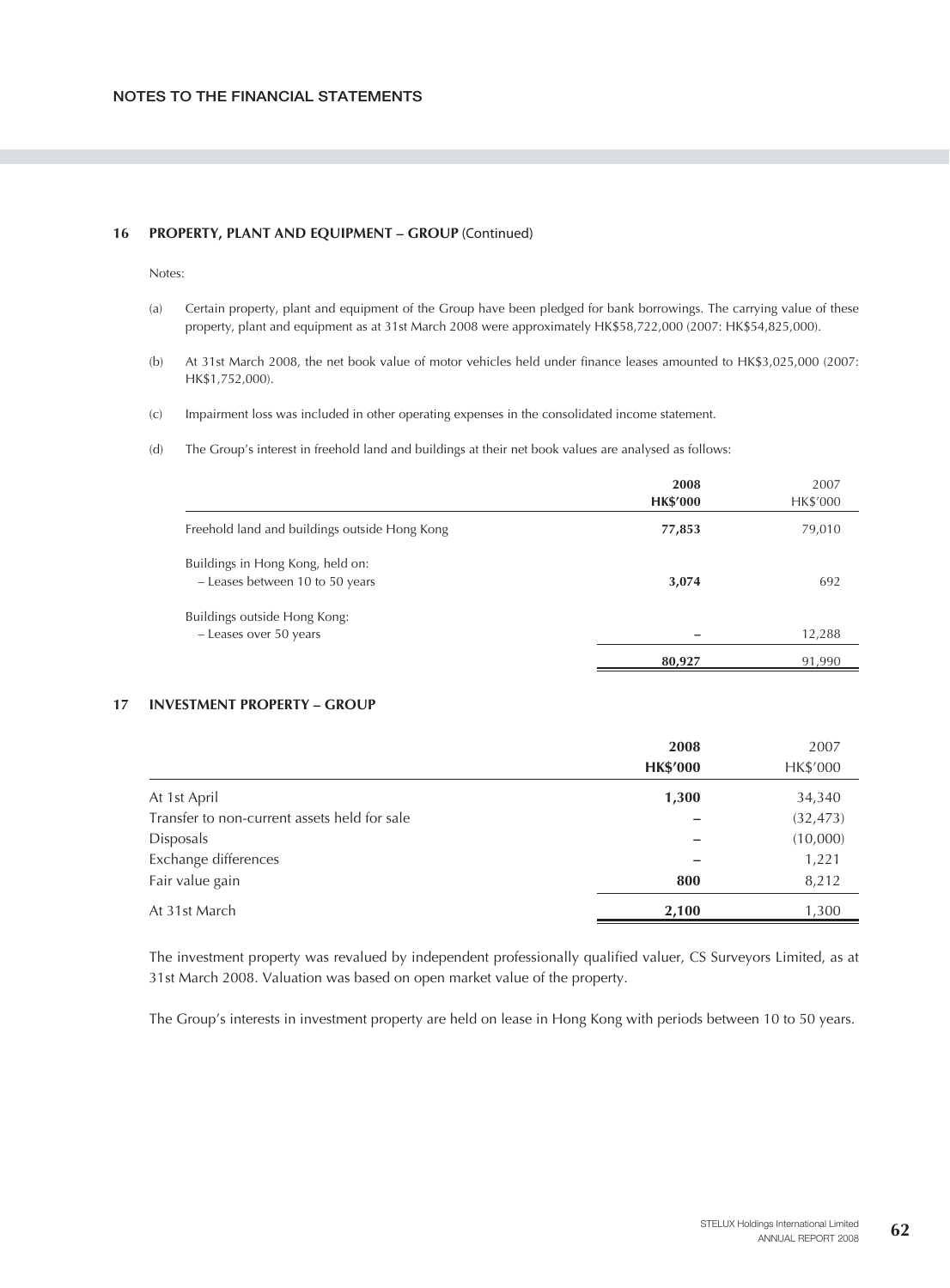# **16 PROPERTY, PLANT AND EQUIPMENT – GROUP** (Continued)

Notes:

- (a) Certain property, plant and equipment of the Group have been pledged for bank borrowings. The carrying value of these property, plant and equipment as at 31st March 2008 were approximately HK\$58,722,000 (2007: HK\$54,825,000).
- (b) At 31st March 2008, the net book value of motor vehicles held under finance leases amounted to HK\$3,025,000 (2007: HK\$1,752,000).
- (c) Impairment loss was included in other operating expenses in the consolidated income statement.
- (d) The Group's interest in freehold land and buildings at their net book values are analysed as follows:

|                                                                     | 2008<br><b>HK\$'000</b> | 2007<br>HK\$'000 |
|---------------------------------------------------------------------|-------------------------|------------------|
| Freehold land and buildings outside Hong Kong                       | 77,853                  | 79,010           |
| Buildings in Hong Kong, held on:<br>- Leases between 10 to 50 years | 3,074                   | 692              |
| Buildings outside Hong Kong:<br>- Leases over 50 years              |                         | 12,288           |
|                                                                     | 80,927                  | 91,990           |

### **17 INVESTMENT PROPERTY – GROUP**

|                                              | 2008            | 2007      |
|----------------------------------------------|-----------------|-----------|
|                                              | <b>HK\$'000</b> | HK\$'000  |
| At 1st April                                 | 1,300           | 34,340    |
| Transfer to non-current assets held for sale |                 | (32, 473) |
| Disposals                                    |                 | (10,000)  |
| Exchange differences                         |                 | 1,221     |
| Fair value gain                              | 800             | 8,212     |
| At 31st March                                | 2,100           | 1,300     |

The investment property was revalued by independent professionally qualified valuer, CS Surveyors Limited, as at 31st March 2008. Valuation was based on open market value of the property.

The Group's interests in investment property are held on lease in Hong Kong with periods between 10 to 50 years.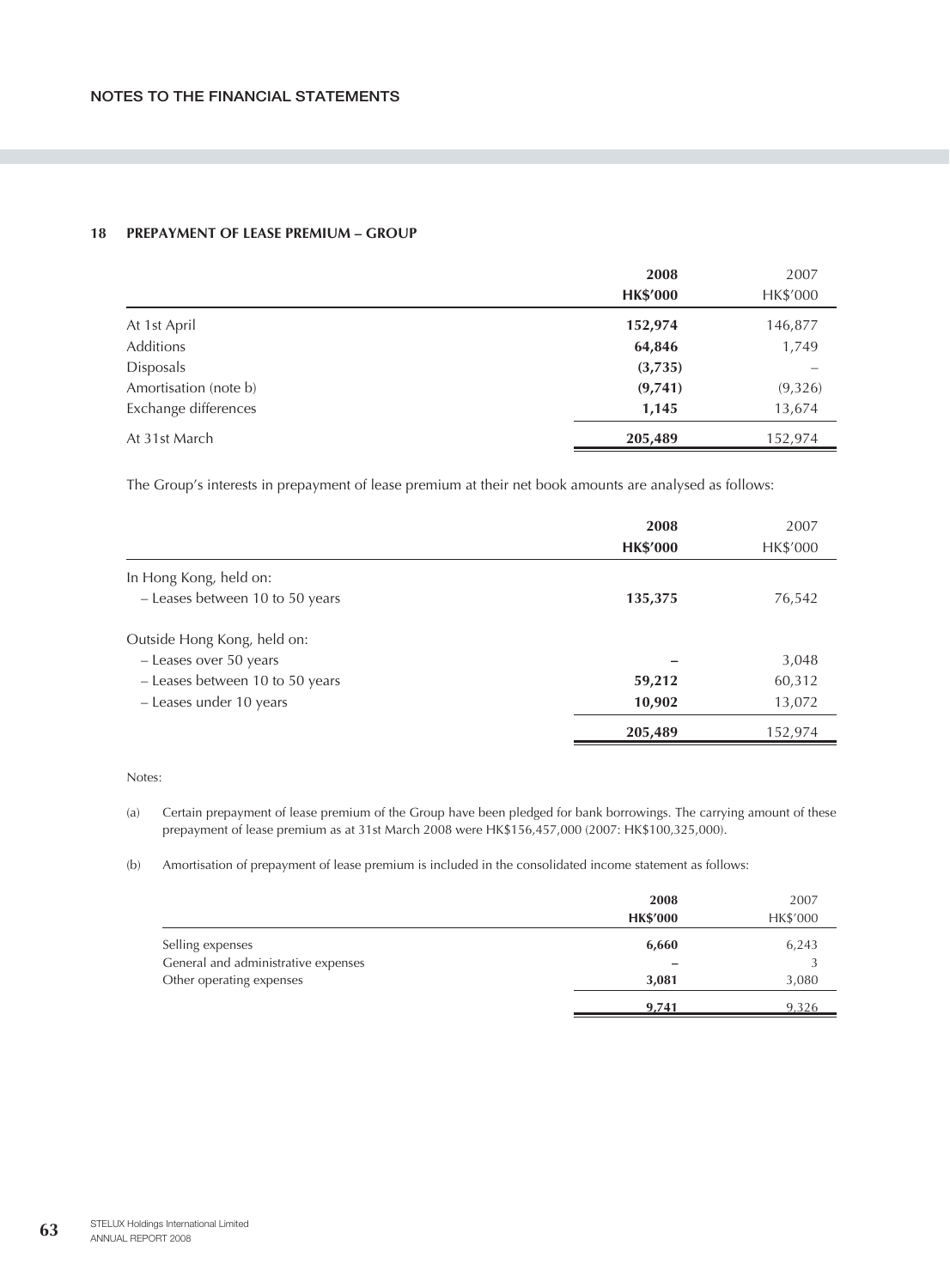# **18 PREPAYMENT OF LEASE PREMIUM – GROUP**

|                       | 2008            | 2007     |
|-----------------------|-----------------|----------|
|                       | <b>HK\$'000</b> | HK\$'000 |
| At 1st April          | 152,974         | 146,877  |
| Additions             | 64,846          | 1,749    |
| <b>Disposals</b>      | (3,735)         |          |
| Amortisation (note b) | (9,741)         | (9,326)  |
| Exchange differences  | 1,145           | 13,674   |
| At 31st March         | 205,489         | 152,974  |

The Group's interests in prepayment of lease premium at their net book amounts are analysed as follows:

|                                 | 2008            | 2007     |
|---------------------------------|-----------------|----------|
|                                 | <b>HK\$'000</b> | HK\$'000 |
| In Hong Kong, held on:          |                 |          |
| - Leases between 10 to 50 years | 135,375         | 76,542   |
| Outside Hong Kong, held on:     |                 |          |
| - Leases over 50 years          |                 | 3,048    |
| - Leases between 10 to 50 years | 59,212          | 60,312   |
| - Leases under 10 years         | 10,902          | 13,072   |
|                                 | 205,489         | 152,974  |

Notes:

(a) Certain prepayment of lease premium of the Group have been pledged for bank borrowings. The carrying amount of these prepayment of lease premium as at 31st March 2008 were HK\$156,457,000 (2007: HK\$100,325,000).

(b) Amortisation of prepayment of lease premium is included in the consolidated income statement as follows:

|                                     | 2008<br><b>HK\$'000</b> | 2007<br>HK\$'000 |
|-------------------------------------|-------------------------|------------------|
| Selling expenses                    | 6,660                   | 6,243            |
| General and administrative expenses |                         |                  |
| Other operating expenses            | 3,081                   | 3,080            |
|                                     | 9,741                   | 9,326            |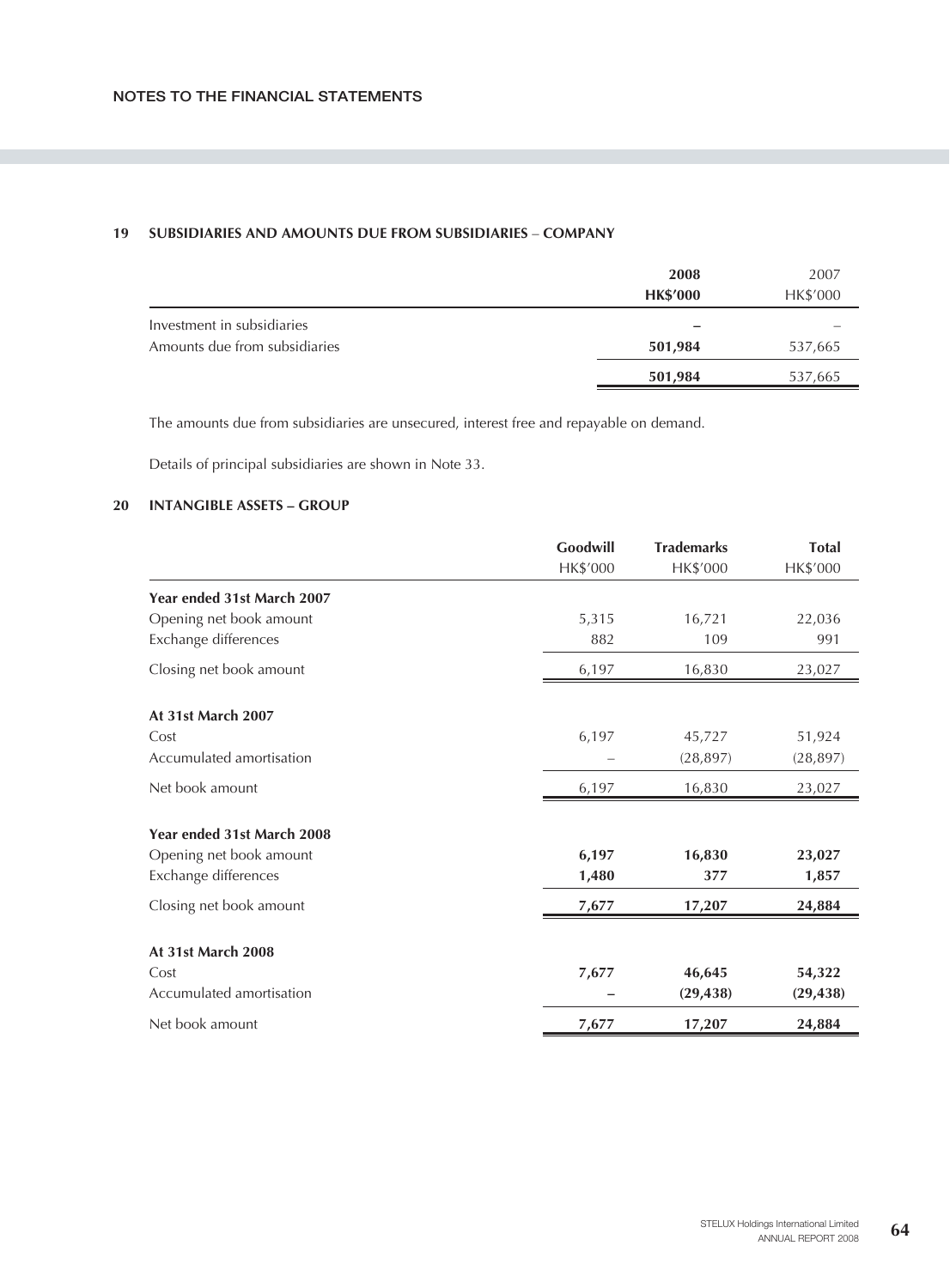# **19 SUBSIDIARIES AND AMOUNTS DUE FROM SUBSIDIARIES** – **COMPANY**

|                               | 2008<br><b>HK\$'000</b> | 2007<br>HK\$'000 |
|-------------------------------|-------------------------|------------------|
| Investment in subsidiaries    |                         | –                |
| Amounts due from subsidiaries | 501,984                 | 537,665          |
|                               | 501,984                 | 537,665          |

The amounts due from subsidiaries are unsecured, interest free and repayable on demand.

Details of principal subsidiaries are shown in Note 33.

# **20 INTANGIBLE ASSETS – GROUP**

|                            | Goodwill | <b>Trademarks</b> | <b>Total</b> |
|----------------------------|----------|-------------------|--------------|
|                            | HK\$'000 | HK\$'000          | HK\$'000     |
| Year ended 31st March 2007 |          |                   |              |
| Opening net book amount    | 5,315    | 16,721            | 22,036       |
| Exchange differences       | 882      | 109               | 991          |
| Closing net book amount    | 6,197    | 16,830            | 23,027       |
| At 31st March 2007         |          |                   |              |
| Cost                       | 6,197    | 45,727            | 51,924       |
| Accumulated amortisation   |          | (28, 897)         | (28, 897)    |
| Net book amount            | 6,197    | 16,830            | 23,027       |
| Year ended 31st March 2008 |          |                   |              |
| Opening net book amount    | 6,197    | 16,830            | 23,027       |
| Exchange differences       | 1,480    | 377               | 1,857        |
| Closing net book amount    | 7,677    | 17,207            | 24,884       |
| At 31st March 2008         |          |                   |              |
| Cost                       | 7,677    | 46,645            | 54,322       |
| Accumulated amortisation   |          | (29, 438)         | (29, 438)    |
| Net book amount            | 7,677    | 17,207            | 24,884       |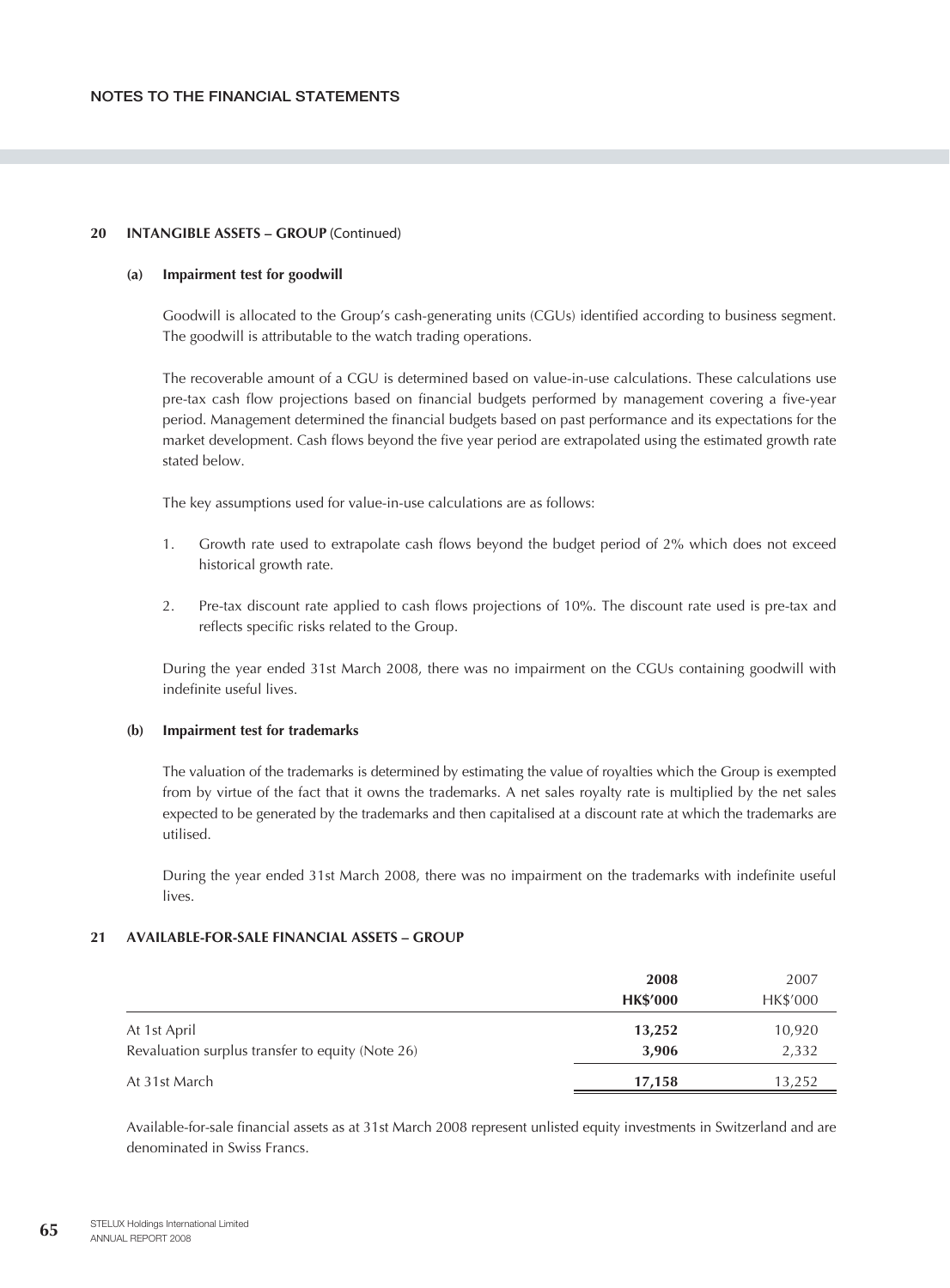### **20 INTANGIBLE ASSETS – GROUP** (Continued)

#### **(a) Impairment test for goodwill**

Goodwill is allocated to the Group's cash-generating units (CGUs) identified according to business segment. The goodwill is attributable to the watch trading operations.

The recoverable amount of a CGU is determined based on value-in-use calculations. These calculations use pre-tax cash flow projections based on financial budgets performed by management covering a five-year period. Management determined the financial budgets based on past performance and its expectations for the market development. Cash flows beyond the five year period are extrapolated using the estimated growth rate stated below.

The key assumptions used for value-in-use calculations are as follows:

- 1. Growth rate used to extrapolate cash flows beyond the budget period of 2% which does not exceed historical growth rate.
- 2. Pre-tax discount rate applied to cash flows projections of 10%. The discount rate used is pre-tax and reflects specific risks related to the Group.

During the year ended 31st March 2008, there was no impairment on the CGUs containing goodwill with indefinite useful lives.

#### **(b) Impairment test for trademarks**

The valuation of the trademarks is determined by estimating the value of royalties which the Group is exempted from by virtue of the fact that it owns the trademarks. A net sales royalty rate is multiplied by the net sales expected to be generated by the trademarks and then capitalised at a discount rate at which the trademarks are utilised.

During the year ended 31st March 2008, there was no impairment on the trademarks with indefinite useful lives.

# **21 AVAILABLE-FOR-SALE FINANCIAL ASSETS – GROUP**

|                                                                  | 2008<br><b>HK\$'000</b> | 2007<br>HK\$'000 |
|------------------------------------------------------------------|-------------------------|------------------|
| At 1st April<br>Revaluation surplus transfer to equity (Note 26) | 13,252<br>3,906         | 10,920<br>2,332  |
| At 31st March                                                    | 17,158                  | 13,252           |

Available-for-sale financial assets as at 31st March 2008 represent unlisted equity investments in Switzerland and are denominated in Swiss Francs.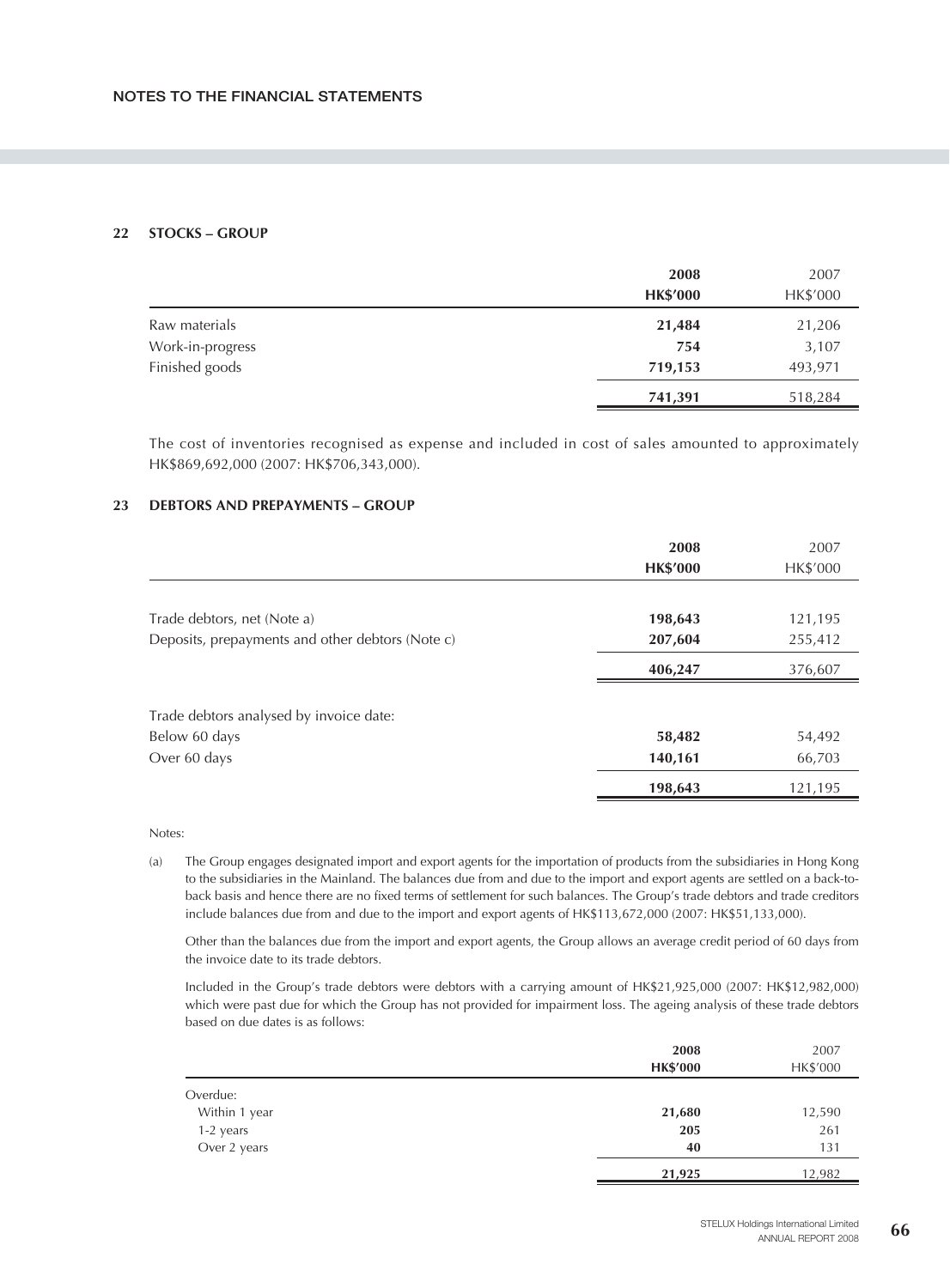## **22 STOCKS – GROUP**

|                  | 2008            | 2007     |
|------------------|-----------------|----------|
|                  | <b>HK\$'000</b> | HK\$'000 |
| Raw materials    | 21,484          | 21,206   |
| Work-in-progress | 754             | 3,107    |
| Finished goods   | 719,153         | 493,971  |
|                  | 741,391         | 518,284  |

The cost of inventories recognised as expense and included in cost of sales amounted to approximately HK\$869,692,000 (2007: HK\$706,343,000).

# **23 DEBTORS AND PREPAYMENTS – GROUP**

|                                                  | 2008            | 2007     |
|--------------------------------------------------|-----------------|----------|
|                                                  | <b>HK\$'000</b> | HK\$'000 |
|                                                  |                 |          |
| Trade debtors, net (Note a)                      | 198,643         | 121,195  |
| Deposits, prepayments and other debtors (Note c) | 207,604         | 255,412  |
|                                                  | 406,247         | 376,607  |
|                                                  |                 |          |
| Trade debtors analysed by invoice date:          |                 |          |
| Below 60 days                                    | 58,482          | 54,492   |
| Over 60 days                                     | 140,161         | 66,703   |
|                                                  | 198,643         | 121,195  |

Notes:

(a) The Group engages designated import and export agents for the importation of products from the subsidiaries in Hong Kong to the subsidiaries in the Mainland. The balances due from and due to the import and export agents are settled on a back-toback basis and hence there are no fi xed terms of settlement for such balances. The Group's trade debtors and trade creditors include balances due from and due to the import and export agents of HK\$113,672,000 (2007: HK\$51,133,000).

 Other than the balances due from the import and export agents, the Group allows an average credit period of 60 days from the invoice date to its trade debtors.

 Included in the Group's trade debtors were debtors with a carrying amount of HK\$21,925,000 (2007: HK\$12,982,000) which were past due for which the Group has not provided for impairment loss. The ageing analysis of these trade debtors based on due dates is as follows:

|               | 2008            | 2007     |
|---------------|-----------------|----------|
|               | <b>HK\$'000</b> | HK\$'000 |
| Overdue:      |                 |          |
| Within 1 year | 21,680          | 12,590   |
| 1-2 years     | 205             | 261      |
| Over 2 years  | 40              | 131      |
|               | 21,925          | 12,982   |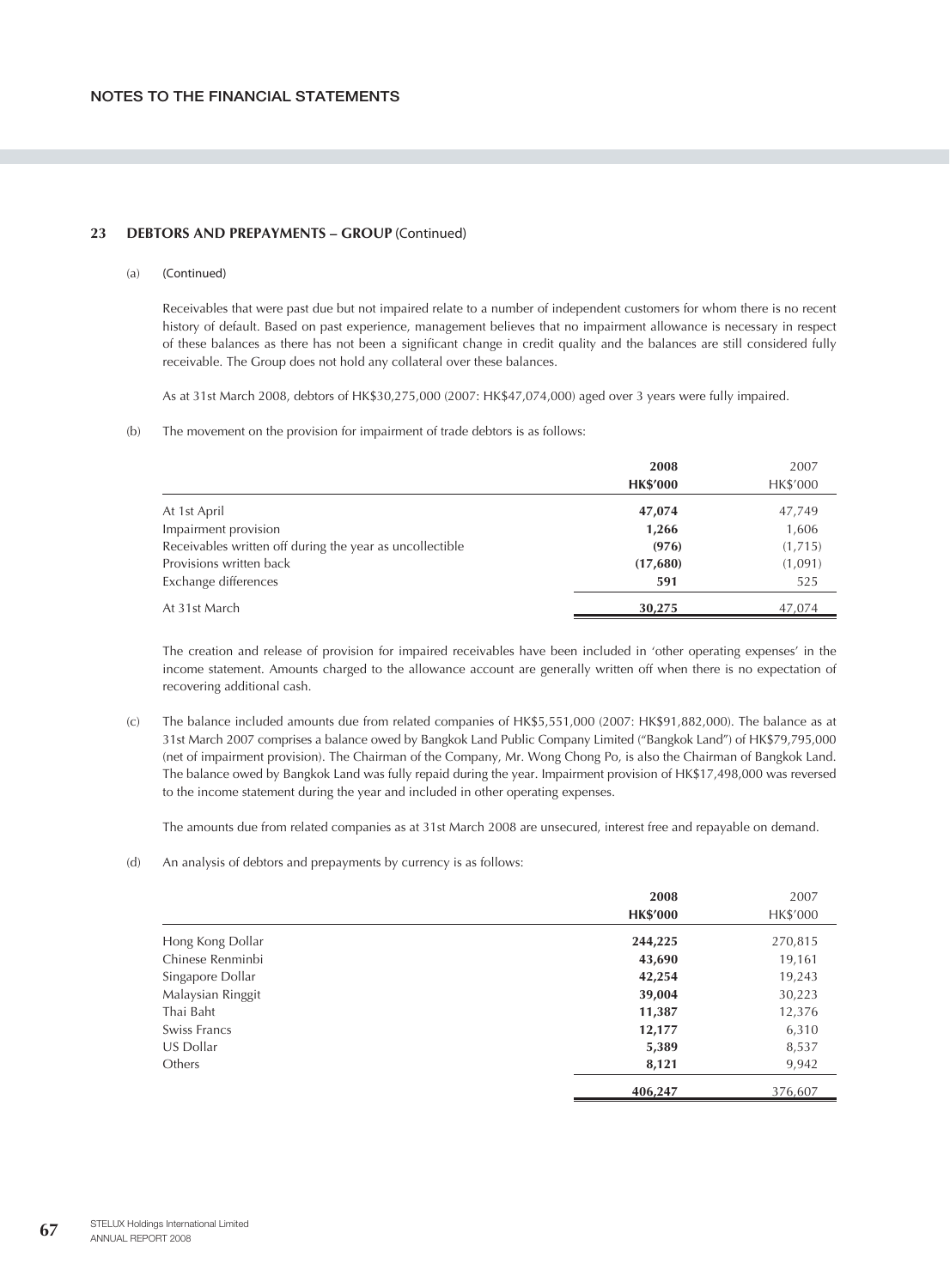#### **23 DEBTORS AND PREPAYMENTS – GROUP** (Continued)

#### (a) (Continued)

Receivables that were past due but not impaired relate to a number of independent customers for whom there is no recent history of default. Based on past experience, management believes that no impairment allowance is necessary in respect of these balances as there has not been a significant change in credit quality and the balances are still considered fully receivable. The Group does not hold any collateral over these balances.

As at 31st March 2008, debtors of HK\$30,275,000 (2007: HK\$47,074,000) aged over 3 years were fully impaired.

#### (b) The movement on the provision for impairment of trade debtors is as follows:

|                                                          | 2008            | 2007            |
|----------------------------------------------------------|-----------------|-----------------|
|                                                          | <b>HK\$'000</b> | <b>HK\$'000</b> |
| At 1st April                                             | 47,074          | 47,749          |
| Impairment provision                                     | 1,266           | 1,606           |
| Receivables written off during the year as uncollectible | (976)           | (1,715)         |
| Provisions written back                                  | (17,680)        | (1,091)         |
| Exchange differences                                     | 591             | 525             |
| At 31st March                                            | 30,275          | 47,074          |

The creation and release of provision for impaired receivables have been included in 'other operating expenses' in the income statement. Amounts charged to the allowance account are generally written off when there is no expectation of recovering additional cash.

(c) The balance included amounts due from related companies of HK\$5,551,000 (2007: HK\$91,882,000). The balance as at 31st March 2007 comprises a balance owed by Bangkok Land Public Company Limited ("Bangkok Land") of HK\$79,795,000 (net of impairment provision). The Chairman of the Company, Mr. Wong Chong Po, is also the Chairman of Bangkok Land. The balance owed by Bangkok Land was fully repaid during the year. Impairment provision of HK\$17,498,000 was reversed to the income statement during the year and included in other operating expenses.

The amounts due from related companies as at 31st March 2008 are unsecured, interest free and repayable on demand.

(d) An analysis of debtors and prepayments by currency is as follows:

|                   | 2008            | 2007     |
|-------------------|-----------------|----------|
|                   | <b>HK\$'000</b> | HK\$'000 |
| Hong Kong Dollar  | 244,225         | 270,815  |
| Chinese Renminbi  | 43,690          | 19,161   |
| Singapore Dollar  | 42,254          | 19,243   |
| Malaysian Ringgit | 39,004          | 30,223   |
| Thai Baht         | 11,387          | 12,376   |
| Swiss Francs      | 12,177          | 6,310    |
| US Dollar         | 5,389           | 8,537    |
| Others            | 8,121           | 9,942    |
|                   | 406,247         | 376,607  |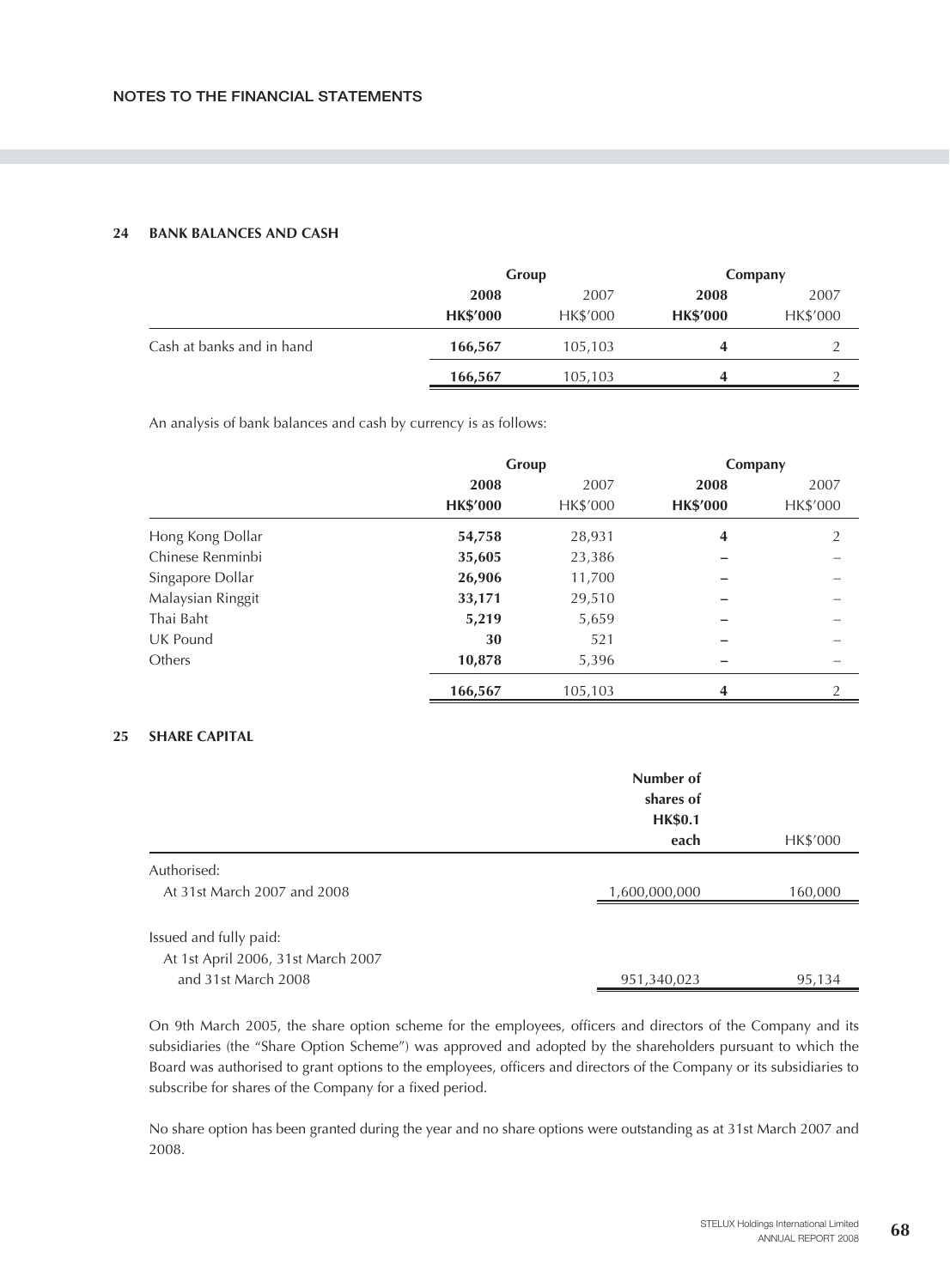## **24 BANK BALANCES AND CASH**

|                           |                 | Group    |                 | Company  |
|---------------------------|-----------------|----------|-----------------|----------|
|                           | 2008            | 2007     | 2008            | 2007     |
|                           | <b>HK\$'000</b> | HK\$'000 | <b>HK\$'000</b> | HK\$'000 |
| Cash at banks and in hand | 166,567         | 105,103  | 4               |          |
|                           | 166,567         | 105,103  | 4               |          |
|                           |                 |          |                 |          |

An analysis of bank balances and cash by currency is as follows:

|                   | Group           |          | Company         |                |
|-------------------|-----------------|----------|-----------------|----------------|
|                   | 2008            | 2007     | 2008            | 2007           |
|                   | <b>HK\$'000</b> | HK\$'000 | <b>HK\$'000</b> | HK\$'000       |
| Hong Kong Dollar  | 54,758          | 28,931   | 4               | $\overline{2}$ |
| Chinese Renminbi  | 35,605          | 23,386   |                 |                |
| Singapore Dollar  | 26,906          | 11,700   |                 |                |
| Malaysian Ringgit | 33,171          | 29,510   |                 |                |
| Thai Baht         | 5,219           | 5,659    |                 |                |
| UK Pound          | 30              | 521      |                 |                |
| <b>Others</b>     | 10,878          | 5,396    |                 |                |
|                   | 166,567         | 105,103  | 4               | $\overline{2}$ |

# **25 SHARE CAPITAL**

|                                    | Number of<br>shares of<br><b>HK\$0.1</b> |          |
|------------------------------------|------------------------------------------|----------|
|                                    | each                                     | HK\$'000 |
| Authorised:                        |                                          |          |
| At 31st March 2007 and 2008        | 1,600,000,000                            | 160,000  |
|                                    |                                          |          |
| Issued and fully paid:             |                                          |          |
| At 1st April 2006, 31st March 2007 |                                          |          |
| and 31st March 2008                | 951,340,023                              | 95,134   |

On 9th March 2005, the share option scheme for the employees, officers and directors of the Company and its subsidiaries (the "Share Option Scheme") was approved and adopted by the shareholders pursuant to which the Board was authorised to grant options to the employees, officers and directors of the Company or its subsidiaries to subscribe for shares of the Company for a fixed period.

No share option has been granted during the year and no share options were outstanding as at 31st March 2007 and 2008.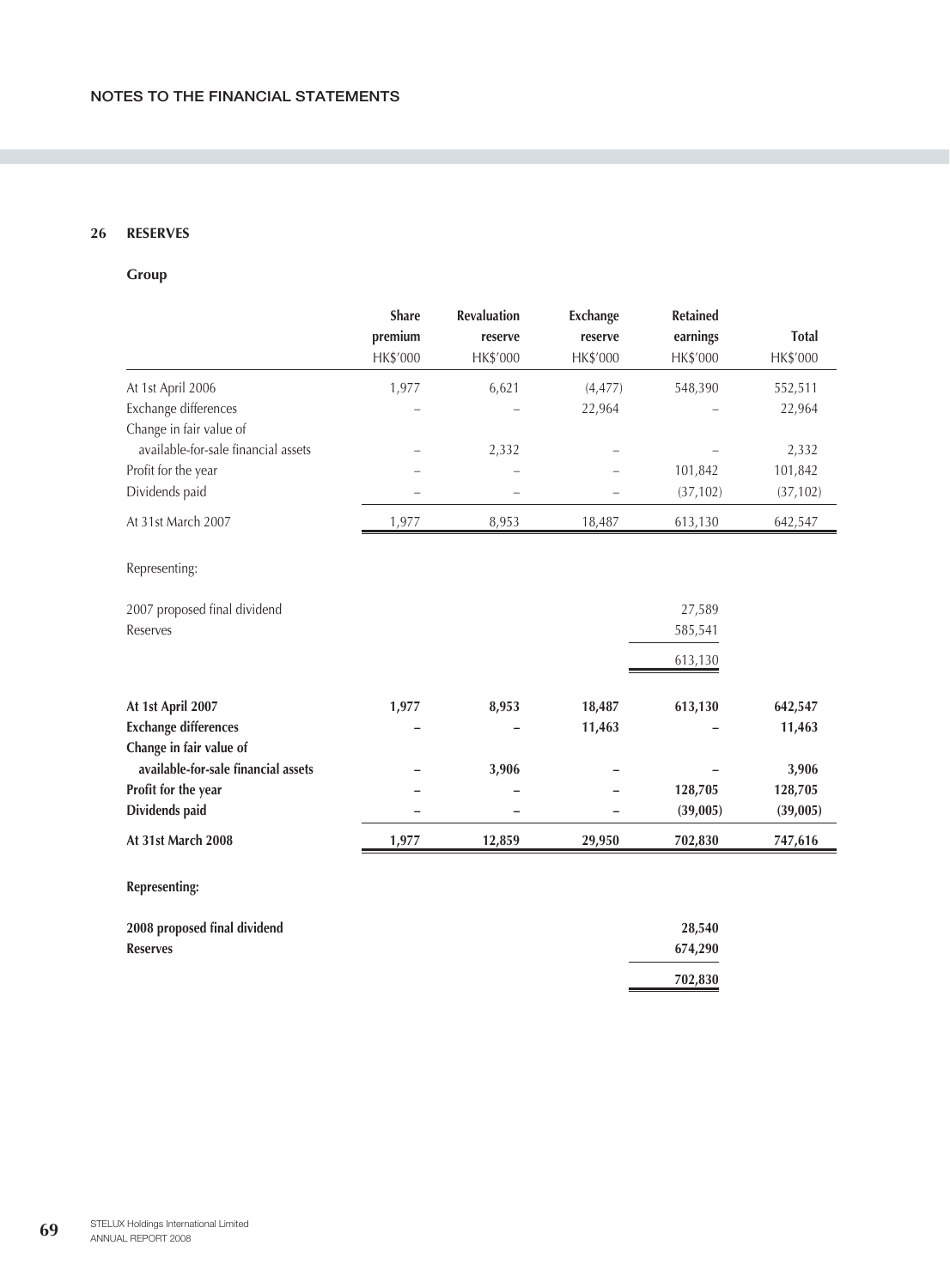# **26 RESERVES**

# **Group**

|                                     | <b>Share</b><br>premium<br>HK\$'000 | <b>Revaluation</b><br>reserve<br>HK\$'000 | <b>Exchange</b><br>reserve<br>HK\$'000 | <b>Retained</b><br>earnings<br>HK\$'000 | <b>Total</b><br>HK\$'000 |
|-------------------------------------|-------------------------------------|-------------------------------------------|----------------------------------------|-----------------------------------------|--------------------------|
|                                     |                                     |                                           |                                        |                                         |                          |
| At 1st April 2006                   | 1,977                               | 6,621                                     | (4, 477)                               | 548,390                                 | 552,511                  |
| Exchange differences                |                                     |                                           | 22,964                                 |                                         | 22,964                   |
| Change in fair value of             |                                     |                                           |                                        |                                         |                          |
| available-for-sale financial assets |                                     | 2,332                                     |                                        |                                         | 2,332                    |
| Profit for the year                 |                                     |                                           |                                        | 101,842                                 | 101,842                  |
| Dividends paid                      |                                     |                                           |                                        | (37, 102)                               | (37, 102)                |
| At 31st March 2007                  | 1,977                               | 8,953                                     | 18,487                                 | 613,130                                 | 642,547                  |
| Representing:                       |                                     |                                           |                                        |                                         |                          |
| 2007 proposed final dividend        |                                     |                                           |                                        | 27,589                                  |                          |
| Reserves                            |                                     |                                           |                                        | 585,541                                 |                          |
|                                     |                                     |                                           |                                        | 613,130                                 |                          |
| At 1st April 2007                   | 1,977                               | 8,953                                     | 18,487                                 | 613,130                                 | 642,547                  |
| <b>Exchange differences</b>         |                                     |                                           | 11,463                                 |                                         | 11,463                   |
| Change in fair value of             |                                     |                                           |                                        |                                         |                          |
| available-for-sale financial assets |                                     | 3,906                                     |                                        |                                         | 3,906                    |
| Profit for the year                 |                                     |                                           |                                        | 128,705                                 | 128,705                  |
| Dividends paid                      |                                     |                                           |                                        | (39,005)                                | (39,005)                 |
| At 31st March 2008                  | 1,977                               | 12,859                                    | 29,950                                 | 702,830                                 | 747,616                  |
| <b>Representing:</b>                |                                     |                                           |                                        |                                         |                          |
| 2008 proposed final dividend        |                                     |                                           |                                        | 28,540                                  |                          |
| <b>Reserves</b>                     |                                     |                                           |                                        | 674,290                                 |                          |
|                                     |                                     |                                           |                                        | 702,830                                 |                          |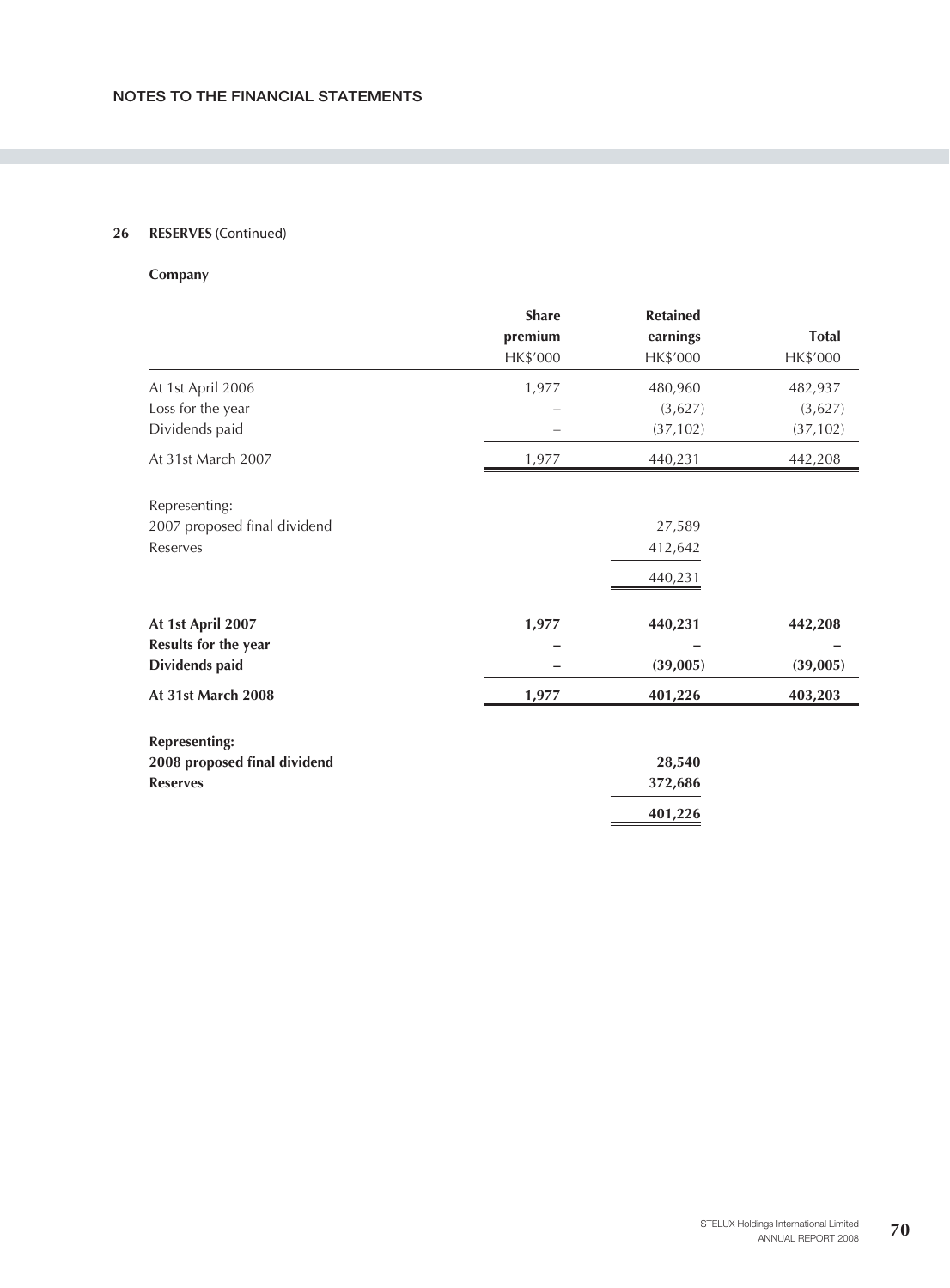# **26 RESERVES** (Continued)

# **Company**

|                              | <b>Share</b><br>premium<br>HK\$'000 | <b>Retained</b><br>earnings<br>HK\$'000 | <b>Total</b><br>HK\$'000 |
|------------------------------|-------------------------------------|-----------------------------------------|--------------------------|
| At 1st April 2006            | 1,977                               | 480,960                                 | 482,937                  |
| Loss for the year            |                                     | (3,627)                                 | (3,627)                  |
| Dividends paid               |                                     | (37, 102)                               | (37, 102)                |
| At 31st March 2007           | 1,977                               | 440,231                                 | 442,208                  |
| Representing:                |                                     |                                         |                          |
| 2007 proposed final dividend |                                     | 27,589                                  |                          |
| Reserves                     |                                     | 412,642                                 |                          |
|                              |                                     | 440,231                                 |                          |
| At 1st April 2007            | 1,977                               | 440,231                                 | 442,208                  |
| Results for the year         |                                     |                                         |                          |
| Dividends paid               |                                     | (39,005)                                | (39,005)                 |
| At 31st March 2008           | 1,977                               | 401,226                                 | 403,203                  |
| <b>Representing:</b>         |                                     |                                         |                          |
| 2008 proposed final dividend |                                     | 28,540                                  |                          |
| <b>Reserves</b>              |                                     | 372,686                                 |                          |
|                              |                                     | 401,226                                 |                          |
|                              |                                     |                                         |                          |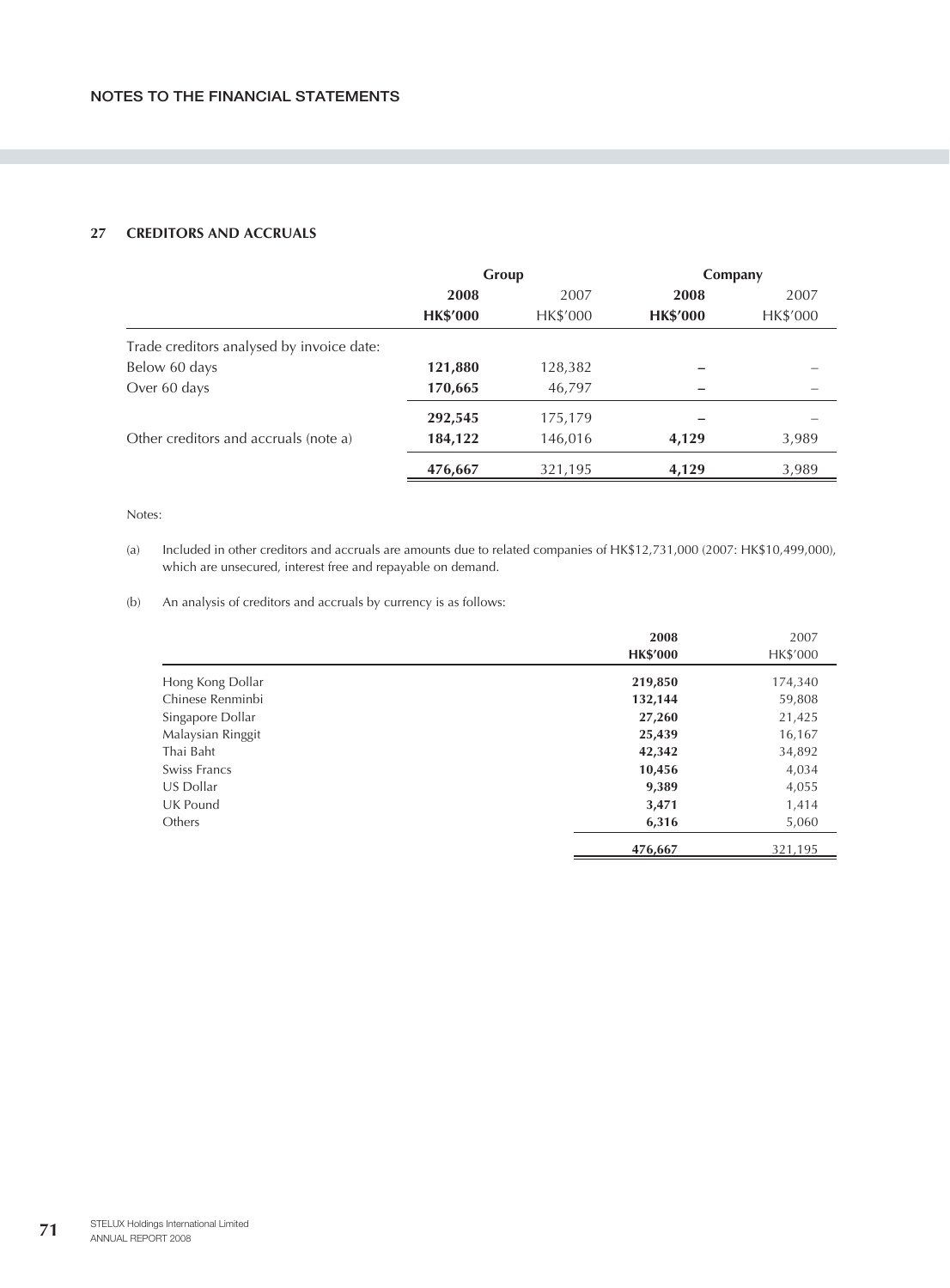# **27 CREDITORS AND ACCRUALS**

|                                           | Group           |          | Company         |          |
|-------------------------------------------|-----------------|----------|-----------------|----------|
|                                           | 2008            | 2007     | 2008            | 2007     |
|                                           | <b>HK\$'000</b> | HK\$'000 | <b>HK\$'000</b> | HK\$'000 |
| Trade creditors analysed by invoice date: |                 |          |                 |          |
| Below 60 days                             | 121,880         | 128,382  |                 |          |
| Over 60 days                              | 170,665         | 46,797   |                 |          |
|                                           | 292,545         | 175,179  |                 |          |
| Other creditors and accruals (note a)     | 184,122         | 146,016  | 4,129           | 3,989    |
|                                           | 476,667         | 321,195  | 4,129           | 3,989    |

#### Notes:

- (a) Included in other creditors and accruals are amounts due to related companies of HK\$12,731,000 (2007: HK\$10,499,000), which are unsecured, interest free and repayable on demand.
- (b) An analysis of creditors and accruals by currency is as follows:

|                   | 2008            | 2007     |
|-------------------|-----------------|----------|
|                   | <b>HK\$'000</b> | HK\$'000 |
| Hong Kong Dollar  | 219,850         | 174,340  |
| Chinese Renminbi  | 132,144         | 59,808   |
| Singapore Dollar  | 27,260          | 21,425   |
| Malaysian Ringgit | 25,439          | 16,167   |
| Thai Baht         | 42,342          | 34,892   |
| Swiss Francs      | 10,456          | 4,034    |
| US Dollar         | 9,389           | 4,055    |
| UK Pound          | 3,471           | 1,414    |
| Others            | 6,316           | 5,060    |
|                   | 476,667         | 321,195  |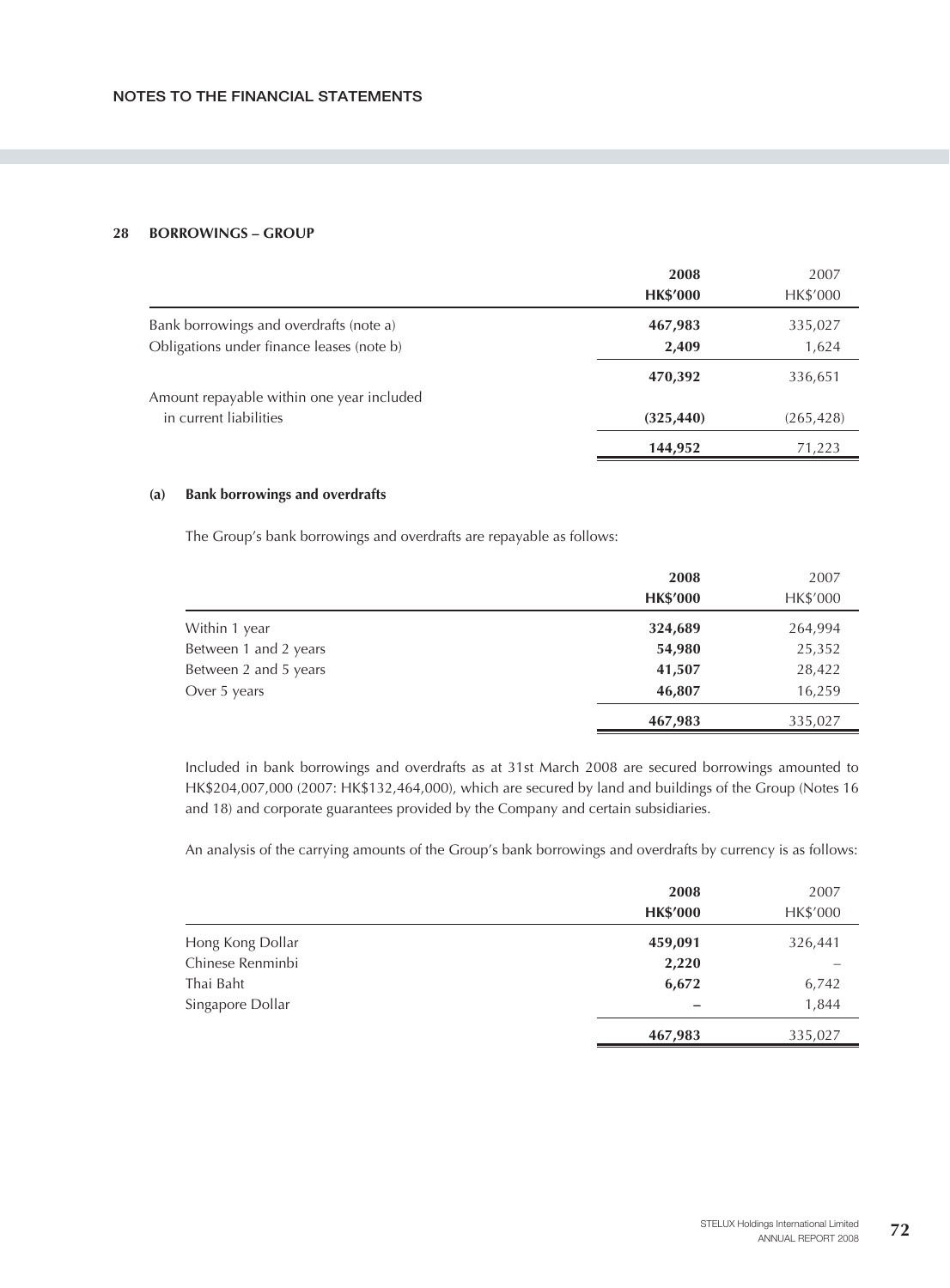#### **28 BORROWINGS – GROUP**

|                                           | 2008            | 2007       |
|-------------------------------------------|-----------------|------------|
|                                           | <b>HK\$'000</b> | HK\$'000   |
| Bank borrowings and overdrafts (note a)   | 467,983         | 335,027    |
| Obligations under finance leases (note b) | 2,409           | 1,624      |
|                                           | 470,392         | 336,651    |
| Amount repayable within one year included |                 |            |
| in current liabilities                    | (325, 440)      | (265, 428) |
|                                           | 144,952         | 71,223     |

## **(a) Bank borrowings and overdrafts**

The Group's bank borrowings and overdrafts are repayable as follows:

|                       | 2008            | 2007     |
|-----------------------|-----------------|----------|
|                       | <b>HK\$'000</b> | HK\$'000 |
| Within 1 year         | 324,689         | 264,994  |
| Between 1 and 2 years | 54,980          | 25,352   |
| Between 2 and 5 years | 41,507          | 28,422   |
| Over 5 years          | 46,807          | 16,259   |
|                       | 467,983         | 335,027  |

Included in bank borrowings and overdrafts as at 31st March 2008 are secured borrowings amounted to HK\$204,007,000 (2007: HK\$132,464,000), which are secured by land and buildings of the Group (Notes 16 and 18) and corporate guarantees provided by the Company and certain subsidiaries.

An analysis of the carrying amounts of the Group's bank borrowings and overdrafts by currency is as follows:

|                  | 2008            | 2007     |
|------------------|-----------------|----------|
|                  | <b>HK\$'000</b> | HK\$'000 |
| Hong Kong Dollar | 459,091         | 326,441  |
| Chinese Renminbi | 2,220           |          |
| Thai Baht        | 6,672           | 6,742    |
| Singapore Dollar |                 | 1,844    |
|                  | 467,983         | 335,027  |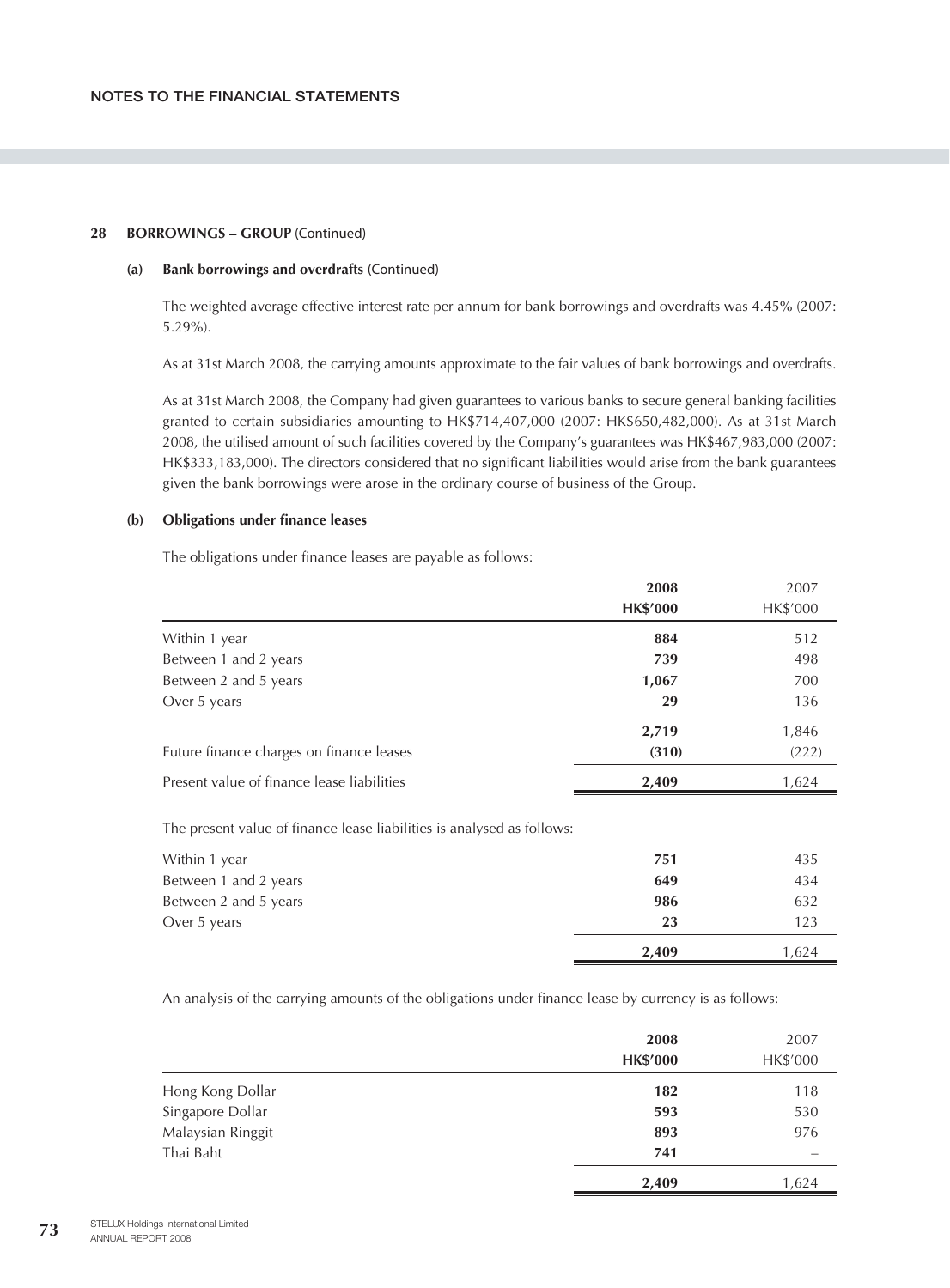#### **28 BORROWINGS – GROUP** (Continued)

#### **(a) Bank borrowings and overdrafts** (Continued)

The weighted average effective interest rate per annum for bank borrowings and overdrafts was 4.45% (2007: 5.29%).

As at 31st March 2008, the carrying amounts approximate to the fair values of bank borrowings and overdrafts.

As at 31st March 2008, the Company had given guarantees to various banks to secure general banking facilities granted to certain subsidiaries amounting to HK\$714,407,000 (2007: HK\$650,482,000). As at 31st March 2008, the utilised amount of such facilities covered by the Company's guarantees was HK\$467,983,000 (2007: HK\$333,183,000). The directors considered that no significant liabilities would arise from the bank guarantees given the bank borrowings were arose in the ordinary course of business of the Group.

#### (b) Obligations under finance leases

The obligations under finance leases are payable as follows:

|                                            | 2008            | 2007     |
|--------------------------------------------|-----------------|----------|
|                                            | <b>HK\$'000</b> | HK\$'000 |
| Within 1 year                              | 884             | 512      |
| Between 1 and 2 years                      | 739             | 498      |
| Between 2 and 5 years                      | 1,067           | 700      |
| Over 5 years                               | 29              | 136      |
|                                            | 2,719           | 1,846    |
| Future finance charges on finance leases   | (310)           | (222)    |
| Present value of finance lease liabilities | 2,409           | 1,624    |

The present value of finance lease liabilities is analysed as follows:

| Within 1 year         | 751   | 435   |
|-----------------------|-------|-------|
| Between 1 and 2 years | 649   | 434   |
| Between 2 and 5 years | 986   | 632   |
| Over 5 years          | 23    | 123   |
|                       | 2.409 | 1.624 |

An analysis of the carrying amounts of the obligations under finance lease by currency is as follows:

|                   | 2008<br><b>HK\$'000</b> | 2007<br>HK\$'000 |
|-------------------|-------------------------|------------------|
| Hong Kong Dollar  | 182                     | 118              |
| Singapore Dollar  | 593                     | 530              |
| Malaysian Ringgit | 893                     | 976              |
| Thai Baht         | 741                     |                  |
|                   | 2,409                   | 1,624            |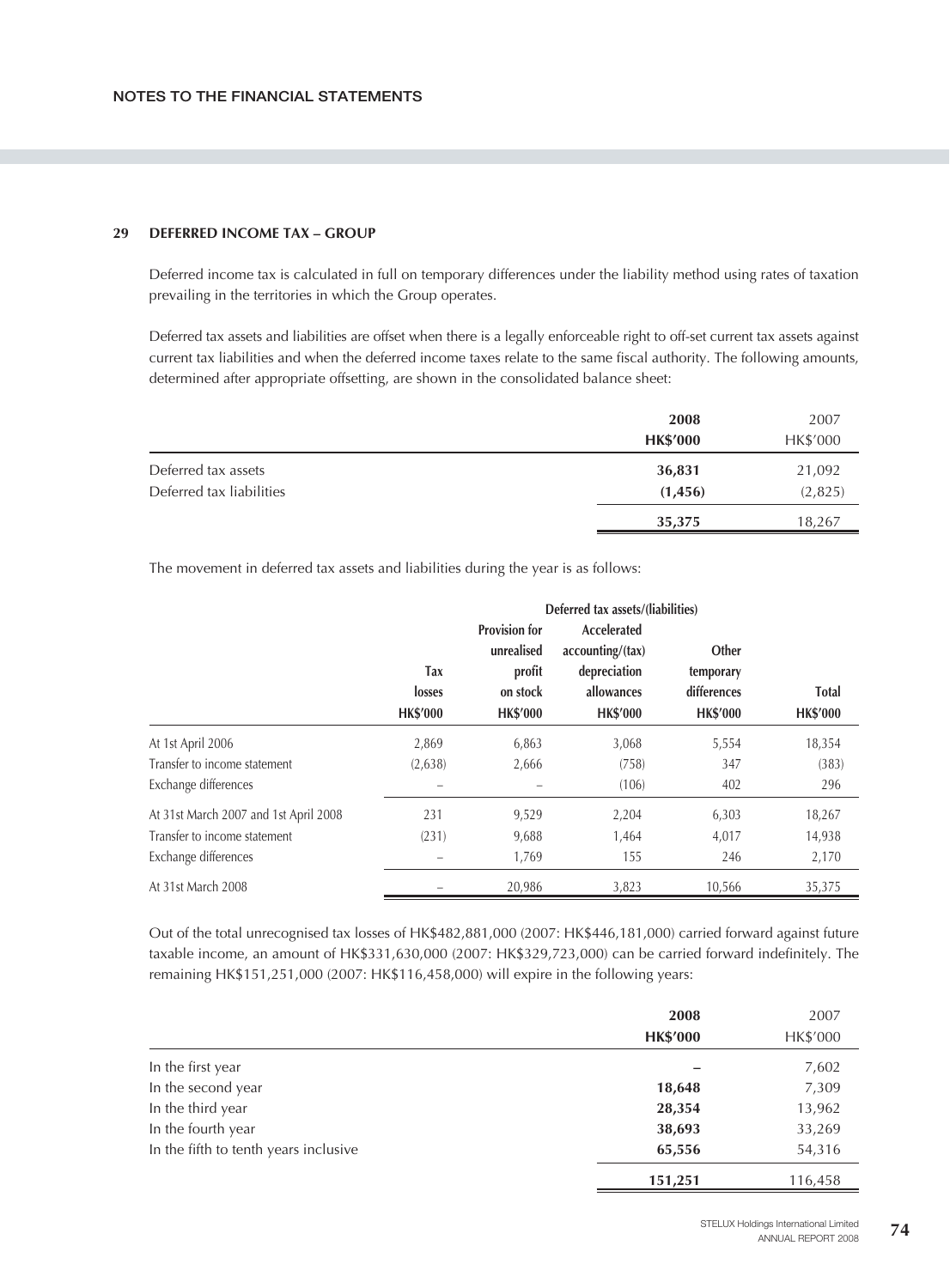## **29 DEFERRED INCOME TAX – GROUP**

Deferred income tax is calculated in full on temporary differences under the liability method using rates of taxation prevailing in the territories in which the Group operates.

Deferred tax assets and liabilities are offset when there is a legally enforceable right to off-set current tax assets against current tax liabilities and when the deferred income taxes relate to the same fiscal authority. The following amounts, determined after appropriate offsetting, are shown in the consolidated balance sheet:

|                                                 | 2008<br><b>HK\$'000</b> | 2007<br>HK\$'000  |
|-------------------------------------------------|-------------------------|-------------------|
| Deferred tax assets<br>Deferred tax liabilities | 36,831<br>(1, 456)      | 21,092<br>(2,825) |
|                                                 | 35,375                  | 18,267            |

The movement in deferred tax assets and liabilities during the year is as follows:

|                                       | Deferred tax assets/(liabilities) |                                                                             |                                                                                  |                                                      |                                 |
|---------------------------------------|-----------------------------------|-----------------------------------------------------------------------------|----------------------------------------------------------------------------------|------------------------------------------------------|---------------------------------|
|                                       | Tax<br>losses<br><b>HK\$'000</b>  | <b>Provision for</b><br>unrealised<br>profit<br>on stock<br><b>HK\$'000</b> | Accelerated<br>accounting/(tax)<br>depreciation<br>allowances<br><b>HK\$'000</b> | Other<br>temporary<br>differences<br><b>HK\$'000</b> | <b>Total</b><br><b>HK\$'000</b> |
| At 1st April 2006                     | 2,869                             | 6,863                                                                       | 3,068                                                                            | 5,554                                                | 18,354                          |
| Transfer to income statement          | (2,638)                           | 2,666                                                                       | (758)                                                                            | 347                                                  | (383)                           |
| Exchange differences                  |                                   |                                                                             | (106)                                                                            | 402                                                  | 296                             |
| At 31st March 2007 and 1st April 2008 | 231                               | 9,529                                                                       | 2,204                                                                            | 6,303                                                | 18,267                          |
| Transfer to income statement          | (231)                             | 9,688                                                                       | 1,464                                                                            | 4,017                                                | 14,938                          |
| Exchange differences                  |                                   | 1,769                                                                       | 155                                                                              | 246                                                  | 2,170                           |
| At 31st March 2008                    |                                   | 20,986                                                                      | 3,823                                                                            | 10,566                                               | 35,375                          |

Out of the total unrecognised tax losses of HK\$482,881,000 (2007: HK\$446,181,000) carried forward against future taxable income, an amount of HK\$331,630,000 (2007: HK\$329,723,000) can be carried forward indefinitely. The remaining HK\$151,251,000 (2007: HK\$116,458,000) will expire in the following years:

|                                       | 2008<br><b>HK\$'000</b> | 2007<br>HK\$'000 |
|---------------------------------------|-------------------------|------------------|
| In the first year                     |                         | 7,602            |
| In the second year                    | 18,648                  | 7,309            |
| In the third year                     | 28,354                  | 13,962           |
| In the fourth year                    | 38,693                  | 33,269           |
| In the fifth to tenth years inclusive | 65,556                  | 54,316           |
|                                       | 151,251                 | 116,458          |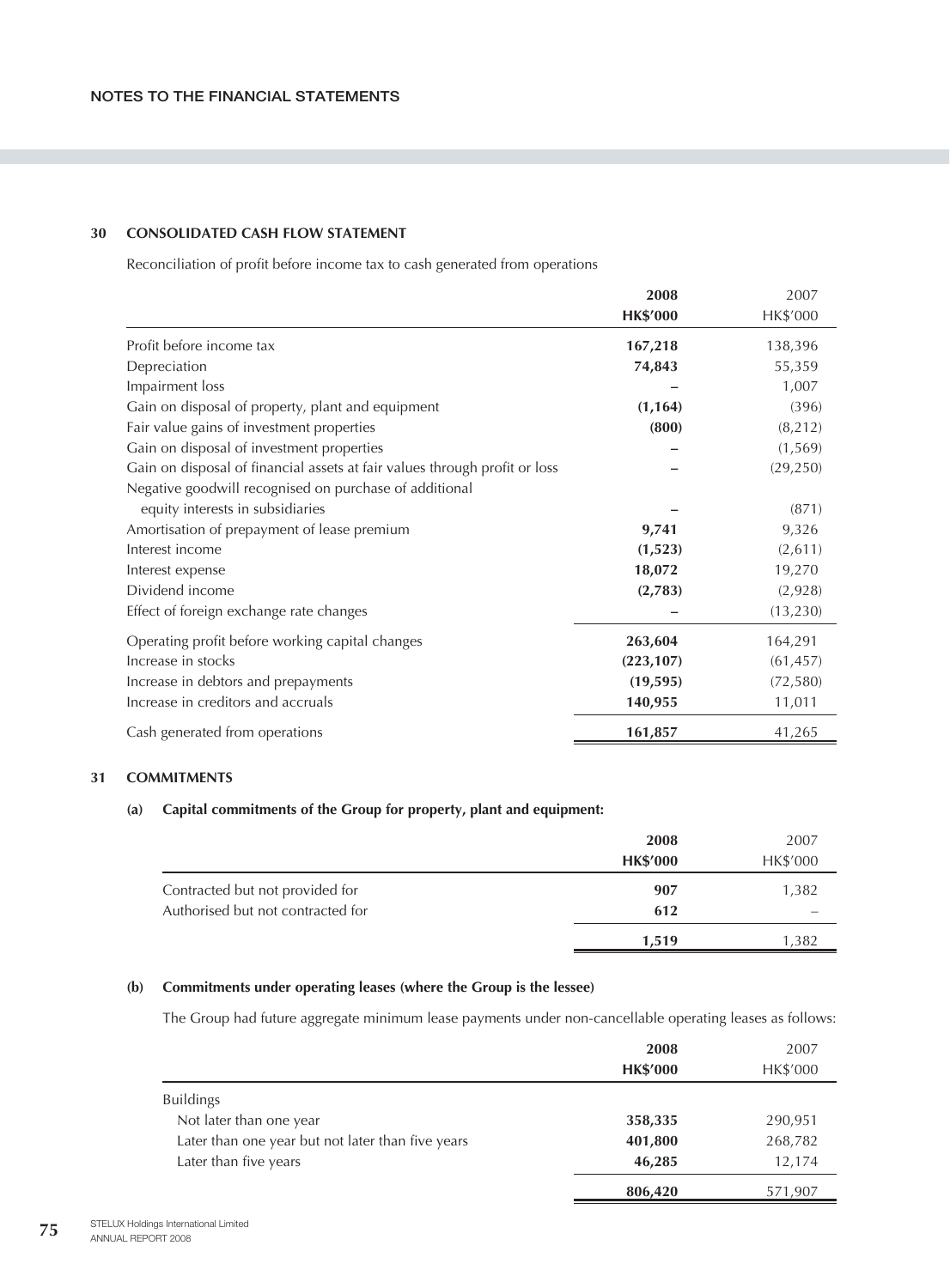#### **30 CONSOLIDATED CASH FLOW STATEMENT**

Reconciliation of profit before income tax to cash generated from operations

|                                                                            | 2008            | 2007      |
|----------------------------------------------------------------------------|-----------------|-----------|
|                                                                            | <b>HK\$'000</b> | HK\$'000  |
| Profit before income tax                                                   | 167,218         | 138,396   |
| Depreciation                                                               | 74,843          | 55,359    |
| Impairment loss                                                            |                 | 1,007     |
| Gain on disposal of property, plant and equipment                          | (1, 164)        | (396)     |
| Fair value gains of investment properties                                  | (800)           | (8, 212)  |
| Gain on disposal of investment properties                                  |                 | (1, 569)  |
| Gain on disposal of financial assets at fair values through profit or loss |                 | (29, 250) |
| Negative goodwill recognised on purchase of additional                     |                 |           |
| equity interests in subsidiaries                                           |                 | (871)     |
| Amortisation of prepayment of lease premium                                | 9,741           | 9,326     |
| Interest income                                                            | (1,523)         | (2,611)   |
| Interest expense                                                           | 18,072          | 19,270    |
| Dividend income                                                            | (2,783)         | (2,928)   |
| Effect of foreign exchange rate changes                                    |                 | (13, 230) |
| Operating profit before working capital changes                            | 263,604         | 164,291   |
| Increase in stocks                                                         | (223, 107)      | (61, 457) |
| Increase in debtors and prepayments                                        | (19, 595)       | (72, 580) |
| Increase in creditors and accruals                                         | 140,955         | 11,011    |
| Cash generated from operations                                             | 161,857         | 41,265    |

#### **31 COMMITMENTS**

## **(a) Capital commitments of the Group for property, plant and equipment:**

|                                   | 2008<br><b>HK\$'000</b> | 2007<br>HK\$'000 |
|-----------------------------------|-------------------------|------------------|
| Contracted but not provided for   | 907                     | 1,382            |
| Authorised but not contracted for | 612                     |                  |
|                                   | 1,519                   | 382, ا           |

## **(b) Commitments under operating leases (where the Group is the lessee)**

The Group had future aggregate minimum lease payments under non-cancellable operating leases as follows:

|                                                   | 2008            | 2007            |
|---------------------------------------------------|-----------------|-----------------|
|                                                   | <b>HK\$'000</b> | <b>HK\$'000</b> |
| <b>Buildings</b>                                  |                 |                 |
| Not later than one year                           | 358,335         | 290,951         |
| Later than one year but not later than five years | 401,800         | 268,782         |
| Later than five years                             | 46,285          | 12,174          |
|                                                   | 806,420         | 571,907         |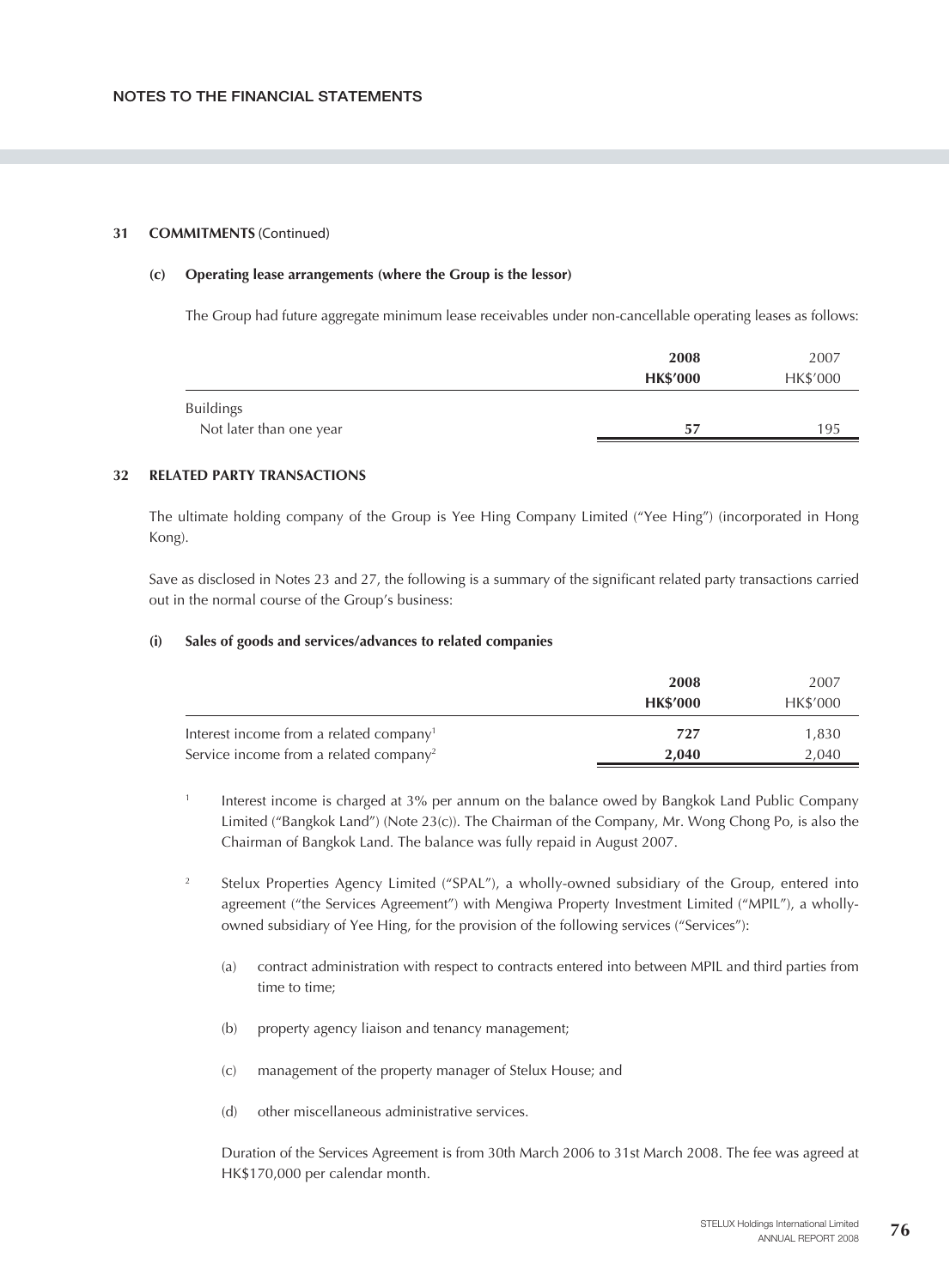## **31 COMMITMENTS** (Continued)

#### **(c) Operating lease arrangements (where the Group is the lessor)**

The Group had future aggregate minimum lease receivables under non-cancellable operating leases as follows:

|                         | 2008            | 2007     |
|-------------------------|-----------------|----------|
|                         | <b>HK\$'000</b> | HK\$'000 |
| <b>Buildings</b>        |                 |          |
| Not later than one year | 57              | 195      |

#### **32 RELATED PARTY TRANSACTIONS**

The ultimate holding company of the Group is Yee Hing Company Limited ("Yee Hing") (incorporated in Hong Kong).

Save as disclosed in Notes 23 and 27, the following is a summary of the significant related party transactions carried out in the normal course of the Group's business:

#### **(i) Sales of goods and services/advances to related companies**

|                                                     | 2008            | 2007     |
|-----------------------------------------------------|-----------------|----------|
|                                                     | <b>HK\$'000</b> | HK\$'000 |
| Interest income from a related company <sup>1</sup> | 727             | 1,830    |
| Service income from a related company <sup>2</sup>  | 2.040           | 2,040    |

- 1 Interest income is charged at 3% per annum on the balance owed by Bangkok Land Public Company Limited ("Bangkok Land") (Note 23(c)). The Chairman of the Company, Mr. Wong Chong Po, is also the Chairman of Bangkok Land. The balance was fully repaid in August 2007.
- 2 Stelux Properties Agency Limited ("SPAL"), a wholly-owned subsidiary of the Group, entered into agreement ("the Services Agreement") with Mengiwa Property Investment Limited ("MPIL"), a whollyowned subsidiary of Yee Hing, for the provision of the following services ("Services"):
	- (a) contract administration with respect to contracts entered into between MPIL and third parties from time to time;
	- (b) property agency liaison and tenancy management;
	- (c) management of the property manager of Stelux House; and
	- (d) other miscellaneous administrative services.

Duration of the Services Agreement is from 30th March 2006 to 31st March 2008. The fee was agreed at HK\$170,000 per calendar month.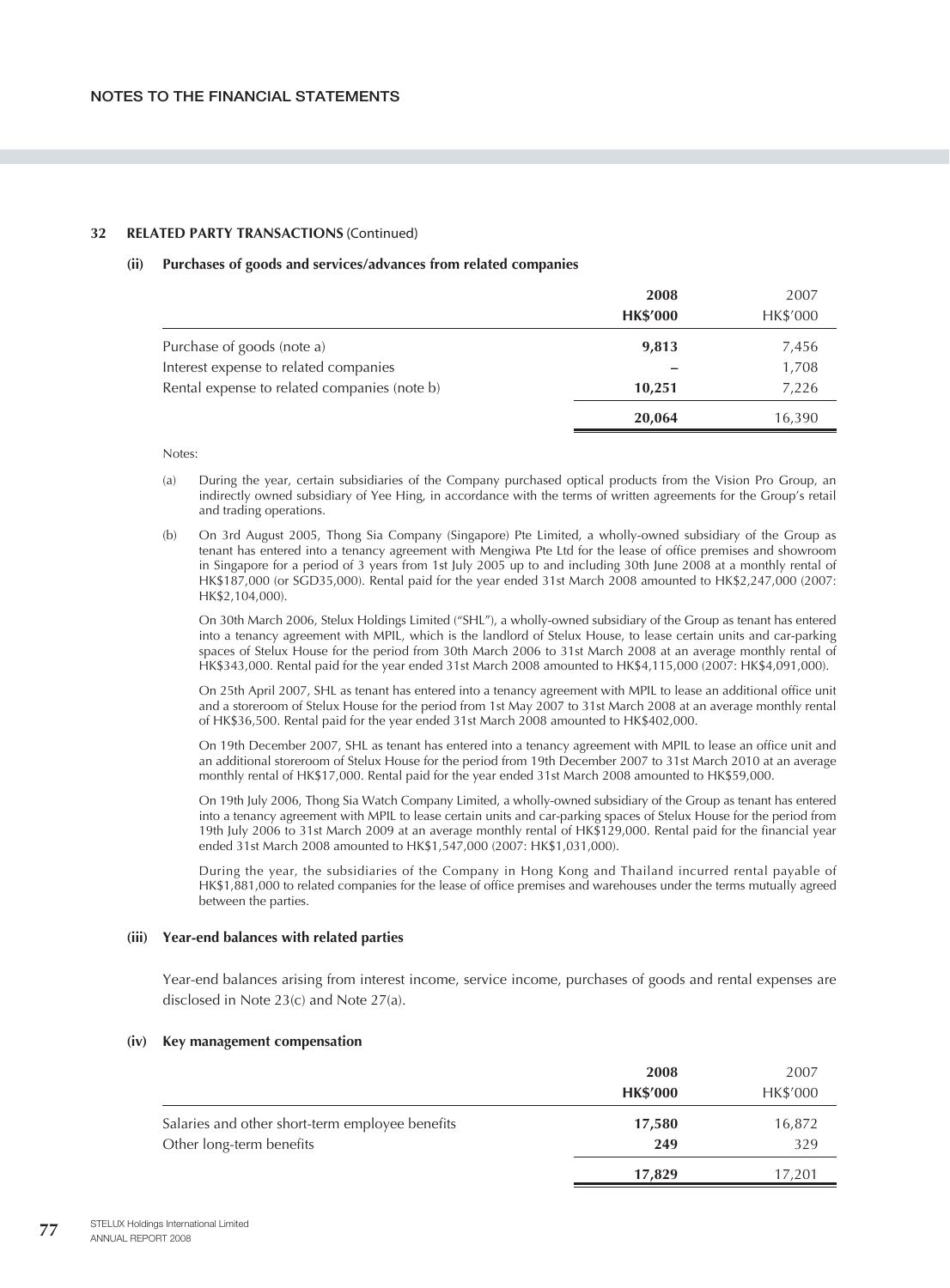#### **32 RELATED PARTY TRANSACTIONS** (Continued)

#### **(ii) Purchases of goods and services/advances from related companies**

|                                              | 2008            | 2007     |
|----------------------------------------------|-----------------|----------|
|                                              | <b>HK\$'000</b> | HK\$'000 |
| Purchase of goods (note a)                   | 9,813           | 7,456    |
| Interest expense to related companies        |                 | 1,708    |
| Rental expense to related companies (note b) | 10,251          | 7,226    |
|                                              | 20,064          | 16,390   |

#### Notes:

- (a) During the year, certain subsidiaries of the Company purchased optical products from the Vision Pro Group, an indirectly owned subsidiary of Yee Hing, in accordance with the terms of written agreements for the Group's retail and trading operations.
- (b) On 3rd August 2005, Thong Sia Company (Singapore) Pte Limited, a wholly-owned subsidiary of the Group as tenant has entered into a tenancy agreement with Mengiwa Pte Ltd for the lease of office premises and showroom in Singapore for a period of 3 years from 1st July 2005 up to and including 30th June 2008 at a monthly rental of HK\$187,000 (or SGD35,000). Rental paid for the year ended 31st March 2008 amounted to HK\$2,247,000 (2007: HK\$2,104,000).

On 30th March 2006, Stelux Holdings Limited ("SHL"), a wholly-owned subsidiary of the Group as tenant has entered into a tenancy agreement with MPIL, which is the landlord of Stelux House, to lease certain units and car-parking spaces of Stelux House for the period from 30th March 2006 to 31st March 2008 at an average monthly rental of HK\$343,000. Rental paid for the year ended 31st March 2008 amounted to HK\$4,115,000 (2007: HK\$4,091,000).

On 25th April 2007, SHL as tenant has entered into a tenancy agreement with MPIL to lease an additional office unit and a storeroom of Stelux House for the period from 1st May 2007 to 31st March 2008 at an average monthly rental of HK\$36,500. Rental paid for the year ended 31st March 2008 amounted to HK\$402,000.

On 19th December 2007, SHL as tenant has entered into a tenancy agreement with MPIL to lease an office unit and an additional storeroom of Stelux House for the period from 19th December 2007 to 31st March 2010 at an average monthly rental of HK\$17,000. Rental paid for the year ended 31st March 2008 amounted to HK\$59,000.

On 19th July 2006, Thong Sia Watch Company Limited, a wholly-owned subsidiary of the Group as tenant has entered into a tenancy agreement with MPIL to lease certain units and car-parking spaces of Stelux House for the period from 19th July 2006 to 31st March 2009 at an average monthly rental of HK\$129,000. Rental paid for the financial year ended 31st March 2008 amounted to HK\$1,547,000 (2007: HK\$1,031,000).

During the year, the subsidiaries of the Company in Hong Kong and Thailand incurred rental payable of HK\$1,881,000 to related companies for the lease of office premises and warehouses under the terms mutually agreed between the parties.

#### **(iii) Year-end balances with related parties**

Year-end balances arising from interest income, service income, purchases of goods and rental expenses are disclosed in Note 23(c) and Note 27(a).

#### **(iv) Key management compensation**

|                                                 | 2008            | 2007     |
|-------------------------------------------------|-----------------|----------|
|                                                 | <b>HK\$'000</b> | HK\$'000 |
| Salaries and other short-term employee benefits | 17,580          | 16,872   |
| Other long-term benefits                        | 249             | 329      |
|                                                 | 17,829          | 17,201   |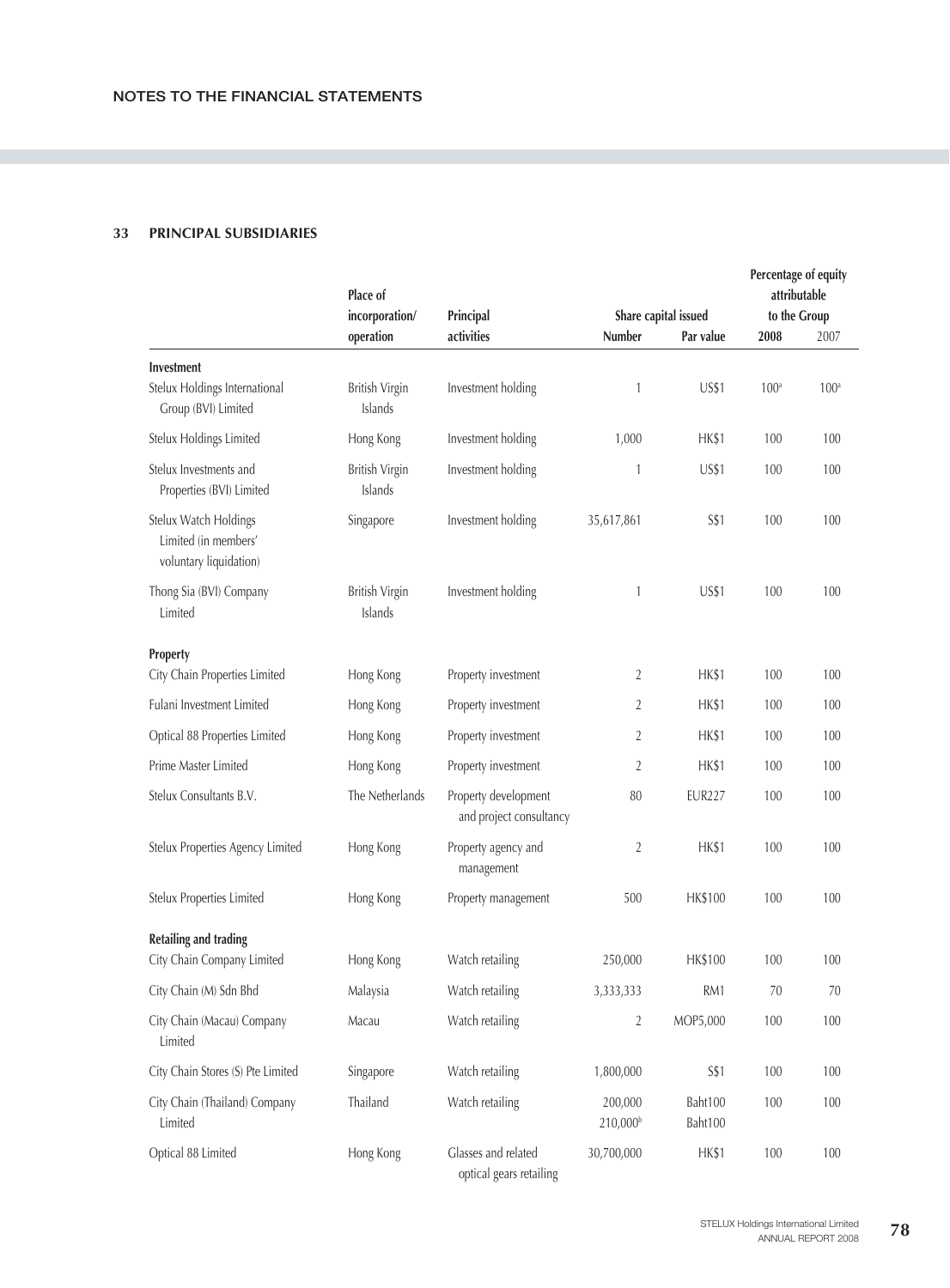# **33 PRINCIPAL SUBSIDIARIES**

|                                                                         | Place of                         |                                                 |                                 |                      |                  | Percentage of equity<br>attributable |
|-------------------------------------------------------------------------|----------------------------------|-------------------------------------------------|---------------------------------|----------------------|------------------|--------------------------------------|
|                                                                         | incorporation/                   | Principal                                       |                                 | Share capital issued |                  | to the Group                         |
|                                                                         | operation                        | activities                                      | Number                          | Par value            | 2008             | 2007                                 |
| Investment<br>Stelux Holdings International<br>Group (BVI) Limited      | <b>British Virgin</b><br>Islands | Investment holding                              | 1                               | <b>US\$1</b>         | 100 <sup>a</sup> | 100 <sup>a</sup>                     |
| Stelux Holdings Limited                                                 | Hong Kong                        | Investment holding                              | 1,000                           | <b>HK\$1</b>         | 100              | 100                                  |
| Stelux Investments and<br>Properties (BVI) Limited                      | British Virgin<br>Islands        | Investment holding                              | 1                               | <b>US\$1</b>         | 100              | 100                                  |
| Stelux Watch Holdings<br>Limited (in members'<br>voluntary liquidation) | Singapore                        | Investment holding                              | 35,617,861                      | S\$1                 | 100              | 100                                  |
| Thong Sia (BVI) Company<br>Limited                                      | <b>British Virgin</b><br>Islands | Investment holding                              | 1                               | <b>US\$1</b>         | 100              | 100                                  |
| Property<br>City Chain Properties Limited                               | Hong Kong                        | Property investment                             | 2                               | <b>HK\$1</b>         | 100              | 100                                  |
| Fulani Investment Limited                                               | Hong Kong                        | Property investment                             | 2                               | <b>HK\$1</b>         | 100              | 100                                  |
| Optical 88 Properties Limited                                           | Hong Kong                        | Property investment                             | 2                               | HK\$1                | 100              | 100                                  |
| Prime Master Limited                                                    | Hong Kong                        | Property investment                             | 2                               | <b>HK\$1</b>         | 100              | 100                                  |
| Stelux Consultants B.V.                                                 | The Netherlands                  | Property development<br>and project consultancy | 80                              | <b>EUR227</b>        | 100              | 100                                  |
| Stelux Properties Agency Limited                                        | Hong Kong                        | Property agency and<br>management               | 2                               | <b>HK\$1</b>         | 100              | 100                                  |
| Stelux Properties Limited                                               | Hong Kong                        | Property management                             | 500                             | <b>HK\$100</b>       | 100              | 100                                  |
| <b>Retailing and trading</b>                                            |                                  |                                                 |                                 |                      |                  |                                      |
| City Chain Company Limited                                              | Hong Kong                        | Watch retailing                                 | 250,000                         | <b>HK\$100</b>       | 100              | 100                                  |
| City Chain (M) Sdn Bhd                                                  | Malaysia                         | Watch retailing                                 | 3,333,333                       | RM1                  | 70               | 70                                   |
| City Chain (Macau) Company<br>Limited                                   | Macau                            | Watch retailing                                 | 2                               | MOP5,000             | 100              | 100                                  |
| City Chain Stores (S) Pte Limited                                       | Singapore                        | Watch retailing                                 | 1,800,000                       | S\$1                 | 100              | 100                                  |
| City Chain (Thailand) Company<br>Limited                                | Thailand                         | Watch retailing                                 | 200,000<br>210,000 <sup>b</sup> | Baht100<br>Baht100   | 100              | 100                                  |
| Optical 88 Limited                                                      | Hong Kong                        | Glasses and related<br>optical gears retailing  | 30,700,000                      | HK\$1                | 100              | 100                                  |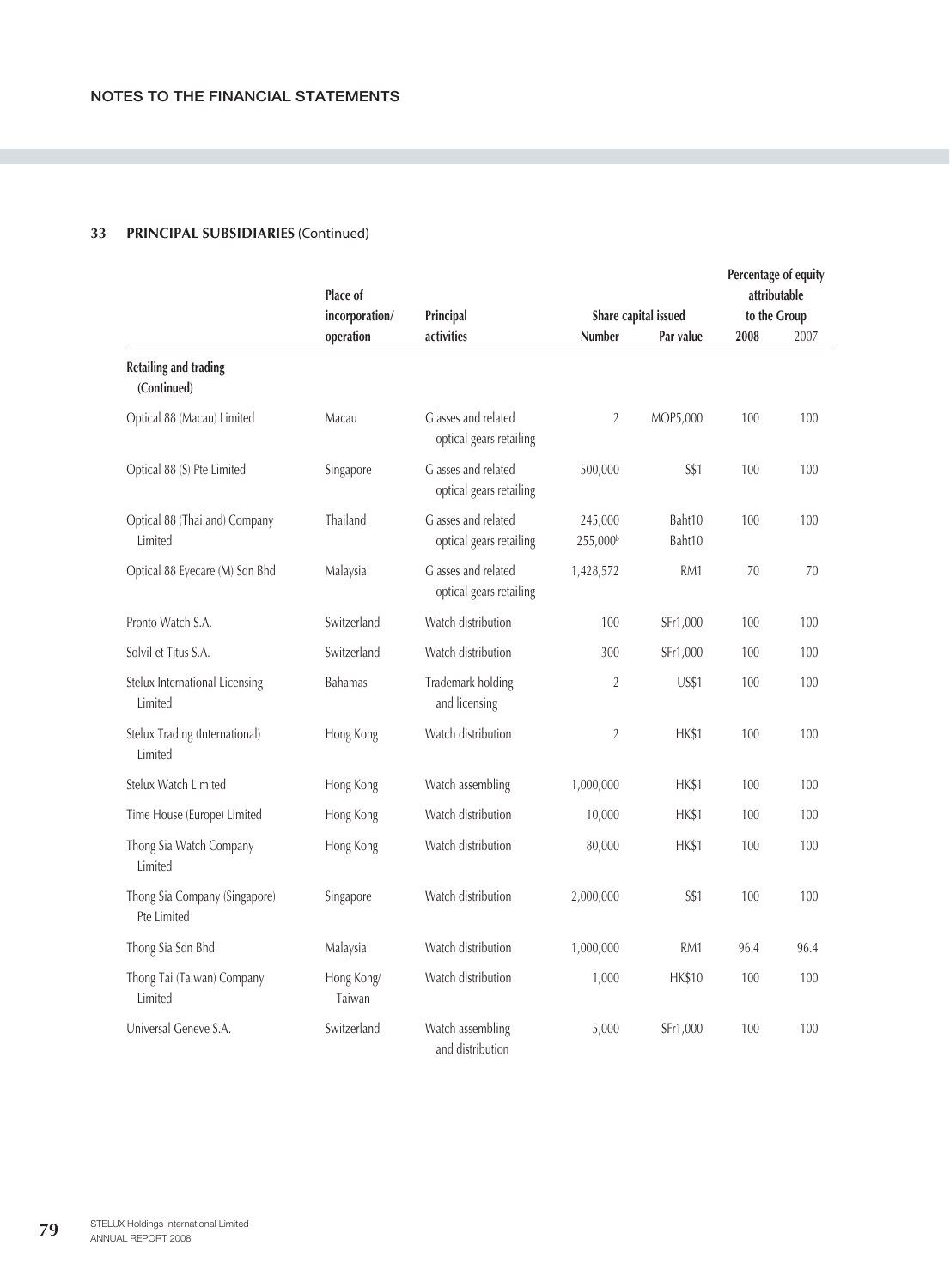# **33 PRINCIPAL SUBSIDIARIES** (Continued)

|                                              | Place of             |                                                |                                 |                      |      | Percentage of equity<br>attributable |
|----------------------------------------------|----------------------|------------------------------------------------|---------------------------------|----------------------|------|--------------------------------------|
|                                              | incorporation/       | Principal                                      |                                 | Share capital issued |      | to the Group                         |
|                                              | operation            | activities                                     | <b>Number</b>                   | Par value            | 2008 | 2007                                 |
| <b>Retailing and trading</b><br>(Continued)  |                      |                                                |                                 |                      |      |                                      |
| Optical 88 (Macau) Limited                   | Macau                | Glasses and related<br>optical gears retailing | $\overline{2}$                  | MOP5,000             | 100  | 100                                  |
| Optical 88 (S) Pte Limited                   | Singapore            | Glasses and related<br>optical gears retailing | 500,000                         | S\$1                 | 100  | 100                                  |
| Optical 88 (Thailand) Company<br>Limited     | Thailand             | Glasses and related<br>optical gears retailing | 245,000<br>255,000 <sup>b</sup> | Baht10<br>Baht10     | 100  | 100                                  |
| Optical 88 Eyecare (M) Sdn Bhd               | Malaysia             | Glasses and related<br>optical gears retailing | 1,428,572                       | RM1                  | 70   | 70                                   |
| Pronto Watch S.A.                            | Switzerland          | Watch distribution                             | 100                             | SFr1,000             | 100  | 100                                  |
| Solvil et Titus S.A.                         | Switzerland          | Watch distribution                             | 300                             | SFr1,000             | 100  | 100                                  |
| Stelux International Licensing<br>Limited    | <b>Bahamas</b>       | Trademark holding<br>and licensing             | 2                               | <b>US\$1</b>         | 100  | 100                                  |
| Stelux Trading (International)<br>Limited    | Hong Kong            | Watch distribution                             | $\overline{2}$                  | HK\$1                | 100  | 100                                  |
| Stelux Watch Limited                         | Hong Kong            | Watch assembling                               | 1,000,000                       | <b>HK\$1</b>         | 100  | 100                                  |
| Time House (Europe) Limited                  | Hong Kong            | Watch distribution                             | 10,000                          | HK\$1                | 100  | 100                                  |
| Thong Sia Watch Company<br>Limited           | Hong Kong            | Watch distribution                             | 80,000                          | <b>HK\$1</b>         | 100  | 100                                  |
| Thong Sia Company (Singapore)<br>Pte Limited | Singapore            | Watch distribution                             | 2,000,000                       | S\$1                 | 100  | 100                                  |
| Thong Sia Sdn Bhd                            | Malaysia             | Watch distribution                             | 1,000,000                       | RM1                  | 96.4 | 96.4                                 |
| Thong Tai (Taiwan) Company<br>Limited        | Hong Kong/<br>Taiwan | Watch distribution                             | 1,000                           | <b>HK\$10</b>        | 100  | 100                                  |
| Universal Geneve S.A.                        | Switzerland          | Watch assembling<br>and distribution           | 5,000                           | SFr1,000             | 100  | 100                                  |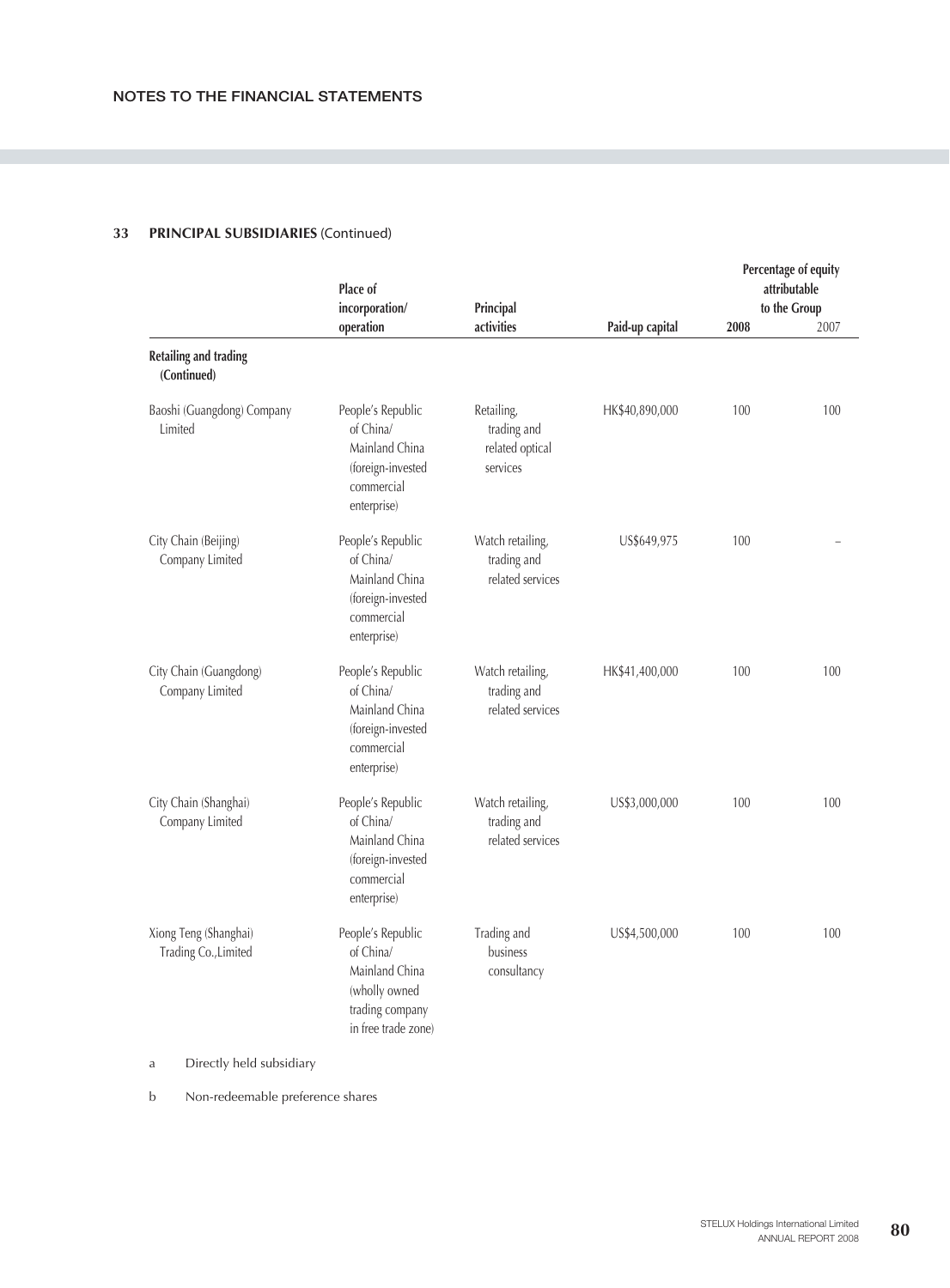# **33 PRINCIPAL SUBSIDIARIES** (Continued)

|                                               | Place of                                                                                                    |                                                          |                 |      | Percentage of equity<br>attributable |
|-----------------------------------------------|-------------------------------------------------------------------------------------------------------------|----------------------------------------------------------|-----------------|------|--------------------------------------|
|                                               | incorporation/<br>operation                                                                                 | Principal<br>activities                                  | Paid-up capital | 2008 | to the Group<br>2007                 |
| <b>Retailing and trading</b><br>(Continued)   |                                                                                                             |                                                          |                 |      |                                      |
| Baoshi (Guangdong) Company<br>Limited         | People's Republic<br>of China/<br>Mainland China<br>(foreign-invested<br>commercial<br>enterprise)          | Retailing,<br>trading and<br>related optical<br>services | HK\$40,890,000  | 100  | 100                                  |
| City Chain (Beijing)<br>Company Limited       | People's Republic<br>of China/<br>Mainland China<br>(foreign-invested<br>commercial<br>enterprise)          | Watch retailing,<br>trading and<br>related services      | US\$649,975     | 100  |                                      |
| City Chain (Guangdong)<br>Company Limited     | People's Republic<br>of China/<br>Mainland China<br>(foreign-invested<br>commercial<br>enterprise)          | Watch retailing,<br>trading and<br>related services      | HK\$41,400,000  | 100  | 100                                  |
| City Chain (Shanghai)<br>Company Limited      | People's Republic<br>of China/<br>Mainland China<br>(foreign-invested<br>commercial<br>enterprise)          | Watch retailing,<br>trading and<br>related services      | US\$3,000,000   | 100  | 100                                  |
| Xiong Teng (Shanghai)<br>Trading Co., Limited | People's Republic<br>of China/<br>Mainland China<br>(wholly owned<br>trading company<br>in free trade zone) | Trading and<br>business<br>consultancy                   | US\$4,500,000   | 100  | 100                                  |

a Directly held subsidiary

b Non-redeemable preference shares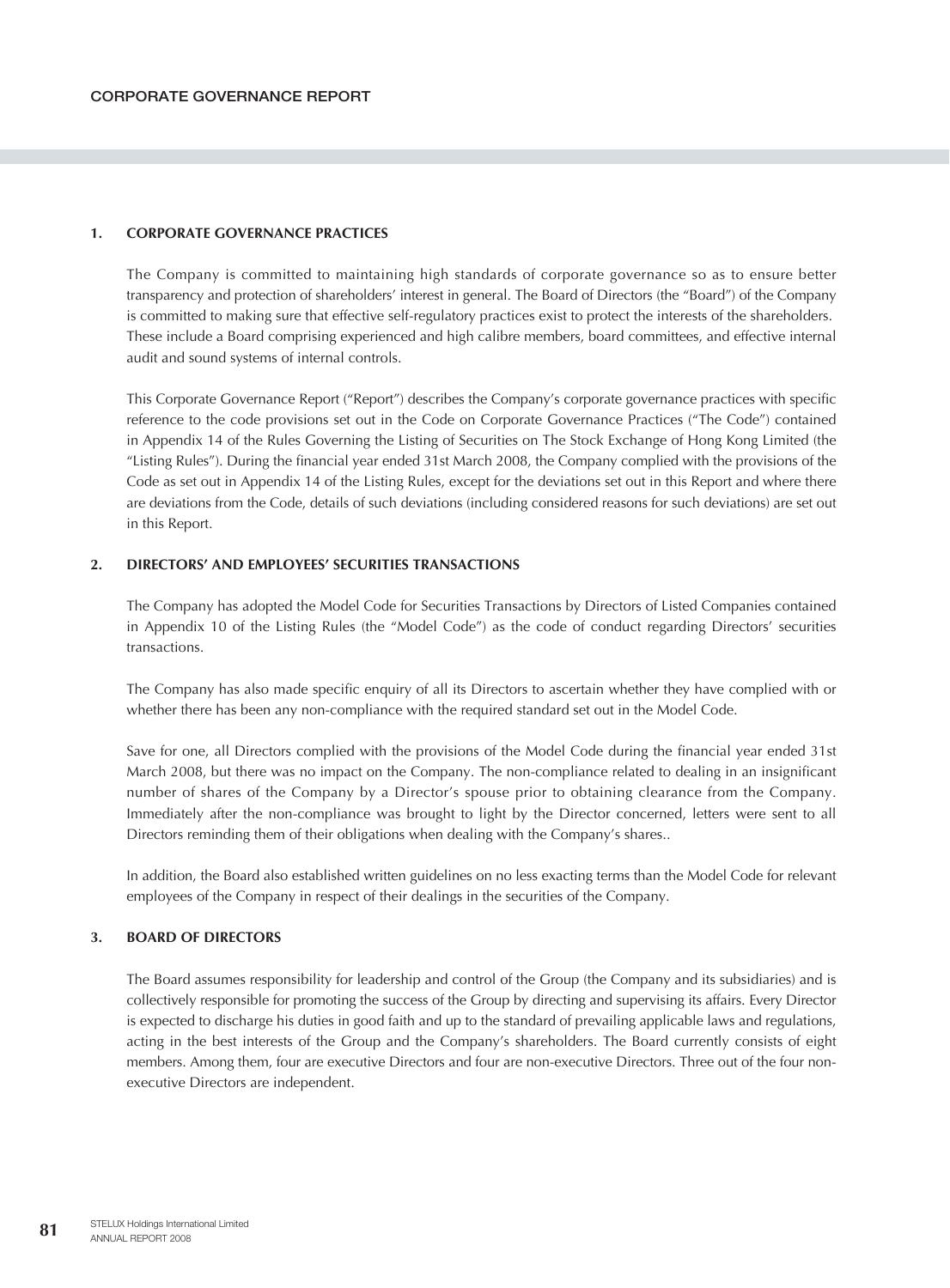## **1. CORPORATE GOVERNANCE PRACTICES**

The Company is committed to maintaining high standards of corporate governance so as to ensure better transparency and protection of shareholders' interest in general. The Board of Directors (the "Board") of the Company is committed to making sure that effective self-regulatory practices exist to protect the interests of the shareholders. These include a Board comprising experienced and high calibre members, board committees, and effective internal audit and sound systems of internal controls.

This Corporate Governance Report ("Report") describes the Company's corporate governance practices with specific reference to the code provisions set out in the Code on Corporate Governance Practices ("The Code") contained in Appendix 14 of the Rules Governing the Listing of Securities on The Stock Exchange of Hong Kong Limited (the "Listing Rules"). During the financial year ended 31st March 2008, the Company complied with the provisions of the Code as set out in Appendix 14 of the Listing Rules, except for the deviations set out in this Report and where there are deviations from the Code, details of such deviations (including considered reasons for such deviations) are set out in this Report.

# **2. DIRECTORS' AND EMPLOYEES' SECURITIES TRANSACTIONS**

The Company has adopted the Model Code for Securities Transactions by Directors of Listed Companies contained in Appendix 10 of the Listing Rules (the "Model Code") as the code of conduct regarding Directors' securities transactions.

The Company has also made specific enquiry of all its Directors to ascertain whether they have complied with or whether there has been any non-compliance with the required standard set out in the Model Code.

Save for one, all Directors complied with the provisions of the Model Code during the financial year ended 31st March 2008, but there was no impact on the Company. The non-compliance related to dealing in an insignificant number of shares of the Company by a Director's spouse prior to obtaining clearance from the Company. Immediately after the non-compliance was brought to light by the Director concerned, letters were sent to all Directors reminding them of their obligations when dealing with the Company's shares..

In addition, the Board also established written guidelines on no less exacting terms than the Model Code for relevant employees of the Company in respect of their dealings in the securities of the Company.

## **3. BOARD OF DIRECTORS**

The Board assumes responsibility for leadership and control of the Group (the Company and its subsidiaries) and is collectively responsible for promoting the success of the Group by directing and supervising its affairs. Every Director is expected to discharge his duties in good faith and up to the standard of prevailing applicable laws and regulations, acting in the best interests of the Group and the Company's shareholders. The Board currently consists of eight members. Among them, four are executive Directors and four are non-executive Directors. Three out of the four nonexecutive Directors are independent.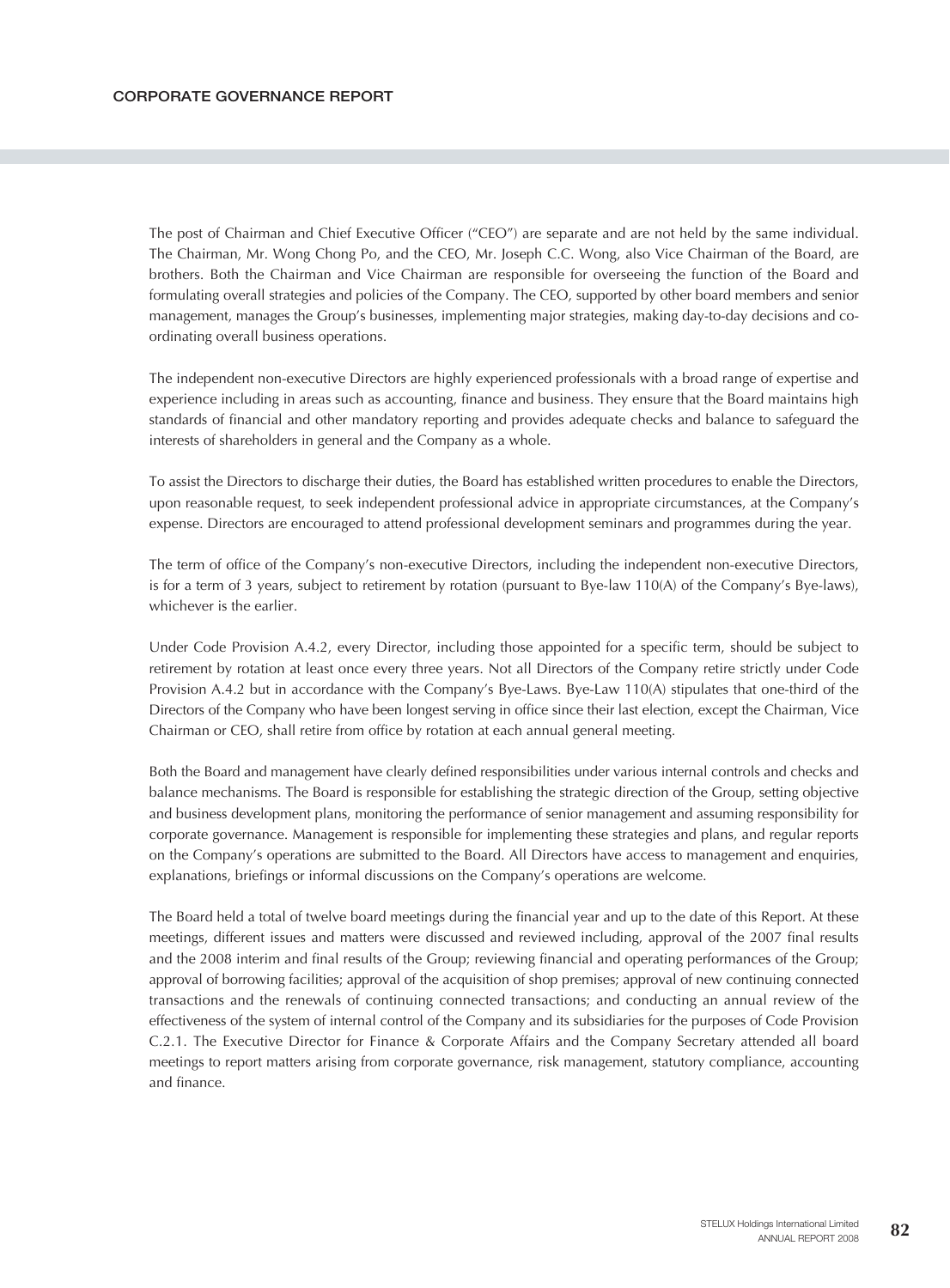The post of Chairman and Chief Executive Officer ("CEO") are separate and are not held by the same individual. The Chairman, Mr. Wong Chong Po, and the CEO, Mr. Joseph C.C. Wong, also Vice Chairman of the Board, are brothers. Both the Chairman and Vice Chairman are responsible for overseeing the function of the Board and formulating overall strategies and policies of the Company. The CEO, supported by other board members and senior management, manages the Group's businesses, implementing major strategies, making day-to-day decisions and coordinating overall business operations.

The independent non-executive Directors are highly experienced professionals with a broad range of expertise and experience including in areas such as accounting, finance and business. They ensure that the Board maintains high standards of financial and other mandatory reporting and provides adequate checks and balance to safeguard the interests of shareholders in general and the Company as a whole.

To assist the Directors to discharge their duties, the Board has established written procedures to enable the Directors, upon reasonable request, to seek independent professional advice in appropriate circumstances, at the Company's expense. Directors are encouraged to attend professional development seminars and programmes during the year.

The term of office of the Company's non-executive Directors, including the independent non-executive Directors, is for a term of 3 years, subject to retirement by rotation (pursuant to Bye-law 110(A) of the Company's Bye-laws), whichever is the earlier.

Under Code Provision A.4.2, every Director, including those appointed for a specific term, should be subject to retirement by rotation at least once every three years. Not all Directors of the Company retire strictly under Code Provision A.4.2 but in accordance with the Company's Bye-Laws. Bye-Law 110(A) stipulates that one-third of the Directors of the Company who have been longest serving in office since their last election, except the Chairman, Vice Chairman or CEO, shall retire from office by rotation at each annual general meeting.

Both the Board and management have clearly defined responsibilities under various internal controls and checks and balance mechanisms. The Board is responsible for establishing the strategic direction of the Group, setting objective and business development plans, monitoring the performance of senior management and assuming responsibility for corporate governance. Management is responsible for implementing these strategies and plans, and regular reports on the Company's operations are submitted to the Board. All Directors have access to management and enquiries, explanations, briefings or informal discussions on the Company's operations are welcome.

The Board held a total of twelve board meetings during the financial year and up to the date of this Report. At these meetings, different issues and matters were discussed and reviewed including, approval of the 2007 final results and the 2008 interim and final results of the Group; reviewing financial and operating performances of the Group; approval of borrowing facilities; approval of the acquisition of shop premises; approval of new continuing connected transactions and the renewals of continuing connected transactions; and conducting an annual review of the effectiveness of the system of internal control of the Company and its subsidiaries for the purposes of Code Provision C.2.1. The Executive Director for Finance & Corporate Affairs and the Company Secretary attended all board meetings to report matters arising from corporate governance, risk management, statutory compliance, accounting and finance.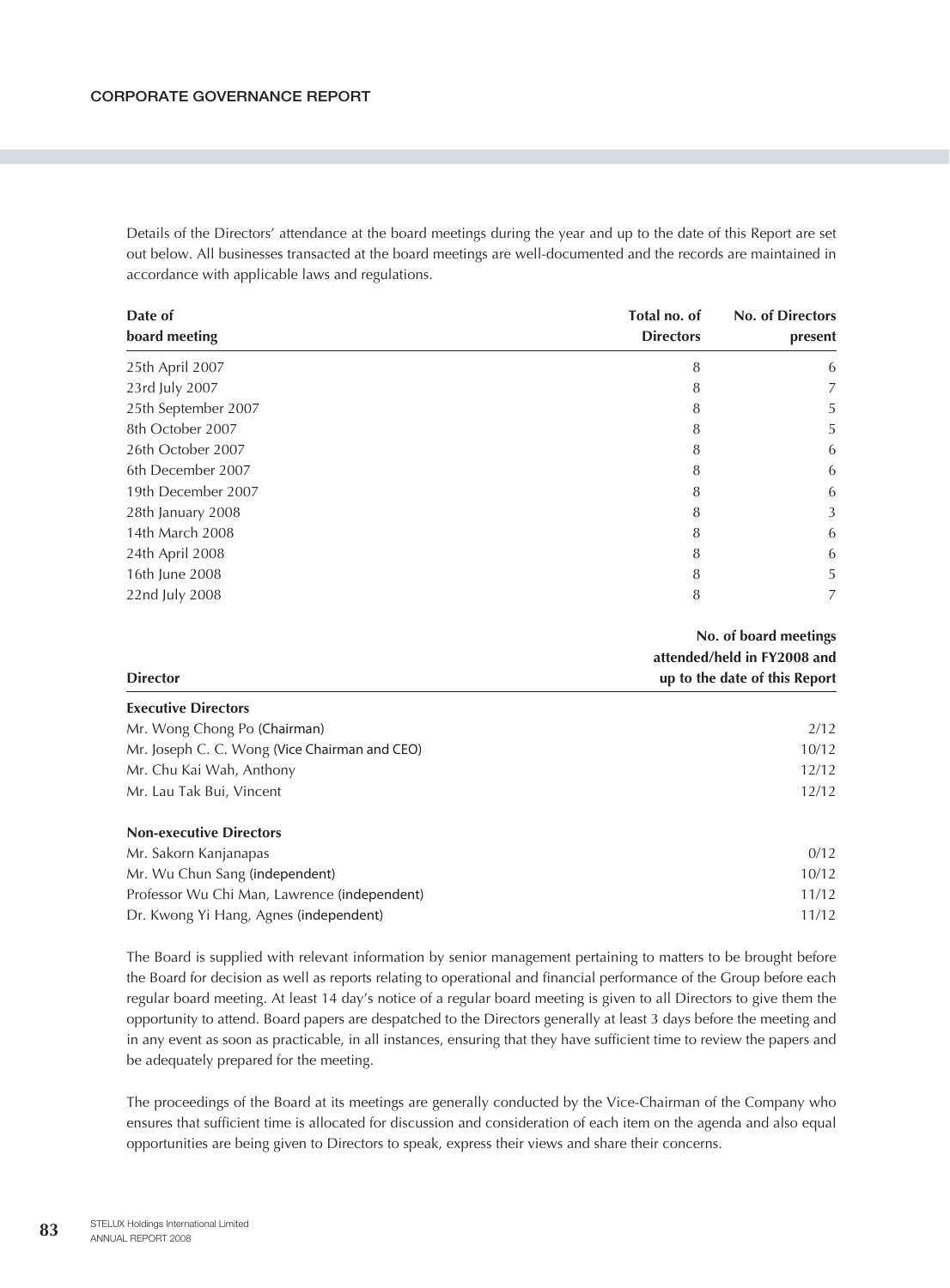Details of the Directors' attendance at the board meetings during the year and up to the date of this Report are set out below. All businesses transacted at the board meetings are well-documented and the records are maintained in accordance with applicable laws and regulations.

| Date of             | Total no. of     | <b>No. of Directors</b> |  |
|---------------------|------------------|-------------------------|--|
| board meeting       | <b>Directors</b> | present                 |  |
| 25th April 2007     | 8                | 6                       |  |
| 23rd July 2007      | 8                | 7.                      |  |
| 25th September 2007 | 8                | 5.                      |  |
| 8th October 2007    | 8                | 5.                      |  |
| 26th October 2007   | 8                | 6                       |  |
| 6th December 2007   | 8                | 6                       |  |
| 19th December 2007  | 8                | 6                       |  |
| 28th January 2008   | 8                | 3                       |  |
| 14th March 2008     | 8                | 6                       |  |
| 24th April 2008     | 8                | 6                       |  |
| 16th June 2008      | 8                | 5                       |  |
| 22nd July 2008      | 8                | $\overline{7}$          |  |

| <b>Director</b>                               | No. of board meetings<br>attended/held in FY2008 and<br>up to the date of this Report |
|-----------------------------------------------|---------------------------------------------------------------------------------------|
| <b>Executive Directors</b>                    |                                                                                       |
| Mr. Wong Chong Po (Chairman)                  | 2/12                                                                                  |
| Mr. Joseph C. C. Wong (Vice Chairman and CEO) | 10/12                                                                                 |
| Mr. Chu Kai Wah, Anthony                      | 12/12                                                                                 |
| Mr. Lau Tak Bui, Vincent                      | 12/12                                                                                 |

# **Non-executive Directors** Mr. Sakorn Kanjanapas 0/12 Mr. Wu Chun Sang (independent) 10/12 Professor Wu Chi Man, Lawrence (independent) 11/12 Dr. Kwong Yi Hang, Agnes (independent) 11/12

The Board is supplied with relevant information by senior management pertaining to matters to be brought before the Board for decision as well as reports relating to operational and financial performance of the Group before each regular board meeting. At least 14 day's notice of a regular board meeting is given to all Directors to give them the opportunity to attend. Board papers are despatched to the Directors generally at least 3 days before the meeting and in any event as soon as practicable, in all instances, ensuring that they have sufficient time to review the papers and be adequately prepared for the meeting.

The proceedings of the Board at its meetings are generally conducted by the Vice-Chairman of the Company who ensures that sufficient time is allocated for discussion and consideration of each item on the agenda and also equal opportunities are being given to Directors to speak, express their views and share their concerns.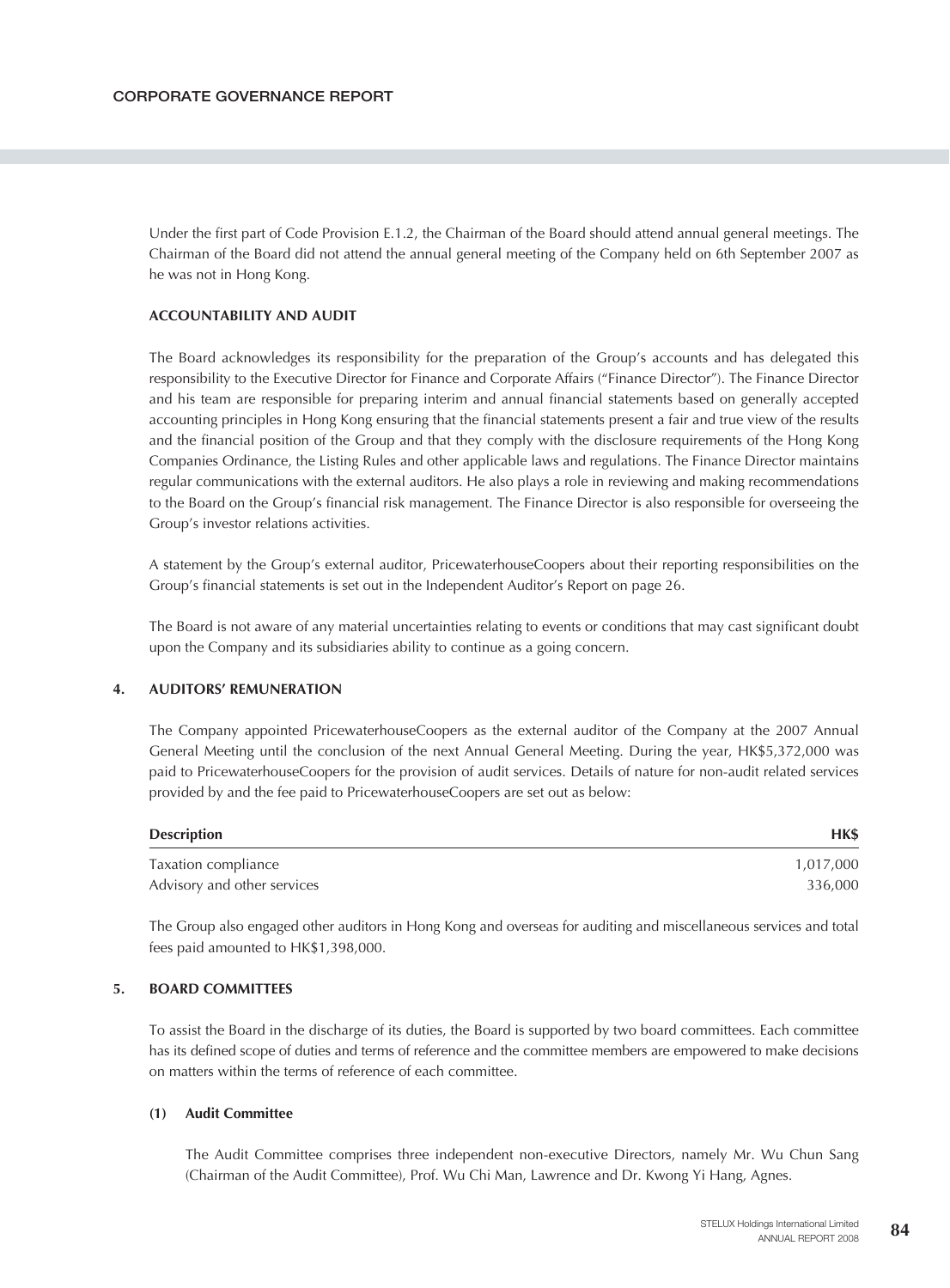Under the first part of Code Provision E.1.2, the Chairman of the Board should attend annual general meetings. The Chairman of the Board did not attend the annual general meeting of the Company held on 6th September 2007 as he was not in Hong Kong.

#### **ACCOUNTABILITY AND AUDIT**

The Board acknowledges its responsibility for the preparation of the Group's accounts and has delegated this responsibility to the Executive Director for Finance and Corporate Affairs ("Finance Director"). The Finance Director and his team are responsible for preparing interim and annual financial statements based on generally accepted accounting principles in Hong Kong ensuring that the financial statements present a fair and true view of the results and the financial position of the Group and that they comply with the disclosure requirements of the Hong Kong Companies Ordinance, the Listing Rules and other applicable laws and regulations. The Finance Director maintains regular communications with the external auditors. He also plays a role in reviewing and making recommendations to the Board on the Group's financial risk management. The Finance Director is also responsible for overseeing the Group's investor relations activities.

A statement by the Group's external auditor, PricewaterhouseCoopers about their reporting responsibilities on the Group's financial statements is set out in the Independent Auditor's Report on page 26.

The Board is not aware of any material uncertainties relating to events or conditions that may cast significant doubt upon the Company and its subsidiaries ability to continue as a going concern.

## **4. AUDITORS' REMUNERATION**

The Company appointed PricewaterhouseCoopers as the external auditor of the Company at the 2007 Annual General Meeting until the conclusion of the next Annual General Meeting. During the year, HK\$5,372,000 was paid to PricewaterhouseCoopers for the provision of audit services. Details of nature for non-audit related services provided by and the fee paid to PricewaterhouseCoopers are set out as below:

| <b>Description</b>          | HK\$      |
|-----------------------------|-----------|
| Taxation compliance         | 1,017,000 |
| Advisory and other services | 336,000   |

The Group also engaged other auditors in Hong Kong and overseas for auditing and miscellaneous services and total fees paid amounted to HK\$1,398,000.

## **5. BOARD COMMITTEES**

To assist the Board in the discharge of its duties, the Board is supported by two board committees. Each committee has its defined scope of duties and terms of reference and the committee members are empowered to make decisions on matters within the terms of reference of each committee.

#### **(1) Audit Committee**

The Audit Committee comprises three independent non-executive Directors, namely Mr. Wu Chun Sang (Chairman of the Audit Committee), Prof. Wu Chi Man, Lawrence and Dr. Kwong Yi Hang, Agnes.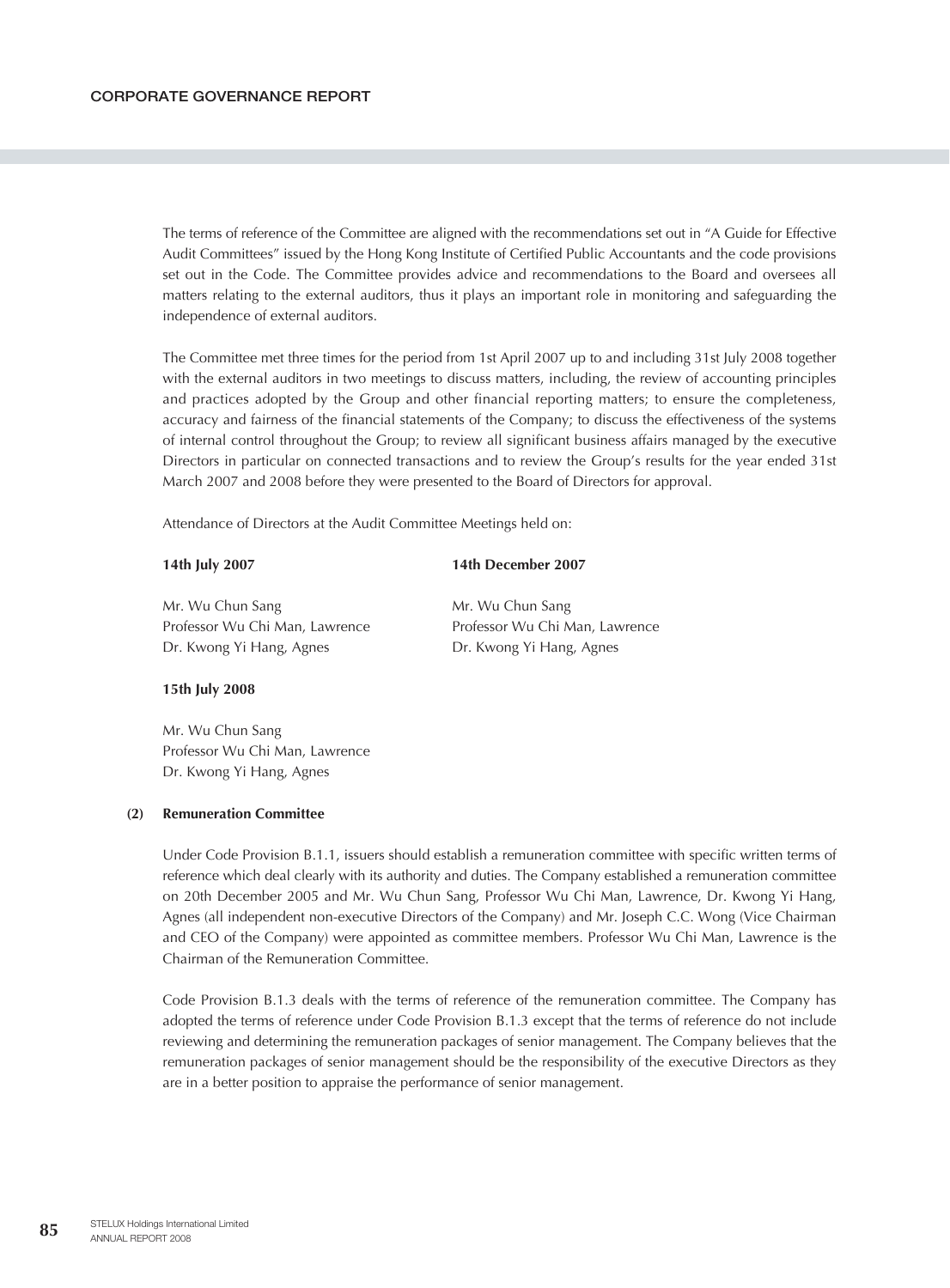The terms of reference of the Committee are aligned with the recommendations set out in "A Guide for Effective Audit Committees" issued by the Hong Kong Institute of Certified Public Accountants and the code provisions set out in the Code. The Committee provides advice and recommendations to the Board and oversees all matters relating to the external auditors, thus it plays an important role in monitoring and safeguarding the independence of external auditors.

The Committee met three times for the period from 1st April 2007 up to and including 31st July 2008 together with the external auditors in two meetings to discuss matters, including, the review of accounting principles and practices adopted by the Group and other financial reporting matters; to ensure the completeness, accuracy and fairness of the financial statements of the Company; to discuss the effectiveness of the systems of internal control throughout the Group; to review all significant business affairs managed by the executive Directors in particular on connected transactions and to review the Group's results for the year ended 31st March 2007 and 2008 before they were presented to the Board of Directors for approval.

Attendance of Directors at the Audit Committee Meetings held on:

**14th July 2007 14th December 2007**

Mr. Wu Chun Sang Mr. Wu Chun Sang Professor Wu Chi Man, Lawrence Professor Wu Chi Man, Lawrence Dr. Kwong Yi Hang, Agnes Dr. Kwong Yi Hang, Agnes

#### **15th July 2008**

Mr. Wu Chun Sang Professor Wu Chi Man, Lawrence Dr. Kwong Yi Hang, Agnes

### **(2) Remuneration Committee**

Under Code Provision B.1.1, issuers should establish a remuneration committee with specific written terms of reference which deal clearly with its authority and duties. The Company established a remuneration committee on 20th December 2005 and Mr. Wu Chun Sang, Professor Wu Chi Man, Lawrence, Dr. Kwong Yi Hang, Agnes (all independent non-executive Directors of the Company) and Mr. Joseph C.C. Wong (Vice Chairman and CEO of the Company) were appointed as committee members. Professor Wu Chi Man, Lawrence is the Chairman of the Remuneration Committee.

Code Provision B.1.3 deals with the terms of reference of the remuneration committee. The Company has adopted the terms of reference under Code Provision B.1.3 except that the terms of reference do not include reviewing and determining the remuneration packages of senior management. The Company believes that the remuneration packages of senior management should be the responsibility of the executive Directors as they are in a better position to appraise the performance of senior management.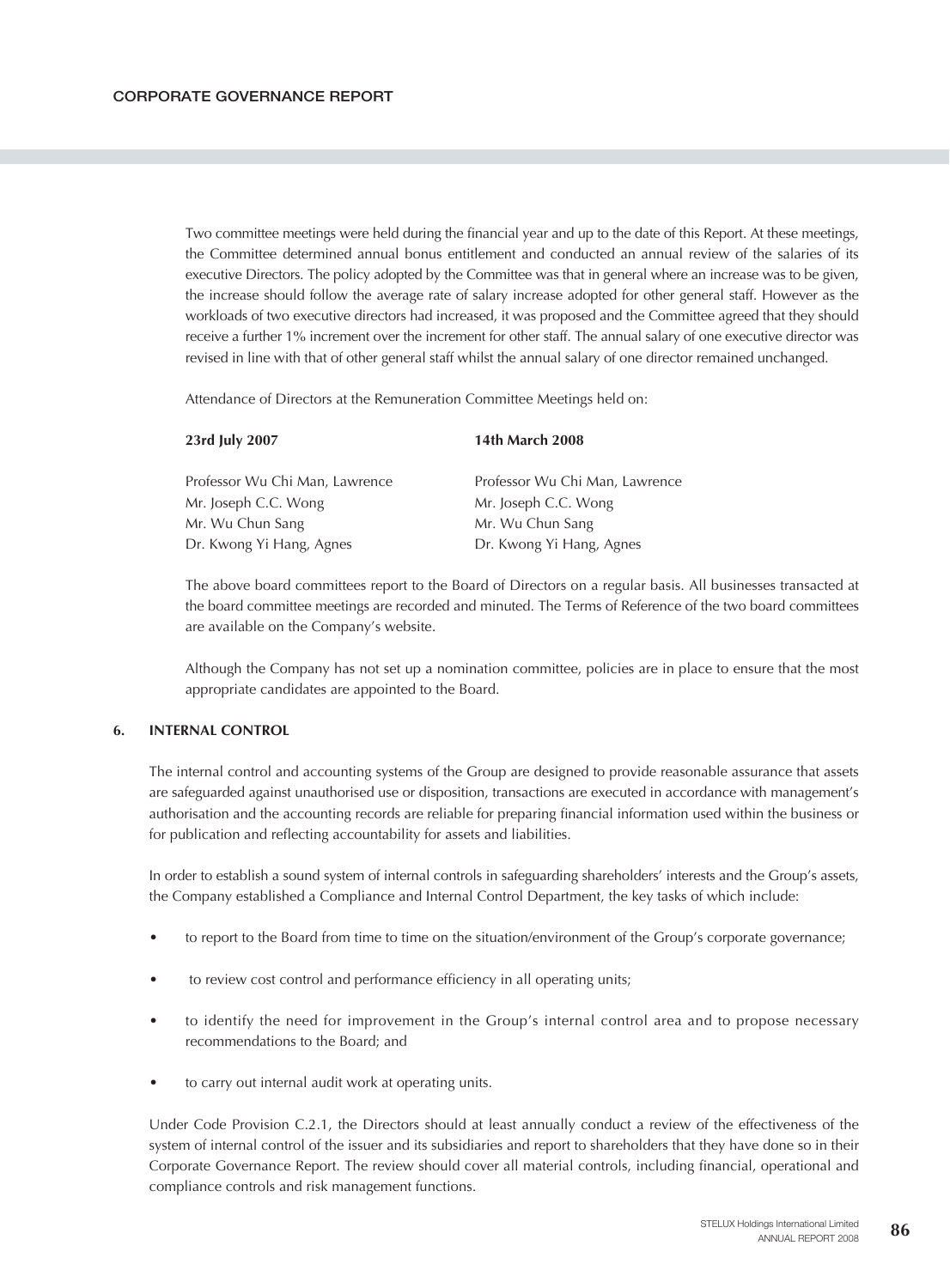Two committee meetings were held during the financial year and up to the date of this Report. At these meetings, the Committee determined annual bonus entitlement and conducted an annual review of the salaries of its executive Directors. The policy adopted by the Committee was that in general where an increase was to be given, the increase should follow the average rate of salary increase adopted for other general staff. However as the workloads of two executive directors had increased, it was proposed and the Committee agreed that they should receive a further 1% increment over the increment for other staff. The annual salary of one executive director was revised in line with that of other general staff whilst the annual salary of one director remained unchanged.

Attendance of Directors at the Remuneration Committee Meetings held on:

| 23rd July 2007                 | 14th March 2008                |
|--------------------------------|--------------------------------|
| Professor Wu Chi Man, Lawrence | Professor Wu Chi Man, Lawrence |
| Mr. Joseph C.C. Wong           | Mr. Joseph C.C. Wong           |
| Mr. Wu Chun Sang               | Mr. Wu Chun Sang               |
| Dr. Kwong Yi Hang, Agnes       | Dr. Kwong Yi Hang, Agnes       |

The above board committees report to the Board of Directors on a regular basis. All businesses transacted at the board committee meetings are recorded and minuted. The Terms of Reference of the two board committees are available on the Company's website.

Although the Company has not set up a nomination committee, policies are in place to ensure that the most appropriate candidates are appointed to the Board.

#### **6. INTERNAL CONTROL**

The internal control and accounting systems of the Group are designed to provide reasonable assurance that assets are safeguarded against unauthorised use or disposition, transactions are executed in accordance with management's authorisation and the accounting records are reliable for preparing financial information used within the business or for publication and reflecting accountability for assets and liabilities.

In order to establish a sound system of internal controls in safeguarding shareholders' interests and the Group's assets, the Company established a Compliance and Internal Control Department, the key tasks of which include:

- to report to the Board from time to time on the situation/environment of the Group's corporate governance;
- to review cost control and performance efficiency in all operating units;
- to identify the need for improvement in the Group's internal control area and to propose necessary recommendations to the Board; and
- to carry out internal audit work at operating units.

Under Code Provision C.2.1, the Directors should at least annually conduct a review of the effectiveness of the system of internal control of the issuer and its subsidiaries and report to shareholders that they have done so in their Corporate Governance Report. The review should cover all material controls, including financial, operational and compliance controls and risk management functions.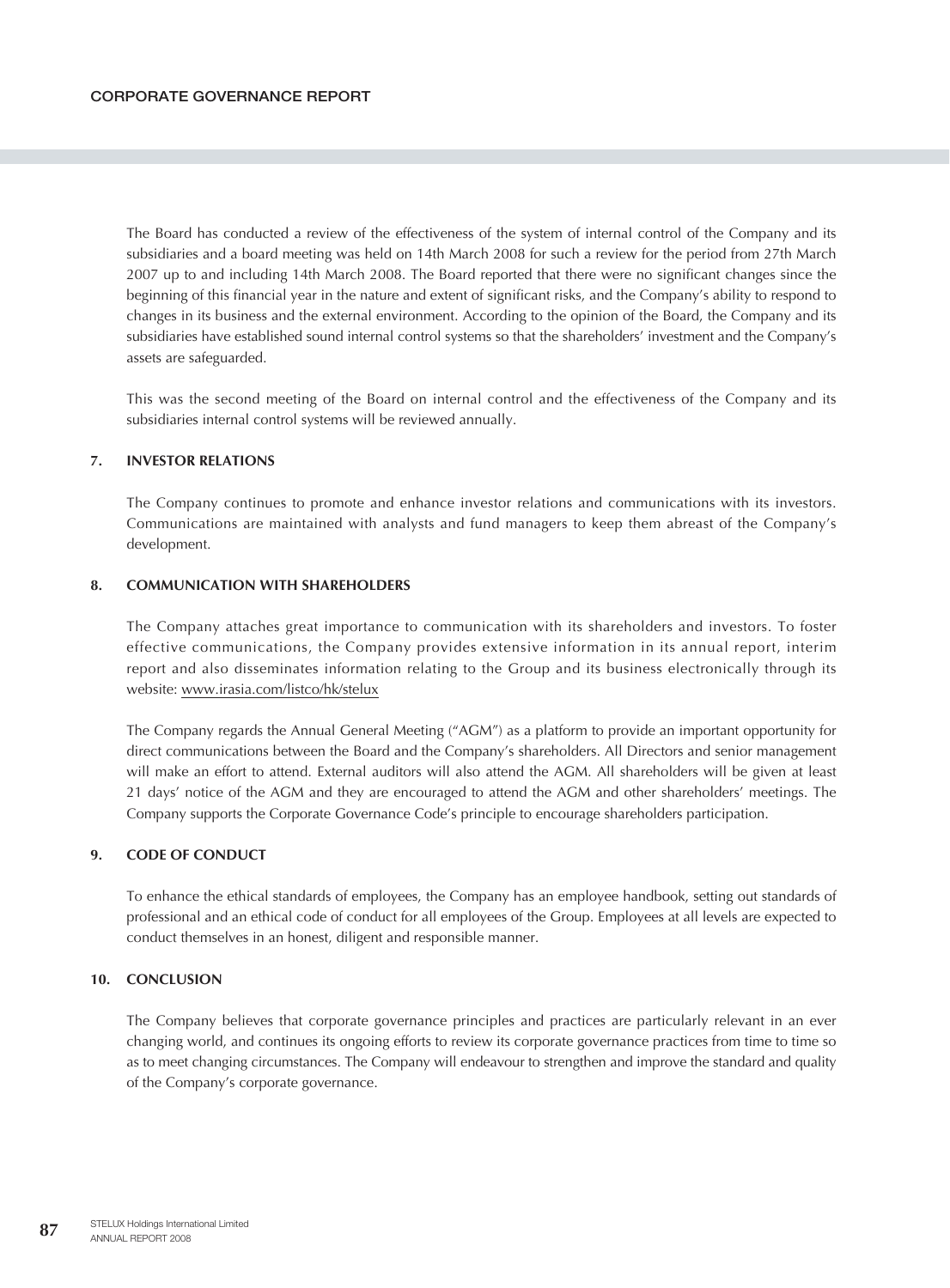The Board has conducted a review of the effectiveness of the system of internal control of the Company and its subsidiaries and a board meeting was held on 14th March 2008 for such a review for the period from 27th March 2007 up to and including 14th March 2008. The Board reported that there were no significant changes since the beginning of this financial year in the nature and extent of significant risks, and the Company's ability to respond to changes in its business and the external environment. According to the opinion of the Board, the Company and its subsidiaries have established sound internal control systems so that the shareholders' investment and the Company's assets are safeguarded.

This was the second meeting of the Board on internal control and the effectiveness of the Company and its subsidiaries internal control systems will be reviewed annually.

#### **7. INVESTOR RELATIONS**

The Company continues to promote and enhance investor relations and communications with its investors. Communications are maintained with analysts and fund managers to keep them abreast of the Company's development.

#### **8. COMMUNICATION WITH SHAREHOLDERS**

The Company attaches great importance to communication with its shareholders and investors. To foster effective communications, the Company provides extensive information in its annual report, interim report and also disseminates information relating to the Group and its business electronically through its website: www.irasia.com/listco/hk/stelux

The Company regards the Annual General Meeting ("AGM") as a platform to provide an important opportunity for direct communications between the Board and the Company's shareholders. All Directors and senior management will make an effort to attend. External auditors will also attend the AGM. All shareholders will be given at least 21 days' notice of the AGM and they are encouraged to attend the AGM and other shareholders' meetings. The Company supports the Corporate Governance Code's principle to encourage shareholders participation.

# **9. CODE OF CONDUCT**

To enhance the ethical standards of employees, the Company has an employee handbook, setting out standards of professional and an ethical code of conduct for all employees of the Group. Employees at all levels are expected to conduct themselves in an honest, diligent and responsible manner.

#### **10. CONCLUSION**

The Company believes that corporate governance principles and practices are particularly relevant in an ever changing world, and continues its ongoing efforts to review its corporate governance practices from time to time so as to meet changing circumstances. The Company will endeavour to strengthen and improve the standard and quality of the Company's corporate governance.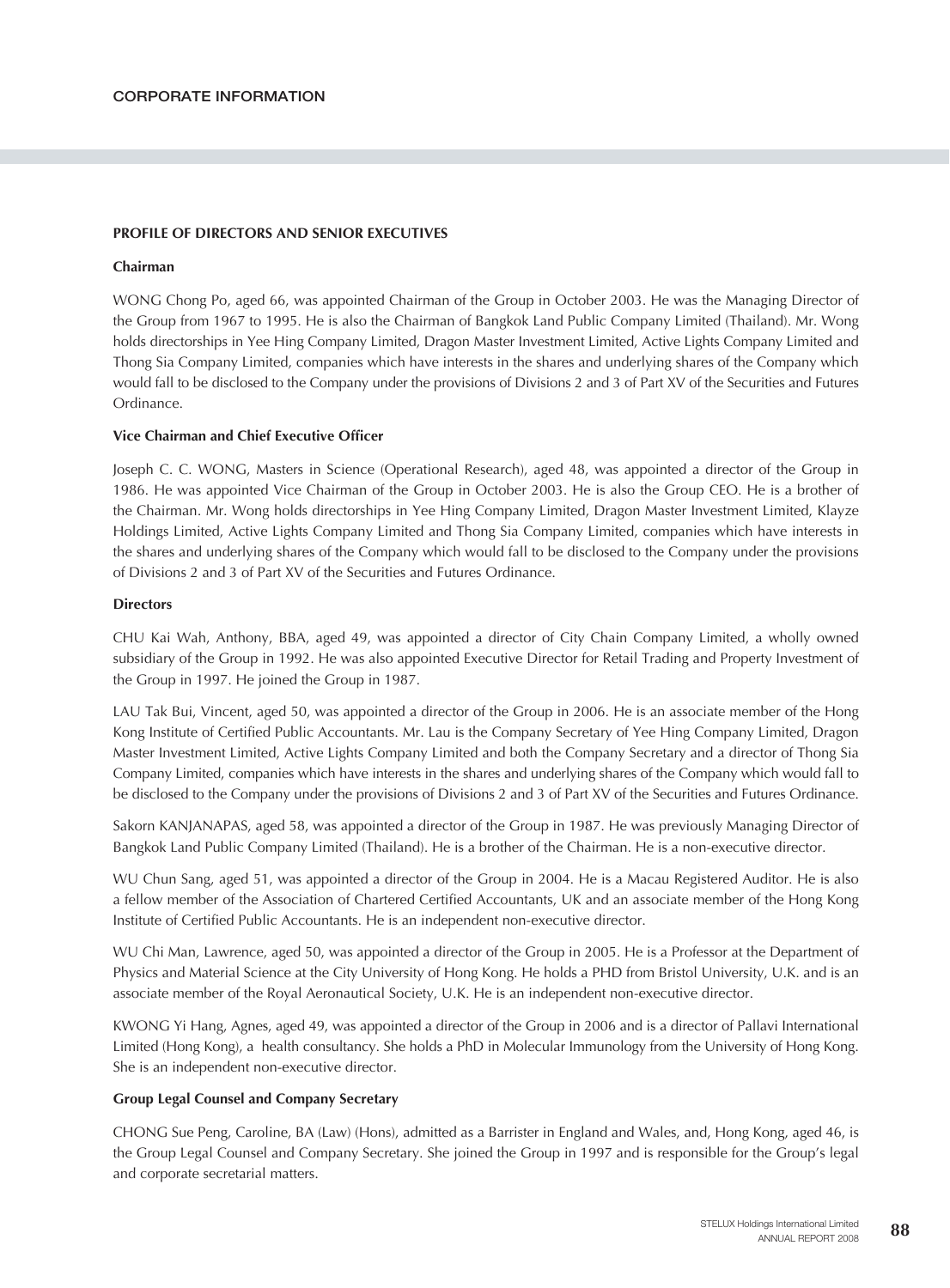## **PROFILE OF DIRECTORS AND SENIOR EXECUTIVES**

#### **Chairman**

WONG Chong Po, aged 66, was appointed Chairman of the Group in October 2003. He was the Managing Director of the Group from 1967 to 1995. He is also the Chairman of Bangkok Land Public Company Limited (Thailand). Mr. Wong holds directorships in Yee Hing Company Limited, Dragon Master Investment Limited, Active Lights Company Limited and Thong Sia Company Limited, companies which have interests in the shares and underlying shares of the Company which would fall to be disclosed to the Company under the provisions of Divisions 2 and 3 of Part XV of the Securities and Futures Ordinance.

#### **Vice Chairman and Chief Executive Officer**

Joseph C. C. WONG, Masters in Science (Operational Research), aged 48, was appointed a director of the Group in 1986. He was appointed Vice Chairman of the Group in October 2003. He is also the Group CEO. He is a brother of the Chairman. Mr. Wong holds directorships in Yee Hing Company Limited, Dragon Master Investment Limited, Klayze Holdings Limited, Active Lights Company Limited and Thong Sia Company Limited, companies which have interests in the shares and underlying shares of the Company which would fall to be disclosed to the Company under the provisions of Divisions 2 and 3 of Part XV of the Securities and Futures Ordinance.

#### **Directors**

CHU Kai Wah, Anthony, BBA, aged 49, was appointed a director of City Chain Company Limited, a wholly owned subsidiary of the Group in 1992. He was also appointed Executive Director for Retail Trading and Property Investment of the Group in 1997. He joined the Group in 1987.

LAU Tak Bui, Vincent, aged 50, was appointed a director of the Group in 2006. He is an associate member of the Hong Kong Institute of Certified Public Accountants. Mr. Lau is the Company Secretary of Yee Hing Company Limited, Dragon Master Investment Limited, Active Lights Company Limited and both the Company Secretary and a director of Thong Sia Company Limited, companies which have interests in the shares and underlying shares of the Company which would fall to be disclosed to the Company under the provisions of Divisions 2 and 3 of Part XV of the Securities and Futures Ordinance.

Sakorn KANJANAPAS, aged 58, was appointed a director of the Group in 1987. He was previously Managing Director of Bangkok Land Public Company Limited (Thailand). He is a brother of the Chairman. He is a non-executive director.

WU Chun Sang, aged 51, was appointed a director of the Group in 2004. He is a Macau Registered Auditor. He is also a fellow member of the Association of Chartered Certified Accountants, UK and an associate member of the Hong Kong Institute of Certified Public Accountants. He is an independent non-executive director.

WU Chi Man, Lawrence, aged 50, was appointed a director of the Group in 2005. He is a Professor at the Department of Physics and Material Science at the City University of Hong Kong. He holds a PHD from Bristol University, U.K. and is an associate member of the Royal Aeronautical Society, U.K. He is an independent non-executive director.

KWONG Yi Hang, Agnes, aged 49, was appointed a director of the Group in 2006 and is a director of Pallavi International Limited (Hong Kong), a health consultancy. She holds a PhD in Molecular Immunology from the University of Hong Kong. She is an independent non-executive director.

#### **Group Legal Counsel and Company Secretary**

CHONG Sue Peng, Caroline, BA (Law) (Hons), admitted as a Barrister in England and Wales, and, Hong Kong, aged 46, is the Group Legal Counsel and Company Secretary. She joined the Group in 1997 and is responsible for the Group's legal and corporate secretarial matters.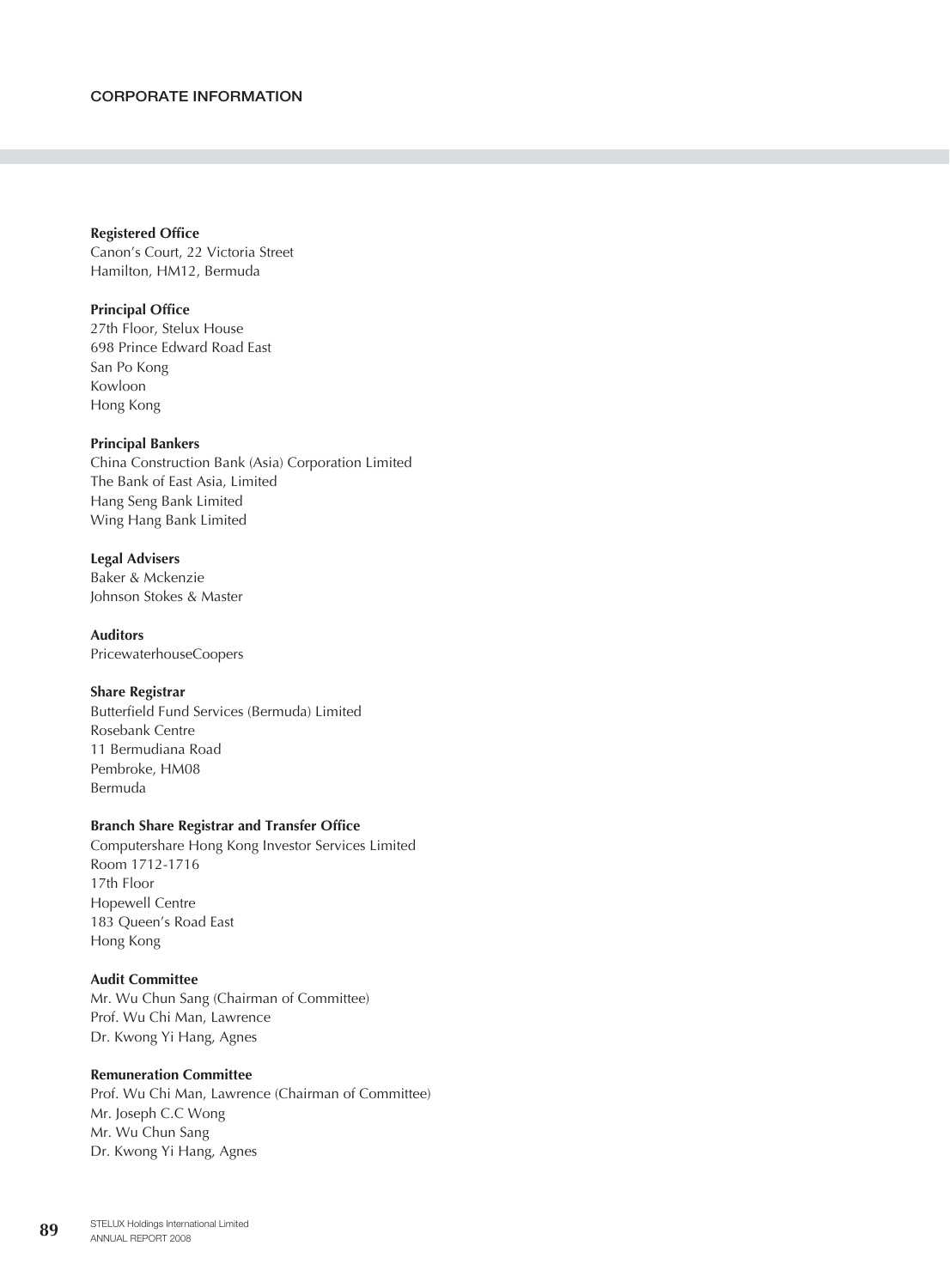#### **CORPORATE INFORMATION**

# **Registered Office**

Canon's Court, 22 Victoria Street Hamilton, HM12, Bermuda

## **Principal Office**

27th Floor, Stelux House 698 Prince Edward Road East San Po Kong Kowloon Hong Kong

# **Principal Bankers**

China Construction Bank (Asia) Corporation Limited The Bank of East Asia, Limited Hang Seng Bank Limited Wing Hang Bank Limited

## **Legal Advisers**  Baker & Mckenzie Johnson Stokes & Master

**Auditors**  PricewaterhouseCoopers

#### **Share Registrar**

Butterfield Fund Services (Bermuda) Limited Rosebank Centre 11 Bermudiana Road Pembroke, HM08 Bermuda

# **Branch Share Registrar and Transfer Office**

Computershare Hong Kong Investor Services Limited Room 1712-1716 17th Floor Hopewell Centre 183 Queen's Road East Hong Kong

## **Audit Committee**

Mr. Wu Chun Sang (Chairman of Committee) Prof. Wu Chi Man, Lawrence Dr. Kwong Yi Hang, Agnes

# **Remuneration Committee**

Prof. Wu Chi Man, Lawrence (Chairman of Committee) Mr. Joseph C.C Wong Mr. Wu Chun Sang Dr. Kwong Yi Hang, Agnes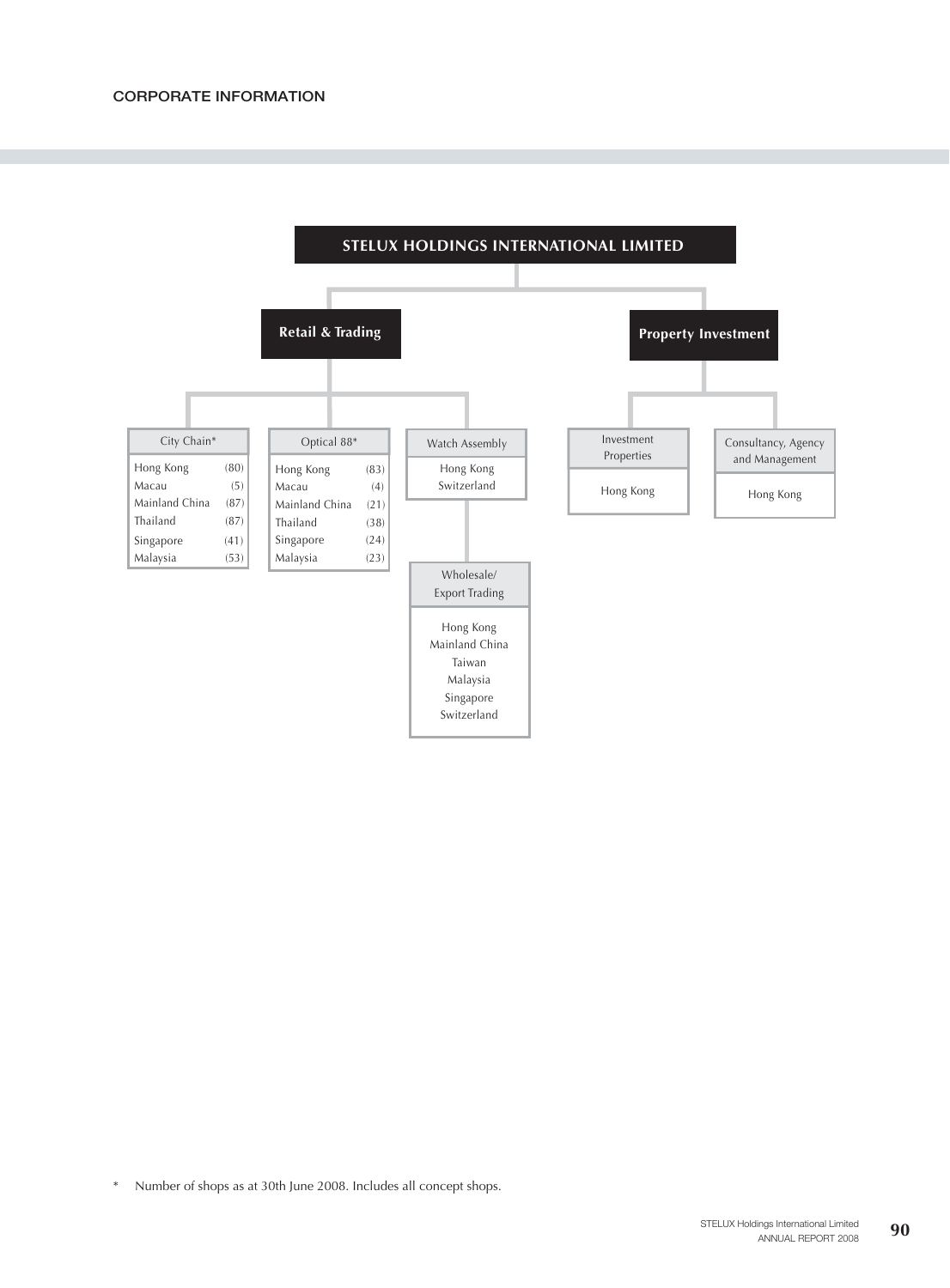

\* Number of shops as at 30th June 2008. Includes all concept shops.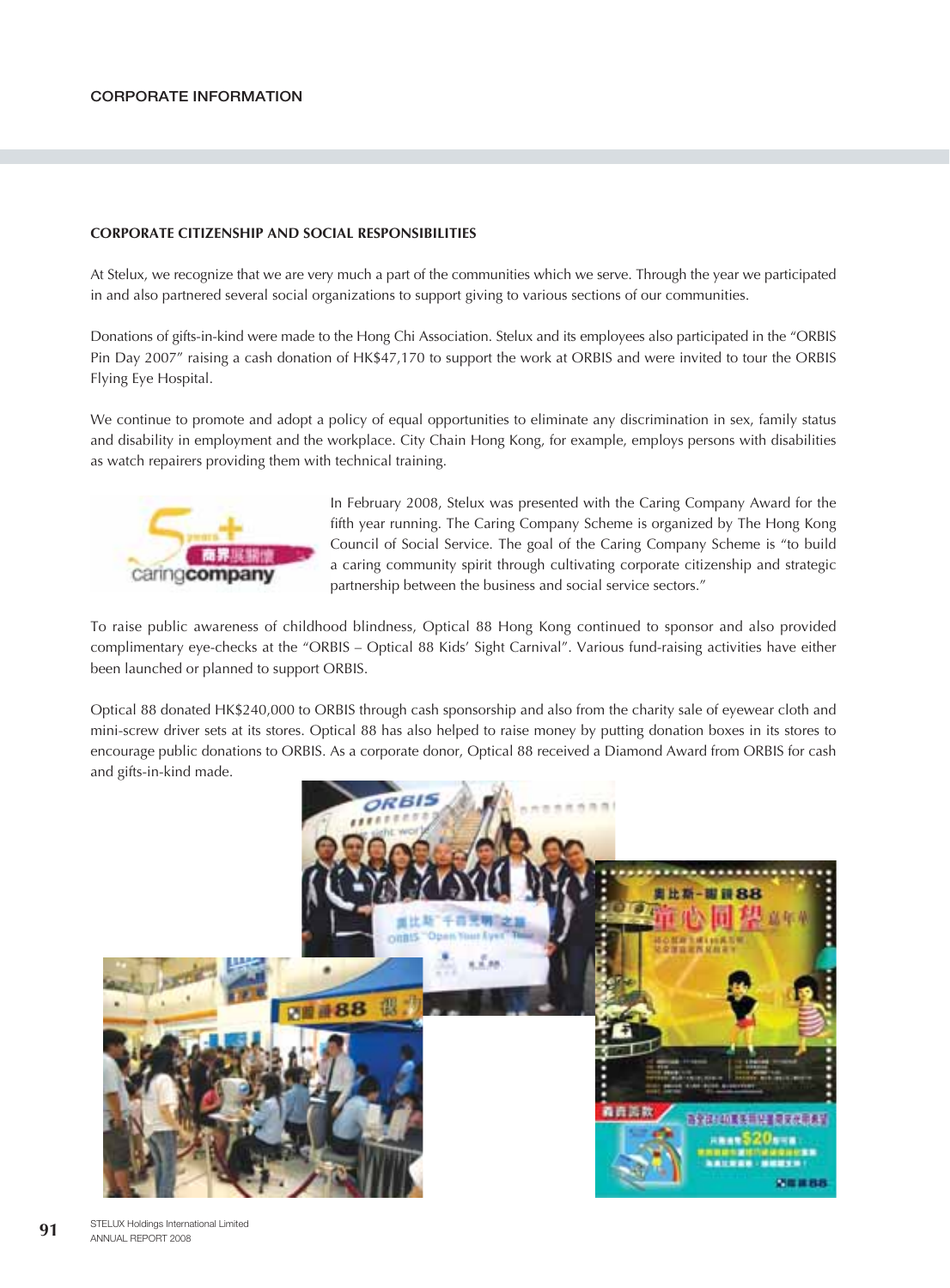# **CORPORATE INFORMATION**

## **CORPORATE CITIZENSHIP AND SOCIAL RESPONSIBILITIES**

At Stelux, we recognize that we are very much a part of the communities which we serve. Through the year we participated in and also partnered several social organizations to support giving to various sections of our communities.

Donations of gifts-in-kind were made to the Hong Chi Association. Stelux and its employees also participated in the "ORBIS Pin Day 2007" raising a cash donation of HK\$47,170 to support the work at ORBIS and were invited to tour the ORBIS Flying Eye Hospital.

We continue to promote and adopt a policy of equal opportunities to eliminate any discrimination in sex, family status and disability in employment and the workplace. City Chain Hong Kong, for example, employs persons with disabilities as watch repairers providing them with technical training.



In February 2008, Stelux was presented with the Caring Company Award for the fifth year running. The Caring Company Scheme is organized by The Hong Kong Council of Social Service. The goal of the Caring Company Scheme is "to build a caring community spirit through cultivating corporate citizenship and strategic partnership between the business and social service sectors."

To raise public awareness of childhood blindness, Optical 88 Hong Kong continued to sponsor and also provided complimentary eye-checks at the "ORBIS – Optical 88 Kids' Sight Carnival". Various fund-raising activities have either been launched or planned to support ORBIS.

Optical 88 donated HK\$240,000 to ORBIS through cash sponsorship and also from the charity sale of eyewear cloth and mini-screw driver sets at its stores. Optical 88 has also helped to raise money by putting donation boxes in its stores to encourage public donations to ORBIS. As a corporate donor, Optical 88 received a Diamond Award from ORBIS for cash and gifts-in-kind made.

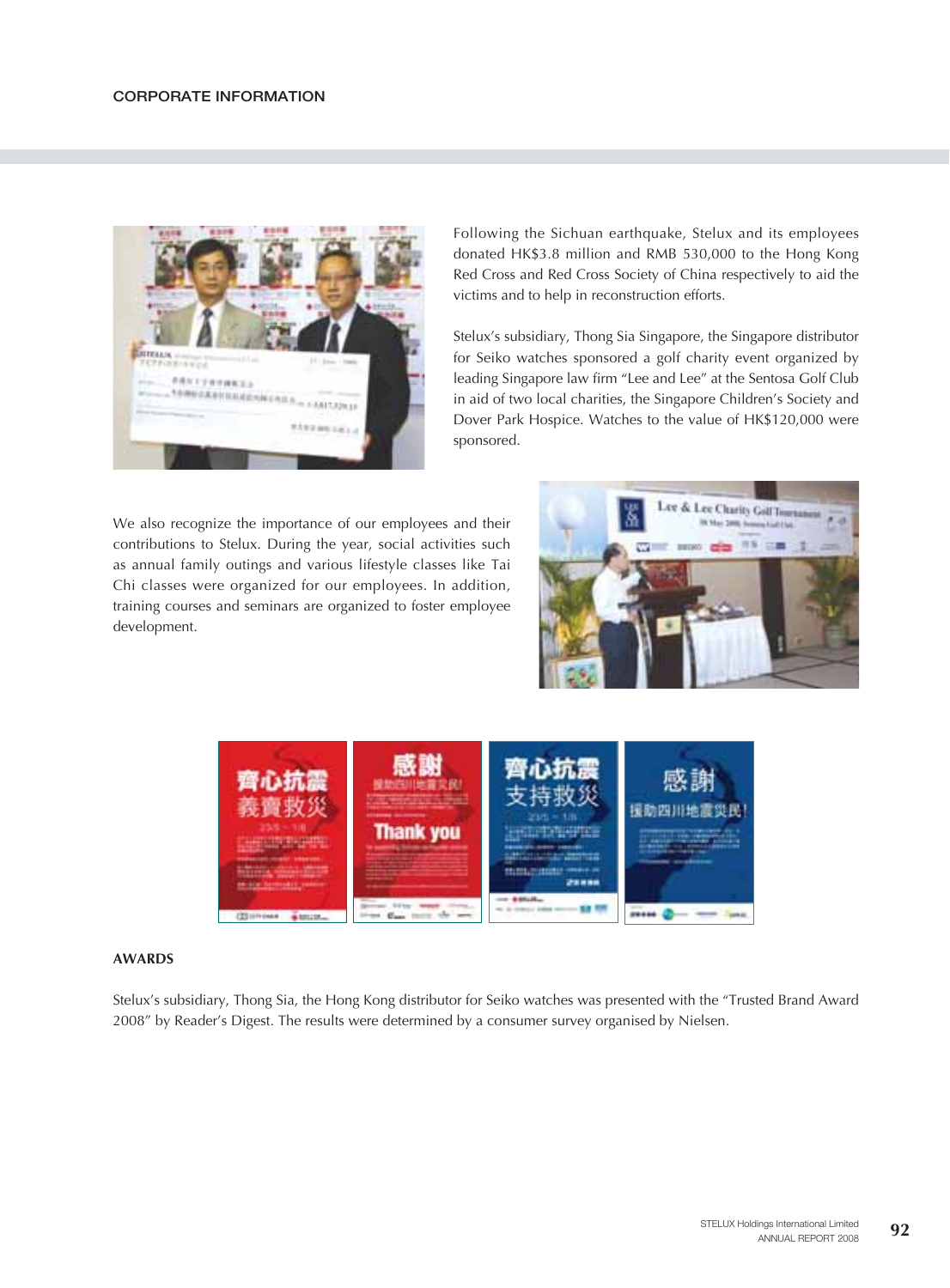

Following the Sichuan earthquake, Stelux and its employees donated HK\$3.8 million and RMB 530,000 to the Hong Kong Red Cross and Red Cross Society of China respectively to aid the victims and to help in reconstruction efforts.

Stelux's subsidiary, Thong Sia Singapore, the Singapore distributor for Seiko watches sponsored a golf charity event organized by leading Singapore law firm "Lee and Lee" at the Sentosa Golf Club in aid of two local charities, the Singapore Children's Society and Dover Park Hospice. Watches to the value of HK\$120,000 were sponsored.

We also recognize the importance of our employees and their contributions to Stelux. During the year, social activities such as annual family outings and various lifestyle classes like Tai Chi classes were organized for our employees. In addition, training courses and seminars are organized to foster employee development.





#### **AWARDS**

Stelux's subsidiary, Thong Sia, the Hong Kong distributor for Seiko watches was presented with the "Trusted Brand Award 2008" by Reader's Digest. The results were determined by a consumer survey organised by Nielsen.